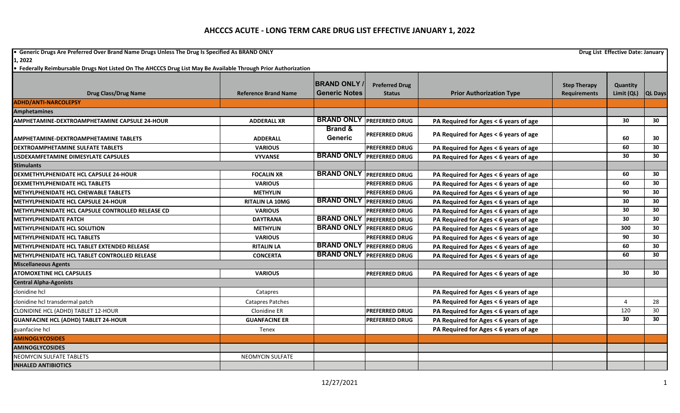**•** Generic Drugs Are Preferred Over Brand Name Drugs Unless The Drug Is Specified As BRAND ONLY **Drug List Effective Date: January Drug List Effective Date: January 1, 2022**

|                                                      |                             | <b>BRAND ONLY</b>             | <b>Preferred Drug</b>            |                                       | <b>Step Therapy</b> | Quantity   |                 |
|------------------------------------------------------|-----------------------------|-------------------------------|----------------------------------|---------------------------------------|---------------------|------------|-----------------|
| <b>Drug Class/Drug Name</b>                          | <b>Reference Brand Name</b> | <b>Generic Notes</b>          | <b>Status</b>                    | <b>Prior Authorization Type</b>       | <b>Requirements</b> | Limit (QL) | <b>QL Days</b>  |
| <b>ADHD/ANTI-NARCOLEPSY</b>                          |                             |                               |                                  |                                       |                     |            |                 |
| <b>Amphetamines</b>                                  |                             |                               |                                  |                                       |                     |            |                 |
| <b>AMPHETAMINE-DEXTROAMPHETAMINE CAPSULE 24-HOUR</b> | <b>ADDERALL XR</b>          | <b>BRAND ONLY</b>             | <b>PREFERRED DRUG</b>            | PA Required for Ages < 6 years of age |                     | 30         | 30 <sub>o</sub> |
| <b>AMPHETAMINE-DEXTROAMPHETAMINE TABLETS</b>         | <b>ADDERALL</b>             | <b>Brand &amp;</b><br>Generic | <b>PREFERRED DRUG</b>            | PA Required for Ages < 6 years of age |                     | 60         | 30              |
| <b>DEXTROAMPHETAMINE SULFATE TABLETS</b>             | <b>VARIOUS</b>              |                               | <b>PREFERRED DRUG</b>            | PA Required for Ages < 6 years of age |                     | 60         | 30              |
| LISDEXAMFETAMINE DIMESYLATE CAPSULES                 | <b>VYVANSE</b>              |                               | <b>BRAND ONLY PREFERRED DRUG</b> | PA Required for Ages < 6 years of age |                     | 30         | 30 <sup>°</sup> |
| <b>Stimulants</b>                                    |                             |                               |                                  |                                       |                     |            |                 |
| DEXMETHYLPHENIDATE HCL CAPSULE 24-HOUR               | <b>FOCALIN XR</b>           |                               | <b>BRAND ONLY PREFERRED DRUG</b> | PA Required for Ages < 6 years of age |                     | 60         | 30 <sup>°</sup> |
| <b>DEXMETHYLPHENIDATE HCL TABLETS</b>                | <b>VARIOUS</b>              |                               | <b>PREFERRED DRUG</b>            | PA Required for Ages < 6 years of age |                     | 60         | 30              |
| METHYLPHENIDATE HCL CHEWABLE TABLETS                 | <b>METHYLIN</b>             |                               | <b>PREFERRED DRUG</b>            | PA Required for Ages < 6 years of age |                     | 90         | $\overline{30}$ |
| METHYLPHENIDATE HCL CAPSULE 24-HOUR                  | <b>RITALIN LA 10MG</b>      | <b>BRAND ONLY</b>             | <b>PREFERRED DRUG</b>            | PA Required for Ages < 6 years of age |                     | 30         | 30              |
| METHYLPHENIDATE HCL CAPSULE CONTROLLED RELEASE CD    | <b>VARIOUS</b>              |                               | <b>PREFERRED DRUG</b>            | PA Required for Ages < 6 years of age |                     | 30         | 30              |
| <b>METHYLPHENIDATE PATCH</b>                         | <b>DAYTRANA</b>             |                               | <b>BRAND ONLY PREFERRED DRUG</b> | PA Required for Ages < 6 years of age |                     | 30         | 30              |
| <b>METHYLPHENIDATE HCL SOLUTION</b>                  | <b>METHYLIN</b>             |                               | <b>BRAND ONLY PREFERRED DRUG</b> | PA Required for Ages < 6 years of age |                     | 300        | 30              |
| <b>METHYLPHENIDATE HCL TABLETS</b>                   | <b>VARIOUS</b>              |                               | <b>PREFERRED DRUG</b>            | PA Required for Ages < 6 years of age |                     | 90         | 30 <sub>o</sub> |
| <b>METHYLPHENIDATE HCL TABLET EXTENDED RELEASE</b>   | <b>RITALIN LA</b>           |                               | <b>BRAND ONLY PREFERRED DRUG</b> | PA Required for Ages < 6 years of age |                     | 60         | 30              |
| <b>METHYLPHENIDATE HCL TABLET CONTROLLED RELEASE</b> | <b>CONCERTA</b>             |                               | <b>BRAND ONLY PREFERRED DRUG</b> | PA Required for Ages < 6 years of age |                     | 60         | 30              |
| <b>Miscellaneous Agents</b>                          |                             |                               |                                  |                                       |                     |            |                 |
| <b>ATOMOXETINE HCL CAPSULES</b>                      | <b>VARIOUS</b>              |                               | <b>PREFERRED DRUG</b>            | PA Required for Ages < 6 years of age |                     | 30         | 30              |
| <b>Central Alpha-Agonists</b>                        |                             |                               |                                  |                                       |                     |            |                 |
| clonidine hcl                                        | Catapres                    |                               |                                  | PA Required for Ages < 6 years of age |                     |            |                 |
| clonidine hcl transdermal patch                      | <b>Catapres Patches</b>     |                               |                                  | PA Required for Ages < 6 years of age |                     | Δ          | 28              |
| CLONIDINE HCL (ADHD) TABLET 12-HOUR                  | Clonidine ER                |                               | <b>PREFERRED DRUG</b>            | PA Required for Ages < 6 years of age |                     | 120        | 30              |
| <b>GUANFACINE HCL (ADHD) TABLET 24-HOUR</b>          | <b>GUANFACINE ER</b>        |                               | <b>PREFERRED DRUG</b>            | PA Required for Ages < 6 years of age |                     | 30         | 30 <sub>2</sub> |
| guanfacine hcl                                       | Tenex                       |                               |                                  | PA Required for Ages < 6 years of age |                     |            |                 |
| <b>AMINOGLYCOSIDES</b>                               |                             |                               |                                  |                                       |                     |            |                 |
| <b>AMINOGLYCOSIDES</b>                               |                             |                               |                                  |                                       |                     |            |                 |
| <b>NEOMYCIN SULFATE TABLETS</b>                      | <b>NEOMYCIN SULFATE</b>     |                               |                                  |                                       |                     |            |                 |
| <b>INHALED ANTIBIOTICS</b>                           |                             |                               |                                  |                                       |                     |            |                 |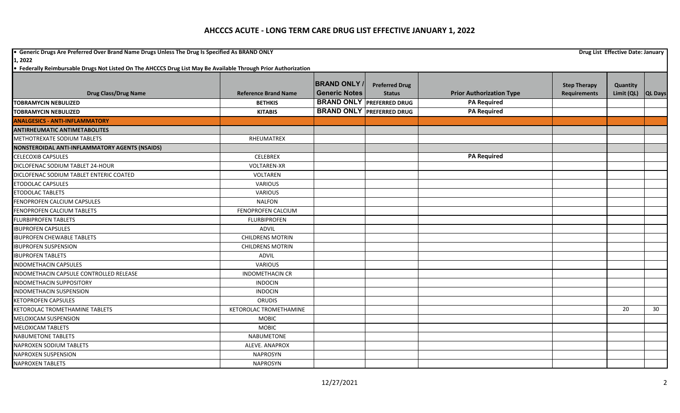**•** Generic Drugs Are Preferred Over Brand Name Drugs Unless The Drug Is Specified As BRAND ONLY **Drug List Effective Date: January Drug List Effective Date: January** 

|                                                |                             | <b>BRAND ONLY</b>    | <b>Preferred Drug</b>            |                                 | <b>Step Therapy</b> | Quantity   |                |
|------------------------------------------------|-----------------------------|----------------------|----------------------------------|---------------------------------|---------------------|------------|----------------|
| <b>Drug Class/Drug Name</b>                    | <b>Reference Brand Name</b> | <b>Generic Notes</b> | <b>Status</b>                    | <b>Prior Authorization Type</b> | <b>Requirements</b> | Limit (QL) | <b>QL Days</b> |
| <b>TOBRAMYCIN NEBULIZED</b>                    | <b>BETHKIS</b>              |                      | <b>BRAND ONLY PREFERRED DRUG</b> | <b>PA Required</b>              |                     |            |                |
| <b>TOBRAMYCIN NEBULIZED</b>                    | <b>KITABIS</b>              |                      | <b>BRAND ONLY PREFERRED DRUG</b> | <b>PA Required</b>              |                     |            |                |
| <b>ANALGESICS - ANTI-INFLAMMATORY</b>          |                             |                      |                                  |                                 |                     |            |                |
| <b>ANTIRHEUMATIC ANTIMETABOLITES</b>           |                             |                      |                                  |                                 |                     |            |                |
| <b>METHOTREXATE SODIUM TABLETS</b>             | <b>RHEUMATREX</b>           |                      |                                  |                                 |                     |            |                |
| NONSTEROIDAL ANTI-INFLAMMATORY AGENTS (NSAIDS) |                             |                      |                                  |                                 |                     |            |                |
| <b>CELECOXIB CAPSULES</b>                      | CELEBREX                    |                      |                                  | <b>PA Required</b>              |                     |            |                |
| DICLOFENAC SODIUM TABLET 24-HOUR               | <b>VOLTAREN-XR</b>          |                      |                                  |                                 |                     |            |                |
| DICLOFENAC SODIUM TABLET ENTERIC COATED        | VOLTAREN                    |                      |                                  |                                 |                     |            |                |
| <b>ETODOLAC CAPSULES</b>                       | <b>VARIOUS</b>              |                      |                                  |                                 |                     |            |                |
| ETODOLAC TABLETS                               | <b>VARIOUS</b>              |                      |                                  |                                 |                     |            |                |
| FENOPROFEN CALCIUM CAPSULES                    | <b>NALFON</b>               |                      |                                  |                                 |                     |            |                |
| FENOPROFEN CALCIUM TABLETS                     | FENOPROFEN CALCIUM          |                      |                                  |                                 |                     |            |                |
| <b>FLURBIPROFEN TABLETS</b>                    | <b>FLURBIPROFEN</b>         |                      |                                  |                                 |                     |            |                |
| <b>IBUPROFEN CAPSULES</b>                      | ADVIL                       |                      |                                  |                                 |                     |            |                |
| <b>IBUPROFEN CHEWABLE TABLETS</b>              | <b>CHILDRENS MOTRIN</b>     |                      |                                  |                                 |                     |            |                |
| <b>IBUPROFEN SUSPENSION</b>                    | <b>CHILDRENS MOTRIN</b>     |                      |                                  |                                 |                     |            |                |
| <b>IBUPROFEN TABLETS</b>                       | ADVIL                       |                      |                                  |                                 |                     |            |                |
| <b>INDOMETHACIN CAPSULES</b>                   | <b>VARIOUS</b>              |                      |                                  |                                 |                     |            |                |
| INDOMETHACIN CAPSULE CONTROLLED RELEASE        | <b>INDOMETHACIN CR</b>      |                      |                                  |                                 |                     |            |                |
| <b>INDOMETHACIN SUPPOSITORY</b>                | <b>INDOCIN</b>              |                      |                                  |                                 |                     |            |                |
| <b>INDOMETHACIN SUSPENSION</b>                 | <b>INDOCIN</b>              |                      |                                  |                                 |                     |            |                |
| <b>KETOPROFEN CAPSULES</b>                     | <b>ORUDIS</b>               |                      |                                  |                                 |                     |            |                |
| KETOROLAC TROMETHAMINE TABLETS                 | KETOROLAC TROMETHAMINE      |                      |                                  |                                 |                     | 20         | 30             |
| <b>MELOXICAM SUSPENSION</b>                    | <b>MOBIC</b>                |                      |                                  |                                 |                     |            |                |
| <b>MELOXICAM TABLETS</b>                       | <b>MOBIC</b>                |                      |                                  |                                 |                     |            |                |
| <b>NABUMETONE TABLETS</b>                      | <b>NABUMETONE</b>           |                      |                                  |                                 |                     |            |                |
| <b>NAPROXEN SODIUM TABLETS</b>                 | ALEVE. ANAPROX              |                      |                                  |                                 |                     |            |                |
| <b>NAPROXEN SUSPENSION</b>                     | <b>NAPROSYN</b>             |                      |                                  |                                 |                     |            |                |
| <b>NAPROXEN TABLETS</b>                        | <b>NAPROSYN</b>             |                      |                                  |                                 |                     |            |                |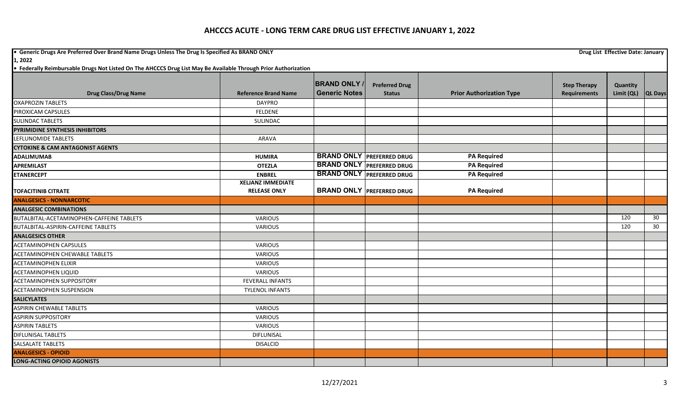**•** Generic Drugs Are Preferred Over Brand Name Drugs Unless The Drug Is Specified As BRAND ONLY **Drug List Effective Date: January Drug List Effective Date: January** 

**1, 2022**

|                                             |                             | <b>BRAND ONLY /</b>  | <b>Preferred Drug</b>            |                                 | <b>Step Therapy</b> | Quantity   |                 |
|---------------------------------------------|-----------------------------|----------------------|----------------------------------|---------------------------------|---------------------|------------|-----------------|
| <b>Drug Class/Drug Name</b>                 | <b>Reference Brand Name</b> | <b>Generic Notes</b> | <b>Status</b>                    | <b>Prior Authorization Type</b> | <b>Requirements</b> | Limit (QL) | <b>QL Days</b>  |
| <b>OXAPROZIN TABLETS</b>                    | <b>DAYPRO</b>               |                      |                                  |                                 |                     |            |                 |
| PIROXICAM CAPSULES                          | FELDENE                     |                      |                                  |                                 |                     |            |                 |
| <b>SULINDAC TABLETS</b>                     | SULINDAC                    |                      |                                  |                                 |                     |            |                 |
| PYRIMIDINE SYNTHESIS INHIBITORS             |                             |                      |                                  |                                 |                     |            |                 |
| LEFLUNOMIDE TABLETS                         | <b>ARAVA</b>                |                      |                                  |                                 |                     |            |                 |
| <b>CYTOKINE &amp; CAM ANTAGONIST AGENTS</b> |                             |                      |                                  |                                 |                     |            |                 |
| <b>ADALIMUMAB</b>                           | <b>HUMIRA</b>               |                      | <b>BRAND ONLY PREFERRED DRUG</b> | <b>PA Required</b>              |                     |            |                 |
| <b>APREMILAST</b>                           | <b>OTEZLA</b>               |                      | <b>BRAND ONLY PREFERRED DRUG</b> | <b>PA Required</b>              |                     |            |                 |
| <b>ETANERCEPT</b>                           | <b>ENBREL</b>               |                      | <b>BRAND ONLY PREFERRED DRUG</b> | <b>PA Required</b>              |                     |            |                 |
|                                             | <b>XELJANZ IMMEDIATE</b>    |                      |                                  |                                 |                     |            |                 |
| <b>TOFACITINIB CITRATE</b>                  | <b>RELEASE ONLY</b>         |                      | <b>BRAND ONLY PREFERRED DRUG</b> | <b>PA Required</b>              |                     |            |                 |
| <b>ANALGESICS - NONNARCOTIC</b>             |                             |                      |                                  |                                 |                     |            |                 |
| <b>ANALGESIC COMBINATIONS</b>               |                             |                      |                                  |                                 |                     |            |                 |
| BUTALBITAL-ACETAMINOPHEN-CAFFEINE TABLETS   | VARIOUS                     |                      |                                  |                                 |                     | 120        | 30              |
| BUTALBITAL-ASPIRIN-CAFFEINE TABLETS         | <b>VARIOUS</b>              |                      |                                  |                                 |                     | 120        | 30 <sup>°</sup> |
| <b>ANALGESICS OTHER</b>                     |                             |                      |                                  |                                 |                     |            |                 |
| <b>ACETAMINOPHEN CAPSULES</b>               | VARIOUS                     |                      |                                  |                                 |                     |            |                 |
| ACETAMINOPHEN CHEWABLE TABLETS              | <b>VARIOUS</b>              |                      |                                  |                                 |                     |            |                 |
| <b>ACETAMINOPHEN ELIXIR</b>                 | <b>VARIOUS</b>              |                      |                                  |                                 |                     |            |                 |
| <b>ACETAMINOPHEN LIQUID</b>                 | VARIOUS                     |                      |                                  |                                 |                     |            |                 |
| <b>ACETAMINOPHEN SUPPOSITORY</b>            | <b>FEVERALL INFANTS</b>     |                      |                                  |                                 |                     |            |                 |
| <b>ACETAMINOPHEN SUSPENSION</b>             | <b>TYLENOL INFANTS</b>      |                      |                                  |                                 |                     |            |                 |
| <b>SALICYLATES</b>                          |                             |                      |                                  |                                 |                     |            |                 |
| <b>ASPIRIN CHEWABLE TABLETS</b>             | <b>VARIOUS</b>              |                      |                                  |                                 |                     |            |                 |
| <b>ASPIRIN SUPPOSITORY</b>                  | VARIOUS                     |                      |                                  |                                 |                     |            |                 |
| <b>ASPIRIN TABLETS</b>                      | <b>VARIOUS</b>              |                      |                                  |                                 |                     |            |                 |
| <b>DIFLUNISAL TABLETS</b>                   | DIFLUNISAL                  |                      |                                  |                                 |                     |            |                 |
| <b>SALSALATE TABLETS</b>                    | <b>DISALCID</b>             |                      |                                  |                                 |                     |            |                 |
| <b>ANALGESICS - OPIOID</b>                  |                             |                      |                                  |                                 |                     |            |                 |
| <b>LONG-ACTING OPIOID AGONISTS</b>          |                             |                      |                                  |                                 |                     |            |                 |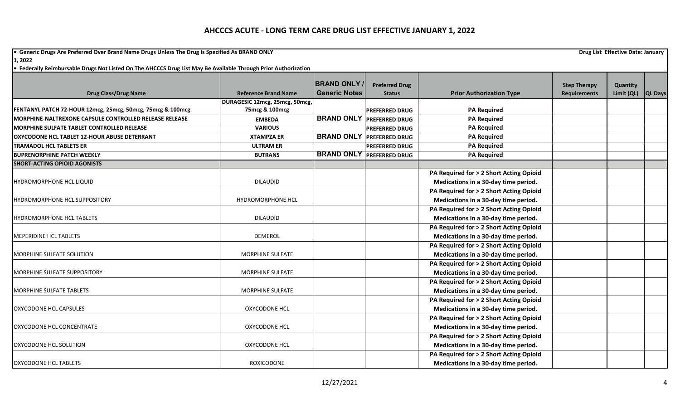**•** Generic Drugs Are Preferred Over Brand Name Drugs Unless The Drug Is Specified As BRAND ONLY **Drug List Effective Date: January Drug List Effective Date: January** 

**1, 2022**

| • Federally Reimbursable Drugs Not Listed On The AHCCCS Drug List May Be Available Through Prior Authorization |  |
|----------------------------------------------------------------------------------------------------------------|--|
|----------------------------------------------------------------------------------------------------------------|--|

|                                                            |                                | <b>BRAND ONLY</b>    | <b>Preferred Drug</b>            |                                         | <b>Step Therapy</b> | Quantity   |                |
|------------------------------------------------------------|--------------------------------|----------------------|----------------------------------|-----------------------------------------|---------------------|------------|----------------|
| <b>Drug Class/Drug Name</b>                                | <b>Reference Brand Name</b>    | <b>Generic Notes</b> | <b>Status</b>                    | <b>Prior Authorization Type</b>         | Requirements        | Limit (QL) | <b>QL Days</b> |
|                                                            | DURAGESIC 12mcg, 25mcg, 50mcg, |                      |                                  |                                         |                     |            |                |
| FENTANYL PATCH 72-HOUR 12mcg, 25mcg, 50mcg, 75mcg & 100mcg | 75mcg & 100mcg                 |                      | <b>PREFERRED DRUG</b>            | <b>PA Required</b>                      |                     |            |                |
| MORPHINE-NALTREXONE CAPSULE CONTROLLED RELEASE RELEASE     | <b>EMBEDA</b>                  |                      | <b>BRAND ONLY PREFERRED DRUG</b> | <b>PA Required</b>                      |                     |            |                |
| MORPHINE SULFATE TABLET CONTROLLED RELEASE                 | <b>VARIOUS</b>                 |                      | <b>PREFERRED DRUG</b>            | <b>PA Required</b>                      |                     |            |                |
| OXYCODONE HCL TABLET 12-HOUR ABUSE DETERRANT               | <b>XTAMPZA ER</b>              | <b>BRAND ONLY</b>    | <b>PREFERRED DRUG</b>            | <b>PA Required</b>                      |                     |            |                |
| <b>TRAMADOL HCL TABLETS ER</b>                             | <b>ULTRAM ER</b>               |                      | <b>PREFERRED DRUG</b>            | <b>PA Required</b>                      |                     |            |                |
| <b>BUPRENORPHINE PATCH WEEKLY</b>                          | <b>BUTRANS</b>                 |                      | <b>BRAND ONLY PREFERRED DRUG</b> | <b>PA Required</b>                      |                     |            |                |
| <b>SHORT-ACTING OPIOID AGONISTS</b>                        |                                |                      |                                  |                                         |                     |            |                |
|                                                            |                                |                      |                                  | PA Required for > 2 Short Acting Opioid |                     |            |                |
| <b>HYDROMORPHONE HCL LIQUID</b>                            | <b>DILAUDID</b>                |                      |                                  | Medications in a 30-day time period.    |                     |            |                |
|                                                            |                                |                      |                                  | PA Required for > 2 Short Acting Opioid |                     |            |                |
| <b>HYDROMORPHONE HCL SUPPOSITORY</b>                       | <b>HYDROMORPHONE HCL</b>       |                      |                                  | Medications in a 30-day time period.    |                     |            |                |
|                                                            |                                |                      |                                  | PA Required for > 2 Short Acting Opioid |                     |            |                |
| <b>HYDROMORPHONE HCL TABLETS</b>                           | <b>DILAUDID</b>                |                      |                                  | Medications in a 30-day time period.    |                     |            |                |
|                                                            |                                |                      |                                  | PA Required for > 2 Short Acting Opioid |                     |            |                |
| <b>MEPERIDINE HCL TABLETS</b>                              | <b>DEMEROL</b>                 |                      |                                  | Medications in a 30-day time period.    |                     |            |                |
|                                                            |                                |                      |                                  | PA Required for > 2 Short Acting Opioid |                     |            |                |
| MORPHINE SULFATE SOLUTION                                  | <b>MORPHINE SULFATE</b>        |                      |                                  | Medications in a 30-day time period.    |                     |            |                |
|                                                            |                                |                      |                                  | PA Required for > 2 Short Acting Opioid |                     |            |                |
| MORPHINE SULFATE SUPPOSITORY                               | MORPHINE SULFATE               |                      |                                  | Medications in a 30-day time period.    |                     |            |                |
|                                                            |                                |                      |                                  | PA Required for > 2 Short Acting Opioid |                     |            |                |
| <b>MORPHINE SULFATE TABLETS</b>                            | <b>MORPHINE SULFATE</b>        |                      |                                  | Medications in a 30-day time period.    |                     |            |                |
|                                                            |                                |                      |                                  | PA Required for > 2 Short Acting Opioid |                     |            |                |
| <b>OXYCODONE HCL CAPSULES</b>                              | <b>OXYCODONE HCL</b>           |                      |                                  | Medications in a 30-day time period.    |                     |            |                |
|                                                            |                                |                      |                                  | PA Required for > 2 Short Acting Opioid |                     |            |                |
| OXYCODONE HCL CONCENTRATE                                  | <b>OXYCODONE HCL</b>           |                      |                                  | Medications in a 30-day time period.    |                     |            |                |
|                                                            |                                |                      |                                  | PA Required for > 2 Short Acting Opioid |                     |            |                |
| OXYCODONE HCL SOLUTION                                     | <b>OXYCODONE HCL</b>           |                      |                                  | Medications in a 30-day time period.    |                     |            |                |
|                                                            |                                |                      |                                  | PA Required for > 2 Short Acting Opioid |                     |            |                |
| <b>OXYCODONE HCL TABLETS</b>                               | ROXICODONE                     |                      |                                  | Medications in a 30-day time period.    |                     |            |                |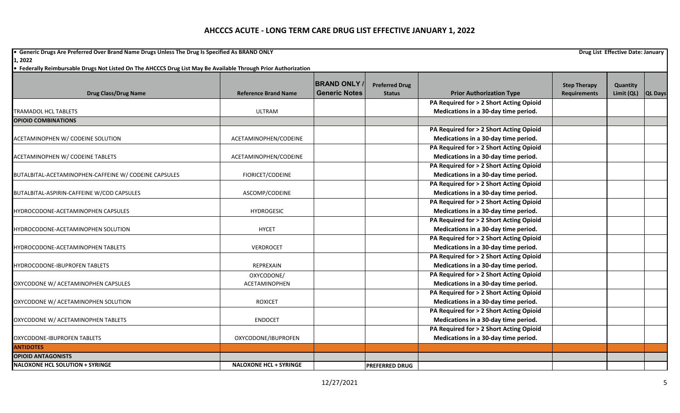**•** Generic Drugs Are Preferred Over Brand Name Drugs Unless The Drug Is Specified As BRAND ONLY **Drug List Effective Date: January Drug List Effective Date: January 1, 2022**

|                                                       |                               | <b>BRAND ONLY</b>    | <b>Preferred Drug</b> |                                         | <b>Step Therapy</b> | Quantity   |                |
|-------------------------------------------------------|-------------------------------|----------------------|-----------------------|-----------------------------------------|---------------------|------------|----------------|
| <b>Drug Class/Drug Name</b>                           | <b>Reference Brand Name</b>   | <b>Generic Notes</b> | <b>Status</b>         | <b>Prior Authorization Type</b>         | <b>Requirements</b> | Limit (QL) | <b>QL Days</b> |
|                                                       |                               |                      |                       | PA Required for > 2 Short Acting Opioid |                     |            |                |
| <b>TRAMADOL HCL TABLETS</b>                           | <b>ULTRAM</b>                 |                      |                       | Medications in a 30-day time period.    |                     |            |                |
| <b>OPIOID COMBINATIONS</b>                            |                               |                      |                       |                                         |                     |            |                |
|                                                       |                               |                      |                       | PA Required for > 2 Short Acting Opioid |                     |            |                |
| ACETAMINOPHEN W/ CODEINE SOLUTION                     | ACETAMINOPHEN/CODEINE         |                      |                       | Medications in a 30-day time period.    |                     |            |                |
|                                                       |                               |                      |                       | PA Required for > 2 Short Acting Opioid |                     |            |                |
| ACETAMINOPHEN W/ CODEINE TABLETS                      | ACETAMINOPHEN/CODEINE         |                      |                       | Medications in a 30-day time period.    |                     |            |                |
|                                                       |                               |                      |                       | PA Required for > 2 Short Acting Opioid |                     |            |                |
| BUTALBITAL-ACETAMINOPHEN-CAFFEINE W/ CODEINE CAPSULES | FIORICET/CODEINE              |                      |                       | Medications in a 30-day time period.    |                     |            |                |
|                                                       |                               |                      |                       | PA Required for > 2 Short Acting Opioid |                     |            |                |
| BUTALBITAL-ASPIRIN-CAFFEINE W/COD CAPSULES            | ASCOMP/CODEINE                |                      |                       | Medications in a 30-day time period.    |                     |            |                |
|                                                       |                               |                      |                       | PA Required for > 2 Short Acting Opioid |                     |            |                |
| HYDROCODONE-ACETAMINOPHEN CAPSULES                    | <b>HYDROGESIC</b>             |                      |                       | Medications in a 30-day time period.    |                     |            |                |
|                                                       |                               |                      |                       | PA Required for > 2 Short Acting Opioid |                     |            |                |
| HYDROCODONE-ACETAMINOPHEN SOLUTION                    | <b>HYCET</b>                  |                      |                       | Medications in a 30-day time period.    |                     |            |                |
|                                                       |                               |                      |                       | PA Required for > 2 Short Acting Opioid |                     |            |                |
| HYDROCODONE-ACETAMINOPHEN TABLETS                     | VERDROCET                     |                      |                       | Medications in a 30-day time period.    |                     |            |                |
|                                                       |                               |                      |                       | PA Required for > 2 Short Acting Opioid |                     |            |                |
| HYDROCODONE-IBUPROFEN TABLETS                         | <b>REPREXAIN</b>              |                      |                       | Medications in a 30-day time period.    |                     |            |                |
|                                                       | OXYCODONE/                    |                      |                       | PA Required for > 2 Short Acting Opioid |                     |            |                |
| OXYCODONE W/ ACETAMINOPHEN CAPSULES                   | ACETAMINOPHEN                 |                      |                       | Medications in a 30-day time period.    |                     |            |                |
|                                                       |                               |                      |                       | PA Required for > 2 Short Acting Opioid |                     |            |                |
| OXYCODONE W/ ACETAMINOPHEN SOLUTION                   | <b>ROXICET</b>                |                      |                       | Medications in a 30-day time period.    |                     |            |                |
|                                                       |                               |                      |                       | PA Required for > 2 Short Acting Opioid |                     |            |                |
| OXYCODONE W/ ACETAMINOPHEN TABLETS                    | <b>ENDOCET</b>                |                      |                       | Medications in a 30-day time period.    |                     |            |                |
|                                                       |                               |                      |                       | PA Required for > 2 Short Acting Opioid |                     |            |                |
| OXYCODONE-IBUPROFEN TABLETS                           | OXYCODONE/IBUPROFEN           |                      |                       | Medications in a 30-day time period.    |                     |            |                |
| <b>ANTIDOTES</b>                                      |                               |                      |                       |                                         |                     |            |                |
| <b>OPIOID ANTAGONISTS</b>                             |                               |                      |                       |                                         |                     |            |                |
| <b>NALOXONE HCL SOLUTION + SYRINGE</b>                | <b>NALOXONE HCL + SYRINGE</b> |                      | <b>PREFERRED DRUG</b> |                                         |                     |            |                |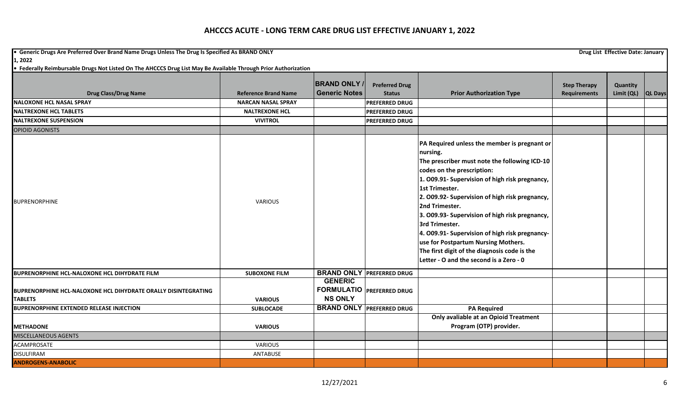**•** Generic Drugs Are Preferred Over Brand Name Drugs Unless The Drug Is Specified As BRAND ONLY **Drug List Effective Date: January Drug List Effective Date: January 1, 2022**

| <b>Drug Class/Drug Name</b><br><b>INALOXONE HCL NASAL SPRAY</b><br><b>INALTREXONE HCL TABLETS</b><br>NALTREXONE SUSPENSION<br><b>OPIOID AGONISTS</b> | <b>Reference Brand Name</b><br><b>NARCAN NASAL SPRAY</b><br><b>NALTREXONE HCL</b><br><b>VIVITROL</b> | <b>BRAND ONLY</b><br><b>Generic Notes</b>                            | <b>Preferred Drug</b><br><b>Status</b><br><b>PREFERRED DRUG</b><br><b>PREFERRED DRUG</b><br><b>PREFERRED DRUG</b> | <b>Prior Authorization Type</b>                                                                                                                                                                                                                                                                                                                                                                                                                                                                                                         | <b>Step Therapy</b><br><b>Requirements</b> | Quantity<br>Limit (QL) $ QL$ Days |  |
|------------------------------------------------------------------------------------------------------------------------------------------------------|------------------------------------------------------------------------------------------------------|----------------------------------------------------------------------|-------------------------------------------------------------------------------------------------------------------|-----------------------------------------------------------------------------------------------------------------------------------------------------------------------------------------------------------------------------------------------------------------------------------------------------------------------------------------------------------------------------------------------------------------------------------------------------------------------------------------------------------------------------------------|--------------------------------------------|-----------------------------------|--|
| <b>BUPRENORPHINE</b>                                                                                                                                 | <b>VARIOUS</b>                                                                                       |                                                                      |                                                                                                                   | PA Required unless the member is pregnant or<br>nursing.<br>The prescriber must note the following ICD-10<br>codes on the prescription:<br>1. 009.91- Supervision of high risk pregnancy,<br>1st Trimester.<br>2. 009.92- Supervision of high risk pregnancy,<br>2nd Trimester.<br>3. O09.93- Supervision of high risk pregnancy,<br>3rd Trimester.<br>4. 009.91- Supervision of high risk pregnancy-<br>use for Postpartum Nursing Mothers.<br>The first digit of the diagnosis code is the<br>Letter - O and the second is a Zero - 0 |                                            |                                   |  |
| <b>BUPRENORPHINE HCL-NALOXONE HCL DIHYDRATE FILM</b>                                                                                                 | <b>SUBOXONE FILM</b>                                                                                 |                                                                      | <b>BRAND ONLY PREFERRED DRUG</b>                                                                                  |                                                                                                                                                                                                                                                                                                                                                                                                                                                                                                                                         |                                            |                                   |  |
| <b>BUPRENORPHINE HCL-NALOXONE HCL DIHYDRATE ORALLY DISINTEGRATING</b><br><b>TABLETS</b>                                                              | <b>VARIOUS</b>                                                                                       | <b>GENERIC</b><br><b>FORMULATIO PREFERRED DRUG</b><br><b>NS ONLY</b> |                                                                                                                   |                                                                                                                                                                                                                                                                                                                                                                                                                                                                                                                                         |                                            |                                   |  |
| <b>BUPRENORPHINE EXTENDED RELEASE INJECTION</b>                                                                                                      | <b>SUBLOCADE</b>                                                                                     |                                                                      | <b>BRAND ONLY PREFERRED DRUG</b>                                                                                  | <b>PA Required</b>                                                                                                                                                                                                                                                                                                                                                                                                                                                                                                                      |                                            |                                   |  |
| <b>IMETHADONE</b>                                                                                                                                    | <b>VARIOUS</b>                                                                                       |                                                                      |                                                                                                                   | Only avaliable at an Opioid Treatment<br>Program (OTP) provider.                                                                                                                                                                                                                                                                                                                                                                                                                                                                        |                                            |                                   |  |
| <b>MISCELLANEOUS AGENTS</b>                                                                                                                          |                                                                                                      |                                                                      |                                                                                                                   |                                                                                                                                                                                                                                                                                                                                                                                                                                                                                                                                         |                                            |                                   |  |
| <b>ACAMPROSATE</b>                                                                                                                                   | <b>VARIOUS</b>                                                                                       |                                                                      |                                                                                                                   |                                                                                                                                                                                                                                                                                                                                                                                                                                                                                                                                         |                                            |                                   |  |
| <b>DISULFIRAM</b>                                                                                                                                    | ANTABUSE                                                                                             |                                                                      |                                                                                                                   |                                                                                                                                                                                                                                                                                                                                                                                                                                                                                                                                         |                                            |                                   |  |
| <b>ANDROGENS-ANABOLIC</b>                                                                                                                            |                                                                                                      |                                                                      |                                                                                                                   |                                                                                                                                                                                                                                                                                                                                                                                                                                                                                                                                         |                                            |                                   |  |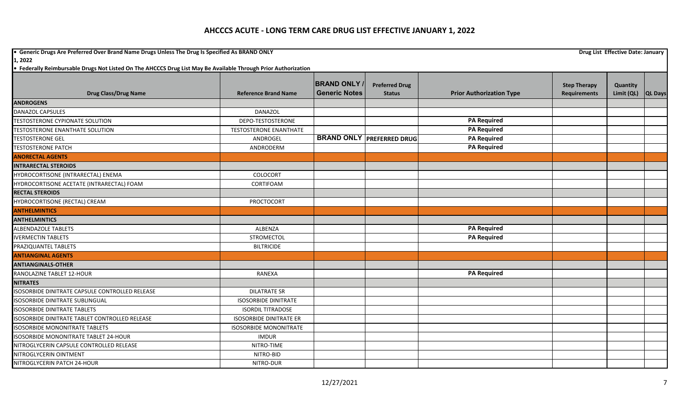**•** Generic Drugs Are Preferred Over Brand Name Drugs Unless The Drug Is Specified As BRAND ONLY **Drug List Effective Date: January Drug List Effective Date: January** 

**1, 2022**

|                                                 |                                | <b>BRAND ONLY /</b>  | <b>Preferred Drug</b>            |                                 | <b>Step Therapy</b> | Quantity   |                |
|-------------------------------------------------|--------------------------------|----------------------|----------------------------------|---------------------------------|---------------------|------------|----------------|
| <b>Drug Class/Drug Name</b>                     | <b>Reference Brand Name</b>    | <b>Generic Notes</b> | <b>Status</b>                    | <b>Prior Authorization Type</b> | <b>Requirements</b> | Limit (QL) | <b>QL Days</b> |
| <b>ANDROGENS</b>                                |                                |                      |                                  |                                 |                     |            |                |
| DANAZOL CAPSULES                                | <b>DANAZOL</b>                 |                      |                                  |                                 |                     |            |                |
| TESTOSTERONE CYPIONATE SOLUTION                 | DEPO-TESTOSTERONE              |                      |                                  | <b>PA Required</b>              |                     |            |                |
| <b>TESTOSTERONE ENANTHATE SOLUTION</b>          | <b>TESTOSTERONE ENANTHATE</b>  |                      |                                  | <b>PA Required</b>              |                     |            |                |
| <b>TESTOSTERONE GEL</b>                         | ANDROGEL                       |                      | <b>BRAND ONLY PREFERRED DRUG</b> | <b>PA Required</b>              |                     |            |                |
| <b>TESTOSTERONE PATCH</b>                       | ANDRODERM                      |                      |                                  | <b>PA Required</b>              |                     |            |                |
| <b>ANORECTAL AGENTS</b>                         |                                |                      |                                  |                                 |                     |            |                |
| <b>INTRARECTAL STEROIDS</b>                     |                                |                      |                                  |                                 |                     |            |                |
| HYDROCORTISONE (INTRARECTAL) ENEMA              | COLOCORT                       |                      |                                  |                                 |                     |            |                |
| HYDROCORTISONE ACETATE (INTRARECTAL) FOAM       | CORTIFOAM                      |                      |                                  |                                 |                     |            |                |
| <b>RECTAL STEROIDS</b>                          |                                |                      |                                  |                                 |                     |            |                |
| HYDROCORTISONE (RECTAL) CREAM                   | PROCTOCORT                     |                      |                                  |                                 |                     |            |                |
| <b>ANTHELMINTICS</b>                            |                                |                      |                                  |                                 |                     |            |                |
| <b>ANTHELMINTICS</b>                            |                                |                      |                                  |                                 |                     |            |                |
| <b>ALBENDAZOLE TABLETS</b>                      | ALBENZA                        |                      |                                  | <b>PA Required</b>              |                     |            |                |
| <b>IVERMECTIN TABLETS</b>                       | STROMECTOL                     |                      |                                  | <b>PA Required</b>              |                     |            |                |
| PRAZIQUANTEL TABLETS                            | <b>BILTRICIDE</b>              |                      |                                  |                                 |                     |            |                |
| <b>ANTIANGINAL AGENTS</b>                       |                                |                      |                                  |                                 |                     |            |                |
| <b>ANTIANGINALS-OTHER</b>                       |                                |                      |                                  |                                 |                     |            |                |
| RANOLAZINE TABLET 12-HOUR                       | RANEXA                         |                      |                                  | <b>PA Required</b>              |                     |            |                |
| <b>NITRATES</b>                                 |                                |                      |                                  |                                 |                     |            |                |
| ISOSORBIDE DINITRATE CAPSULE CONTROLLED RELEASE | <b>DILATRATE SR</b>            |                      |                                  |                                 |                     |            |                |
| <b>ISOSORBIDE DINITRATE SUBLINGUAL</b>          | <b>ISOSORBIDE DINITRATE</b>    |                      |                                  |                                 |                     |            |                |
| <b>ISOSORBIDE DINITRATE TABLETS</b>             | <b>ISORDIL TITRADOSE</b>       |                      |                                  |                                 |                     |            |                |
| ISOSORBIDE DINITRATE TABLET CONTROLLED RELEASE  | <b>ISOSORBIDE DINITRATE ER</b> |                      |                                  |                                 |                     |            |                |
| <b>ISOSORBIDE MONONITRATE TABLETS</b>           | <b>ISOSORBIDE MONONITRATE</b>  |                      |                                  |                                 |                     |            |                |
| <b>ISOSORBIDE MONONITRATE TABLET 24-HOUR</b>    | <b>IMDUR</b>                   |                      |                                  |                                 |                     |            |                |
| NITROGLYCERIN CAPSULE CONTROLLED RELEASE        | NITRO-TIME                     |                      |                                  |                                 |                     |            |                |
| NITROGLYCERIN OINTMENT                          | NITRO-BID                      |                      |                                  |                                 |                     |            |                |
| NITROGLYCERIN PATCH 24-HOUR                     | NITRO-DUR                      |                      |                                  |                                 |                     |            |                |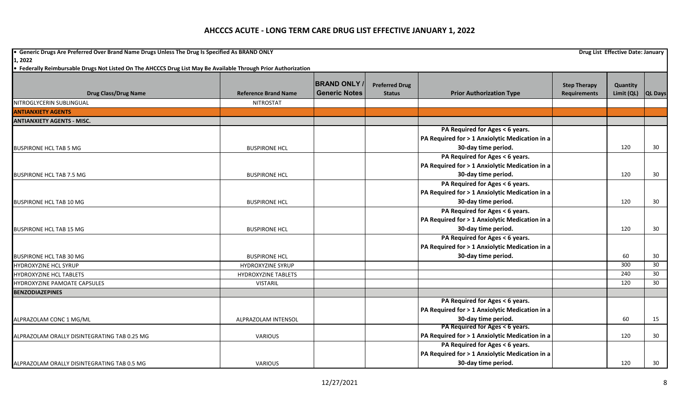**•** Generic Drugs Are Preferred Over Brand Name Drugs Unless The Drug Is Specified As BRAND ONLY **Drug List Effective Date: January Drug List Effective Date: January 1, 2022**

|                                              |                             | <b>BRAND ONLY</b>    | <b>Preferred Drug</b> |                                                | <b>Step Therapy</b> | Quantity   |                |
|----------------------------------------------|-----------------------------|----------------------|-----------------------|------------------------------------------------|---------------------|------------|----------------|
| <b>Drug Class/Drug Name</b>                  | <b>Reference Brand Name</b> | <b>Generic Notes</b> | <b>Status</b>         | <b>Prior Authorization Type</b>                | <b>Requirements</b> | Limit (QL) | <b>QL Days</b> |
| NITROGLYCERIN SUBLINGUAL                     | <b>NITROSTAT</b>            |                      |                       |                                                |                     |            |                |
| <b>ANTIANXIETY AGENTS</b>                    |                             |                      |                       |                                                |                     |            |                |
| <b>ANTIANXIETY AGENTS - MISC.</b>            |                             |                      |                       |                                                |                     |            |                |
|                                              |                             |                      |                       | PA Required for Ages < 6 years.                |                     |            |                |
|                                              |                             |                      |                       | PA Required for > 1 Anxiolytic Medication in a |                     |            |                |
| <b>BUSPIRONE HCL TAB 5 MG</b>                | <b>BUSPIRONE HCL</b>        |                      |                       | 30-day time period.                            |                     | 120        | 30             |
|                                              |                             |                      |                       | PA Required for Ages < 6 years.                |                     |            |                |
|                                              |                             |                      |                       | PA Required for > 1 Anxiolytic Medication in a |                     |            |                |
| <b>BUSPIRONE HCL TAB 7.5 MG</b>              | <b>BUSPIRONE HCL</b>        |                      |                       | 30-day time period.                            |                     | 120        | 30             |
|                                              |                             |                      |                       | PA Required for Ages < 6 years.                |                     |            |                |
|                                              |                             |                      |                       | PA Required for > 1 Anxiolytic Medication in a |                     |            |                |
| <b>BUSPIRONE HCL TAB 10 MG</b>               | <b>BUSPIRONE HCL</b>        |                      |                       | 30-day time period.                            |                     | 120        | 30             |
|                                              |                             |                      |                       | PA Required for Ages < 6 years.                |                     |            |                |
|                                              |                             |                      |                       | PA Required for > 1 Anxiolytic Medication in a |                     |            |                |
| <b>BUSPIRONE HCL TAB 15 MG</b>               | <b>BUSPIRONE HCL</b>        |                      |                       | 30-day time period.                            |                     | 120        | 30             |
|                                              |                             |                      |                       | PA Required for Ages < 6 years.                |                     |            |                |
|                                              |                             |                      |                       | PA Required for > 1 Anxiolytic Medication in a |                     |            |                |
| <b>BUSPIRONE HCL TAB 30 MG</b>               | <b>BUSPIRONE HCL</b>        |                      |                       | 30-day time period.                            |                     | 60         | 30             |
| <b>HYDROXYZINE HCL SYRUP</b>                 | <b>HYDROXYZINE SYRUP</b>    |                      |                       |                                                |                     | 300        | 30             |
| <b>HYDROXYZINE HCL TABLETS</b>               | <b>HYDROXYZINE TABLETS</b>  |                      |                       |                                                |                     | 240        | 30             |
| <b>HYDROXYZINE PAMOATE CAPSULES</b>          | <b>VISTARIL</b>             |                      |                       |                                                |                     | 120        | 30             |
| <b>BENZODIAZEPINES</b>                       |                             |                      |                       |                                                |                     |            |                |
|                                              |                             |                      |                       | PA Required for Ages < 6 years.                |                     |            |                |
|                                              |                             |                      |                       | PA Required for > 1 Anxiolytic Medication in a |                     |            |                |
| ALPRAZOLAM CONC 1 MG/ML                      | ALPRAZOLAM INTENSOL         |                      |                       | 30-day time period.                            |                     | 60         | 15             |
|                                              |                             |                      |                       | PA Required for Ages < 6 years.                |                     |            |                |
| ALPRAZOLAM ORALLY DISINTEGRATING TAB 0.25 MG | <b>VARIOUS</b>              |                      |                       | PA Required for > 1 Anxiolytic Medication in a |                     | 120        | 30             |
|                                              |                             |                      |                       | PA Required for Ages < 6 years.                |                     |            |                |
|                                              |                             |                      |                       | PA Required for > 1 Anxiolytic Medication in a |                     |            |                |
| ALPRAZOLAM ORALLY DISINTEGRATING TAB 0.5 MG  | <b>VARIOUS</b>              |                      |                       | 30-day time period.                            |                     | 120        | 30             |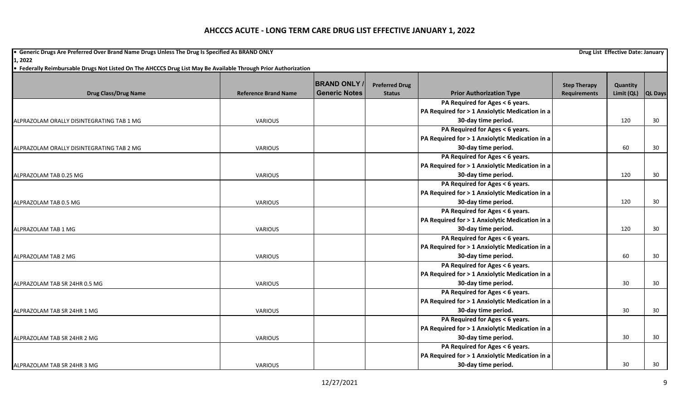**•** Generic Drugs Are Preferred Over Brand Name Drugs Unless The Drug Is Specified As BRAND ONLY **Drug List Effective Date: January Drug List Effective Date: January 1, 2022**

|                                           |                             | <b>BRAND ONLY</b>    | <b>Preferred Drug</b> |                                                | <b>Step Therapy</b> | Quantity   |                |
|-------------------------------------------|-----------------------------|----------------------|-----------------------|------------------------------------------------|---------------------|------------|----------------|
| <b>Drug Class/Drug Name</b>               | <b>Reference Brand Name</b> | <b>Generic Notes</b> | <b>Status</b>         | <b>Prior Authorization Type</b>                | <b>Requirements</b> | Limit (QL) | <b>QL Days</b> |
|                                           |                             |                      |                       | PA Required for Ages < 6 years.                |                     |            |                |
|                                           |                             |                      |                       | PA Required for > 1 Anxiolytic Medication in a |                     |            |                |
| ALPRAZOLAM ORALLY DISINTEGRATING TAB 1 MG | VARIOUS                     |                      |                       | 30-day time period.                            |                     | 120        | 30             |
|                                           |                             |                      |                       | PA Required for Ages < 6 years.                |                     |            |                |
|                                           |                             |                      |                       | PA Required for > 1 Anxiolytic Medication in a |                     |            |                |
| ALPRAZOLAM ORALLY DISINTEGRATING TAB 2 MG | VARIOUS                     |                      |                       | 30-day time period.                            |                     | 60         | 30             |
|                                           |                             |                      |                       | PA Required for Ages < 6 years.                |                     |            |                |
|                                           |                             |                      |                       | PA Required for > 1 Anxiolytic Medication in a |                     |            |                |
| ALPRAZOLAM TAB 0.25 MG                    | <b>VARIOUS</b>              |                      |                       | 30-day time period.                            |                     | 120        | 30             |
|                                           |                             |                      |                       | PA Required for Ages < 6 years.                |                     |            |                |
|                                           |                             |                      |                       | PA Required for > 1 Anxiolytic Medication in a |                     |            |                |
| ALPRAZOLAM TAB 0.5 MG                     | <b>VARIOUS</b>              |                      |                       | 30-day time period.                            |                     | 120        | 30             |
|                                           |                             |                      |                       | PA Required for Ages < 6 years.                |                     |            |                |
|                                           |                             |                      |                       | PA Required for > 1 Anxiolytic Medication in a |                     |            |                |
| ALPRAZOLAM TAB 1 MG                       | <b>VARIOUS</b>              |                      |                       | 30-day time period.                            |                     | 120        | 30             |
|                                           |                             |                      |                       | PA Required for Ages < 6 years.                |                     |            |                |
|                                           |                             |                      |                       | PA Required for > 1 Anxiolytic Medication in a |                     |            |                |
| ALPRAZOLAM TAB 2 MG                       | VARIOUS                     |                      |                       | 30-day time period.                            |                     | 60         | 30             |
|                                           |                             |                      |                       | PA Required for Ages < 6 years.                |                     |            |                |
|                                           |                             |                      |                       | PA Required for > 1 Anxiolytic Medication in a |                     |            |                |
| ALPRAZOLAM TAB SR 24HR 0.5 MG             | <b>VARIOUS</b>              |                      |                       | 30-day time period.                            |                     | 30         | 30             |
|                                           |                             |                      |                       | PA Required for Ages < 6 years.                |                     |            |                |
|                                           |                             |                      |                       | PA Required for > 1 Anxiolytic Medication in a |                     |            |                |
| ALPRAZOLAM TAB SR 24HR 1 MG               | VARIOUS                     |                      |                       | 30-day time period.                            |                     | 30         | 30             |
|                                           |                             |                      |                       | PA Required for Ages < 6 years.                |                     |            |                |
|                                           |                             |                      |                       | PA Required for > 1 Anxiolytic Medication in a |                     |            |                |
| ALPRAZOLAM TAB SR 24HR 2 MG               | VARIOUS                     |                      |                       | 30-day time period.                            |                     | 30         | 30             |
|                                           |                             |                      |                       | PA Required for Ages < 6 years.                |                     |            |                |
|                                           |                             |                      |                       | PA Required for > 1 Anxiolytic Medication in a |                     |            |                |
| ALPRAZOLAM TAB SR 24HR 3 MG               | <b>VARIOUS</b>              |                      |                       | 30-day time period.                            |                     | 30         | 30             |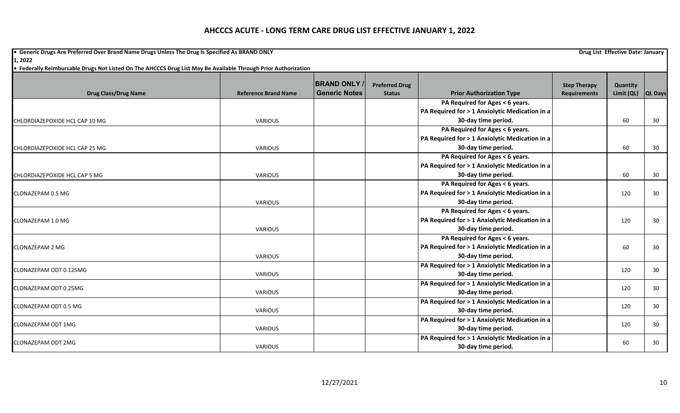**•** Generic Drugs Are Preferred Over Brand Name Drugs Unless The Drug Is Specified As BRAND ONLY **Drug List Effective Date: January Drug List Effective Date: January 1, 2022**

| <b>Drug Class/Drug Name</b>    | <b>Reference Brand Name</b> | <b>BRAND ONLY</b><br><b>Generic Notes</b> | <b>Preferred Drug</b><br><b>Status</b> | <b>Prior Authorization Type</b>                | <b>Step Therapy</b><br>Requirements | Quantity<br>Limit (QL) | QL Days |
|--------------------------------|-----------------------------|-------------------------------------------|----------------------------------------|------------------------------------------------|-------------------------------------|------------------------|---------|
|                                |                             |                                           |                                        | PA Required for Ages < 6 years.                |                                     |                        |         |
|                                |                             |                                           |                                        | PA Required for > 1 Anxiolytic Medication in a |                                     |                        |         |
| CHLORDIAZEPOXIDE HCL CAP 10 MG | <b>VARIOUS</b>              |                                           |                                        | 30-day time period.                            |                                     | 60                     | 30      |
|                                |                             |                                           |                                        | PA Required for Ages < 6 years.                |                                     |                        |         |
|                                |                             |                                           |                                        | PA Required for > 1 Anxiolytic Medication in a |                                     |                        |         |
| CHLORDIAZEPOXIDE HCL CAP 25 MG | <b>VARIOUS</b>              |                                           |                                        | 30-day time period.                            |                                     | 60                     | 30      |
|                                |                             |                                           |                                        | PA Required for Ages < 6 years.                |                                     |                        |         |
|                                |                             |                                           |                                        | PA Required for > 1 Anxiolytic Medication in a |                                     |                        |         |
| CHLORDIAZEPOXIDE HCL CAP 5 MG  | <b>VARIOUS</b>              |                                           |                                        | 30-day time period.                            |                                     | 60                     | 30      |
|                                |                             |                                           |                                        | PA Required for Ages < 6 years.                |                                     |                        |         |
| <b>CLONAZEPAM 0.5 MG</b>       |                             |                                           |                                        | PA Required for > 1 Anxiolytic Medication in a |                                     | 120                    | 30      |
|                                | <b>VARIOUS</b>              |                                           |                                        | 30-day time period.                            |                                     |                        |         |
|                                |                             |                                           |                                        | PA Required for Ages < 6 years.                |                                     |                        |         |
| CLONAZEPAM 1.0 MG              |                             |                                           |                                        | PA Required for > 1 Anxiolytic Medication in a |                                     | 120                    | 30      |
|                                | VARIOUS                     |                                           |                                        | 30-day time period.                            |                                     |                        |         |
|                                |                             |                                           |                                        | PA Required for Ages < 6 years.                |                                     |                        |         |
| <b>CLONAZEPAM 2 MG</b>         |                             |                                           |                                        | PA Required for > 1 Anxiolytic Medication in a |                                     | 60                     | 30      |
|                                | <b>VARIOUS</b>              |                                           |                                        | 30-day time period.                            |                                     |                        |         |
|                                |                             |                                           |                                        | PA Required for > 1 Anxiolytic Medication in a |                                     |                        |         |
| CLONAZEPAM ODT 0.125MG         | VARIOUS                     |                                           |                                        | 30-day time period.                            |                                     | 120                    | 30      |
|                                |                             |                                           |                                        | PA Required for > 1 Anxiolytic Medication in a |                                     |                        |         |
| CLONAZEPAM ODT 0.25MG          | VARIOUS                     |                                           |                                        | 30-day time period.                            |                                     | 120                    | 30      |
|                                |                             |                                           |                                        | PA Required for > 1 Anxiolytic Medication in a |                                     |                        |         |
| CLONAZEPAM ODT 0.5 MG          | VARIOUS                     |                                           |                                        | 30-day time period.                            |                                     | 120                    | 30      |
|                                |                             |                                           |                                        | PA Required for > 1 Anxiolytic Medication in a |                                     |                        |         |
| <b>CLONAZEPAM ODT 1MG</b>      | <b>VARIOUS</b>              |                                           |                                        | 30-day time period.                            |                                     | 120                    | 30      |
|                                |                             |                                           |                                        | PA Required for > 1 Anxiolytic Medication in a |                                     |                        |         |
| <b>CLONAZEPAM ODT 2MG</b>      | <b>VARIOUS</b>              |                                           |                                        | 30-day time period.                            |                                     | 60                     | 30      |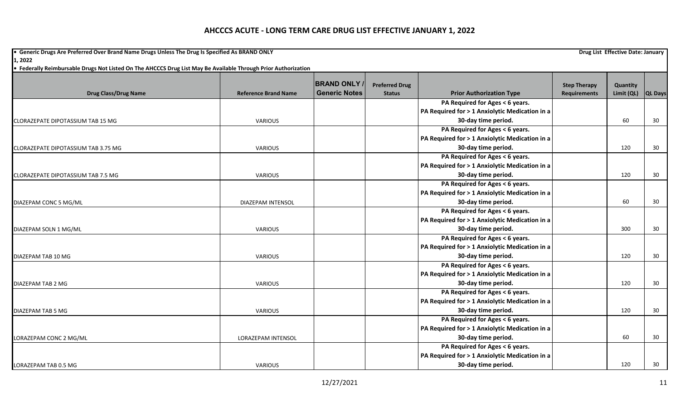**•** Generic Drugs Are Preferred Over Brand Name Drugs Unless The Drug Is Specified As BRAND ONLY **Drug List Effective Date: January Drug List Effective Date: January 1, 2022**

|                                          |                             | <b>BRAND ONLY</b>    | <b>Preferred Drug</b> |                                                | <b>Step Therapy</b> | Quantity   |                |
|------------------------------------------|-----------------------------|----------------------|-----------------------|------------------------------------------------|---------------------|------------|----------------|
| <b>Drug Class/Drug Name</b>              | <b>Reference Brand Name</b> | <b>Generic Notes</b> | <b>Status</b>         | <b>Prior Authorization Type</b>                | Requirements        | Limit (QL) | <b>QL Days</b> |
|                                          |                             |                      |                       | PA Required for Ages < 6 years.                |                     |            |                |
|                                          |                             |                      |                       | PA Required for > 1 Anxiolytic Medication in a |                     |            |                |
| <b>CLORAZEPATE DIPOTASSIUM TAB 15 MG</b> | <b>VARIOUS</b>              |                      |                       | 30-day time period.                            |                     | 60         | 30             |
|                                          |                             |                      |                       | PA Required for Ages < 6 years.                |                     |            |                |
|                                          |                             |                      |                       | PA Required for > 1 Anxiolytic Medication in a |                     |            |                |
| CLORAZEPATE DIPOTASSIUM TAB 3.75 MG      | VARIOUS                     |                      |                       | 30-day time period.                            |                     | 120        | 30             |
|                                          |                             |                      |                       | PA Required for Ages < 6 years.                |                     |            |                |
|                                          |                             |                      |                       | PA Required for > 1 Anxiolytic Medication in a |                     |            |                |
| CLORAZEPATE DIPOTASSIUM TAB 7.5 MG       | <b>VARIOUS</b>              |                      |                       | 30-day time period.                            |                     | 120        | 30             |
|                                          |                             |                      |                       | PA Required for Ages < 6 years.                |                     |            |                |
|                                          |                             |                      |                       | PA Required for > 1 Anxiolytic Medication in a |                     |            |                |
| DIAZEPAM CONC 5 MG/ML                    | DIAZEPAM INTENSOL           |                      |                       | 30-day time period.                            |                     | 60         | 30             |
|                                          |                             |                      |                       | PA Required for Ages < 6 years.                |                     |            |                |
|                                          |                             |                      |                       | PA Required for > 1 Anxiolytic Medication in a |                     |            |                |
| DIAZEPAM SOLN 1 MG/ML                    | <b>VARIOUS</b>              |                      |                       | 30-day time period.                            |                     | 300        | 30             |
|                                          |                             |                      |                       | PA Required for Ages < 6 years.                |                     |            |                |
|                                          |                             |                      |                       | PA Required for > 1 Anxiolytic Medication in a |                     |            |                |
| DIAZEPAM TAB 10 MG                       | <b>VARIOUS</b>              |                      |                       | 30-day time period.                            |                     | 120        | 30             |
|                                          |                             |                      |                       | PA Required for Ages < 6 years.                |                     |            |                |
|                                          |                             |                      |                       | PA Required for > 1 Anxiolytic Medication in a |                     |            |                |
| DIAZEPAM TAB 2 MG                        | VARIOUS                     |                      |                       | 30-day time period.                            |                     | 120        | 30             |
|                                          |                             |                      |                       | PA Required for Ages < 6 years.                |                     |            |                |
|                                          |                             |                      |                       | PA Required for > 1 Anxiolytic Medication in a |                     |            |                |
| DIAZEPAM TAB 5 MG                        | <b>VARIOUS</b>              |                      |                       | 30-day time period.                            |                     | 120        | 30             |
|                                          |                             |                      |                       | PA Required for Ages < 6 years.                |                     |            |                |
|                                          |                             |                      |                       | PA Required for > 1 Anxiolytic Medication in a |                     |            |                |
| LORAZEPAM CONC 2 MG/ML                   | <b>LORAZEPAM INTENSOL</b>   |                      |                       | 30-day time period.                            |                     | 60         | 30             |
|                                          |                             |                      |                       | PA Required for Ages < 6 years.                |                     |            |                |
|                                          |                             |                      |                       | PA Required for > 1 Anxiolytic Medication in a |                     |            |                |
| LORAZEPAM TAB 0.5 MG                     | <b>VARIOUS</b>              |                      |                       | 30-day time period.                            |                     | 120        | 30             |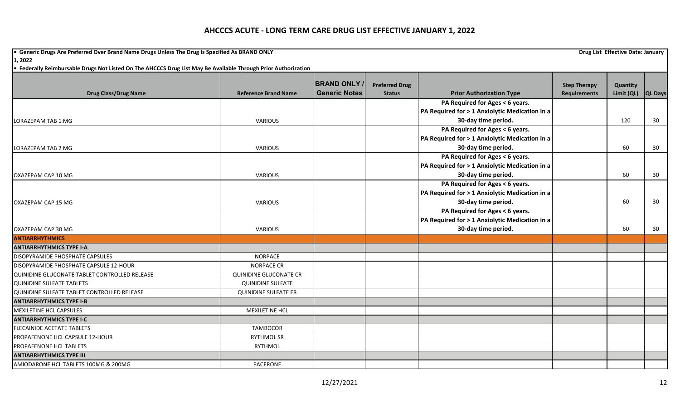**•** Generic Drugs Are Preferred Over Brand Name Drugs Unless The Drug Is Specified As BRAND ONLY **Drug List Effective Date: January Drug List Effective Date: January 1, 2022**

|                                               |                               | <b>BRAND ONLY</b>    | <b>Preferred Drug</b> |                                                | <b>Step Therapy</b> | Quantity   |                |
|-----------------------------------------------|-------------------------------|----------------------|-----------------------|------------------------------------------------|---------------------|------------|----------------|
| <b>Drug Class/Drug Name</b>                   | <b>Reference Brand Name</b>   | <b>Generic Notes</b> | <b>Status</b>         | <b>Prior Authorization Type</b>                | <b>Requirements</b> | Limit (QL) | <b>QL Days</b> |
|                                               |                               |                      |                       | PA Required for Ages < 6 years.                |                     |            |                |
|                                               |                               |                      |                       | PA Required for > 1 Anxiolytic Medication in a |                     |            |                |
| LORAZEPAM TAB 1 MG                            | <b>VARIOUS</b>                |                      |                       | 30-day time period.                            |                     | 120        | 30             |
|                                               |                               |                      |                       | PA Required for Ages < 6 years.                |                     |            |                |
|                                               |                               |                      |                       | PA Required for > 1 Anxiolytic Medication in a |                     |            |                |
| LORAZEPAM TAB 2 MG                            | VARIOUS                       |                      |                       | 30-day time period.                            |                     | 60         | 30             |
|                                               |                               |                      |                       | PA Required for Ages < 6 years.                |                     |            |                |
|                                               |                               |                      |                       | PA Required for > 1 Anxiolytic Medication in a |                     |            |                |
| OXAZEPAM CAP 10 MG                            | <b>VARIOUS</b>                |                      |                       | 30-day time period.                            |                     | 60         | 30             |
|                                               |                               |                      |                       | PA Required for Ages < 6 years.                |                     |            |                |
|                                               |                               |                      |                       | PA Required for > 1 Anxiolytic Medication in a |                     |            |                |
| OXAZEPAM CAP 15 MG                            | <b>VARIOUS</b>                |                      |                       | 30-day time period.                            |                     | 60         | 30             |
|                                               |                               |                      |                       | PA Required for Ages < 6 years.                |                     |            |                |
|                                               |                               |                      |                       | PA Required for > 1 Anxiolytic Medication in a |                     |            |                |
| OXAZEPAM CAP 30 MG                            | VARIOUS                       |                      |                       | 30-day time period.                            |                     | 60         | 30             |
| <b>ANTIARRHYTHMICS</b>                        |                               |                      |                       |                                                |                     |            |                |
| <b>ANTIARRHYTHMICS TYPE I-A</b>               |                               |                      |                       |                                                |                     |            |                |
| DISOPYRAMIDE PHOSPHATE CAPSULES               | <b>NORPACE</b>                |                      |                       |                                                |                     |            |                |
| DISOPYRAMIDE PHOSPHATE CAPSULE 12-HOUR        | <b>NORPACE CR</b>             |                      |                       |                                                |                     |            |                |
| QUINIDINE GLUCONATE TABLET CONTROLLED RELEASE | <b>QUINIDINE GLUCONATE CR</b> |                      |                       |                                                |                     |            |                |
| <b>QUINIDINE SULFATE TABLETS</b>              | <b>QUINIDINE SULFATE</b>      |                      |                       |                                                |                     |            |                |
| QUINIDINE SULFATE TABLET CONTROLLED RELEASE   | <b>QUINIDINE SULFATE ER</b>   |                      |                       |                                                |                     |            |                |
| <b>ANTIARRHYTHMICS TYPE I-B</b>               |                               |                      |                       |                                                |                     |            |                |
| MEXILETINE HCL CAPSULES                       | MEXILETINE HCL                |                      |                       |                                                |                     |            |                |
| <b>ANTIARRHYTHMICS TYPE I-C</b>               |                               |                      |                       |                                                |                     |            |                |
| FLECAINIDE ACETATE TABLETS                    | <b>TAMBOCOR</b>               |                      |                       |                                                |                     |            |                |
| PROPAFENONE HCL CAPSULE 12-HOUR               | <b>RYTHMOL SR</b>             |                      |                       |                                                |                     |            |                |
| PROPAFENONE HCL TABLETS                       | RYTHMOL                       |                      |                       |                                                |                     |            |                |
| <b>ANTIARRHYTHMICS TYPE III</b>               |                               |                      |                       |                                                |                     |            |                |
| AMIODARONE HCL TABLETS 100MG & 200MG          | PACERONE                      |                      |                       |                                                |                     |            |                |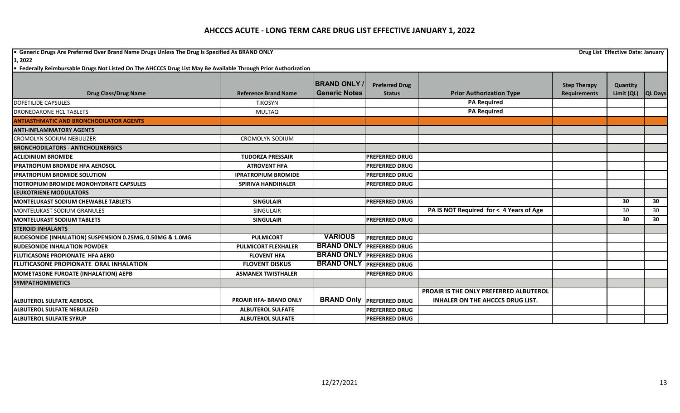**•** Generic Drugs Are Preferred Over Brand Name Drugs Unless The Drug Is Specified As BRAND ONLY **Drug List Effective Date: January Drug List Effective Date: January 1, 2022**

|                                                           |                               | <b>BRAND ONLY /</b>  | <b>Preferred Drug</b>            |                                               | <b>Step Therapy</b> | Quantity   |                 |
|-----------------------------------------------------------|-------------------------------|----------------------|----------------------------------|-----------------------------------------------|---------------------|------------|-----------------|
| <b>Drug Class/Drug Name</b>                               | <b>Reference Brand Name</b>   | <b>Generic Notes</b> | <b>Status</b>                    | <b>Prior Authorization Type</b>               | <b>Requirements</b> | Limit (QL) | <b>QL Days</b>  |
| <b>DOFETILIDE CAPSULES</b>                                | <b>TIKOSYN</b>                |                      |                                  | <b>PA Required</b>                            |                     |            |                 |
| DRONEDARONE HCL TABLETS                                   | <b>MULTAQ</b>                 |                      |                                  | <b>PA Required</b>                            |                     |            |                 |
| <b>ANTIASTHMATIC AND BRONCHODILATOR AGENTS</b>            |                               |                      |                                  |                                               |                     |            |                 |
| <b>ANTI-INFLAMMATORY AGENTS</b>                           |                               |                      |                                  |                                               |                     |            |                 |
| <b>CROMOLYN SODIUM NEBULIZER</b>                          | <b>CROMOLYN SODIUM</b>        |                      |                                  |                                               |                     |            |                 |
| <b>BRONCHODILATORS - ANTICHOLINERGICS</b>                 |                               |                      |                                  |                                               |                     |            |                 |
| <b>ACLIDINIUM BROMIDE</b>                                 | <b>TUDORZA PRESSAIR</b>       |                      | <b>PREFERRED DRUG</b>            |                                               |                     |            |                 |
| <b>IPRATROPIUM BROMIDE HFA AEROSOL</b>                    | <b>ATROVENT HFA</b>           |                      | <b>PREFERRED DRUG</b>            |                                               |                     |            |                 |
| <b>IPRATROPIUM BROMIDE SOLUTION</b>                       | <b>IPRATROPIUM BROMIDE</b>    |                      | <b>PREFERRED DRUG</b>            |                                               |                     |            |                 |
| <b>TIOTROPIUM BROMIDE MONOHYDRATE CAPSULES</b>            | <b>SPIRIVA HANDIHALER</b>     |                      | <b>PREFERRED DRUG</b>            |                                               |                     |            |                 |
| LEUKOTRIENE MODULATORS                                    |                               |                      |                                  |                                               |                     |            |                 |
| <b>MONTELUKAST SODIUM CHEWABLE TABLETS</b>                | <b>SINGULAIR</b>              |                      | <b>PREFERRED DRUG</b>            |                                               |                     | 30         | 30              |
| <b>MONTELUKAST SODIUM GRANULES</b>                        | <b>SINGULAIR</b>              |                      |                                  | PA IS NOT Required for < 4 Years of Age       |                     | 30         | 30 <sup>°</sup> |
| <b>MONTELUKAST SODIUM TABLETS</b>                         | <b>SINGULAIR</b>              |                      | <b>PREFERRED DRUG</b>            |                                               |                     | 30         | 30              |
| <b>STEROID INHALANTS</b>                                  |                               |                      |                                  |                                               |                     |            |                 |
| BUDESONIDE (INHALATION) SUSPENSION 0.25MG, 0.50MG & 1.0MG | <b>PULMICORT</b>              | <b>VARIOUS</b>       | <b>PREFERRED DRUG</b>            |                                               |                     |            |                 |
| <b>BUDESONIDE INHALATION POWDER</b>                       | <b>PULMICORT FLEXHALER</b>    | <b>BRAND ONLY</b>    | <b>PREFERRED DRUG</b>            |                                               |                     |            |                 |
| <b>FLUTICASONE PROPIONATE HFA AERO</b>                    | <b>FLOVENT HFA</b>            | <b>BRAND ONLY</b>    | <b>PREFERRED DRUG</b>            |                                               |                     |            |                 |
| <b>FLUTICASONE PROPIONATE ORAL INHALATION</b>             | <b>FLOVENT DISKUS</b>         | <b>BRAND ONLY</b>    | <b>PREFERRED DRUG</b>            |                                               |                     |            |                 |
| MOMETASONE FUROATE (INHALATION) AEPB                      | <b>ASMANEX TWISTHALER</b>     |                      | <b>PREFERRED DRUG</b>            |                                               |                     |            |                 |
| <b>SYMPATHOMIMETICS</b>                                   |                               |                      |                                  |                                               |                     |            |                 |
|                                                           |                               |                      |                                  | <b>PROAIR IS THE ONLY PREFERRED ALBUTEROL</b> |                     |            |                 |
| <b>ALBUTEROL SULFATE AEROSOL</b>                          | <b>PROAIR HFA- BRAND ONLY</b> |                      | <b>BRAND Only PREFERRED DRUG</b> | <b>INHALER ON THE AHCCCS DRUG LIST.</b>       |                     |            |                 |
| <b>ALBUTEROL SULFATE NEBULIZED</b>                        | <b>ALBUTEROL SULFATE</b>      |                      | <b>PREFERRED DRUG</b>            |                                               |                     |            |                 |
| <b>ALBUTEROL SULFATE SYRUP</b>                            | <b>ALBUTEROL SULFATE</b>      |                      | <b>PREFERRED DRUG</b>            |                                               |                     |            |                 |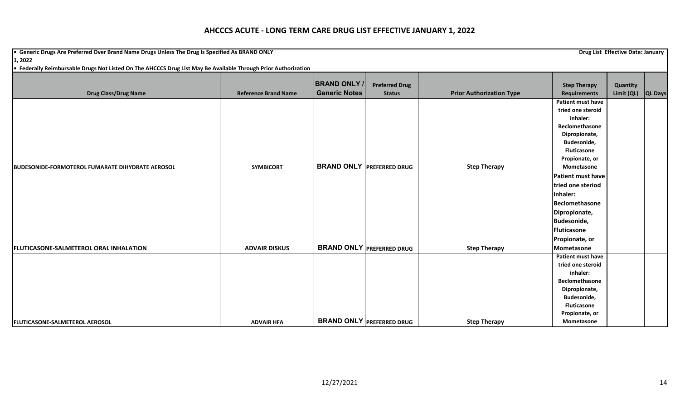**•** Generic Drugs Are Preferred Over Brand Name Drugs Unless The Drug Is Specified As BRAND ONLY **Drug List Effective Date: January Drug List Effective Date: January 1, 2022**

|                                                         |                             | <b>BRAND ONLY /</b>  | <b>Preferred Drug</b>            |                                 | <b>Step Therapy</b> | Quantity   |                |
|---------------------------------------------------------|-----------------------------|----------------------|----------------------------------|---------------------------------|---------------------|------------|----------------|
| <b>Drug Class/Drug Name</b>                             | <b>Reference Brand Name</b> | <b>Generic Notes</b> | <b>Status</b>                    | <b>Prior Authorization Type</b> | <b>Requirements</b> | Limit (QL) | <b>QL Days</b> |
|                                                         |                             |                      |                                  |                                 | Patient must have   |            |                |
|                                                         |                             |                      |                                  |                                 | tried one steroid   |            |                |
|                                                         |                             |                      |                                  |                                 | inhaler:            |            |                |
|                                                         |                             |                      |                                  |                                 | Beclomethasone      |            |                |
|                                                         |                             |                      |                                  |                                 | Dipropionate,       |            |                |
|                                                         |                             |                      |                                  |                                 | Budesonide,         |            |                |
|                                                         |                             |                      |                                  |                                 | <b>Fluticasone</b>  |            |                |
|                                                         |                             |                      |                                  |                                 | Propionate, or      |            |                |
| <b>BUDESONIDE-FORMOTEROL FUMARATE DIHYDRATE AEROSOL</b> | <b>SYMBICORT</b>            |                      | <b>BRAND ONLY PREFERRED DRUG</b> | <b>Step Therapy</b>             | Mometasone          |            |                |
|                                                         |                             |                      |                                  |                                 | Patient must have   |            |                |
|                                                         |                             |                      |                                  |                                 | tried one steriod   |            |                |
|                                                         |                             |                      |                                  |                                 | inhaler:            |            |                |
|                                                         |                             |                      |                                  |                                 | Beclomethasone      |            |                |
|                                                         |                             |                      |                                  |                                 | Dipropionate,       |            |                |
|                                                         |                             |                      |                                  |                                 | Budesonide,         |            |                |
|                                                         |                             |                      |                                  |                                 | Fluticasone         |            |                |
|                                                         |                             |                      |                                  |                                 | Propionate, or      |            |                |
| <b>FLUTICASONE-SALMETEROL ORAL INHALATION</b>           | <b>ADVAIR DISKUS</b>        |                      | <b>BRAND ONLY PREFERRED DRUG</b> | <b>Step Therapy</b>             | Mometasone          |            |                |
|                                                         |                             |                      |                                  |                                 | Patient must have   |            |                |
|                                                         |                             |                      |                                  |                                 | tried one steroid   |            |                |
|                                                         |                             |                      |                                  |                                 | inhaler:            |            |                |
|                                                         |                             |                      |                                  |                                 | Beclomethasone      |            |                |
|                                                         |                             |                      |                                  |                                 | Dipropionate,       |            |                |
|                                                         |                             |                      |                                  |                                 | Budesonide,         |            |                |
|                                                         |                             |                      |                                  |                                 | <b>Fluticasone</b>  |            |                |
|                                                         |                             |                      |                                  |                                 | Propionate, or      |            |                |
| <b>FLUTICASONE-SALMETEROL AEROSOL</b>                   | <b>ADVAIR HFA</b>           |                      | <b>BRAND ONLY PREFERRED DRUG</b> | <b>Step Therapy</b>             | Mometasone          |            |                |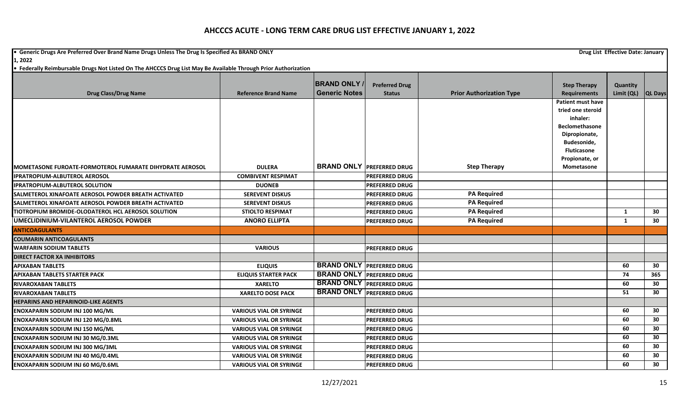**•** Generic Drugs Are Preferred Over Brand Name Drugs Unless The Drug Is Specified As BRAND ONLY **Drug List Effective Date: January Drug List Effective Date: January** 

**1, 2022**

|                                                                   |                                | <b>BRAND ONLY</b>    | <b>Preferred Drug</b>            |                                 | <b>Step Therapy</b>      | Quantity           |     |
|-------------------------------------------------------------------|--------------------------------|----------------------|----------------------------------|---------------------------------|--------------------------|--------------------|-----|
| <b>Drug Class/Drug Name</b>                                       | <b>Reference Brand Name</b>    | <b>Generic Notes</b> | <b>Status</b>                    | <b>Prior Authorization Type</b> | <b>Requirements</b>      | Limit (QL) QL Days |     |
|                                                                   |                                |                      |                                  |                                 | <b>Patient must have</b> |                    |     |
|                                                                   |                                |                      |                                  |                                 | tried one steroid        |                    |     |
|                                                                   |                                |                      |                                  |                                 | inhaler:                 |                    |     |
|                                                                   |                                |                      |                                  |                                 | <b>Beclomethasone</b>    |                    |     |
|                                                                   |                                |                      |                                  |                                 | Dipropionate,            |                    |     |
|                                                                   |                                |                      |                                  |                                 | Budesonide,              |                    |     |
|                                                                   |                                |                      |                                  |                                 | Fluticasone              |                    |     |
|                                                                   |                                |                      | <b>BRAND ONLY PREFERRED DRUG</b> |                                 | Propionate, or           |                    |     |
| <b>I</b> MOMETASONE FUROATE-FORMOTEROL FUMARATE DIHYDRATE AEROSOL | <b>DULERA</b>                  |                      |                                  | <b>Step Therapy</b>             | Mometasone               |                    |     |
| <b>IPRATROPIUM-ALBUTEROL AEROSOL</b>                              | <b>COMBIVENT RESPIMAT</b>      |                      | <b>PREFERRED DRUG</b>            |                                 |                          |                    |     |
| <b>IPRATROPIUM-ALBUTEROL SOLUTION</b>                             | <b>DUONEB</b>                  |                      | <b>PREFERRED DRUG</b>            |                                 |                          |                    |     |
| SALMETEROL XINAFOATE AEROSOL POWDER BREATH ACTIVATED              | <b>SEREVENT DISKUS</b>         |                      | <b>PREFERRED DRUG</b>            | <b>PA Required</b>              |                          |                    |     |
| SALMETEROL XINAFOATE AEROSOL POWDER BREATH ACTIVATED              | <b>SEREVENT DISKUS</b>         |                      | <b>PREFERRED DRUG</b>            | <b>PA Required</b>              |                          |                    |     |
| TIOTROPIUM BROMIDE-OLODATEROL HCL AEROSOL SOLUTION                | <b>STIOLTO RESPIMAT</b>        |                      | <b>PREFERRED DRUG</b>            | <b>PA Required</b>              |                          | 1                  | 30  |
| UMECLIDINIUM-VILANTEROL AEROSOL POWDER                            | <b>ANORO ELLIPTA</b>           |                      | <b>PREFERRED DRUG</b>            | <b>PA Required</b>              |                          | 1                  | 30  |
| <b>ANTICOAGULANTS</b>                                             |                                |                      |                                  |                                 |                          |                    |     |
| <b>ICOUMARIN ANTICOAGULANTS</b>                                   |                                |                      |                                  |                                 |                          |                    |     |
| <b>WARFARIN SODIUM TABLETS</b>                                    | <b>VARIOUS</b>                 |                      | <b>PREFERRED DRUG</b>            |                                 |                          |                    |     |
| <b>DIRECT FACTOR XA INHIBITORS</b>                                |                                |                      |                                  |                                 |                          |                    |     |
| <b>APIXABAN TABLETS</b>                                           | <b>ELIQUIS</b>                 |                      | <b>BRAND ONLY PREFERRED DRUG</b> |                                 |                          | 60                 | 30  |
| <b>APIXABAN TABLETS STARTER PACK</b>                              | <b>ELIQUIS STARTER PACK</b>    |                      | <b>BRAND ONLY PREFERRED DRUG</b> |                                 |                          | 74                 | 365 |
| <b>RIVAROXABAN TABLETS</b>                                        | <b>XARELTO</b>                 |                      | <b>BRAND ONLY PREFERRED DRUG</b> |                                 |                          | 60                 | 30  |
| <b>RIVAROXABAN TABLETS</b>                                        | <b>XARELTO DOSE PACK</b>       |                      | <b>BRAND ONLY PREFERRED DRUG</b> |                                 |                          | 51                 | 30  |
| <b>HEPARINS AND HEPARINOID-LIKE AGENTS</b>                        |                                |                      |                                  |                                 |                          |                    |     |
| <b>ENOXAPARIN SODIUM INJ 100 MG/ML</b>                            | <b>VARIOUS VIAL OR SYRINGE</b> |                      | <b>PREFERRED DRUG</b>            |                                 |                          | 60                 | 30  |
| <b>ENOXAPARIN SODIUM INJ 120 MG/0.8ML</b>                         | <b>VARIOUS VIAL OR SYRINGE</b> |                      | <b>PREFERRED DRUG</b>            |                                 |                          | 60                 | 30  |
| <b>ENOXAPARIN SODIUM INJ 150 MG/ML</b>                            | <b>VARIOUS VIAL OR SYRINGE</b> |                      | <b>PREFERRED DRUG</b>            |                                 |                          | 60                 | 30  |
| ENOXAPARIN SODIUM INJ 30 MG/0.3ML                                 | <b>VARIOUS VIAL OR SYRINGE</b> |                      | PREFERRED DRUG                   |                                 |                          | 60                 | 30  |
| <b>ENOXAPARIN SODIUM INJ 300 MG/3ML</b>                           | <b>VARIOUS VIAL OR SYRINGE</b> |                      | <b>PREFERRED DRUG</b>            |                                 |                          | 60                 | 30  |
| <b>ENOXAPARIN SODIUM INJ 40 MG/0.4ML</b>                          | <b>VARIOUS VIAL OR SYRINGE</b> |                      | <b>PREFERRED DRUG</b>            |                                 |                          | 60                 | 30  |
| <b>ENOXAPARIN SODIUM INJ 60 MG/0.6ML</b>                          | <b>VARIOUS VIAL OR SYRINGE</b> |                      | <b>PREFERRED DRUG</b>            |                                 |                          | 60                 | 30  |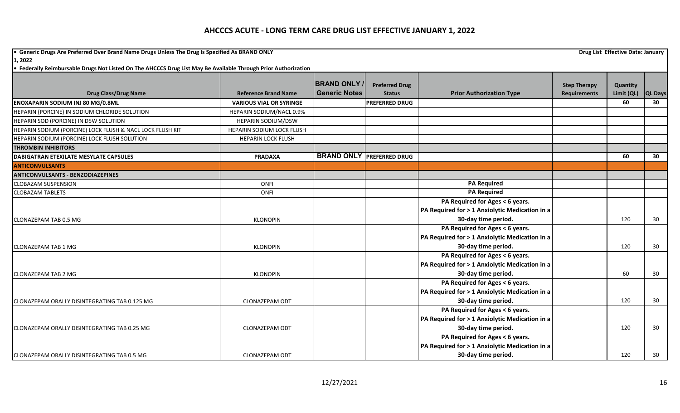**•** Generic Drugs Are Preferred Over Brand Name Drugs Unless The Drug Is Specified As BRAND ONLY **Drug List Effective Date: January Drug List Effective Date: January 1, 2022**

|                                                           |                                | <b>BRAND ONLY</b>    | <b>Preferred Drug</b>            |                                                | <b>Step Therapy</b> | Quantity   |                |
|-----------------------------------------------------------|--------------------------------|----------------------|----------------------------------|------------------------------------------------|---------------------|------------|----------------|
| <b>Drug Class/Drug Name</b>                               | <b>Reference Brand Name</b>    | <b>Generic Notes</b> | <b>Status</b>                    | <b>Prior Authorization Type</b>                | <b>Requirements</b> | Limit (QL) | <b>QL Days</b> |
| <b>ENOXAPARIN SODIUM INJ 80 MG/0.8ML</b>                  | <b>VARIOUS VIAL OR SYRINGE</b> |                      | <b>PREFERRED DRUG</b>            |                                                |                     | 60         | 30             |
| HEPARIN (PORCINE) IN SODIUM CHLORIDE SOLUTION             | HEPARIN SODIUM/NACL 0.9%       |                      |                                  |                                                |                     |            |                |
| HEPARIN SOD (PORCINE) IN D5W SOLUTION                     | HEPARIN SODIUM/D5W             |                      |                                  |                                                |                     |            |                |
| HEPARIN SODIUM (PORCINE) LOCK FLUSH & NACL LOCK FLUSH KIT | HEPARIN SODIUM LOCK FLUSH      |                      |                                  |                                                |                     |            |                |
| HEPARIN SODIUM (PORCINE) LOCK FLUSH SOLUTION              | <b>HEPARIN LOCK FLUSH</b>      |                      |                                  |                                                |                     |            |                |
| <b>THROMBIN INHIBITORS</b>                                |                                |                      |                                  |                                                |                     |            |                |
| DABIGATRAN ETEXILATE MESYLATE CAPSULES                    | <b>PRADAXA</b>                 |                      | <b>BRAND ONLY PREFERRED DRUG</b> |                                                |                     | 60         | 30             |
| <b>ANTICONVULSANTS</b>                                    |                                |                      |                                  |                                                |                     |            |                |
| <b>ANTICONVULSANTS - BENZODIAZEPINES</b>                  |                                |                      |                                  |                                                |                     |            |                |
| <b>CLOBAZAM SUSPENSION</b>                                | ONFI                           |                      |                                  | <b>PA Required</b>                             |                     |            |                |
| <b>CLOBAZAM TABLETS</b>                                   | ONFI                           |                      |                                  | <b>PA Required</b>                             |                     |            |                |
|                                                           |                                |                      |                                  | PA Required for Ages < 6 years.                |                     |            |                |
|                                                           |                                |                      |                                  | PA Required for > 1 Anxiolytic Medication in a |                     |            |                |
| <b>CLONAZEPAM TAB 0.5 MG</b>                              | <b>KLONOPIN</b>                |                      |                                  | 30-day time period.                            |                     | 120        | 30             |
|                                                           |                                |                      |                                  | PA Required for Ages < 6 years.                |                     |            |                |
|                                                           |                                |                      |                                  | PA Required for > 1 Anxiolytic Medication in a |                     |            |                |
| <b>CLONAZEPAM TAB 1 MG</b>                                | <b>KLONOPIN</b>                |                      |                                  | 30-day time period.                            |                     | 120        | 30             |
|                                                           |                                |                      |                                  | PA Required for Ages < 6 years.                |                     |            |                |
|                                                           |                                |                      |                                  | PA Required for > 1 Anxiolytic Medication in a |                     |            |                |
| <b>CLONAZEPAM TAB 2 MG</b>                                | <b>KLONOPIN</b>                |                      |                                  | 30-day time period.                            |                     | 60         | 30             |
|                                                           |                                |                      |                                  | PA Required for Ages < 6 years.                |                     |            |                |
|                                                           |                                |                      |                                  | PA Required for > 1 Anxiolytic Medication in a |                     |            |                |
| CLONAZEPAM ORALLY DISINTEGRATING TAB 0.125 MG             | <b>CLONAZEPAM ODT</b>          |                      |                                  | 30-day time period.                            |                     | 120        | 30             |
|                                                           |                                |                      |                                  | PA Required for Ages < 6 years.                |                     |            |                |
|                                                           |                                |                      |                                  | PA Required for > 1 Anxiolytic Medication in a |                     |            |                |
| CLONAZEPAM ORALLY DISINTEGRATING TAB 0.25 MG              | CLONAZEPAM ODT                 |                      |                                  | 30-day time period.                            |                     | 120        | 30             |
|                                                           |                                |                      |                                  | PA Required for Ages < 6 years.                |                     |            |                |
|                                                           |                                |                      |                                  | PA Required for > 1 Anxiolytic Medication in a |                     |            |                |
| CLONAZEPAM ORALLY DISINTEGRATING TAB 0.5 MG               | <b>CLONAZEPAM ODT</b>          |                      |                                  | 30-day time period.                            |                     | 120        | 30             |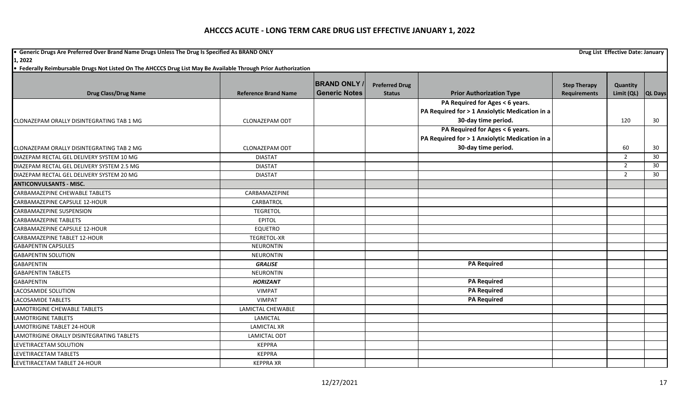**•** Generic Drugs Are Preferred Over Brand Name Drugs Unless The Drug Is Specified As BRAND ONLY **Drug List Effective Date: January Drug List Effective Date: January 1, 2022**

|                                            |                             | <b>BRAND ONLY</b>    | <b>Preferred Drug</b> |                                                | <b>Step Therapy</b> | Quantity       |         |
|--------------------------------------------|-----------------------------|----------------------|-----------------------|------------------------------------------------|---------------------|----------------|---------|
| <b>Drug Class/Drug Name</b>                | <b>Reference Brand Name</b> | <b>Generic Notes</b> | <b>Status</b>         | <b>Prior Authorization Type</b>                | <b>Requirements</b> | Limit (QL)     | QL Days |
|                                            |                             |                      |                       | PA Required for Ages < 6 years.                |                     |                |         |
|                                            |                             |                      |                       | PA Required for > 1 Anxiolytic Medication in a |                     |                |         |
| CLONAZEPAM ORALLY DISINTEGRATING TAB 1 MG  | <b>CLONAZEPAM ODT</b>       |                      |                       | 30-day time period.                            |                     | 120            | 30      |
|                                            |                             |                      |                       | PA Required for Ages < 6 years.                |                     |                |         |
|                                            |                             |                      |                       | PA Required for > 1 Anxiolytic Medication in a |                     |                |         |
| CLONAZEPAM ORALLY DISINTEGRATING TAB 2 MG  | <b>CLONAZEPAM ODT</b>       |                      |                       | 30-day time period.                            |                     | 60             | 30      |
| DIAZEPAM RECTAL GEL DELIVERY SYSTEM 10 MG  | <b>DIASTAT</b>              |                      |                       |                                                |                     | 2              | 30      |
| DIAZEPAM RECTAL GEL DELIVERY SYSTEM 2.5 MG | <b>DIASTAT</b>              |                      |                       |                                                |                     | 2              | 30      |
| DIAZEPAM RECTAL GEL DELIVERY SYSTEM 20 MG  | <b>DIASTAT</b>              |                      |                       |                                                |                     | $\overline{2}$ | 30      |
| <b>ANTICONVULSANTS - MISC.</b>             |                             |                      |                       |                                                |                     |                |         |
| CARBAMAZEPINE CHEWABLE TABLETS             | CARBAMAZEPINE               |                      |                       |                                                |                     |                |         |
| CARBAMAZEPINE CAPSULE 12-HOUR              | CARBATROL                   |                      |                       |                                                |                     |                |         |
| CARBAMAZEPINE SUSPENSION                   | <b>TEGRETOL</b>             |                      |                       |                                                |                     |                |         |
| <b>CARBAMAZEPINE TABLETS</b>               | <b>EPITOL</b>               |                      |                       |                                                |                     |                |         |
| CARBAMAZEPINE CAPSULE 12-HOUR              | <b>EQUETRO</b>              |                      |                       |                                                |                     |                |         |
| CARBAMAZEPINE TABLET 12-HOUR               | <b>TEGRETOL-XR</b>          |                      |                       |                                                |                     |                |         |
| <b>GABAPENTIN CAPSULES</b>                 | <b>NEURONTIN</b>            |                      |                       |                                                |                     |                |         |
| <b>GABAPENTIN SOLUTION</b>                 | <b>NEURONTIN</b>            |                      |                       |                                                |                     |                |         |
| <b>GABAPENTIN</b>                          | <b>GRALISE</b>              |                      |                       | <b>PA Required</b>                             |                     |                |         |
| <b>GABAPENTIN TABLETS</b>                  | <b>NEURONTIN</b>            |                      |                       |                                                |                     |                |         |
| <b>GABAPENTIN</b>                          | <b>HORIZANT</b>             |                      |                       | <b>PA Required</b>                             |                     |                |         |
| LACOSAMIDE SOLUTION                        | <b>VIMPAT</b>               |                      |                       | <b>PA Required</b>                             |                     |                |         |
| <b>LACOSAMIDE TABLETS</b>                  | <b>VIMPAT</b>               |                      |                       | <b>PA Required</b>                             |                     |                |         |
| LAMOTRIGINE CHEWABLE TABLETS               | LAMICTAL CHEWABLE           |                      |                       |                                                |                     |                |         |
| <b>LAMOTRIGINE TABLETS</b>                 | LAMICTAL                    |                      |                       |                                                |                     |                |         |
| <b>LAMOTRIGINE TABLET 24-HOUR</b>          | <b>LAMICTAL XR</b>          |                      |                       |                                                |                     |                |         |
| LAMOTRIGINE ORALLY DISINTEGRATING TABLETS  | <b>LAMICTAL ODT</b>         |                      |                       |                                                |                     |                |         |
| LEVETIRACETAM SOLUTION                     | <b>KEPPRA</b>               |                      |                       |                                                |                     |                |         |
| LEVETIRACETAM TABLETS                      | <b>KEPPRA</b>               |                      |                       |                                                |                     |                |         |
| LEVETIRACETAM TABLET 24-HOUR               | <b>KEPPRA XR</b>            |                      |                       |                                                |                     |                |         |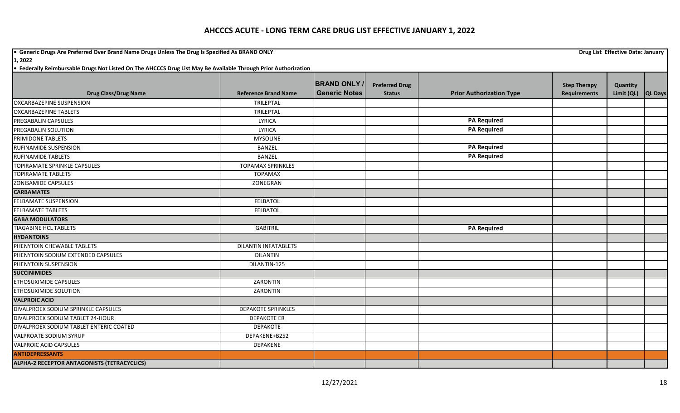**•** Generic Drugs Are Preferred Over Brand Name Drugs Unless The Drug Is Specified As BRAND ONLY **Drug List Effective Date: January Drug List Effective Date: January** 

**1, 2022**

|                                                    |                             | <b>BRAND ONLY/</b>   | <b>Preferred Drug</b> |                                 | <b>Step Therapy</b> | Quantity           |  |
|----------------------------------------------------|-----------------------------|----------------------|-----------------------|---------------------------------|---------------------|--------------------|--|
| <b>Drug Class/Drug Name</b>                        | <b>Reference Brand Name</b> | <b>Generic Notes</b> | <b>Status</b>         | <b>Prior Authorization Type</b> | <b>Requirements</b> | Limit (QL) QL Days |  |
| OXCARBAZEPINE SUSPENSION                           | TRILEPTAL                   |                      |                       |                                 |                     |                    |  |
| <b>OXCARBAZEPINE TABLETS</b>                       | TRILEPTAL                   |                      |                       |                                 |                     |                    |  |
| PREGABALIN CAPSULES                                | LYRICA                      |                      |                       | <b>PA Required</b>              |                     |                    |  |
| PREGABALIN SOLUTION                                | <b>LYRICA</b>               |                      |                       | <b>PA Required</b>              |                     |                    |  |
| PRIMIDONE TABLETS                                  | <b>MYSOLINE</b>             |                      |                       |                                 |                     |                    |  |
| RUFINAMIDE SUSPENSION                              | <b>BANZEL</b>               |                      |                       | <b>PA Required</b>              |                     |                    |  |
| <b>RUFINAMIDE TABLETS</b>                          | <b>BANZEL</b>               |                      |                       | <b>PA Required</b>              |                     |                    |  |
| <b>TOPIRAMATE SPRINKLE CAPSULES</b>                | <b>TOPAMAX SPRINKLES</b>    |                      |                       |                                 |                     |                    |  |
| <b>TOPIRAMATE TABLETS</b>                          | <b>TOPAMAX</b>              |                      |                       |                                 |                     |                    |  |
| <b>ZONISAMIDE CAPSULES</b>                         | ZONEGRAN                    |                      |                       |                                 |                     |                    |  |
| <b>CARBAMATES</b>                                  |                             |                      |                       |                                 |                     |                    |  |
| FELBAMATE SUSPENSION                               | <b>FELBATOL</b>             |                      |                       |                                 |                     |                    |  |
| <b>FELBAMATE TABLETS</b>                           | <b>FELBATOL</b>             |                      |                       |                                 |                     |                    |  |
| <b>GABA MODULATORS</b>                             |                             |                      |                       |                                 |                     |                    |  |
| <b>TIAGABINE HCL TABLETS</b>                       | <b>GABITRIL</b>             |                      |                       | <b>PA Required</b>              |                     |                    |  |
| <b>HYDANTOINS</b>                                  |                             |                      |                       |                                 |                     |                    |  |
| PHENYTOIN CHEWABLE TABLETS                         | <b>DILANTIN INFATABLETS</b> |                      |                       |                                 |                     |                    |  |
| PHENYTOIN SODIUM EXTENDED CAPSULES                 | <b>DILANTIN</b>             |                      |                       |                                 |                     |                    |  |
| PHENYTOIN SUSPENSION                               | DILANTIN-125                |                      |                       |                                 |                     |                    |  |
| <b>SUCCINIMIDES</b>                                |                             |                      |                       |                                 |                     |                    |  |
| ETHOSUXIMIDE CAPSULES                              | ZARONTIN                    |                      |                       |                                 |                     |                    |  |
| <b>ETHOSUXIMIDE SOLUTION</b>                       | ZARONTIN                    |                      |                       |                                 |                     |                    |  |
| <b>VALPROIC ACID</b>                               |                             |                      |                       |                                 |                     |                    |  |
| DIVALPROEX SODIUM SPRINKLE CAPSULES                | <b>DEPAKOTE SPRINKLES</b>   |                      |                       |                                 |                     |                    |  |
| DIVALPROEX SODIUM TABLET 24-HOUR                   | <b>DEPAKOTE ER</b>          |                      |                       |                                 |                     |                    |  |
| DIVALPROEX SODIUM TABLET ENTERIC COATED            | <b>DEPAKOTE</b>             |                      |                       |                                 |                     |                    |  |
| <b>VALPROATE SODIUM SYRUP</b>                      | DEPAKENE+B252               |                      |                       |                                 |                     |                    |  |
| <b>VALPROIC ACID CAPSULES</b>                      | <b>DEPAKENE</b>             |                      |                       |                                 |                     |                    |  |
| <b>ANTIDEPRESSANTS</b>                             |                             |                      |                       |                                 |                     |                    |  |
| <b>ALPHA-2 RECEPTOR ANTAGONISTS (TETRACYCLICS)</b> |                             |                      |                       |                                 |                     |                    |  |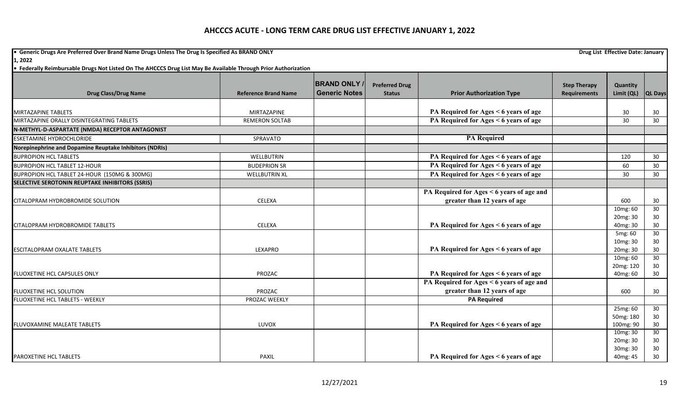**•** Generic Drugs Are Preferred Over Brand Name Drugs Unless The Drug Is Specified As BRAND ONLY **Drug List Effective Date: January Drug List Effective Date: January 1, 2022**

| <b>Drug Class/Drug Name</b>                                             | <b>Reference Brand Name</b>          | <b>BRAND ONLY</b><br><b>Generic Notes</b> | <b>Preferred Drug</b><br><b>Status</b> | <b>Prior Authorization Type</b>                                                | <b>Step Therapy</b><br><b>Requirements</b> | Quantity<br>Limit (QL) | <b>QL Days</b>  |
|-------------------------------------------------------------------------|--------------------------------------|-------------------------------------------|----------------------------------------|--------------------------------------------------------------------------------|--------------------------------------------|------------------------|-----------------|
|                                                                         |                                      |                                           |                                        |                                                                                |                                            |                        |                 |
| <b>MIRTAZAPINE TABLETS</b><br>MIRTAZAPINE ORALLY DISINTEGRATING TABLETS | MIRTAZAPINE<br><b>REMERON SOLTAB</b> |                                           |                                        | PA Required for Ages < 6 years of age<br>PA Required for Ages < 6 years of age |                                            | 30<br>30               | 30<br>30        |
|                                                                         |                                      |                                           |                                        |                                                                                |                                            |                        |                 |
| N-METHYL-D-ASPARTATE (NMDA) RECEPTOR ANTAGONIST                         |                                      |                                           |                                        | <b>PA Required</b>                                                             |                                            |                        |                 |
| <b>ESKETAMINE HYDROCHLORIDE</b>                                         | SPRAVATO                             |                                           |                                        |                                                                                |                                            |                        |                 |
| Norepinephrine and Dopamine Reuptake Inhibitors (NDRIs)                 |                                      |                                           |                                        |                                                                                |                                            |                        |                 |
| <b>BUPROPION HCL TABLETS</b>                                            | <b>WELLBUTRIN</b>                    |                                           |                                        | PA Required for Ages < 6 years of age                                          |                                            | 120                    | 30 <sup>°</sup> |
| <b>BUPROPION HCL TABLET 12-HOUR</b>                                     | <b>BUDEPRION SR</b>                  |                                           |                                        | PA Required for Ages < 6 years of age                                          |                                            | 60                     | 30 <sup>°</sup> |
| BUPROPION HCL TABLET 24-HOUR (150MG & 300MG)                            | <b>WELLBUTRIN XL</b>                 |                                           |                                        | PA Required for Ages < 6 years of age                                          |                                            | 30                     | 30              |
| <b>SELECTIVE SEROTONIN REUPTAKE INHIBITORS (SSRIS)</b>                  |                                      |                                           |                                        |                                                                                |                                            |                        |                 |
|                                                                         |                                      |                                           |                                        | PA Required for Ages < 6 years of age and                                      |                                            |                        |                 |
| CITALOPRAM HYDROBROMIDE SOLUTION                                        | CELEXA                               |                                           |                                        | greater than 12 years of age                                                   |                                            | 600                    | 30              |
|                                                                         |                                      |                                           |                                        |                                                                                |                                            | 10mg: 60               | 30              |
|                                                                         |                                      |                                           |                                        |                                                                                |                                            | 20mg: 30               | 30              |
| CITALOPRAM HYDROBROMIDE TABLETS                                         | <b>CELEXA</b>                        |                                           |                                        | PA Required for Ages < 6 years of age                                          |                                            | 40mg: 30               | 30 <sup>°</sup> |
|                                                                         |                                      |                                           |                                        |                                                                                |                                            | 5mg: 60                | $\overline{30}$ |
|                                                                         |                                      |                                           |                                        |                                                                                |                                            | 10mg: 30               | 30              |
| <b>ESCITALOPRAM OXALATE TABLETS</b>                                     | LEXAPRO                              |                                           |                                        | PA Required for Ages < 6 years of age                                          |                                            | 20mg: 30               | 30 <sup>°</sup> |
|                                                                         |                                      |                                           |                                        |                                                                                |                                            | 10mg: 60               | 30              |
|                                                                         |                                      |                                           |                                        |                                                                                |                                            | 20mg: 120              | 30              |
| FLUOXETINE HCL CAPSULES ONLY                                            | PROZAC                               |                                           |                                        | PA Required for Ages < 6 years of age                                          |                                            | 40mg: 60               | 30              |
|                                                                         |                                      |                                           |                                        | PA Required for Ages < 6 years of age and                                      |                                            |                        |                 |
| FLUOXETINE HCL SOLUTION                                                 | PROZAC                               |                                           |                                        | greater than 12 years of age                                                   |                                            | 600                    | 30              |
| FLUOXETINE HCL TABLETS - WEEKLY                                         | PROZAC WEEKLY                        |                                           |                                        | <b>PA Required</b>                                                             |                                            |                        |                 |
|                                                                         |                                      |                                           |                                        |                                                                                |                                            | 25mg: 60               | 30              |
|                                                                         |                                      |                                           |                                        |                                                                                |                                            | 50mg: 180              | 30 <sup>°</sup> |
| FLUVOXAMINE MALEATE TABLETS                                             | LUVOX                                |                                           |                                        | PA Required for Ages < 6 years of age                                          |                                            | 100mg: 90              | 30 <sup>°</sup> |
|                                                                         |                                      |                                           |                                        |                                                                                |                                            | 10mg: 30               | 30              |
|                                                                         |                                      |                                           |                                        |                                                                                |                                            | 20mg: 30<br>30mg: 30   | 30<br>30        |
| <b>PAROXETINE HCL TABLETS</b>                                           | <b>PAXIL</b>                         |                                           |                                        | PA Required for Ages < 6 years of age                                          |                                            | 40mg: 45               | 30              |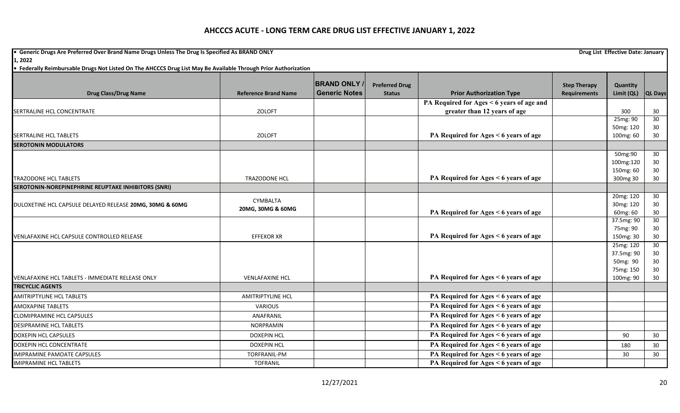**•** Generic Drugs Are Preferred Over Brand Name Drugs Unless The Drug Is Specified As BRAND ONLY **Drug List Effective Date: January Drug List Effective Date: January** 

**1, 2022**

| <b>Drug Class/Drug Name</b>                                                 | <b>Reference Brand Name</b> | <b>BRAND ONLY</b><br><b>Generic Notes</b> | <b>Preferred Drug</b> |                                                                              | <b>Step Therapy</b><br><b>Requirements</b> | Quantity              |                 |
|-----------------------------------------------------------------------------|-----------------------------|-------------------------------------------|-----------------------|------------------------------------------------------------------------------|--------------------------------------------|-----------------------|-----------------|
|                                                                             |                             |                                           | <b>Status</b>         | <b>Prior Authorization Type</b><br>PA Required for Ages < 6 years of age and |                                            | Limit (QL)            | <b>QL Days</b>  |
| SERTRALINE HCL CONCENTRATE                                                  | <b>ZOLOFT</b>               |                                           |                       | greater than 12 years of age                                                 |                                            | 300                   | 30              |
|                                                                             |                             |                                           |                       |                                                                              |                                            | 25mg: 90              | 30              |
|                                                                             |                             |                                           |                       |                                                                              |                                            | 50mg: 120             | 30              |
| <b>SERTRALINE HCL TABLETS</b>                                               | <b>ZOLOFT</b>               |                                           |                       | PA Required for Ages < 6 years of age                                        |                                            | 100mg: 60             | 30              |
| <b>SEROTONIN MODULATORS</b>                                                 |                             |                                           |                       |                                                                              |                                            |                       |                 |
|                                                                             |                             |                                           |                       |                                                                              |                                            | 50mg:90               | 30              |
|                                                                             |                             |                                           |                       |                                                                              |                                            | 100mg:120             | 30              |
|                                                                             |                             |                                           |                       |                                                                              |                                            | 150mg: 60             | 30              |
| <b>TRAZODONE HCL TABLETS</b>                                                | TRAZODONE HCL               |                                           |                       | PA Required for Ages < 6 years of age                                        |                                            | 300mg 30              | 30              |
| SEROTONIN-NOREPINEPHRINE REUPTAKE INHIBITORS (SNRI)                         |                             |                                           |                       |                                                                              |                                            |                       |                 |
|                                                                             | CYMBALTA                    |                                           |                       |                                                                              |                                            | 20mg: 120             | 30              |
| DULOXETINE HCL CAPSULE DELAYED RELEASE 20MG, 30MG & 60MG                    | 20MG, 30MG & 60MG           |                                           |                       | PA Required for Ages < 6 years of age                                        |                                            | 30mg: 120<br>60mg: 60 | 30<br>30        |
|                                                                             |                             |                                           |                       |                                                                              |                                            | 37.5mg: 90            | 30              |
|                                                                             |                             |                                           |                       |                                                                              |                                            | 75mg: 90              | 30              |
| VENLAFAXINE HCL CAPSULE CONTROLLED RELEASE                                  | <b>EFFEXOR XR</b>           |                                           |                       | PA Required for Ages < 6 years of age                                        |                                            | 150mg: 30             | 30              |
|                                                                             |                             |                                           |                       |                                                                              |                                            | 25mg: 120             | $\overline{30}$ |
|                                                                             |                             |                                           |                       |                                                                              |                                            | 37.5mg: 90            | 30              |
|                                                                             |                             |                                           |                       |                                                                              |                                            | 50mg: 90              | $30\,$          |
|                                                                             |                             |                                           |                       |                                                                              |                                            | 75mg: 150             | 30              |
| VENLAFAXINE HCL TABLETS - IMMEDIATE RELEASE ONLY<br><b>TRICYCLIC AGENTS</b> | <b>VENLAFAXINE HCL</b>      |                                           |                       | PA Required for Ages < 6 years of age                                        |                                            | 100mg: 90             | 30              |
|                                                                             |                             |                                           |                       |                                                                              |                                            |                       |                 |
| <b>AMITRIPTYLINE HCL TABLETS</b>                                            | <b>AMITRIPTYLINE HCL</b>    |                                           |                       | PA Required for Ages < 6 years of age                                        |                                            |                       |                 |
| <b>AMOXAPINE TABLETS</b>                                                    | <b>VARIOUS</b>              |                                           |                       | PA Required for Ages < 6 years of age                                        |                                            |                       |                 |
| <b>CLOMIPRAMINE HCL CAPSULES</b>                                            | ANAFRANIL                   |                                           |                       | PA Required for Ages < 6 years of age                                        |                                            |                       |                 |
| <b>DESIPRAMINE HCL TABLETS</b>                                              | NORPRAMIN                   |                                           |                       | PA Required for Ages < 6 years of age                                        |                                            |                       |                 |
| <b>DOXEPIN HCL CAPSULES</b>                                                 | <b>DOXEPIN HCL</b>          |                                           |                       | PA Required for Ages < 6 years of age                                        |                                            | 90                    | 30              |
| DOXEPIN HCL CONCENTRATE                                                     | <b>DOXEPIN HCL</b>          |                                           |                       | PA Required for Ages < 6 years of age                                        |                                            | 180                   | 30              |
| IMIPRAMINE PAMOATE CAPSULES                                                 | TORFRANIL-PM                |                                           |                       | PA Required for Ages < 6 years of age                                        |                                            | 30                    | 30              |
| <b>IMIPRAMINE HCL TABLETS</b>                                               | <b>TOFRANIL</b>             |                                           |                       | PA Required for Ages < 6 years of age                                        |                                            |                       |                 |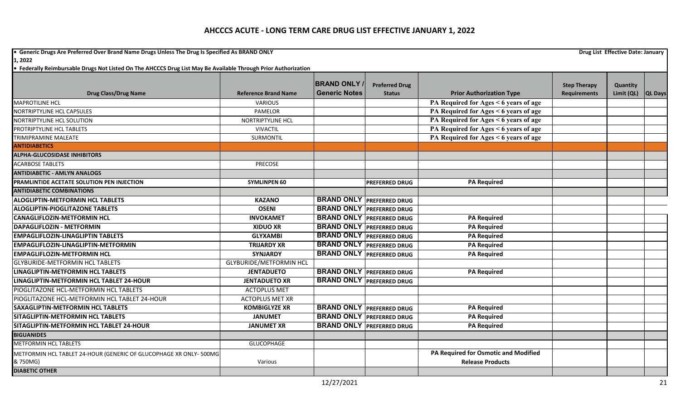**•** Generic Drugs Are Preferred Over Brand Name Drugs Unless The Drug Is Specified As BRAND ONLY **Drug List Effective Date: January Drug List Effective Date: January 1, 2022**

|                                                                    |                                | <b>BRAND ONLY</b>                | <b>Preferred Drug</b>            |                                       | <b>Step Therapy</b> | Quantity           |  |
|--------------------------------------------------------------------|--------------------------------|----------------------------------|----------------------------------|---------------------------------------|---------------------|--------------------|--|
| <b>Drug Class/Drug Name</b>                                        | <b>Reference Brand Name</b>    | <b>Generic Notes</b>             | <b>Status</b>                    | <b>Prior Authorization Type</b>       | <b>Requirements</b> | Limit (QL) QL Days |  |
| <b>MAPROTILINE HCL</b>                                             | <b>VARIOUS</b>                 |                                  |                                  | PA Required for Ages < 6 years of age |                     |                    |  |
| NORTRIPTYLINE HCL CAPSULES                                         | PAMELOR                        |                                  |                                  | PA Required for Ages < 6 years of age |                     |                    |  |
| NORTRIPTYLINE HCL SOLUTION                                         | NORTRIPTYLINE HCL              |                                  |                                  | PA Required for Ages < 6 years of age |                     |                    |  |
| PROTRIPTYLINE HCL TABLETS                                          | <b>VIVACTIL</b>                |                                  |                                  | PA Required for Ages < 6 years of age |                     |                    |  |
| TRIMIPRAMINE MALEATE                                               | SURMONTIL                      |                                  |                                  | PA Required for Ages < 6 years of age |                     |                    |  |
| <b>ANTIDIABETICS</b>                                               |                                |                                  |                                  |                                       |                     |                    |  |
| <b>ALPHA-GLUCOSIDASE INHIBITORS</b>                                |                                |                                  |                                  |                                       |                     |                    |  |
| <b>ACARBOSE TABLETS</b>                                            | PRECOSE                        |                                  |                                  |                                       |                     |                    |  |
| <b>ANTIDIABETIC - AMLYN ANALOGS</b>                                |                                |                                  |                                  |                                       |                     |                    |  |
| PRAMLINTIDE ACETATE SOLUTION PEN INJECTION                         | <b>SYMLINPEN 60</b>            |                                  | <b>PREFERRED DRUG</b>            | <b>PA Required</b>                    |                     |                    |  |
| <b>ANTIDIABETIC COMBINATIONS</b>                                   |                                |                                  |                                  |                                       |                     |                    |  |
| <b>ALOGLIPTIN-METFORMIN HCL TABLETS</b>                            | <b>KAZANO</b>                  |                                  | <b>BRAND ONLY PREFERRED DRUG</b> |                                       |                     |                    |  |
| <b>ALOGLIPTIN-PIOGLITAZONE TABLETS</b>                             | <b>OSENI</b>                   | <b>BRAND ONLY PREFERRED DRUG</b> |                                  |                                       |                     |                    |  |
| <b>CANAGLIFLOZIN-METFORMIN HCL</b>                                 | <b>INVOKAMET</b>               |                                  | <b>BRAND ONLY PREFERRED DRUG</b> | <b>PA Required</b>                    |                     |                    |  |
| DAPAGLIFLOZIN - METFORMIN                                          | <b>XIDUO XR</b>                |                                  | <b>BRAND ONLY PREFERRED DRUG</b> | <b>PA Required</b>                    |                     |                    |  |
| <b>EMPAGLIFLOZIN-LINAGLIPTIN TABLETS</b>                           | <b>GLYXAMBI</b>                |                                  | <b>BRAND ONLY PREFERRED DRUG</b> | <b>PA Required</b>                    |                     |                    |  |
| EMPAGLIFLOZIN-LINAGLIPTIN-METFORMIN                                | <b>TRIJARDY XR</b>             |                                  | <b>BRAND ONLY PREFERRED DRUG</b> | <b>PA Required</b>                    |                     |                    |  |
| <b>EMPAGLIFLOZIN-METFORMIN HCL</b>                                 | <b>SYNJARDY</b>                |                                  | <b>BRAND ONLY PREFERRED DRUG</b> | <b>PA Required</b>                    |                     |                    |  |
| <b>GLYBURIDE-METFORMIN HCL TABLETS</b>                             | <b>GLYBURIDE/METFORMIN HCL</b> |                                  |                                  |                                       |                     |                    |  |
| LINAGLIPTIN-METFORMIN HCL TABLETS                                  | <b>JENTADUETO</b>              | <b>BRAND ONLY PREFERRED DRUG</b> |                                  | <b>PA Required</b>                    |                     |                    |  |
| LINAGLIPTIN-METFORMIN HCL TABLET 24-HOUR                           | <b>JENTADUETO XR</b>           | <b>BRAND ONLY PREFERRED DRUG</b> |                                  |                                       |                     |                    |  |
| PIOGLITAZONE HCL-METFORMIN HCL TABLETS                             | <b>ACTOPLUS MET</b>            |                                  |                                  |                                       |                     |                    |  |
| PIOGLITAZONE HCL-METFORMIN HCL TABLET 24-HOUR                      | <b>ACTOPLUS MET XR</b>         |                                  |                                  |                                       |                     |                    |  |
| <b>SAXAGLIPTIN-METFORMIN HCL TABLETS</b>                           | <b>KOMBIGLYZE XR</b>           |                                  | <b>BRAND ONLY PREFERRED DRUG</b> | <b>PA Required</b>                    |                     |                    |  |
| SITAGLIPTIN-METFORMIN HCL TABLETS                                  | <b>JANUMET</b>                 |                                  | <b>BRAND ONLY PREFERRED DRUG</b> | <b>PA Required</b>                    |                     |                    |  |
| SITAGLIPTIN-METFORMIN HCL TABLET 24-HOUR                           | <b>JANUMET XR</b>              |                                  | <b>BRAND ONLY PREFERRED DRUG</b> | <b>PA Required</b>                    |                     |                    |  |
| <b>BIGUANIDES</b>                                                  |                                |                                  |                                  |                                       |                     |                    |  |
| <b>METFORMIN HCL TABLETS</b>                                       | <b>GLUCOPHAGE</b>              |                                  |                                  |                                       |                     |                    |  |
| METFORMIN HCL TABLET 24-HOUR (GENERIC OF GLUCOPHAGE XR ONLY- 500MG |                                |                                  |                                  | PA Required for Osmotic and Modified  |                     |                    |  |
| & 750MG)                                                           | Various                        |                                  |                                  | <b>Release Products</b>               |                     |                    |  |
| <b>DIABETIC OTHER</b>                                              |                                |                                  |                                  |                                       |                     |                    |  |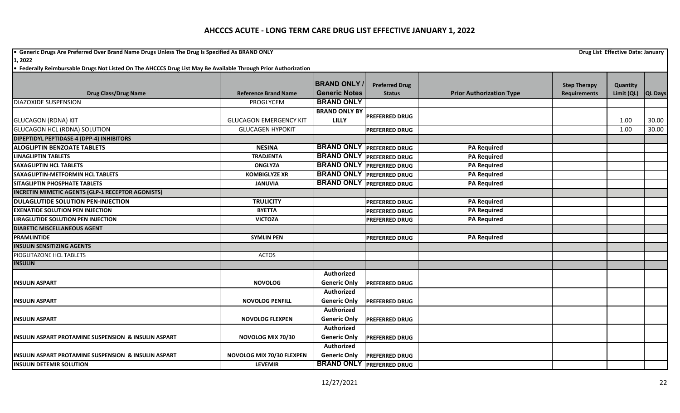**• Generic Drugs Are Preferred Over Brand Name Drugs Unless The Drug Is Specified As BRAND ONLY Drug List Effective Date: January <b>Drug List Effective Date: January** 

| <b>Drug Class/Drug Name</b>                          | <b>Reference Brand Name</b>   | <b>BRAND ONLY</b><br><b>Generic Notes</b> | <b>Preferred Drug</b><br><b>Status</b> | <b>Prior Authorization Type</b> | <b>Step Therapy</b><br><b>Requirements</b> | Quantity<br>Limit (QL) | <b>QL Days</b> |
|------------------------------------------------------|-------------------------------|-------------------------------------------|----------------------------------------|---------------------------------|--------------------------------------------|------------------------|----------------|
| DIAZOXIDE SUSPENSION                                 | PROGLYCEM                     | <b>BRAND ONLY</b>                         |                                        |                                 |                                            |                        |                |
| <b>GLUCAGON (RDNA) KIT</b>                           | <b>GLUCAGON EMERGENCY KIT</b> | <b>BRAND ONLY BY</b><br><b>LILLY</b>      | <b>PREFERRED DRUG</b>                  |                                 |                                            | 1.00                   | 30.00          |
| <b>GLUCAGON HCL (RDNA) SOLUTION</b>                  | <b>GLUCAGEN HYPOKIT</b>       |                                           | <b>PREFERRED DRUG</b>                  |                                 |                                            | 1.00                   | 30.00          |
| DIPEPTIDYL PEPTIDASE-4 (DPP-4) INHIBITORS            |                               |                                           |                                        |                                 |                                            |                        |                |
| <b>ALOGLIPTIN BENZOATE TABLETS</b>                   | <b>NESINA</b>                 | <b>BRAND ONLY PREFERRED DRUG</b>          |                                        | <b>PA Required</b>              |                                            |                        |                |
| <b>LINAGLIPTIN TABLETS</b>                           | <b>TRADJENTA</b>              |                                           | <b>BRAND ONLY PREFERRED DRUG</b>       | <b>PA Required</b>              |                                            |                        |                |
| SAXAGLIPTIN HCL TABLETS                              | <b>ONGLYZA</b>                | <b>BRAND ONLY PREFERRED DRUG</b>          |                                        | <b>PA Required</b>              |                                            |                        |                |
| SAXAGLIPTIN-METFORMIN HCL TABLETS                    | <b>KOMBIGLYZE XR</b>          | <b>BRAND ONLY PREFERRED DRUG</b>          |                                        | <b>PA Required</b>              |                                            |                        |                |
| SITAGLIPTIN PHOSPHATE TABLETS                        | <b>JANUVIA</b>                | <b>BRAND ONLY PREFERRED DRUG</b>          |                                        | <b>PA Required</b>              |                                            |                        |                |
| INCRETIN MIMETIC AGENTS (GLP-1 RECEPTOR AGONISTS)    |                               |                                           |                                        |                                 |                                            |                        |                |
| <b>DULAGLUTIDE SOLUTION PEN-INJECTION</b>            | <b>TRULICITY</b>              |                                           | <b>PREFERRED DRUG</b>                  | <b>PA Required</b>              |                                            |                        |                |
| <b>EXENATIDE SOLUTION PEN INJECTION</b>              | <b>BYETTA</b>                 |                                           | <b>PREFERRED DRUG</b>                  | <b>PA Required</b>              |                                            |                        |                |
| <b>LIRAGLUTIDE SOLUTION PEN INJECTION</b>            | <b>VICTOZA</b>                |                                           | PREFERRED DRUG                         | <b>PA Required</b>              |                                            |                        |                |
| <b>DIABETIC MISCELLANEOUS AGENT</b>                  |                               |                                           |                                        |                                 |                                            |                        |                |
| <b>PRAMLINTIDE</b>                                   | <b>SYMLIN PEN</b>             |                                           | <b>PREFERRED DRUG</b>                  | <b>PA Required</b>              |                                            |                        |                |
| <b>INSULIN SENSITIZING AGENTS</b>                    |                               |                                           |                                        |                                 |                                            |                        |                |
| PIOGLITAZONE HCL TABLETS                             | <b>ACTOS</b>                  |                                           |                                        |                                 |                                            |                        |                |
| <b>INSULIN</b>                                       |                               |                                           |                                        |                                 |                                            |                        |                |
| <b>INSULIN ASPART</b>                                | <b>NOVOLOG</b>                | Authorized<br><b>Generic Only</b>         | <b>PREFERRED DRUG</b>                  |                                 |                                            |                        |                |
|                                                      |                               | Authorized                                |                                        |                                 |                                            |                        |                |
| <b>INSULIN ASPART</b>                                | <b>NOVOLOG PENFILL</b>        | <b>Generic Only</b>                       | <b>PREFERRED DRUG</b>                  |                                 |                                            |                        |                |
| <b>INSULIN ASPART</b>                                | <b>NOVOLOG FLEXPEN</b>        | Authorized<br><b>Generic Only</b>         | PREFERRED DRUG                         |                                 |                                            |                        |                |
| INSULIN ASPART PROTAMINE SUSPENSION & INSULIN ASPART | NOVOLOG MIX 70/30             | Authorized<br><b>Generic Only</b>         | <b>PREFERRED DRUG</b>                  |                                 |                                            |                        |                |
|                                                      |                               | Authorized                                |                                        |                                 |                                            |                        |                |
| INSULIN ASPART PROTAMINE SUSPENSION & INSULIN ASPART | NOVOLOG MIX 70/30 FLEXPEN     | <b>Generic Only</b>                       | <b>PREFERRED DRUG</b>                  |                                 |                                            |                        |                |
| <b>INSULIN DETEMIR SOLUTION</b>                      | <b>LEVEMIR</b>                |                                           | <b>BRAND ONLY PREFERRED DRUG</b>       |                                 |                                            |                        |                |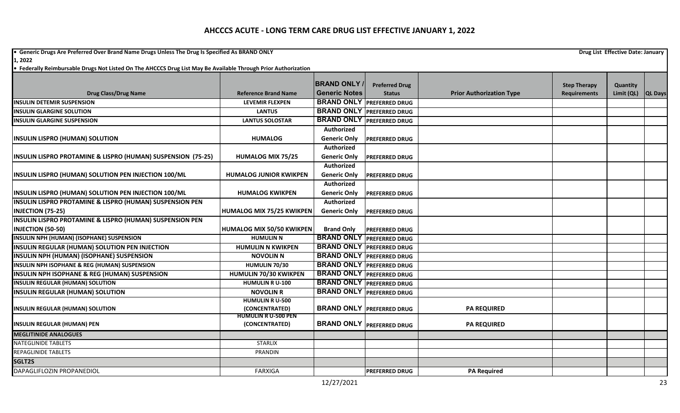**•** Generic Drugs Are Preferred Over Brand Name Drugs Unless The Drug Is Specified As BRAND ONLY **Drug List Effective Date: January Drug List Effective Date: January** 

**1, 2022**

|                                                              |                                              | <b>BRAND ONLY</b>                |                                        |                                 |                                            |                        |                |
|--------------------------------------------------------------|----------------------------------------------|----------------------------------|----------------------------------------|---------------------------------|--------------------------------------------|------------------------|----------------|
| <b>Drug Class/Drug Name</b>                                  | <b>Reference Brand Name</b>                  | <b>Generic Notes</b>             | <b>Preferred Drug</b><br><b>Status</b> | <b>Prior Authorization Type</b> | <b>Step Therapy</b><br><b>Requirements</b> | Quantity<br>Limit (QL) | <b>QL Days</b> |
| <b>INSULIN DETEMIR SUSPENSION</b>                            | <b>LEVEMIR FLEXPEN</b>                       |                                  | <b>BRAND ONLY PREFERRED DRUG</b>       |                                 |                                            |                        |                |
| <b>INSULIN GLARGINE SOLUTION</b>                             | <b>LANTUS</b>                                |                                  | <b>BRAND ONLY PREFERRED DRUG</b>       |                                 |                                            |                        |                |
| <b>INSULIN GLARGINE SUSPENSION</b>                           | <b>LANTUS SOLOSTAR</b>                       |                                  | <b>BRAND ONLY PREFERRED DRUG</b>       |                                 |                                            |                        |                |
|                                                              |                                              | <b>Authorized</b>                |                                        |                                 |                                            |                        |                |
| <b>INSULIN LISPRO (HUMAN) SOLUTION</b>                       | <b>HUMALOG</b>                               | <b>Generic Only</b>              | <b>PREFERRED DRUG</b>                  |                                 |                                            |                        |                |
|                                                              |                                              | Authorized                       |                                        |                                 |                                            |                        |                |
| INSULIN LISPRO PROTAMINE & LISPRO (HUMAN) SUSPENSION (75-25) | <b>HUMALOG MIX 75/25</b>                     | <b>Generic Only</b>              | <b>PREFERRED DRUG</b>                  |                                 |                                            |                        |                |
|                                                              |                                              | <b>Authorized</b>                |                                        |                                 |                                            |                        |                |
| INSULIN LISPRO (HUMAN) SOLUTION PEN INJECTION 100/ML         | <b>HUMALOG JUNIOR KWIKPEN</b>                | <b>Generic Only</b>              | <b>PREFERRED DRUG</b>                  |                                 |                                            |                        |                |
|                                                              |                                              | Authorized                       |                                        |                                 |                                            |                        |                |
| INSULIN LISPRO (HUMAN) SOLUTION PEN INJECTION 100/ML         | <b>HUMALOG KWIKPEN</b>                       | <b>Generic Only</b>              | <b>PREFERRED DRUG</b>                  |                                 |                                            |                        |                |
| INSULIN LISPRO PROTAMINE & LISPRO (HUMAN) SUSPENSION PEN     |                                              | Authorized                       |                                        |                                 |                                            |                        |                |
| <b>INJECTION (75-25)</b>                                     | HUMALOG MIX 75/25 KWIKPEN                    | <b>Generic Only</b>              | <b>PREFERRED DRUG</b>                  |                                 |                                            |                        |                |
| INSULIN LISPRO PROTAMINE & LISPRO (HUMAN) SUSPENSION PEN     |                                              |                                  |                                        |                                 |                                            |                        |                |
| <b>INJECTION (50-50)</b>                                     | HUMALOG MIX 50/50 KWIKPEN                    | <b>Brand Only</b>                | <b>PREFERRED DRUG</b>                  |                                 |                                            |                        |                |
| INSULIN NPH (HUMAN) (ISOPHANE) SUSPENSION                    | <b>HUMULIN N</b>                             | <b>BRAND ONLY PREFERRED DRUG</b> |                                        |                                 |                                            |                        |                |
| <b>INSULIN REGULAR (HUMAN) SOLUTION PEN INJECTION</b>        | <b>HUMULIN N KWIKPEN</b>                     |                                  | <b>BRAND ONLY PREFERRED DRUG</b>       |                                 |                                            |                        |                |
| INSULIN NPH (HUMAN) (ISOPHANE) SUSPENSION                    | <b>NOVOLIN N</b>                             |                                  | <b>BRAND ONLY PREFERRED DRUG</b>       |                                 |                                            |                        |                |
| INSULIN NPH ISOPHANE & REG (HUMAN) SUSPENSION                | HUMULIN 70/30                                |                                  | <b>BRAND ONLY PREFERRED DRUG</b>       |                                 |                                            |                        |                |
| <b>INSULIN NPH ISOPHANE &amp; REG (HUMAN) SUSPENSION</b>     | HUMULIN 70/30 KWIKPEN                        | <b>BRAND ONLY PREFERRED DRUG</b> |                                        |                                 |                                            |                        |                |
| <b>INSULIN REGULAR (HUMAN) SOLUTION</b>                      | <b>HUMULIN RU-100</b>                        | <b>BRAND ONLY PREFERRED DRUG</b> |                                        |                                 |                                            |                        |                |
| <b>INSULIN REGULAR (HUMAN) SOLUTION</b>                      | <b>NOVOLIN R</b>                             | <b>BRAND ONLY PREFERRED DRUG</b> |                                        |                                 |                                            |                        |                |
|                                                              | <b>HUMULIN R U-500</b>                       |                                  |                                        |                                 |                                            |                        |                |
| <b>INSULIN REGULAR (HUMAN) SOLUTION</b>                      | (CONCENTRATED)                               |                                  | <b>BRAND ONLY PREFERRED DRUG</b>       | <b>PA REQUIRED</b>              |                                            |                        |                |
| <b>INSULIN REGULAR (HUMAN) PEN</b>                           | <b>HUMULIN R U-500 PEN</b><br>(CONCENTRATED) |                                  | <b>BRAND ONLY PREFERRED DRUG</b>       | <b>PA REQUIRED</b>              |                                            |                        |                |
| <b>MEGLITINIDE ANALOGUES</b>                                 |                                              |                                  |                                        |                                 |                                            |                        |                |
| <b>NATEGLINIDE TABLETS</b>                                   | <b>STARLIX</b>                               |                                  |                                        |                                 |                                            |                        |                |
| <b>REPAGLINIDE TABLETS</b>                                   | <b>PRANDIN</b>                               |                                  |                                        |                                 |                                            |                        |                |
| SGLT2S                                                       |                                              |                                  |                                        |                                 |                                            |                        |                |
| DAPAGLIFLOZIN PROPANEDIOL                                    | <b>FARXIGA</b>                               |                                  | <b>PREFERRED DRUG</b>                  | <b>PA Required</b>              |                                            |                        |                |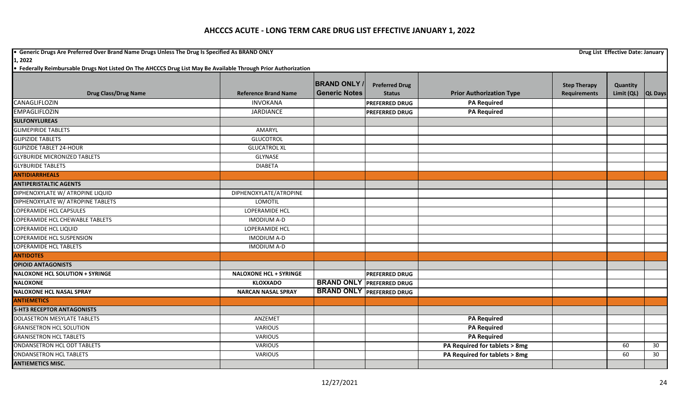**•** Generic Drugs Are Preferred Over Brand Name Drugs Unless The Drug Is Specified As BRAND ONLY **Drug List Effective Date: January Drug List Effective Date: January** 

**1, 2022**

|                                        |                               | <b>BRAND ONLY</b>    | <b>Preferred Drug</b>            |                                 | <b>Step Therapy</b> | Quantity             |    |
|----------------------------------------|-------------------------------|----------------------|----------------------------------|---------------------------------|---------------------|----------------------|----|
| <b>Drug Class/Drug Name</b>            | <b>Reference Brand Name</b>   | <b>Generic Notes</b> | <b>Status</b>                    | <b>Prior Authorization Type</b> | <b>Requirements</b> | Limit (QL)   QL Days |    |
| CANAGLIFLOZIN                          | <b>INVOKANA</b>               |                      | <b>PREFERRED DRUG</b>            | <b>PA Required</b>              |                     |                      |    |
| <b>EMPAGLIFLOZIN</b>                   | <b>JARDIANCE</b>              |                      | <b>PREFERRED DRUG</b>            | <b>PA Required</b>              |                     |                      |    |
| <b>SULFONYLUREAS</b>                   |                               |                      |                                  |                                 |                     |                      |    |
| <b>GLIMEPIRIDE TABLETS</b>             | AMARYL                        |                      |                                  |                                 |                     |                      |    |
| <b>GLIPIZIDE TABLETS</b>               | <b>GLUCOTROL</b>              |                      |                                  |                                 |                     |                      |    |
| <b>GLIPIZIDE TABLET 24-HOUR</b>        | <b>GLUCATROL XL</b>           |                      |                                  |                                 |                     |                      |    |
| <b>GLYBURIDE MICRONIZED TABLETS</b>    | GLYNASE                       |                      |                                  |                                 |                     |                      |    |
| <b>GLYBURIDE TABLETS</b>               | <b>DIABETA</b>                |                      |                                  |                                 |                     |                      |    |
| <b>ANTIDIARRHEALS</b>                  |                               |                      |                                  |                                 |                     |                      |    |
| <b>ANTIPERISTALTIC AGENTS</b>          |                               |                      |                                  |                                 |                     |                      |    |
| DIPHENOXYLATE W/ ATROPINE LIQUID       | DIPHENOXYLATE/ATROPINE        |                      |                                  |                                 |                     |                      |    |
| DIPHENOXYLATE W/ ATROPINE TABLETS      | LOMOTIL                       |                      |                                  |                                 |                     |                      |    |
| LOPERAMIDE HCL CAPSULES                | LOPERAMIDE HCL                |                      |                                  |                                 |                     |                      |    |
| LOPERAMIDE HCL CHEWABLE TABLETS        | <b>IMODIUM A-D</b>            |                      |                                  |                                 |                     |                      |    |
| LOPERAMIDE HCL LIQUID                  | LOPERAMIDE HCL                |                      |                                  |                                 |                     |                      |    |
| LOPERAMIDE HCL SUSPENSION              | <b>IMODIUM A-D</b>            |                      |                                  |                                 |                     |                      |    |
| LOPERAMIDE HCL TABLETS                 | <b>IMODIUM A-D</b>            |                      |                                  |                                 |                     |                      |    |
| <b>ANTIDOTES</b>                       |                               |                      |                                  |                                 |                     |                      |    |
| <b>OPIOID ANTAGONISTS</b>              |                               |                      |                                  |                                 |                     |                      |    |
| <b>NALOXONE HCL SOLUTION + SYRINGE</b> | <b>NALOXONE HCL + SYRINGE</b> |                      | <b>PREFERRED DRUG</b>            |                                 |                     |                      |    |
| <b>NALOXONE</b>                        | <b>KLOXXADO</b>               |                      | <b>BRAND ONLY PREFERRED DRUG</b> |                                 |                     |                      |    |
| <b>NALOXONE HCL NASAL SPRAY</b>        | <b>NARCAN NASAL SPRAY</b>     |                      | <b>BRAND ONLY PREFERRED DRUG</b> |                                 |                     |                      |    |
| <b>ANTIEMETICS</b>                     |                               |                      |                                  |                                 |                     |                      |    |
| <b>5-HT3 RECEPTOR ANTAGONISTS</b>      |                               |                      |                                  |                                 |                     |                      |    |
| DOLASETRON MESYLATE TABLETS            | ANZEMET                       |                      |                                  | <b>PA Required</b>              |                     |                      |    |
| <b>GRANISETRON HCL SOLUTION</b>        | <b>VARIOUS</b>                |                      |                                  | <b>PA Required</b>              |                     |                      |    |
| <b>GRANISETRON HCL TABLETS</b>         | <b>VARIOUS</b>                |                      |                                  | <b>PA Required</b>              |                     |                      |    |
| <b>ONDANSETRON HCL ODT TABLETS</b>     | VARIOUS                       |                      |                                  | PA Required for tablets > 8mg   |                     | 60                   | 30 |
| <b>ONDANSETRON HCL TABLETS</b>         | <b>VARIOUS</b>                |                      |                                  | PA Required for tablets > 8mg   |                     | 60                   | 30 |
| <b>ANTIEMETICS MISC.</b>               |                               |                      |                                  |                                 |                     |                      |    |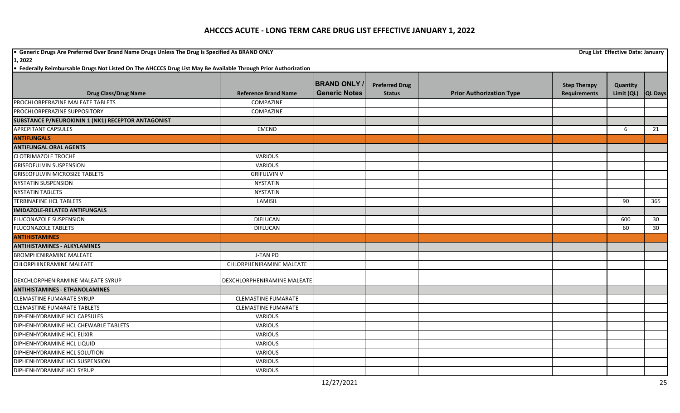**•** Generic Drugs Are Preferred Over Brand Name Drugs Unless The Drug Is Specified As BRAND ONLY **Drug List Effective Date: January Drug List Effective Date: January 1, 2022**

|                                                    |                             | <b>BRAND ONLY</b>    | <b>Preferred Drug</b> |                                 | <b>Step Therapy</b> | Quantity           |     |
|----------------------------------------------------|-----------------------------|----------------------|-----------------------|---------------------------------|---------------------|--------------------|-----|
| <b>Drug Class/Drug Name</b>                        | <b>Reference Brand Name</b> | <b>Generic Notes</b> | <b>Status</b>         | <b>Prior Authorization Type</b> | <b>Requirements</b> | Limit (QL) QL Days |     |
| PROCHLORPERAZINE MALEATE TABLETS                   | COMPAZINE                   |                      |                       |                                 |                     |                    |     |
| PROCHLORPERAZINE SUPPOSITORY                       | <b>COMPAZINE</b>            |                      |                       |                                 |                     |                    |     |
| SUBSTANCE P/NEUROKININ 1 (NK1) RECEPTOR ANTAGONIST |                             |                      |                       |                                 |                     |                    |     |
| <b>APREPITANT CAPSULES</b>                         | EMEND                       |                      |                       |                                 |                     | 6                  | 21  |
| <b>ANTIFUNGALS</b>                                 |                             |                      |                       |                                 |                     |                    |     |
| <b>ANTIFUNGAL ORAL AGENTS</b>                      |                             |                      |                       |                                 |                     |                    |     |
| <b>CLOTRIMAZOLE TROCHE</b>                         | <b>VARIOUS</b>              |                      |                       |                                 |                     |                    |     |
| <b>GRISEOFULVIN SUSPENSION</b>                     | <b>VARIOUS</b>              |                      |                       |                                 |                     |                    |     |
| <b>GRISEOFULVIN MICROSIZE TABLETS</b>              | <b>GRIFULVIN V</b>          |                      |                       |                                 |                     |                    |     |
| <b>NYSTATIN SUSPENSION</b>                         | <b>NYSTATIN</b>             |                      |                       |                                 |                     |                    |     |
| <b>NYSTATIN TABLETS</b>                            | <b>NYSTATIN</b>             |                      |                       |                                 |                     |                    |     |
| <b>TERBINAFINE HCL TABLETS</b>                     | LAMISIL                     |                      |                       |                                 |                     | 90                 | 365 |
| <b>IMIDAZOLE-RELATED ANTIFUNGALS</b>               |                             |                      |                       |                                 |                     |                    |     |
| FLUCONAZOLE SUSPENSION                             | <b>DIFLUCAN</b>             |                      |                       |                                 |                     | 600                | 30  |
| <b>FLUCONAZOLE TABLETS</b>                         | <b>DIFLUCAN</b>             |                      |                       |                                 |                     | 60                 | 30  |
| <b>ANTIHISTAMINES</b>                              |                             |                      |                       |                                 |                     |                    |     |
| <b>ANTIHISTAMINES - ALKYLAMINES</b>                |                             |                      |                       |                                 |                     |                    |     |
| <b>BROMPHENIRAMINE MALEATE</b>                     | J-TAN PD                    |                      |                       |                                 |                     |                    |     |
| <b>CHLORPHINERAMINE MALEATE</b>                    | CHLORPHENIRAMINE MALEATE    |                      |                       |                                 |                     |                    |     |
| DEXCHLORPHENIRAMINE MALEATE SYRUP                  | DEXCHLORPHENIRAMINE MALEATE |                      |                       |                                 |                     |                    |     |
| <b>ANTIHISTAMINES - ETHANOLAMINES</b>              |                             |                      |                       |                                 |                     |                    |     |
| <b>CLEMASTINE FUMARATE SYRUP</b>                   | <b>CLEMASTINE FUMARATE</b>  |                      |                       |                                 |                     |                    |     |
| <b>CLEMASTINE FUMARATE TABLETS</b>                 | <b>CLEMASTINE FUMARATE</b>  |                      |                       |                                 |                     |                    |     |
| DIPHENHYDRAMINE HCL CAPSULES                       | <b>VARIOUS</b>              |                      |                       |                                 |                     |                    |     |
| DIPHENHYDRAMINE HCL CHEWABLE TABLETS               | <b>VARIOUS</b>              |                      |                       |                                 |                     |                    |     |
| DIPHENHYDRAMINE HCL ELIXIR                         | <b>VARIOUS</b>              |                      |                       |                                 |                     |                    |     |
| DIPHENHYDRAMINE HCL LIQUID                         | <b>VARIOUS</b>              |                      |                       |                                 |                     |                    |     |
| DIPHENHYDRAMINE HCL SOLUTION                       | <b>VARIOUS</b>              |                      |                       |                                 |                     |                    |     |
| DIPHENHYDRAMINE HCL SUSPENSION                     | <b>VARIOUS</b>              |                      |                       |                                 |                     |                    |     |
| DIPHENHYDRAMINE HCL SYRUP                          | VARIOUS                     |                      |                       |                                 |                     |                    |     |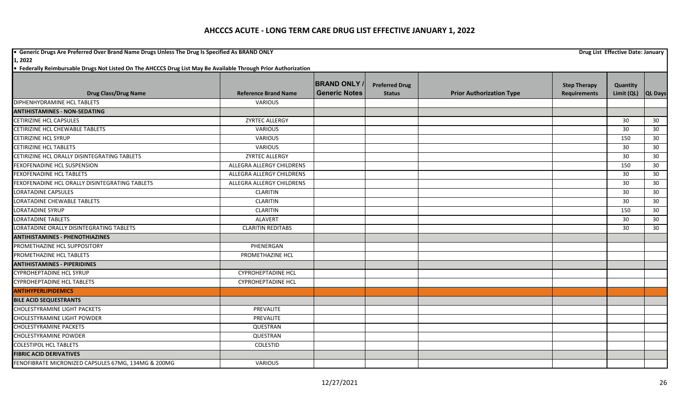**•** Generic Drugs Are Preferred Over Brand Name Drugs Unless The Drug Is Specified As BRAND ONLY **Drug List Effective Date: January Drug List Effective Date: January 1, 2022**

|                                                     |                                  | <b>BRAND ONLY</b>    | <b>Preferred Drug</b> |                                 |                                            |                        |                 |
|-----------------------------------------------------|----------------------------------|----------------------|-----------------------|---------------------------------|--------------------------------------------|------------------------|-----------------|
| <b>Drug Class/Drug Name</b>                         | <b>Reference Brand Name</b>      | <b>Generic Notes</b> | <b>Status</b>         | <b>Prior Authorization Type</b> | <b>Step Therapy</b><br><b>Requirements</b> | Quantity<br>Limit (QL) | <b>QL Days</b>  |
| DIPHENHYDRAMINE HCL TABLETS                         | <b>VARIOUS</b>                   |                      |                       |                                 |                                            |                        |                 |
| <b>ANTIHISTAMINES - NON-SEDATING</b>                |                                  |                      |                       |                                 |                                            |                        |                 |
| CETIRIZINE HCL CAPSULES                             | ZYRTEC ALLERGY                   |                      |                       |                                 |                                            | 30                     | 30              |
| CETIRIZINE HCL CHEWABLE TABLETS                     | <b>VARIOUS</b>                   |                      |                       |                                 |                                            | 30                     | 30              |
| <b>CETIRIZINE HCL SYRUP</b>                         | <b>VARIOUS</b>                   |                      |                       |                                 |                                            | 150                    | 30              |
| <b>CETIRIZINE HCL TABLETS</b>                       | <b>VARIOUS</b>                   |                      |                       |                                 |                                            | 30                     | 30              |
| CETIRIZINE HCL ORALLY DISINTEGRATING TABLETS        | ZYRTEC ALLERGY                   |                      |                       |                                 |                                            | 30                     | 30              |
| FEXOFENADINE HCL SUSPENSION                         | <b>ALLEGRA ALLERGY CHILDRENS</b> |                      |                       |                                 |                                            | 150                    | 30              |
| <b>FEXOFENADINE HCL TABLETS</b>                     | ALLEGRA ALLERGY CHILDRENS        |                      |                       |                                 |                                            | 30                     | 30 <sup>°</sup> |
| FEXOFENADINE HCL ORALLY DISINTEGRATING TABLETS      | ALLEGRA ALLERGY CHILDRENS        |                      |                       |                                 |                                            | 30                     | 30              |
| <b>LORATADINE CAPSULES</b>                          | <b>CLARITIN</b>                  |                      |                       |                                 |                                            | 30                     | 30 <sup>°</sup> |
| <b>LORATADINE CHEWABLE TABLETS</b>                  | <b>CLARITIN</b>                  |                      |                       |                                 |                                            | 30                     | 30              |
| <b>LORATADINE SYRUP</b>                             | <b>CLARITIN</b>                  |                      |                       |                                 |                                            | 150                    | 30              |
| <b>LORATADINE TABLETS</b>                           | <b>ALAVERT</b>                   |                      |                       |                                 |                                            | 30                     | 30 <sup>°</sup> |
| LORATADINE ORALLY DISINTEGRATING TABLETS            | <b>CLARITIN REDITABS</b>         |                      |                       |                                 |                                            | 30                     | 30 <sup>°</sup> |
| <b>ANTIHISTAMINES - PHENOTHIAZINES</b>              |                                  |                      |                       |                                 |                                            |                        |                 |
| PROMETHAZINE HCL SUPPOSITORY                        | PHENERGAN                        |                      |                       |                                 |                                            |                        |                 |
| PROMETHAZINE HCL TABLETS                            | PROMETHAZINE HCL                 |                      |                       |                                 |                                            |                        |                 |
| <b>ANTIHISTAMINES - PIPERIDINES</b>                 |                                  |                      |                       |                                 |                                            |                        |                 |
| <b>CYPROHEPTADINE HCL SYRUP</b>                     | <b>CYPROHEPTADINE HCL</b>        |                      |                       |                                 |                                            |                        |                 |
| <b>CYPROHEPTADINE HCL TABLETS</b>                   | <b>CYPROHEPTADINE HCL</b>        |                      |                       |                                 |                                            |                        |                 |
| <b>ANTIHYPERLIPIDEMICS</b>                          |                                  |                      |                       |                                 |                                            |                        |                 |
| <b>BILE ACID SEQUESTRANTS</b>                       |                                  |                      |                       |                                 |                                            |                        |                 |
| <b>CHOLESTYRAMINE LIGHT PACKETS</b>                 | PREVALITE                        |                      |                       |                                 |                                            |                        |                 |
| <b>CHOLESTYRAMINE LIGHT POWDER</b>                  | PREVALITE                        |                      |                       |                                 |                                            |                        |                 |
| <b>CHOLESTYRAMINE PACKETS</b>                       | QUESTRAN                         |                      |                       |                                 |                                            |                        |                 |
| <b>CHOLESTYRAMINE POWDER</b>                        | QUESTRAN                         |                      |                       |                                 |                                            |                        |                 |
| <b>COLESTIPOL HCL TABLETS</b>                       | <b>COLESTID</b>                  |                      |                       |                                 |                                            |                        |                 |
| <b>FIBRIC ACID DERIVATIVES</b>                      |                                  |                      |                       |                                 |                                            |                        |                 |
| FENOFIBRATE MICRONIZED CAPSULES 67MG, 134MG & 200MG | <b>VARIOUS</b>                   |                      |                       |                                 |                                            |                        |                 |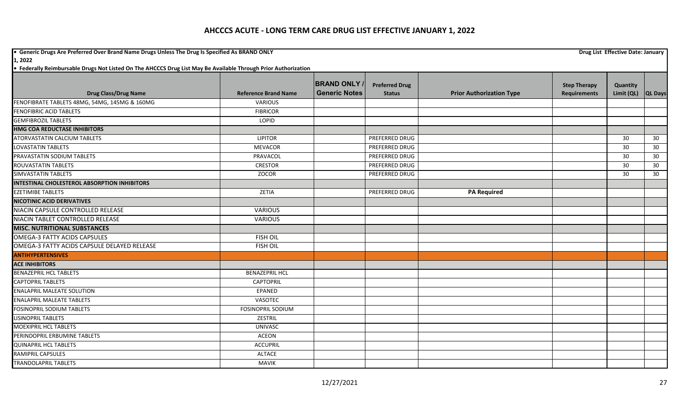**•** Generic Drugs Are Preferred Over Brand Name Drugs Unless The Drug Is Specified As BRAND ONLY **Drug List Effective Date: January Drug List Effective Date: January 1, 2022**

|                                                     |                             | <b>BRAND ONLY</b>    | <b>Preferred Drug</b> |                                 | <b>Step Therapy</b> | Quantity   |                |
|-----------------------------------------------------|-----------------------------|----------------------|-----------------------|---------------------------------|---------------------|------------|----------------|
| <b>Drug Class/Drug Name</b>                         | <b>Reference Brand Name</b> | <b>Generic Notes</b> | <b>Status</b>         | <b>Prior Authorization Type</b> | <b>Requirements</b> | Limit (QL) | <b>QL Days</b> |
| FENOFIBRATE TABLETS 48MG, 54MG, 145MG & 160MG       | <b>VARIOUS</b>              |                      |                       |                                 |                     |            |                |
| <b>FENOFIBRIC ACID TABLETS</b>                      | <b>FIBRICOR</b>             |                      |                       |                                 |                     |            |                |
| <b>GEMFIBROZIL TABLETS</b>                          | LOPID                       |                      |                       |                                 |                     |            |                |
| <b>HMG COA REDUCTASE INHIBITORS</b>                 |                             |                      |                       |                                 |                     |            |                |
| <b>ATORVASTATIN CALCIUM TABLETS</b>                 | <b>LIPITOR</b>              |                      | <b>PREFERRED DRUG</b> |                                 |                     | 30         | 30             |
| <b>LOVASTATIN TABLETS</b>                           | <b>MEVACOR</b>              |                      | PREFERRED DRUG        |                                 |                     | 30         | 30             |
| PRAVASTATIN SODIUM TABLETS                          | PRAVACOL                    |                      | PREFERRED DRUG        |                                 |                     | 30         | 30             |
| <b>ROUVASTATIN TABLETS</b>                          | <b>CRESTOR</b>              |                      | <b>PREFERRED DRUG</b> |                                 |                     | 30         | 30             |
| SIMVASTATIN TABLETS                                 | ZOCOR                       |                      | <b>PREFERRED DRUG</b> |                                 |                     | 30         | 30             |
| <b>INTESTINAL CHOLESTEROL ABSORPTION INHIBITORS</b> |                             |                      |                       |                                 |                     |            |                |
| <b>EZETIMIBE TABLETS</b>                            | ZETIA                       |                      | PREFERRED DRUG        | <b>PA Required</b>              |                     |            |                |
| <b>NICOTINIC ACID DERIVATIVES</b>                   |                             |                      |                       |                                 |                     |            |                |
| NIACIN CAPSULE CONTROLLED RELEASE                   | <b>VARIOUS</b>              |                      |                       |                                 |                     |            |                |
| NIACIN TABLET CONTROLLED RELEASE                    | <b>VARIOUS</b>              |                      |                       |                                 |                     |            |                |
| <b>MISC. NUTRITIONAL SUBSTANCES</b>                 |                             |                      |                       |                                 |                     |            |                |
| <b>OMEGA-3 FATTY ACIDS CAPSULES</b>                 | <b>FISH OIL</b>             |                      |                       |                                 |                     |            |                |
| OMEGA-3 FATTY ACIDS CAPSULE DELAYED RELEASE         | <b>FISH OIL</b>             |                      |                       |                                 |                     |            |                |
| <b>ANTIHYPERTENSIVES</b>                            |                             |                      |                       |                                 |                     |            |                |
| <b>ACE INHIBITORS</b>                               |                             |                      |                       |                                 |                     |            |                |
| <b>BENAZEPRIL HCL TABLETS</b>                       | <b>BENAZEPRIL HCL</b>       |                      |                       |                                 |                     |            |                |
| <b>CAPTOPRIL TABLETS</b>                            | <b>CAPTOPRIL</b>            |                      |                       |                                 |                     |            |                |
| <b>ENALAPRIL MALEATE SOLUTION</b>                   | EPANED                      |                      |                       |                                 |                     |            |                |
| <b>ENALAPRIL MALEATE TABLETS</b>                    | VASOTEC                     |                      |                       |                                 |                     |            |                |
| <b>FOSINOPRIL SODIUM TABLETS</b>                    | <b>FOSINOPRIL SODIUM</b>    |                      |                       |                                 |                     |            |                |
| LISINOPRIL TABLETS                                  | <b>ZESTRIL</b>              |                      |                       |                                 |                     |            |                |
| <b>MOEXIPRIL HCL TABLETS</b>                        | <b>UNIVASC</b>              |                      |                       |                                 |                     |            |                |
| PERINDOPRIL ERBUMINE TABLETS                        | <b>ACEON</b>                |                      |                       |                                 |                     |            |                |
| <b>QUINAPRIL HCL TABLETS</b>                        | <b>ACCUPRIL</b>             |                      |                       |                                 |                     |            |                |
| RAMIPRIL CAPSULES                                   | <b>ALTACE</b>               |                      |                       |                                 |                     |            |                |
| TRANDOLAPRIL TABLETS                                | <b>MAVIK</b>                |                      |                       |                                 |                     |            |                |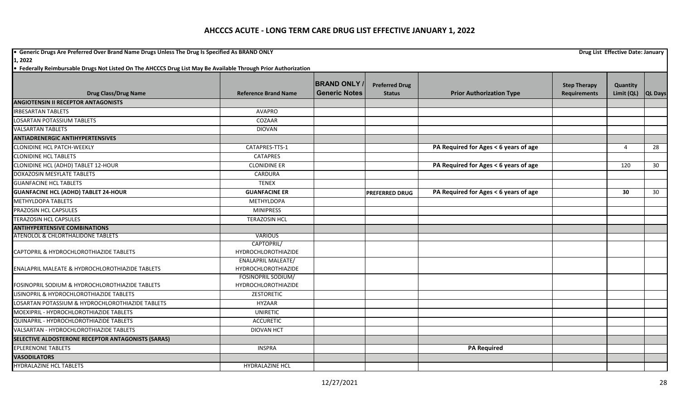**•** Generic Drugs Are Preferred Over Brand Name Drugs Unless The Drug Is Specified As BRAND ONLY **Drug List Effective Date: January Drug List Effective Date: January 1, 2022**

|                                                            |                                                  | <b>BRAND ONLY</b>    | <b>Preferred Drug</b> |                                       | <b>Step Therapy</b> | Quantity       |                 |
|------------------------------------------------------------|--------------------------------------------------|----------------------|-----------------------|---------------------------------------|---------------------|----------------|-----------------|
| <b>Drug Class/Drug Name</b>                                | <b>Reference Brand Name</b>                      | <b>Generic Notes</b> | <b>Status</b>         | <b>Prior Authorization Type</b>       | <b>Requirements</b> | Limit (QL)     | <b>QL Days</b>  |
| <b>ANGIOTENSIN II RECEPTOR ANTAGONISTS</b>                 |                                                  |                      |                       |                                       |                     |                |                 |
| <b>IRBESARTAN TABLETS</b>                                  | <b>AVAPRO</b>                                    |                      |                       |                                       |                     |                |                 |
| <b>LOSARTAN POTASSIUM TABLETS</b>                          | COZAAR                                           |                      |                       |                                       |                     |                |                 |
| <b>VALSARTAN TABLETS</b>                                   | <b>DIOVAN</b>                                    |                      |                       |                                       |                     |                |                 |
| <b>ANTIADRENERGIC ANTIHYPERTENSIVES</b>                    |                                                  |                      |                       |                                       |                     |                |                 |
| <b>CLONIDINE HCL PATCH-WEEKLY</b>                          | CATAPRES-TTS-1                                   |                      |                       | PA Required for Ages < 6 years of age |                     | $\overline{4}$ | $\overline{28}$ |
| <b>CLONIDINE HCL TABLETS</b>                               | <b>CATAPRES</b>                                  |                      |                       |                                       |                     |                |                 |
| CLONIDINE HCL (ADHD) TABLET 12-HOUR                        | <b>CLONIDINE ER</b>                              |                      |                       | PA Required for Ages < 6 years of age |                     | 120            | 30 <sup>°</sup> |
| DOXAZOSIN MESYLATE TABLETS                                 | CARDURA                                          |                      |                       |                                       |                     |                |                 |
| <b>GUANFACINE HCL TABLETS</b>                              | <b>TENEX</b>                                     |                      |                       |                                       |                     |                |                 |
| <b>GUANFACINE HCL (ADHD) TABLET 24-HOUR</b>                | <b>GUANFACINE ER</b>                             |                      | <b>PREFERRED DRUG</b> | PA Required for Ages < 6 years of age |                     | 30             | 30 <sup>°</sup> |
| <b>METHYLDOPA TABLETS</b>                                  | METHYLDOPA                                       |                      |                       |                                       |                     |                |                 |
| PRAZOSIN HCL CAPSULES                                      | <b>MINIPRESS</b>                                 |                      |                       |                                       |                     |                |                 |
| <b>TERAZOSIN HCL CAPSULES</b>                              | <b>TERAZOSIN HCL</b>                             |                      |                       |                                       |                     |                |                 |
| <b>ANTIHYPERTENSIVE COMBINATIONS</b>                       |                                                  |                      |                       |                                       |                     |                |                 |
| ATENOLOL & CHLORTHALIDONE TABLETS                          | <b>VARIOUS</b>                                   |                      |                       |                                       |                     |                |                 |
|                                                            | CAPTOPRIL/                                       |                      |                       |                                       |                     |                |                 |
| CAPTOPRIL & HYDROCHLOROTHIAZIDE TABLETS                    | HYDROCHLOROTHIAZIDE                              |                      |                       |                                       |                     |                |                 |
| <b>ENALAPRIL MALEATE &amp; HYDROCHLOROTHIAZIDE TABLETS</b> | <b>ENALAPRIL MALEATE/</b><br>HYDROCHLOROTHIAZIDE |                      |                       |                                       |                     |                |                 |
| <b>FOSINOPRIL SODIUM &amp; HYDROCHLOROTHIAZIDE TABLETS</b> | FOSINOPRIL SODIUM/<br><b>HYDROCHLOROTHIAZIDE</b> |                      |                       |                                       |                     |                |                 |
| LISINOPRIL & HYDROCHLOROTHIAZIDE TABLETS                   | ZESTORETIC                                       |                      |                       |                                       |                     |                |                 |
| LOSARTAN POTASSIUM & HYDROCHLOROTHIAZIDE TABLETS           | HYZAAR                                           |                      |                       |                                       |                     |                |                 |
| MOEXIPRIL - HYDROCHLOROTHIAZIDE TABLETS                    | <b>UNIRETIC</b>                                  |                      |                       |                                       |                     |                |                 |
| QUINAPRIL - HYDROCHLOROTHIAZIDE TABLETS                    | <b>ACCURETIC</b>                                 |                      |                       |                                       |                     |                |                 |
| VALSARTAN - HYDROCHLOROTHIAZIDE TABLETS                    | <b>DIOVAN HCT</b>                                |                      |                       |                                       |                     |                |                 |
| SELECTIVE ALDOSTERONE RECEPTOR ANTAGONISTS (SARAS)         |                                                  |                      |                       |                                       |                     |                |                 |
| <b>EPLERENONE TABLETS</b>                                  | <b>INSPRA</b>                                    |                      |                       | <b>PA Required</b>                    |                     |                |                 |
| <b>VASODILATORS</b>                                        |                                                  |                      |                       |                                       |                     |                |                 |
| <b>HYDRALAZINE HCL TABLETS</b>                             | HYDRALAZINE HCL                                  |                      |                       |                                       |                     |                |                 |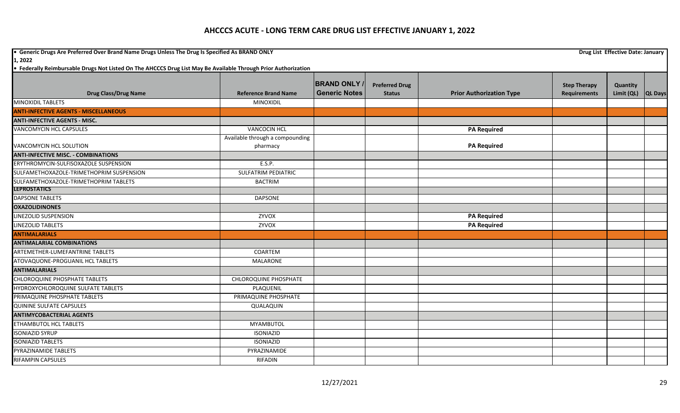**•** Generic Drugs Are Preferred Over Brand Name Drugs Unless The Drug Is Specified As BRAND ONLY **Drug List Effective Date: January Drug List Effective Date: January 1, 2022**

|                                              |                                 | <b>BRAND ONLY /</b>  |                                        |                                 |                                            |                        |                |
|----------------------------------------------|---------------------------------|----------------------|----------------------------------------|---------------------------------|--------------------------------------------|------------------------|----------------|
| <b>Drug Class/Drug Name</b>                  | <b>Reference Brand Name</b>     | <b>Generic Notes</b> | <b>Preferred Drug</b><br><b>Status</b> | <b>Prior Authorization Type</b> | <b>Step Therapy</b><br><b>Requirements</b> | Quantity<br>Limit (QL) | <b>QL Days</b> |
| <b>MINOXIDIL TABLETS</b>                     | <b>MINOXIDIL</b>                |                      |                                        |                                 |                                            |                        |                |
| <b>ANTI-INFECTIVE AGENTS - MISCELLANEOUS</b> |                                 |                      |                                        |                                 |                                            |                        |                |
| <b>ANTI-INFECTIVE AGENTS - MISC.</b>         |                                 |                      |                                        |                                 |                                            |                        |                |
| <b>VANCOMYCIN HCL CAPSULES</b>               | <b>VANCOCIN HCL</b>             |                      |                                        | <b>PA Required</b>              |                                            |                        |                |
|                                              | Available through a compounding |                      |                                        |                                 |                                            |                        |                |
| VANCOMYCIN HCL SOLUTION                      | pharmacy                        |                      |                                        | <b>PA Required</b>              |                                            |                        |                |
| <b>ANTI-INFECTIVE MISC. - COMBINATIONS</b>   |                                 |                      |                                        |                                 |                                            |                        |                |
| ERYTHROMYCIN-SULFISOXAZOLE SUSPENSION        | E.S.P.                          |                      |                                        |                                 |                                            |                        |                |
| SULFAMETHOXAZOLE-TRIMETHOPRIM SUSPENSION     | <b>SULFATRIM PEDIATRIC</b>      |                      |                                        |                                 |                                            |                        |                |
| SULFAMETHOXAZOLE-TRIMETHOPRIM TABLETS        | <b>BACTRIM</b>                  |                      |                                        |                                 |                                            |                        |                |
| <b>LEPROSTATICS</b>                          |                                 |                      |                                        |                                 |                                            |                        |                |
| <b>DAPSONE TABLETS</b>                       | <b>DAPSONE</b>                  |                      |                                        |                                 |                                            |                        |                |
| <b>OXAZOLIDINONES</b>                        |                                 |                      |                                        |                                 |                                            |                        |                |
| LINEZOLID SUSPENSION                         | ZYVOX                           |                      |                                        | <b>PA Required</b>              |                                            |                        |                |
| <b>LINEZOLID TABLETS</b>                     | ZYVOX                           |                      |                                        | <b>PA Required</b>              |                                            |                        |                |
| <b>ANTIMALARIALS</b>                         |                                 |                      |                                        |                                 |                                            |                        |                |
| <b>ANTIMALARIAL COMBINATIONS</b>             |                                 |                      |                                        |                                 |                                            |                        |                |
| ARTEMETHER-LUMEFANTRINE TABLETS              | COARTEM                         |                      |                                        |                                 |                                            |                        |                |
| ATOVAQUONE-PROGUANIL HCL TABLETS             | <b>MALARONE</b>                 |                      |                                        |                                 |                                            |                        |                |
| <b>ANTIMALARIALS</b>                         |                                 |                      |                                        |                                 |                                            |                        |                |
| <b>CHLOROQUINE PHOSPHATE TABLETS</b>         | <b>CHLOROQUINE PHOSPHATE</b>    |                      |                                        |                                 |                                            |                        |                |
| HYDROXYCHLOROQUINE SULFATE TABLETS           | PLAQUENIL                       |                      |                                        |                                 |                                            |                        |                |
| PRIMAQUINE PHOSPHATE TABLETS                 | PRIMAQUINE PHOSPHATE            |                      |                                        |                                 |                                            |                        |                |
| <b>QUININE SULFATE CAPSULES</b>              | QUALAQUIN                       |                      |                                        |                                 |                                            |                        |                |
| <b>ANTIMYCOBACTERIAL AGENTS</b>              |                                 |                      |                                        |                                 |                                            |                        |                |
| ETHAMBUTOL HCL TABLETS                       | <b>MYAMBUTOL</b>                |                      |                                        |                                 |                                            |                        |                |
| <b>ISONIAZID SYRUP</b>                       | <b>ISONIAZID</b>                |                      |                                        |                                 |                                            |                        |                |
| <b>ISONIAZID TABLETS</b>                     | <b>ISONIAZID</b>                |                      |                                        |                                 |                                            |                        |                |
| PYRAZINAMIDE TABLETS                         | PYRAZINAMIDE                    |                      |                                        |                                 |                                            |                        |                |
| <b>RIFAMPIN CAPSULES</b>                     | RIFADIN                         |                      |                                        |                                 |                                            |                        |                |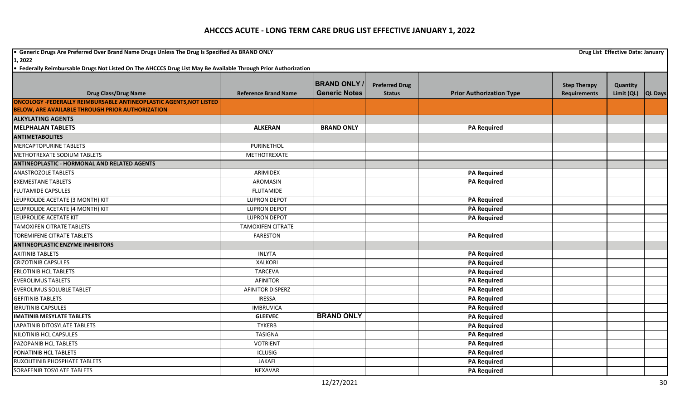**•** Generic Drugs Are Preferred Over Brand Name Drugs Unless The Drug Is Specified As BRAND ONLY **Drug List Effective Date: January Drug List Effective Date: January 1, 2022**

|                                                                    |                             | <b>BRAND ONLY</b>    | <b>Preferred Drug</b> |                                 | <b>Step Therapy</b> | Quantity   |                |
|--------------------------------------------------------------------|-----------------------------|----------------------|-----------------------|---------------------------------|---------------------|------------|----------------|
| <b>Drug Class/Drug Name</b>                                        | <b>Reference Brand Name</b> | <b>Generic Notes</b> | <b>Status</b>         | <b>Prior Authorization Type</b> | <b>Requirements</b> | Limit (QL) | <b>QL Days</b> |
| ONCOLOGY -FEDERALLY REIMBURSABLE ANTINEOPLASTIC AGENTS, NOT LISTED |                             |                      |                       |                                 |                     |            |                |
| <b>BELOW, ARE AVAILABLE THROUGH PRIOR AUTHORIZATION</b>            |                             |                      |                       |                                 |                     |            |                |
| <b>ALKYLATING AGENTS</b>                                           |                             |                      |                       |                                 |                     |            |                |
| <b>MELPHALAN TABLETS</b>                                           | <b>ALKERAN</b>              | <b>BRAND ONLY</b>    |                       | <b>PA Required</b>              |                     |            |                |
| <b>ANTIMETABOLITES</b>                                             |                             |                      |                       |                                 |                     |            |                |
| <b>MERCAPTOPURINE TABLETS</b>                                      | PURINETHOL                  |                      |                       |                                 |                     |            |                |
| METHOTREXATE SODIUM TABLETS                                        | METHOTREXATE                |                      |                       |                                 |                     |            |                |
| <b>ANTINEOPLASTIC - HORMONAL AND RELATED AGENTS</b>                |                             |                      |                       |                                 |                     |            |                |
| <b>ANASTROZOLE TABLETS</b>                                         | <b>ARIMIDEX</b>             |                      |                       | <b>PA Required</b>              |                     |            |                |
| <b>EXEMESTANE TABLETS</b>                                          | <b>AROMASIN</b>             |                      |                       | <b>PA Required</b>              |                     |            |                |
| <b>FLUTAMIDE CAPSULES</b>                                          | <b>FLUTAMIDE</b>            |                      |                       |                                 |                     |            |                |
| LEUPROLIDE ACETATE (3 MONTH) KIT                                   | <b>LUPRON DEPOT</b>         |                      |                       | <b>PA Required</b>              |                     |            |                |
| LEUPROLIDE ACETATE (4 MONTH) KIT                                   | <b>LUPRON DEPOT</b>         |                      |                       | <b>PA Required</b>              |                     |            |                |
| LEUPROLIDE ACETATE KIT                                             | <b>LUPRON DEPOT</b>         |                      |                       | <b>PA Required</b>              |                     |            |                |
| <b>TAMOXIFEN CITRATE TABLETS</b>                                   | <b>TAMOXIFEN CITRATE</b>    |                      |                       |                                 |                     |            |                |
| <b>TOREMIFENE CITRATE TABLETS</b>                                  | <b>FARESTON</b>             |                      |                       | <b>PA Required</b>              |                     |            |                |
| <b>ANTINEOPLASTIC ENZYME INHIBITORS</b>                            |                             |                      |                       |                                 |                     |            |                |
| <b>AXITINIB TABLETS</b>                                            | <b>INLYTA</b>               |                      |                       | <b>PA Required</b>              |                     |            |                |
| <b>CRIZOTINIB CAPSULES</b>                                         | <b>XALKORI</b>              |                      |                       | <b>PA Required</b>              |                     |            |                |
| <b>ERLOTINIB HCL TABLETS</b>                                       | <b>TARCEVA</b>              |                      |                       | <b>PA Required</b>              |                     |            |                |
| <b>EVEROLIMUS TABLETS</b>                                          | <b>AFINITOR</b>             |                      |                       | <b>PA Required</b>              |                     |            |                |
| <b>EVEROLIMUS SOLUBLE TABLET</b>                                   | <b>AFINITOR DISPERZ</b>     |                      |                       | <b>PA Required</b>              |                     |            |                |
| <b>GEFITINIB TABLETS</b>                                           | <b>IRESSA</b>               |                      |                       | <b>PA Required</b>              |                     |            |                |
| <b>IBRUTINIB CAPSULES</b>                                          | <b>IMBRUVICA</b>            |                      |                       | <b>PA Required</b>              |                     |            |                |
| <b>IMATINIB MESYLATE TABLETS</b>                                   | <b>GLEEVEC</b>              | <b>BRAND ONLY</b>    |                       | <b>PA Required</b>              |                     |            |                |
| <b>LAPATINIB DITOSYLATE TABLETS</b>                                | <b>TYKERB</b>               |                      |                       | <b>PA Required</b>              |                     |            |                |
| NILOTINIB HCL CAPSULES                                             | <b>TASIGNA</b>              |                      |                       | <b>PA Required</b>              |                     |            |                |
| PAZOPANIB HCL TABLETS                                              | <b>VOTRIENT</b>             |                      |                       | <b>PA Required</b>              |                     |            |                |
| PONATINIB HCL TABLETS                                              | <b>ICLUSIG</b>              |                      |                       | <b>PA Required</b>              |                     |            |                |
| RUXOLITINIB PHOSPHATE TABLETS                                      | <b>JAKAFI</b>               |                      |                       | <b>PA Required</b>              |                     |            |                |
| SORAFENIB TOSYLATE TABLETS                                         | NEXAVAR                     |                      |                       | <b>PA Required</b>              |                     |            |                |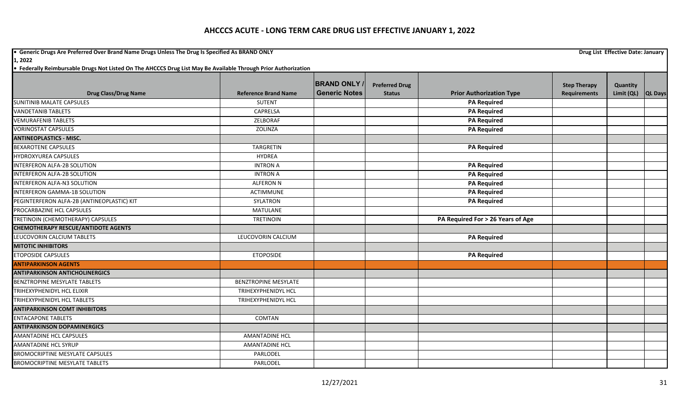**•** Generic Drugs Are Preferred Over Brand Name Drugs Unless The Drug Is Specified As BRAND ONLY **Drug List Effective Date: January Drug List Effective Date: January 1, 2022**

|                                            |                             | <b>BRAND ONLY /</b>  | <b>Preferred Drug</b> |                                   | <b>Step Therapy</b> | Quantity   |                |
|--------------------------------------------|-----------------------------|----------------------|-----------------------|-----------------------------------|---------------------|------------|----------------|
| <b>Drug Class/Drug Name</b>                | <b>Reference Brand Name</b> | <b>Generic Notes</b> | <b>Status</b>         | <b>Prior Authorization Type</b>   | <b>Requirements</b> | Limit (QL) | <b>QL Days</b> |
| <b>SUNITINIB MALATE CAPSULES</b>           | <b>SUTENT</b>               |                      |                       | <b>PA Required</b>                |                     |            |                |
| <b>VANDETANIB TABLETS</b>                  | CAPRELSA                    |                      |                       | <b>PA Required</b>                |                     |            |                |
| <b>VEMURAFENIB TABLETS</b>                 | ZELBORAF                    |                      |                       | <b>PA Required</b>                |                     |            |                |
| <b>VORINOSTAT CAPSULES</b>                 | ZOLINZA                     |                      |                       | <b>PA Required</b>                |                     |            |                |
| <b>ANTINEOPLASTICS - MISC.</b>             |                             |                      |                       |                                   |                     |            |                |
| <b>BEXAROTENE CAPSULES</b>                 | TARGRETIN                   |                      |                       | <b>PA Required</b>                |                     |            |                |
| <b>HYDROXYUREA CAPSULES</b>                | <b>HYDREA</b>               |                      |                       |                                   |                     |            |                |
| <b>INTERFERON ALFA-2B SOLUTION</b>         | <b>INTRON A</b>             |                      |                       | <b>PA Required</b>                |                     |            |                |
| INTERFERON ALFA-2B SOLUTION                | <b>INTRON A</b>             |                      |                       | <b>PA Required</b>                |                     |            |                |
| INTERFERON ALFA-N3 SOLUTION                | <b>ALFERON N</b>            |                      |                       | <b>PA Required</b>                |                     |            |                |
| <b>INTERFERON GAMMA-1B SOLUTION</b>        | ACTIMMUNE                   |                      |                       | <b>PA Required</b>                |                     |            |                |
| PEGINTERFERON ALFA-2B (ANTINEOPLASTIC) KIT | SYLATRON                    |                      |                       | <b>PA Required</b>                |                     |            |                |
| PROCARBAZINE HCL CAPSULES                  | <b>MATULANE</b>             |                      |                       |                                   |                     |            |                |
| TRETINOIN (CHEMOTHERAPY) CAPSULES          | <b>TRETINOIN</b>            |                      |                       | PA Required For > 26 Years of Age |                     |            |                |
| <b>CHEMOTHERAPY RESCUE/ANTIDOTE AGENTS</b> |                             |                      |                       |                                   |                     |            |                |
| LEUCOVORIN CALCIUM TABLETS                 | LEUCOVORIN CALCIUM          |                      |                       | <b>PA Required</b>                |                     |            |                |
| <b>MITOTIC INHIBITORS</b>                  |                             |                      |                       |                                   |                     |            |                |
| <b>ETOPOSIDE CAPSULES</b>                  | <b>ETOPOSIDE</b>            |                      |                       | <b>PA Required</b>                |                     |            |                |
| <b>ANTIPARKINSON AGENTS</b>                |                             |                      |                       |                                   |                     |            |                |
| <b>ANTIPARKINSON ANTICHOLINERGICS</b>      |                             |                      |                       |                                   |                     |            |                |
| <b>BENZTROPINE MESYLATE TABLETS</b>        | <b>BENZTROPINE MESYLATE</b> |                      |                       |                                   |                     |            |                |
| TRIHEXYPHENIDYL HCL ELIXIR                 | TRIHEXYPHENIDYL HCL         |                      |                       |                                   |                     |            |                |
| TRIHEXYPHENIDYL HCL TABLETS                | TRIHEXYPHENIDYL HCL         |                      |                       |                                   |                     |            |                |
| <b>ANTIPARKINSON COMT INHIBITORS</b>       |                             |                      |                       |                                   |                     |            |                |
| <b>ENTACAPONE TABLETS</b>                  | <b>COMTAN</b>               |                      |                       |                                   |                     |            |                |
| <b>ANTIPARKINSON DOPAMINERGICS</b>         |                             |                      |                       |                                   |                     |            |                |
| <b>AMANTADINE HCL CAPSULES</b>             | AMANTADINE HCL              |                      |                       |                                   |                     |            |                |
| <b>AMANTADINE HCL SYRUP</b>                | AMANTADINE HCL              |                      |                       |                                   |                     |            |                |
| BROMOCRIPTINE MESYLATE CAPSULES            | PARLODEL                    |                      |                       |                                   |                     |            |                |
| <b>BROMOCRIPTINE MESYLATE TABLETS</b>      | PARLODEL                    |                      |                       |                                   |                     |            |                |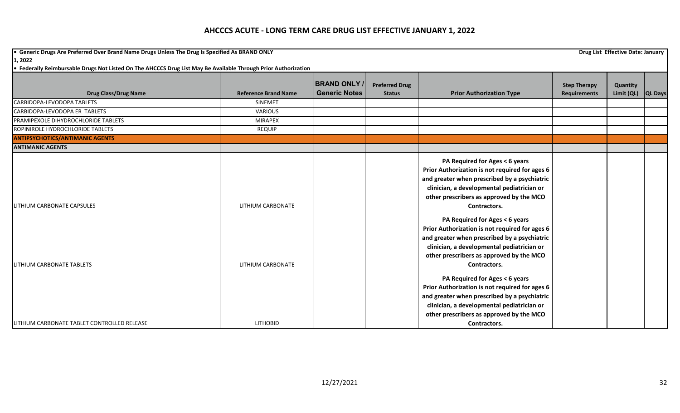**•** Generic Drugs Are Preferred Over Brand Name Drugs Unless The Drug Is Specified As BRAND ONLY **Drug List Effective Date: January Drug List Effective Date: January 1, 2022**

| <b>Drug Class/Drug Name</b>                 | <b>Reference Brand Name</b> | <b>BRAND ONLY</b><br><b>Generic Notes</b> | <b>Preferred Drug</b><br><b>Status</b> | <b>Prior Authorization Type</b>                                                                                                                                                                                                            | <b>Step Therapy</b><br><b>Requirements</b> | Quantity<br>Limit (QL) QL Days |  |
|---------------------------------------------|-----------------------------|-------------------------------------------|----------------------------------------|--------------------------------------------------------------------------------------------------------------------------------------------------------------------------------------------------------------------------------------------|--------------------------------------------|--------------------------------|--|
| CARBIDOPA-LEVODOPA TABLETS                  | <b>SINEMET</b>              |                                           |                                        |                                                                                                                                                                                                                                            |                                            |                                |  |
| CARBIDOPA-LEVODOPA ER TABLETS               | <b>VARIOUS</b>              |                                           |                                        |                                                                                                                                                                                                                                            |                                            |                                |  |
| PRAMIPEXOLE DIHYDROCHLORIDE TABLETS         | <b>MIRAPEX</b>              |                                           |                                        |                                                                                                                                                                                                                                            |                                            |                                |  |
| ROPINIROLE HYDROCHLORIDE TABLETS            | <b>REQUIP</b>               |                                           |                                        |                                                                                                                                                                                                                                            |                                            |                                |  |
| <b>ANTIPSYCHOTICS/ANTIMANIC AGENTS</b>      |                             |                                           |                                        |                                                                                                                                                                                                                                            |                                            |                                |  |
| <b>ANTIMANIC AGENTS</b>                     |                             |                                           |                                        |                                                                                                                                                                                                                                            |                                            |                                |  |
| <b>ILITHIUM CARBONATE CAPSULES</b>          | LITHIUM CARBONATE           |                                           |                                        | PA Required for Ages < 6 years<br>Prior Authorization is not required for ages 6<br>and greater when prescribed by a psychiatric<br>clinician, a developmental pediatrician or<br>other prescribers as approved by the MCO<br>Contractors. |                                            |                                |  |
| <b>LITHIUM CARBONATE TABLETS</b>            | LITHIUM CARBONATE           |                                           |                                        | PA Required for Ages < 6 years<br>Prior Authorization is not required for ages 6<br>and greater when prescribed by a psychiatric<br>clinician, a developmental pediatrician or<br>other prescribers as approved by the MCO<br>Contractors. |                                            |                                |  |
| LITHIUM CARBONATE TABLET CONTROLLED RELEASE | <b>LITHOBID</b>             |                                           |                                        | PA Required for Ages < 6 years<br>Prior Authorization is not required for ages 6<br>and greater when prescribed by a psychiatric<br>clinician, a developmental pediatrician or<br>other prescribers as approved by the MCO<br>Contractors. |                                            |                                |  |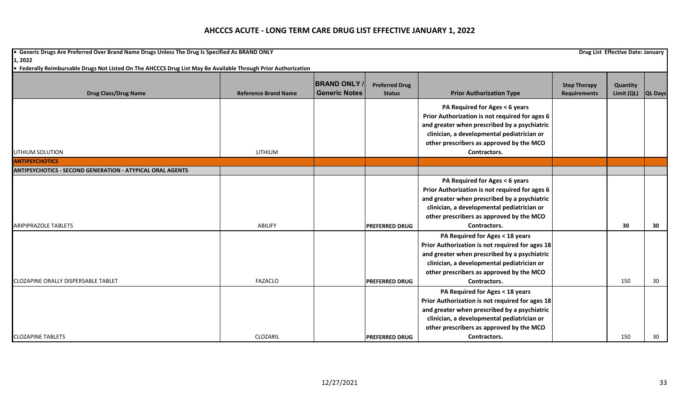**•** Generic Drugs Are Preferred Over Brand Name Drugs Unless The Drug Is Specified As BRAND ONLY **Drug List Effective Date: January Drug List Effective Date: January 1, 2022**

| <b>Drug Class/Drug Name</b>                                      | <b>Reference Brand Name</b> | <b>BRAND ONLY</b><br><b>Generic Notes</b> | <b>Preferred Drug</b><br><b>Status</b> | <b>Prior Authorization Type</b>                                                                                                                                                                                              | <b>Step Therapy</b><br><b>Requirements</b> | Quantity<br>Limit (QL) | <b>QL Days</b> |
|------------------------------------------------------------------|-----------------------------|-------------------------------------------|----------------------------------------|------------------------------------------------------------------------------------------------------------------------------------------------------------------------------------------------------------------------------|--------------------------------------------|------------------------|----------------|
|                                                                  |                             |                                           |                                        | PA Required for Ages < 6 years<br>Prior Authorization is not required for ages 6<br>and greater when prescribed by a psychiatric<br>clinician, a developmental pediatrician or<br>other prescribers as approved by the MCO   |                                            |                        |                |
| LITHIUM SOLUTION                                                 | LITHIUM                     |                                           |                                        | Contractors.                                                                                                                                                                                                                 |                                            |                        |                |
| <b>ANTIPSYCHOTICS</b>                                            |                             |                                           |                                        |                                                                                                                                                                                                                              |                                            |                        |                |
| <b>ANTIPSYCHOTICS - SECOND GENERATION - ATYPICAL ORAL AGENTS</b> |                             |                                           |                                        |                                                                                                                                                                                                                              |                                            |                        |                |
|                                                                  |                             |                                           |                                        | PA Required for Ages < 6 years<br>Prior Authorization is not required for ages 6<br>and greater when prescribed by a psychiatric<br>clinician, a developmental pediatrician or<br>other prescribers as approved by the MCO   |                                            |                        |                |
| <b>ARIPIPRAZOLE TABLETS</b>                                      | ABILIFY                     |                                           | <b>PREFERRED DRUG</b>                  | Contractors.                                                                                                                                                                                                                 |                                            | 30                     | 30             |
|                                                                  |                             |                                           |                                        | PA Required for Ages < 18 years<br>Prior Authorization is not required for ages 18<br>and greater when prescribed by a psychiatric<br>clinician, a developmental pediatrician or<br>other prescribers as approved by the MCO |                                            |                        |                |
| <b>CLOZAPINE ORALLY DISPERSABLE TABLET</b>                       | <b>FAZACLO</b>              |                                           | <b>PREFERRED DRUG</b>                  | Contractors.                                                                                                                                                                                                                 |                                            | 150                    | 30             |
|                                                                  |                             |                                           |                                        | PA Required for Ages < 18 years<br>Prior Authorization is not required for ages 18<br>and greater when prescribed by a psychiatric<br>clinician, a developmental pediatrician or<br>other prescribers as approved by the MCO |                                            |                        |                |
| <b>CLOZAPINE TABLETS</b>                                         | CLOZARIL                    |                                           | <b>PREFERRED DRUG</b>                  | Contractors.                                                                                                                                                                                                                 |                                            | 150                    | 30             |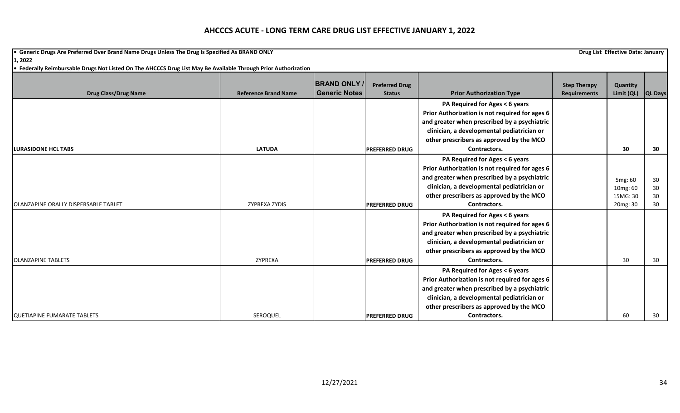**•** Generic Drugs Are Preferred Over Brand Name Drugs Unless The Drug Is Specified As BRAND ONLY **Drug List Effective Date: January Drug List Effective Date: January 1, 2022**

|                                      |                             | <b>BRAND ONLY</b>    | <b>Preferred Drug</b> |                                                | <b>Step Therapy</b> | Quantity   |                |
|--------------------------------------|-----------------------------|----------------------|-----------------------|------------------------------------------------|---------------------|------------|----------------|
| <b>Drug Class/Drug Name</b>          | <b>Reference Brand Name</b> | <b>Generic Notes</b> | <b>Status</b>         | <b>Prior Authorization Type</b>                | <b>Requirements</b> | Limit (QL) | <b>QL Days</b> |
|                                      |                             |                      |                       | PA Required for Ages < 6 years                 |                     |            |                |
|                                      |                             |                      |                       | Prior Authorization is not required for ages 6 |                     |            |                |
|                                      |                             |                      |                       | and greater when prescribed by a psychiatric   |                     |            |                |
|                                      |                             |                      |                       | clinician, a developmental pediatrician or     |                     |            |                |
|                                      |                             |                      |                       | other prescribers as approved by the MCO       |                     |            |                |
| <b>ILURASIDONE HCL TABS</b>          | <b>LATUDA</b>               |                      | <b>PREFERRED DRUG</b> | Contractors.                                   |                     | 30         | 30             |
|                                      |                             |                      |                       | PA Required for Ages < 6 years                 |                     |            |                |
|                                      |                             |                      |                       | Prior Authorization is not required for ages 6 |                     |            |                |
|                                      |                             |                      |                       | and greater when prescribed by a psychiatric   |                     | 5mg: 60    | 30             |
|                                      |                             |                      |                       | clinician, a developmental pediatrician or     |                     | 10mg: 60   | 30             |
|                                      |                             |                      |                       | other prescribers as approved by the MCO       |                     | 15MG: 30   | 30             |
| OLANZAPINE ORALLY DISPERSABLE TABLET | ZYPREXA ZYDIS               |                      | <b>PREFERRED DRUG</b> | Contractors.                                   |                     | 20mg: 30   | 30             |
|                                      |                             |                      |                       | PA Required for Ages < 6 years                 |                     |            |                |
|                                      |                             |                      |                       | Prior Authorization is not required for ages 6 |                     |            |                |
|                                      |                             |                      |                       | and greater when prescribed by a psychiatric   |                     |            |                |
|                                      |                             |                      |                       | clinician, a developmental pediatrician or     |                     |            |                |
|                                      |                             |                      |                       | other prescribers as approved by the MCO       |                     |            |                |
| <b>OLANZAPINE TABLETS</b>            | ZYPREXA                     |                      | <b>PREFERRED DRUG</b> | Contractors.                                   |                     | 30         | 30             |
|                                      |                             |                      |                       | PA Required for Ages < 6 years                 |                     |            |                |
|                                      |                             |                      |                       | Prior Authorization is not required for ages 6 |                     |            |                |
|                                      |                             |                      |                       | and greater when prescribed by a psychiatric   |                     |            |                |
|                                      |                             |                      |                       | clinician, a developmental pediatrician or     |                     |            |                |
|                                      |                             |                      |                       | other prescribers as approved by the MCO       |                     |            |                |
| QUETIAPINE FUMARATE TABLETS          | SEROQUEL                    |                      | <b>PREFERRED DRUG</b> | Contractors.                                   |                     | 60         | 30             |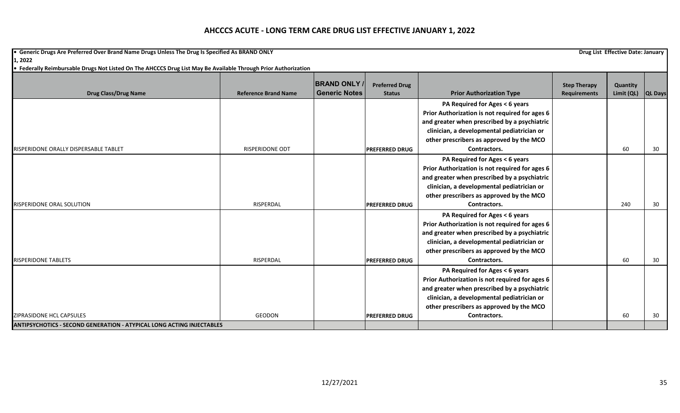**•** Generic Drugs Are Preferred Over Brand Name Drugs Unless The Drug Is Specified As BRAND ONLY **Drug List Effective Date: January Drug List Effective Date: January 1, 2022**

|                                                                              |                             | <b>BRAND ONLY</b>    | <b>Preferred Drug</b> |                                                | <b>Step Therapy</b> | Quantity   |                |
|------------------------------------------------------------------------------|-----------------------------|----------------------|-----------------------|------------------------------------------------|---------------------|------------|----------------|
| <b>Drug Class/Drug Name</b>                                                  | <b>Reference Brand Name</b> | <b>Generic Notes</b> | <b>Status</b>         | <b>Prior Authorization Type</b>                | <b>Requirements</b> | Limit (QL) | <b>QL Days</b> |
|                                                                              |                             |                      |                       | PA Required for Ages < 6 years                 |                     |            |                |
|                                                                              |                             |                      |                       | Prior Authorization is not required for ages 6 |                     |            |                |
|                                                                              |                             |                      |                       | and greater when prescribed by a psychiatric   |                     |            |                |
|                                                                              |                             |                      |                       | clinician, a developmental pediatrician or     |                     |            |                |
|                                                                              |                             |                      |                       | other prescribers as approved by the MCO       |                     |            |                |
| RISPERIDONE ORALLY DISPERSABLE TABLET                                        | <b>RISPERIDONE ODT</b>      |                      | <b>PREFERRED DRUG</b> | Contractors.                                   |                     | 60         | 30             |
|                                                                              |                             |                      |                       | PA Required for Ages < 6 years                 |                     |            |                |
|                                                                              |                             |                      |                       | Prior Authorization is not required for ages 6 |                     |            |                |
|                                                                              |                             |                      |                       | and greater when prescribed by a psychiatric   |                     |            |                |
|                                                                              |                             |                      |                       | clinician, a developmental pediatrician or     |                     |            |                |
|                                                                              |                             |                      |                       | other prescribers as approved by the MCO       |                     |            |                |
| <b>RISPERIDONE ORAL SOLUTION</b>                                             | RISPERDAL                   |                      | <b>PREFERRED DRUG</b> | Contractors.                                   |                     | 240        | 30             |
|                                                                              |                             |                      |                       | PA Required for Ages < 6 years                 |                     |            |                |
|                                                                              |                             |                      |                       | Prior Authorization is not required for ages 6 |                     |            |                |
|                                                                              |                             |                      |                       | and greater when prescribed by a psychiatric   |                     |            |                |
|                                                                              |                             |                      |                       | clinician, a developmental pediatrician or     |                     |            |                |
|                                                                              |                             |                      |                       | other prescribers as approved by the MCO       |                     |            |                |
| <b>RISPERIDONE TABLETS</b>                                                   | RISPERDAL                   |                      | <b>PREFERRED DRUG</b> | Contractors.                                   |                     | 60         | 30             |
|                                                                              |                             |                      |                       | PA Required for Ages < 6 years                 |                     |            |                |
|                                                                              |                             |                      |                       | Prior Authorization is not required for ages 6 |                     |            |                |
|                                                                              |                             |                      |                       | and greater when prescribed by a psychiatric   |                     |            |                |
|                                                                              |                             |                      |                       | clinician, a developmental pediatrician or     |                     |            |                |
|                                                                              |                             |                      |                       | other prescribers as approved by the MCO       |                     |            |                |
| <b>ZIPRASIDONE HCL CAPSULES</b>                                              | GEODON                      |                      | <b>PREFERRED DRUG</b> | Contractors.                                   |                     | 60         | 30             |
| <b>ANTIPSYCHOTICS - SECOND GENERATION - ATYPICAL LONG ACTING INJECTABLES</b> |                             |                      |                       |                                                |                     |            |                |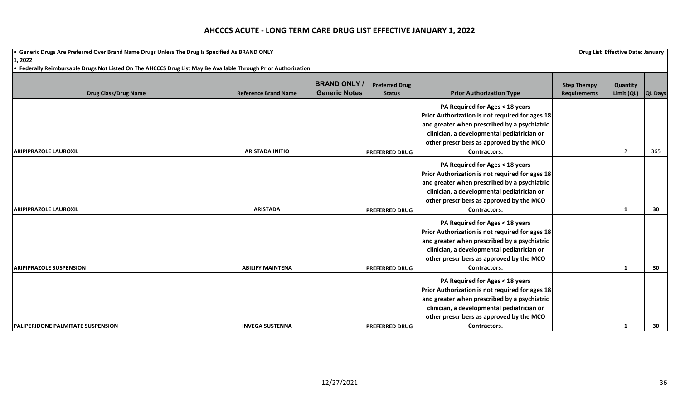**•** Generic Drugs Are Preferred Over Brand Name Drugs Unless The Drug Is Specified As BRAND ONLY **Drug List Effective Date: January Drug List Effective Date: January 1, 2022**

| <b>Drug Class/Drug Name</b>              | <b>Reference Brand Name</b> | <b>BRAND ONLY</b><br><b>Generic Notes</b> | <b>Preferred Drug</b><br><b>Status</b> | <b>Prior Authorization Type</b>                 | <b>Step Therapy</b><br><b>Requirements</b> | Quantity<br>Limit (QL) | <b>QL Days</b> |
|------------------------------------------|-----------------------------|-------------------------------------------|----------------------------------------|-------------------------------------------------|--------------------------------------------|------------------------|----------------|
|                                          |                             |                                           |                                        | PA Required for Ages < 18 years                 |                                            |                        |                |
|                                          |                             |                                           |                                        | Prior Authorization is not required for ages 18 |                                            |                        |                |
|                                          |                             |                                           |                                        | and greater when prescribed by a psychiatric    |                                            |                        |                |
|                                          |                             |                                           |                                        | clinician, a developmental pediatrician or      |                                            |                        |                |
|                                          |                             |                                           |                                        | other prescribers as approved by the MCO        |                                            |                        |                |
| <b>ARIPIPRAZOLE LAUROXIL</b>             | <b>ARISTADA INITIO</b>      |                                           | <b>PREFERRED DRUG</b>                  | Contractors.                                    |                                            | $\overline{2}$         | 365            |
|                                          |                             |                                           |                                        | PA Required for Ages < 18 years                 |                                            |                        |                |
|                                          |                             |                                           |                                        | Prior Authorization is not required for ages 18 |                                            |                        |                |
|                                          |                             |                                           |                                        | and greater when prescribed by a psychiatric    |                                            |                        |                |
|                                          |                             |                                           |                                        | clinician, a developmental pediatrician or      |                                            |                        |                |
|                                          |                             |                                           |                                        | other prescribers as approved by the MCO        |                                            |                        |                |
| <b>ARIPIPRAZOLE LAUROXIL</b>             | <b>ARISTADA</b>             |                                           | <b>PREFERRED DRUG</b>                  | Contractors.                                    |                                            | 1                      | 30             |
|                                          |                             |                                           |                                        | PA Required for Ages < 18 years                 |                                            |                        |                |
|                                          |                             |                                           |                                        | Prior Authorization is not required for ages 18 |                                            |                        |                |
|                                          |                             |                                           |                                        | and greater when prescribed by a psychiatric    |                                            |                        |                |
|                                          |                             |                                           |                                        | clinician, a developmental pediatrician or      |                                            |                        |                |
|                                          |                             |                                           |                                        | other prescribers as approved by the MCO        |                                            |                        |                |
| <b>ARIPIPRAZOLE SUSPENSION</b>           | <b>ABILIFY MAINTENA</b>     |                                           | <b>PREFERRED DRUG</b>                  | Contractors.                                    |                                            | $\mathbf{1}$           | 30             |
|                                          |                             |                                           |                                        | PA Required for Ages < 18 years                 |                                            |                        |                |
|                                          |                             |                                           |                                        | Prior Authorization is not required for ages 18 |                                            |                        |                |
|                                          |                             |                                           |                                        | and greater when prescribed by a psychiatric    |                                            |                        |                |
|                                          |                             |                                           |                                        | clinician, a developmental pediatrician or      |                                            |                        |                |
|                                          |                             |                                           |                                        | other prescribers as approved by the MCO        |                                            |                        |                |
| <b>PALIPERIDONE PALMITATE SUSPENSION</b> | <b>INVEGA SUSTENNA</b>      |                                           | <b>PREFERRED DRUG</b>                  | Contractors.                                    |                                            |                        | 30             |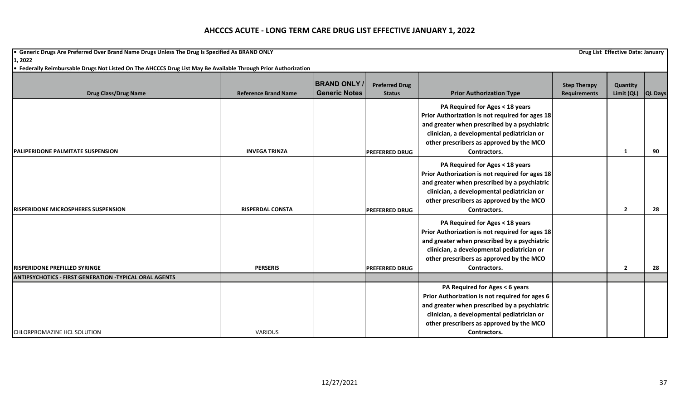**•** Generic Drugs Are Preferred Over Brand Name Drugs Unless The Drug Is Specified As BRAND ONLY **Drug List Effective Date: January Drug List Effective Date: January 1, 2022**

| <b>Drug Class/Drug Name</b>                                   | <b>Reference Brand Name</b> | <b>BRAND ONLY</b><br><b>Generic Notes</b> | <b>Preferred Drug</b><br><b>Status</b> | <b>Prior Authorization Type</b>                 | <b>Step Therapy</b><br><b>Requirements</b> | Quantity<br>Limit (QL) | <b>QL Days</b> |
|---------------------------------------------------------------|-----------------------------|-------------------------------------------|----------------------------------------|-------------------------------------------------|--------------------------------------------|------------------------|----------------|
|                                                               |                             |                                           |                                        |                                                 |                                            |                        |                |
|                                                               |                             |                                           |                                        | PA Required for Ages < 18 years                 |                                            |                        |                |
|                                                               |                             |                                           |                                        | Prior Authorization is not required for ages 18 |                                            |                        |                |
|                                                               |                             |                                           |                                        | and greater when prescribed by a psychiatric    |                                            |                        |                |
|                                                               |                             |                                           |                                        | clinician, a developmental pediatrician or      |                                            |                        |                |
|                                                               |                             |                                           |                                        | other prescribers as approved by the MCO        |                                            |                        |                |
| <b>IPALIPERIDONE PALMITATE SUSPENSION</b>                     | <b>INVEGA TRINZA</b>        |                                           | <b>PREFERRED DRUG</b>                  | Contractors.                                    |                                            | 1                      | 90             |
|                                                               |                             |                                           |                                        | PA Required for Ages < 18 years                 |                                            |                        |                |
|                                                               |                             |                                           |                                        | Prior Authorization is not required for ages 18 |                                            |                        |                |
|                                                               |                             |                                           |                                        | and greater when prescribed by a psychiatric    |                                            |                        |                |
|                                                               |                             |                                           |                                        | clinician, a developmental pediatrician or      |                                            |                        |                |
|                                                               |                             |                                           |                                        | other prescribers as approved by the MCO        |                                            |                        |                |
| <b>RISPERIDONE MICROSPHERES SUSPENSION</b>                    | <b>RISPERDAL CONSTA</b>     |                                           | <b>PREFERRED DRUG</b>                  | Contractors.                                    |                                            | $\overline{2}$         | 28             |
|                                                               |                             |                                           |                                        | PA Required for Ages < 18 years                 |                                            |                        |                |
|                                                               |                             |                                           |                                        | Prior Authorization is not required for ages 18 |                                            |                        |                |
|                                                               |                             |                                           |                                        | and greater when prescribed by a psychiatric    |                                            |                        |                |
|                                                               |                             |                                           |                                        | clinician, a developmental pediatrician or      |                                            |                        |                |
|                                                               |                             |                                           |                                        | other prescribers as approved by the MCO        |                                            |                        |                |
| <b>RISPERIDONE PREFILLED SYRINGE</b>                          | <b>PERSERIS</b>             |                                           | <b>PREFERRED DRUG</b>                  | Contractors.                                    |                                            | $\overline{2}$         | 28             |
| <b>ANTIPSYCHOTICS - FIRST GENERATION -TYPICAL ORAL AGENTS</b> |                             |                                           |                                        |                                                 |                                            |                        |                |
|                                                               |                             |                                           |                                        | PA Required for Ages < 6 years                  |                                            |                        |                |
|                                                               |                             |                                           |                                        | Prior Authorization is not required for ages 6  |                                            |                        |                |
|                                                               |                             |                                           |                                        | and greater when prescribed by a psychiatric    |                                            |                        |                |
|                                                               |                             |                                           |                                        | clinician, a developmental pediatrician or      |                                            |                        |                |
|                                                               |                             |                                           |                                        | other prescribers as approved by the MCO        |                                            |                        |                |
| CHLORPROMAZINE HCL SOLUTION                                   | <b>VARIOUS</b>              |                                           |                                        | Contractors.                                    |                                            |                        |                |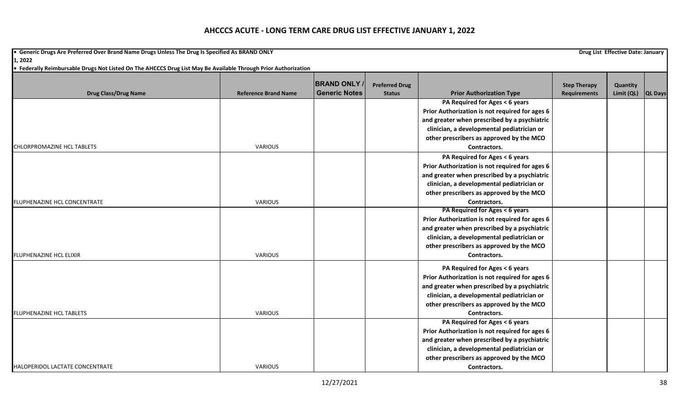**•** Generic Drugs Are Preferred Over Brand Name Drugs Unless The Drug Is Specified As BRAND ONLY **Drug List Effective Date: January Drug List Effective Date: January 1, 2022**

|                                     |                             | <b>BRAND ONLY</b>    | <b>Preferred Drug</b> |                                                | <b>Step Therapy</b> | Quantity           |  |
|-------------------------------------|-----------------------------|----------------------|-----------------------|------------------------------------------------|---------------------|--------------------|--|
| <b>Drug Class/Drug Name</b>         | <b>Reference Brand Name</b> | <b>Generic Notes</b> | <b>Status</b>         | <b>Prior Authorization Type</b>                | <b>Requirements</b> | Limit (QL) QL Days |  |
|                                     |                             |                      |                       | PA Required for Ages < 6 years                 |                     |                    |  |
|                                     |                             |                      |                       | Prior Authorization is not required for ages 6 |                     |                    |  |
|                                     |                             |                      |                       | and greater when prescribed by a psychiatric   |                     |                    |  |
|                                     |                             |                      |                       | clinician, a developmental pediatrician or     |                     |                    |  |
|                                     |                             |                      |                       | other prescribers as approved by the MCO       |                     |                    |  |
| CHLORPROMAZINE HCL TABLETS          | <b>VARIOUS</b>              |                      |                       | Contractors.                                   |                     |                    |  |
|                                     |                             |                      |                       | PA Required for Ages < 6 years                 |                     |                    |  |
|                                     |                             |                      |                       | Prior Authorization is not required for ages 6 |                     |                    |  |
|                                     |                             |                      |                       | and greater when prescribed by a psychiatric   |                     |                    |  |
|                                     |                             |                      |                       | clinician, a developmental pediatrician or     |                     |                    |  |
|                                     |                             |                      |                       | other prescribers as approved by the MCO       |                     |                    |  |
| <b>FLUPHENAZINE HCL CONCENTRATE</b> | <b>VARIOUS</b>              |                      |                       | Contractors.                                   |                     |                    |  |
|                                     |                             |                      |                       | PA Required for Ages < 6 years                 |                     |                    |  |
|                                     |                             |                      |                       | Prior Authorization is not required for ages 6 |                     |                    |  |
|                                     |                             |                      |                       | and greater when prescribed by a psychiatric   |                     |                    |  |
|                                     |                             |                      |                       | clinician, a developmental pediatrician or     |                     |                    |  |
|                                     |                             |                      |                       | other prescribers as approved by the MCO       |                     |                    |  |
| <b>FLUPHENAZINE HCL ELIXIR</b>      | <b>VARIOUS</b>              |                      |                       | Contractors.                                   |                     |                    |  |
|                                     |                             |                      |                       | PA Required for Ages < 6 years                 |                     |                    |  |
|                                     |                             |                      |                       | Prior Authorization is not required for ages 6 |                     |                    |  |
|                                     |                             |                      |                       | and greater when prescribed by a psychiatric   |                     |                    |  |
|                                     |                             |                      |                       | clinician, a developmental pediatrician or     |                     |                    |  |
|                                     |                             |                      |                       | other prescribers as approved by the MCO       |                     |                    |  |
| <b>FLUPHENAZINE HCL TABLETS</b>     | <b>VARIOUS</b>              |                      |                       | Contractors.                                   |                     |                    |  |
|                                     |                             |                      |                       | PA Required for Ages < 6 years                 |                     |                    |  |
|                                     |                             |                      |                       | Prior Authorization is not required for ages 6 |                     |                    |  |
|                                     |                             |                      |                       | and greater when prescribed by a psychiatric   |                     |                    |  |
|                                     |                             |                      |                       | clinician, a developmental pediatrician or     |                     |                    |  |
|                                     |                             |                      |                       | other prescribers as approved by the MCO       |                     |                    |  |
| HALOPERIDOL LACTATE CONCENTRATE     | <b>VARIOUS</b>              |                      |                       | Contractors.                                   |                     |                    |  |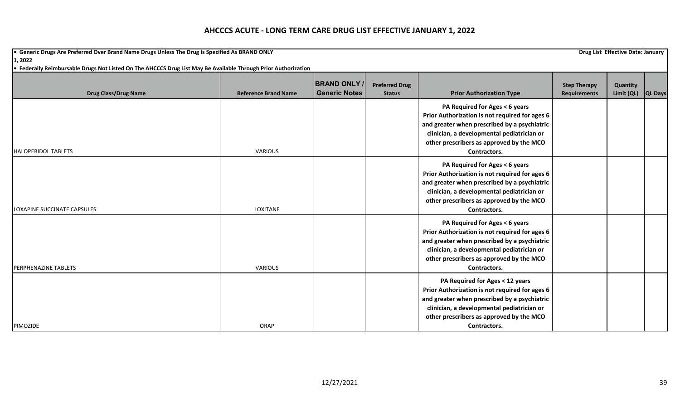**•** Generic Drugs Are Preferred Over Brand Name Drugs Unless The Drug Is Specified As BRAND ONLY **Drug List Effective Date: January Drug List Effective Date: January 1, 2022**

| <b>Drug Class/Drug Name</b> | <b>Reference Brand Name</b> | <b>BRAND ONLY</b><br><b>Generic Notes</b> | <b>Preferred Drug</b><br><b>Status</b> | <b>Prior Authorization Type</b>                                                                                                                                                                                                             | <b>Step Therapy</b><br><b>Requirements</b> | Quantity<br>Limit (QL) | <b>QL Days</b> |
|-----------------------------|-----------------------------|-------------------------------------------|----------------------------------------|---------------------------------------------------------------------------------------------------------------------------------------------------------------------------------------------------------------------------------------------|--------------------------------------------|------------------------|----------------|
| <b>HALOPERIDOL TABLETS</b>  | VARIOUS                     |                                           |                                        | PA Required for Ages < 6 years<br>Prior Authorization is not required for ages 6<br>and greater when prescribed by a psychiatric<br>clinician, a developmental pediatrician or<br>other prescribers as approved by the MCO<br>Contractors.  |                                            |                        |                |
| LOXAPINE SUCCINATE CAPSULES | LOXITANE                    |                                           |                                        | PA Required for Ages < 6 years<br>Prior Authorization is not required for ages 6<br>and greater when prescribed by a psychiatric<br>clinician, a developmental pediatrician or<br>other prescribers as approved by the MCO<br>Contractors.  |                                            |                        |                |
| <b>PERPHENAZINE TABLETS</b> | VARIOUS                     |                                           |                                        | PA Required for Ages < 6 years<br>Prior Authorization is not required for ages 6<br>and greater when prescribed by a psychiatric<br>clinician, a developmental pediatrician or<br>other prescribers as approved by the MCO<br>Contractors.  |                                            |                        |                |
| PIMOZIDE                    | ORAP                        |                                           |                                        | PA Required for Ages < 12 years<br>Prior Authorization is not required for ages 6<br>and greater when prescribed by a psychiatric<br>clinician, a developmental pediatrician or<br>other prescribers as approved by the MCO<br>Contractors. |                                            |                        |                |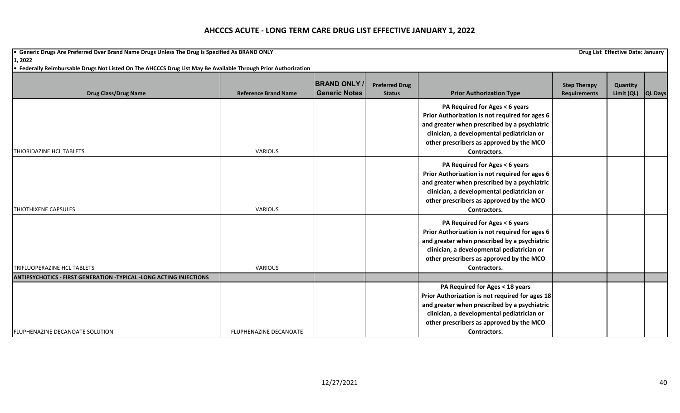**•** Generic Drugs Are Preferred Over Brand Name Drugs Unless The Drug Is Specified As BRAND ONLY **Drug List Effective Date: January Drug List Effective Date: January 1, 2022**

| <b>Drug Class/Drug Name</b>                                               | <b>Reference Brand Name</b> | <b>BRAND ONLY</b><br><b>Generic Notes</b> | <b>Preferred Drug</b><br><b>Status</b> | <b>Prior Authorization Type</b>                 | <b>Step Therapy</b><br><b>Requirements</b> | Quantity<br>Limit (QL) | <b>QL Days</b> |
|---------------------------------------------------------------------------|-----------------------------|-------------------------------------------|----------------------------------------|-------------------------------------------------|--------------------------------------------|------------------------|----------------|
|                                                                           |                             |                                           |                                        | PA Required for Ages < 6 years                  |                                            |                        |                |
|                                                                           |                             |                                           |                                        | Prior Authorization is not required for ages 6  |                                            |                        |                |
|                                                                           |                             |                                           |                                        | and greater when prescribed by a psychiatric    |                                            |                        |                |
|                                                                           |                             |                                           |                                        | clinician, a developmental pediatrician or      |                                            |                        |                |
|                                                                           |                             |                                           |                                        | other prescribers as approved by the MCO        |                                            |                        |                |
| THIORIDAZINE HCL TABLETS                                                  | VARIOUS                     |                                           |                                        | Contractors.                                    |                                            |                        |                |
|                                                                           |                             |                                           |                                        | PA Required for Ages < 6 years                  |                                            |                        |                |
|                                                                           |                             |                                           |                                        | Prior Authorization is not required for ages 6  |                                            |                        |                |
|                                                                           |                             |                                           |                                        | and greater when prescribed by a psychiatric    |                                            |                        |                |
|                                                                           |                             |                                           |                                        | clinician, a developmental pediatrician or      |                                            |                        |                |
|                                                                           |                             |                                           |                                        | other prescribers as approved by the MCO        |                                            |                        |                |
| <b>THIOTHIXENE CAPSULES</b>                                               | <b>VARIOUS</b>              |                                           |                                        | Contractors.                                    |                                            |                        |                |
|                                                                           |                             |                                           |                                        | PA Required for Ages < 6 years                  |                                            |                        |                |
|                                                                           |                             |                                           |                                        | Prior Authorization is not required for ages 6  |                                            |                        |                |
|                                                                           |                             |                                           |                                        | and greater when prescribed by a psychiatric    |                                            |                        |                |
|                                                                           |                             |                                           |                                        | clinician, a developmental pediatrician or      |                                            |                        |                |
|                                                                           |                             |                                           |                                        | other prescribers as approved by the MCO        |                                            |                        |                |
| TRIFLUOPERAZINE HCL TABLETS                                               | <b>VARIOUS</b>              |                                           |                                        | Contractors.                                    |                                            |                        |                |
| <b>ANTIPSYCHOTICS - FIRST GENERATION -TYPICAL -LONG ACTING INJECTIONS</b> |                             |                                           |                                        |                                                 |                                            |                        |                |
|                                                                           |                             |                                           |                                        | PA Required for Ages < 18 years                 |                                            |                        |                |
|                                                                           |                             |                                           |                                        | Prior Authorization is not required for ages 18 |                                            |                        |                |
|                                                                           |                             |                                           |                                        | and greater when prescribed by a psychiatric    |                                            |                        |                |
|                                                                           |                             |                                           |                                        | clinician, a developmental pediatrician or      |                                            |                        |                |
|                                                                           |                             |                                           |                                        | other prescribers as approved by the MCO        |                                            |                        |                |
| FLUPHENAZINE DECANOATE SOLUTION                                           | FLUPHENAZINE DECANOATE      |                                           |                                        | Contractors.                                    |                                            |                        |                |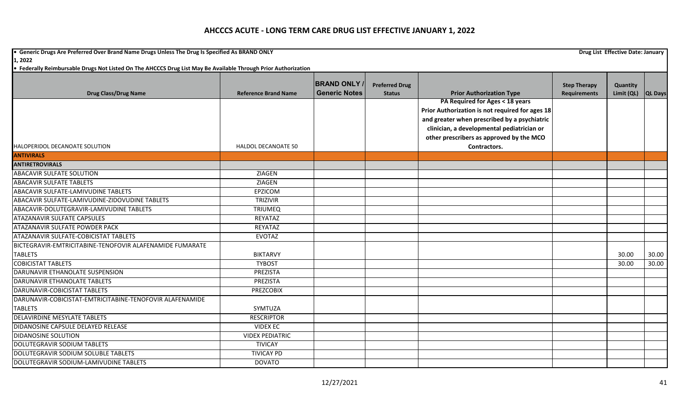**•** Generic Drugs Are Preferred Over Brand Name Drugs Unless The Drug Is Specified As BRAND ONLY **Drug List Effective Date: January Drug List Effective Date: January 1, 2022**

|                                                          |                             | <b>BRAND ONLY</b>    | <b>Preferred Drug</b> |                                                                                            | <b>Step Therapy</b> | Quantity   |                |
|----------------------------------------------------------|-----------------------------|----------------------|-----------------------|--------------------------------------------------------------------------------------------|---------------------|------------|----------------|
| <b>Drug Class/Drug Name</b>                              | <b>Reference Brand Name</b> | <b>Generic Notes</b> | <b>Status</b>         | <b>Prior Authorization Type</b>                                                            | <b>Requirements</b> | Limit (QL) | <b>QL Days</b> |
|                                                          |                             |                      |                       | PA Required for Ages < 18 years                                                            |                     |            |                |
|                                                          |                             |                      |                       | Prior Authorization is not required for ages 18                                            |                     |            |                |
|                                                          |                             |                      |                       | and greater when prescribed by a psychiatric<br>clinician, a developmental pediatrician or |                     |            |                |
|                                                          |                             |                      |                       | other prescribers as approved by the MCO                                                   |                     |            |                |
| HALOPERIDOL DECANOATE SOLUTION                           | HALDOL DECANOATE 50         |                      |                       | Contractors.                                                                               |                     |            |                |
| <b>ANTIVIRALS</b>                                        |                             |                      |                       |                                                                                            |                     |            |                |
| <b>ANTIRETROVIRALS</b>                                   |                             |                      |                       |                                                                                            |                     |            |                |
| <b>ABACAVIR SULFATE SOLUTION</b>                         | <b>ZIAGEN</b>               |                      |                       |                                                                                            |                     |            |                |
|                                                          |                             |                      |                       |                                                                                            |                     |            |                |
| <b>ABACAVIR SULFATE TABLETS</b>                          | <b>ZIAGEN</b>               |                      |                       |                                                                                            |                     |            |                |
| ABACAVIR SULFATE-LAMIVUDINE TABLETS                      | <b>EPZICOM</b>              |                      |                       |                                                                                            |                     |            |                |
| ABACAVIR SULFATE-LAMIVUDINE-ZIDOVUDINE TABLETS           | <b>TRIZIVIR</b>             |                      |                       |                                                                                            |                     |            |                |
| ABACAVIR-DOLUTEGRAVIR-LAMIVUDINE TABLETS                 | <b>TRIUMEQ</b>              |                      |                       |                                                                                            |                     |            |                |
| <b>ATAZANAVIR SULFATE CAPSULES</b>                       | REYATAZ                     |                      |                       |                                                                                            |                     |            |                |
| ATAZANAVIR SULFATE POWDER PACK                           | REYATAZ                     |                      |                       |                                                                                            |                     |            |                |
| ATAZANAVIR SULFATE-COBICISTAT TABLETS                    | <b>EVOTAZ</b>               |                      |                       |                                                                                            |                     |            |                |
| BICTEGRAVIR-EMTRICITABINE-TENOFOVIR ALAFENAMIDE FUMARATE |                             |                      |                       |                                                                                            |                     |            |                |
| <b>TABLETS</b>                                           | <b>BIKTARVY</b>             |                      |                       |                                                                                            |                     | 30.00      | 30.00          |
| <b>COBICISTAT TABLETS</b>                                | <b>TYBOST</b>               |                      |                       |                                                                                            |                     | 30.00      | 30.00          |
| DARUNAVIR ETHANOLATE SUSPENSION                          | PREZISTA                    |                      |                       |                                                                                            |                     |            |                |
| DARUNAVIR ETHANOLATE TABLETS                             | <b>PREZISTA</b>             |                      |                       |                                                                                            |                     |            |                |
| DARUNAVIR-COBICISTAT TABLETS                             | <b>PREZCOBIX</b>            |                      |                       |                                                                                            |                     |            |                |
| DARUNAVIR-COBICISTAT-EMTRICITABINE-TENOFOVIR ALAFENAMIDE |                             |                      |                       |                                                                                            |                     |            |                |
| <b>TABLETS</b>                                           | SYMTUZA                     |                      |                       |                                                                                            |                     |            |                |
| <b>DELAVIRDINE MESYLATE TABLETS</b>                      | <b>RESCRIPTOR</b>           |                      |                       |                                                                                            |                     |            |                |
| DIDANOSINE CAPSULE DELAYED RELEASE                       | <b>VIDEX EC</b>             |                      |                       |                                                                                            |                     |            |                |
| <b>DIDANOSINE SOLUTION</b>                               | <b>VIDEX PEDIATRIC</b>      |                      |                       |                                                                                            |                     |            |                |
| DOLUTEGRAVIR SODIUM TABLETS                              | <b>TIVICAY</b>              |                      |                       |                                                                                            |                     |            |                |
| DOLUTEGRAVIR SODIUM SOLUBLE TABLETS                      | <b>TIVICAY PD</b>           |                      |                       |                                                                                            |                     |            |                |
| DOLUTEGRAVIR SODIUM-LAMIVUDINE TABLETS                   | <b>DOVATO</b>               |                      |                       |                                                                                            |                     |            |                |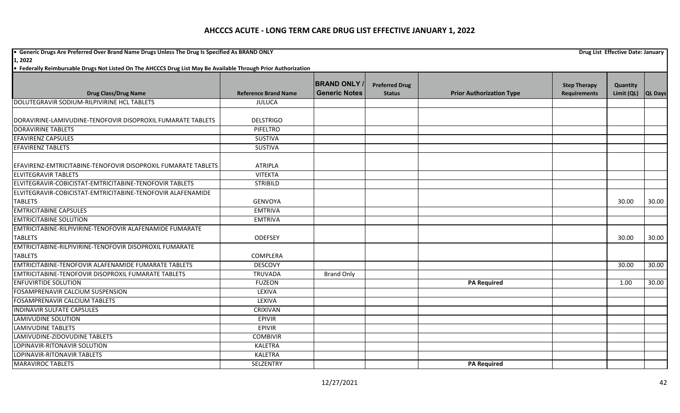**•** Generic Drugs Are Preferred Over Brand Name Drugs Unless The Drug Is Specified As BRAND ONLY **Drug List Effective Date: January Drug List Effective Date: January 1, 2022**

| <b>Drug Class/Drug Name</b>                                   | <b>Reference Brand Name</b> | <b>BRAND ONLY</b><br><b>Generic Notes</b> | <b>Preferred Drug</b><br><b>Status</b> | <b>Prior Authorization Type</b> | <b>Step Therapy</b><br><b>Requirements</b> | Quantity<br>Limit (QL) | <b>QL Days</b> |
|---------------------------------------------------------------|-----------------------------|-------------------------------------------|----------------------------------------|---------------------------------|--------------------------------------------|------------------------|----------------|
| DOLUTEGRAVIR SODIUM-RILPIVIRINE HCL TABLETS                   | <b>JULUCA</b>               |                                           |                                        |                                 |                                            |                        |                |
|                                                               |                             |                                           |                                        |                                 |                                            |                        |                |
| DORAVIRINE-LAMIVUDINE-TENOFOVIR DISOPROXIL FUMARATE TABLETS   | <b>DELSTRIGO</b>            |                                           |                                        |                                 |                                            |                        |                |
| <b>DORAVIRINE TABLETS</b>                                     | <b>PIFELTRO</b>             |                                           |                                        |                                 |                                            |                        |                |
| <b>EFAVIRENZ CAPSULES</b>                                     | <b>SUSTIVA</b>              |                                           |                                        |                                 |                                            |                        |                |
| <b>EFAVIRENZ TABLETS</b>                                      | <b>SUSTIVA</b>              |                                           |                                        |                                 |                                            |                        |                |
| EFAVIRENZ-EMTRICITABINE-TENOFOVIR DISOPROXIL FUMARATE TABLETS | <b>ATRIPLA</b>              |                                           |                                        |                                 |                                            |                        |                |
| <b>ELVITEGRAVIR TABLETS</b>                                   | <b>VITEKTA</b>              |                                           |                                        |                                 |                                            |                        |                |
| ELVITEGRAVIR-COBICISTAT-EMTRICITABINE-TENOFOVIR TABLETS       | <b>STRIBILD</b>             |                                           |                                        |                                 |                                            |                        |                |
| ELVITEGRAVIR-COBICISTAT-EMTRICITABINE-TENOFOVIR ALAFENAMIDE   |                             |                                           |                                        |                                 |                                            |                        |                |
| <b>TABLETS</b>                                                | <b>GENVOYA</b>              |                                           |                                        |                                 |                                            | 30.00                  | 30.00          |
| <b>EMTRICITABINE CAPSULES</b>                                 | <b>EMTRIVA</b>              |                                           |                                        |                                 |                                            |                        |                |
| <b>EMTRICITABINE SOLUTION</b>                                 | <b>EMTRIVA</b>              |                                           |                                        |                                 |                                            |                        |                |
| EMTRICITABINE-RILPIVIRINE-TENOFOVIR ALAFENAMIDE FUMARATE      |                             |                                           |                                        |                                 |                                            |                        |                |
| <b>TABLETS</b>                                                | ODEFSEY                     |                                           |                                        |                                 |                                            | 30.00                  | 30.00          |
| EMTRICITABINE-RILPIVIRINE-TENOFOVIR DISOPROXIL FUMARATE       |                             |                                           |                                        |                                 |                                            |                        |                |
| <b>TABLETS</b>                                                | COMPLERA                    |                                           |                                        |                                 |                                            |                        |                |
| EMTRICITABINE-TENOFOVIR ALAFENAMIDE FUMARATE TABLETS          | <b>DESCOVY</b>              |                                           |                                        |                                 |                                            | 30.00                  | 30.00          |
| <b>EMTRICITABINE-TENOFOVIR DISOPROXIL FUMARATE TABLETS</b>    | <b>TRUVADA</b>              | <b>Brand Only</b>                         |                                        |                                 |                                            |                        |                |
| <b>ENFUVIRTIDE SOLUTION</b>                                   | <b>FUZEON</b>               |                                           |                                        | <b>PA Required</b>              |                                            | 1.00                   | 30.00          |
| FOSAMPRENAVIR CALCIUM SUSPENSION                              | LEXIVA                      |                                           |                                        |                                 |                                            |                        |                |
| <b>FOSAMPRENAVIR CALCIUM TABLETS</b>                          | LEXIVA                      |                                           |                                        |                                 |                                            |                        |                |
| <b>INDINAVIR SULFATE CAPSULES</b>                             | CRIXIVAN                    |                                           |                                        |                                 |                                            |                        |                |
| <b>LAMIVUDINE SOLUTION</b>                                    | <b>EPIVIR</b>               |                                           |                                        |                                 |                                            |                        |                |
| <b>LAMIVUDINE TABLETS</b>                                     | <b>EPIVIR</b>               |                                           |                                        |                                 |                                            |                        |                |
| LAMIVUDINE-ZIDOVUDINE TABLETS                                 | <b>COMBIVIR</b>             |                                           |                                        |                                 |                                            |                        |                |
| LOPINAVIR-RITONAVIR SOLUTION                                  | KALETRA                     |                                           |                                        |                                 |                                            |                        |                |
| LOPINAVIR-RITONAVIR TABLETS                                   | <b>KALETRA</b>              |                                           |                                        |                                 |                                            |                        |                |
| <b>MARAVIROC TABLETS</b>                                      | SELZENTRY                   |                                           |                                        | <b>PA Required</b>              |                                            |                        |                |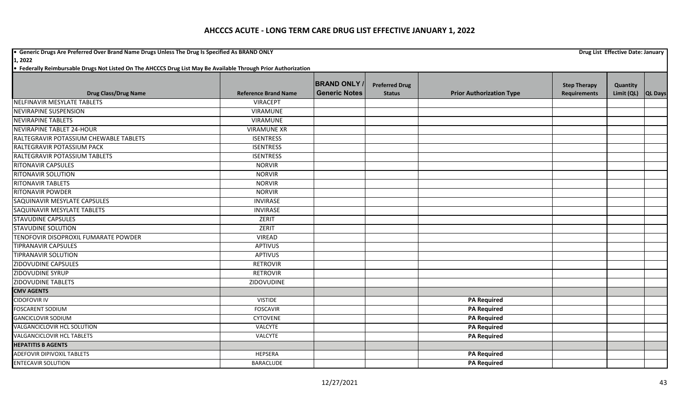**•** Generic Drugs Are Preferred Over Brand Name Drugs Unless The Drug Is Specified As BRAND ONLY **Drug List Effective Date: January Drug List Effective Date: January** 

**1, 2022**

| <b>Drug Class/Drug Name</b>            | <b>Reference Brand Name</b> | <b>BRAND ONLY</b><br><b>Generic Notes</b> | <b>Preferred Drug</b><br><b>Status</b> | <b>Prior Authorization Type</b> | <b>Step Therapy</b><br><b>Requirements</b> | Quantity<br>Limit (QL) |                |
|----------------------------------------|-----------------------------|-------------------------------------------|----------------------------------------|---------------------------------|--------------------------------------------|------------------------|----------------|
| NELFINAVIR MESYLATE TABLETS            | <b>VIRACEPT</b>             |                                           |                                        |                                 |                                            |                        | <b>QL Days</b> |
| <b>NEVIRAPINE SUSPENSION</b>           | <b>VIRAMUNE</b>             |                                           |                                        |                                 |                                            |                        |                |
| <b>NEVIRAPINE TABLETS</b>              | <b>VIRAMUNE</b>             |                                           |                                        |                                 |                                            |                        |                |
| <b>NEVIRAPINE TABLET 24-HOUR</b>       |                             |                                           |                                        |                                 |                                            |                        |                |
|                                        | <b>VIRAMUNE XR</b>          |                                           |                                        |                                 |                                            |                        |                |
| RALTEGRAVIR POTASSIUM CHEWABLE TABLETS | <b>ISENTRESS</b>            |                                           |                                        |                                 |                                            |                        |                |
| RALTEGRAVIR POTASSIUM PACK             | <b>ISENTRESS</b>            |                                           |                                        |                                 |                                            |                        |                |
| RALTEGRAVIR POTASSIUM TABLETS          | <b>ISENTRESS</b>            |                                           |                                        |                                 |                                            |                        |                |
| <b>RITONAVIR CAPSULES</b>              | <b>NORVIR</b>               |                                           |                                        |                                 |                                            |                        |                |
| <b>RITONAVIR SOLUTION</b>              | <b>NORVIR</b>               |                                           |                                        |                                 |                                            |                        |                |
| <b>RITONAVIR TABLETS</b>               | <b>NORVIR</b>               |                                           |                                        |                                 |                                            |                        |                |
| <b>RITONAVIR POWDER</b>                | <b>NORVIR</b>               |                                           |                                        |                                 |                                            |                        |                |
| SAQUINAVIR MESYLATE CAPSULES           | <b>INVIRASE</b>             |                                           |                                        |                                 |                                            |                        |                |
| SAQUINAVIR MESYLATE TABLETS            | <b>INVIRASE</b>             |                                           |                                        |                                 |                                            |                        |                |
| <b>STAVUDINE CAPSULES</b>              | ZERIT                       |                                           |                                        |                                 |                                            |                        |                |
| <b>STAVUDINE SOLUTION</b>              | ZERIT                       |                                           |                                        |                                 |                                            |                        |                |
| TENOFOVIR DISOPROXIL FUMARATE POWDER   | <b>VIREAD</b>               |                                           |                                        |                                 |                                            |                        |                |
| <b>TIPRANAVIR CAPSULES</b>             | <b>APTIVUS</b>              |                                           |                                        |                                 |                                            |                        |                |
| <b>TIPRANAVIR SOLUTION</b>             | <b>APTIVUS</b>              |                                           |                                        |                                 |                                            |                        |                |
| <b>ZIDOVUDINE CAPSULES</b>             | <b>RETROVIR</b>             |                                           |                                        |                                 |                                            |                        |                |
| <b>ZIDOVUDINE SYRUP</b>                | <b>RETROVIR</b>             |                                           |                                        |                                 |                                            |                        |                |
| <b>ZIDOVUDINE TABLETS</b>              | ZIDOVUDINE                  |                                           |                                        |                                 |                                            |                        |                |
| <b>CMV AGENTS</b>                      |                             |                                           |                                        |                                 |                                            |                        |                |
| <b>CIDOFOVIR IV</b>                    | <b>VISTIDE</b>              |                                           |                                        | <b>PA Required</b>              |                                            |                        |                |
| <b>FOSCARENT SODIUM</b>                | <b>FOSCAVIR</b>             |                                           |                                        | <b>PA Required</b>              |                                            |                        |                |
| <b>GANCICLOVIR SODIUM</b>              | <b>CYTOVENE</b>             |                                           |                                        | <b>PA Required</b>              |                                            |                        |                |
| VALGANCICLOVIR HCL SOLUTION            | VALCYTE                     |                                           |                                        | <b>PA Required</b>              |                                            |                        |                |
| <b>VALGANCICLOVIR HCL TABLETS</b>      | VALCYTE                     |                                           |                                        | <b>PA Required</b>              |                                            |                        |                |
| <b>HEPATITIS B AGENTS</b>              |                             |                                           |                                        |                                 |                                            |                        |                |
| <b>ADEFOVIR DIPIVOXIL TABLETS</b>      | <b>HEPSERA</b>              |                                           |                                        | <b>PA Required</b>              |                                            |                        |                |
| <b>ENTECAVIR SOLUTION</b>              | BARACLUDE                   |                                           |                                        | <b>PA Required</b>              |                                            |                        |                |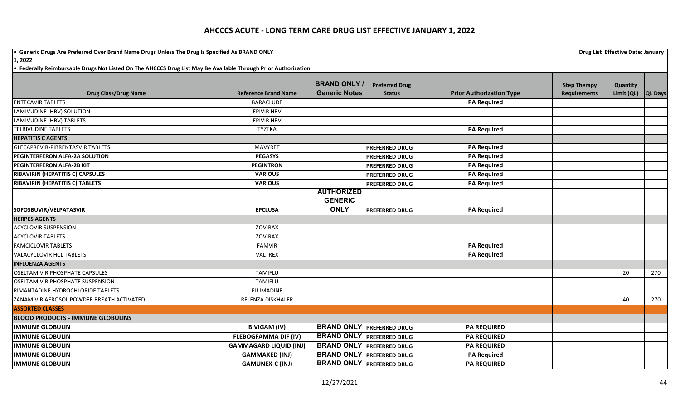**•** Generic Drugs Are Preferred Over Brand Name Drugs Unless The Drug Is Specified As BRAND ONLY **Drug List Effective Date: January Drug List Effective Date: January** 

**1, 2022**

|                                           |                               | <b>BRAND ONLY</b>                   | <b>Preferred Drug</b>            |                                 | <b>Step Therapy</b> | Quantity   |                |
|-------------------------------------------|-------------------------------|-------------------------------------|----------------------------------|---------------------------------|---------------------|------------|----------------|
| <b>Drug Class/Drug Name</b>               | <b>Reference Brand Name</b>   | <b>Generic Notes</b>                | <b>Status</b>                    | <b>Prior Authorization Type</b> | <b>Requirements</b> | Limit (QL) | <b>QL Days</b> |
| <b>ENTECAVIR TABLETS</b>                  | <b>BARACLUDE</b>              |                                     |                                  | <b>PA Required</b>              |                     |            |                |
| LAMIVUDINE (HBV) SOLUTION                 | <b>EPIVIR HBV</b>             |                                     |                                  |                                 |                     |            |                |
| LAMIVUDINE (HBV) TABLETS                  | <b>EPIVIR HBV</b>             |                                     |                                  |                                 |                     |            |                |
| <b>TELBIVUDINE TABLETS</b>                | TYZEKA                        |                                     |                                  | <b>PA Required</b>              |                     |            |                |
| <b>HEPATITIS C AGENTS</b>                 |                               |                                     |                                  |                                 |                     |            |                |
| <b>GLECAPREVIR-PIBRENTASVIR TABLETS</b>   | <b>MAVYRET</b>                |                                     | <b>PREFERRED DRUG</b>            | <b>PA Required</b>              |                     |            |                |
| PEGINTERFERON ALFA-2A SOLUTION            | <b>PEGASYS</b>                |                                     | PREFERRED DRUG                   | <b>PA Required</b>              |                     |            |                |
| <b>PEGINTERFERON ALFA-2B KIT</b>          | <b>PEGINTRON</b>              |                                     | PREFERRED DRUG                   | <b>PA Required</b>              |                     |            |                |
| RIBAVIRIN (HEPATITIS C) CAPSULES          | <b>VARIOUS</b>                |                                     | <b>PREFERRED DRUG</b>            | <b>PA Required</b>              |                     |            |                |
| RIBAVIRIN (HEPATITIS C) TABLETS           | <b>VARIOUS</b>                |                                     | <b>PREFERRED DRUG</b>            | <b>PA Required</b>              |                     |            |                |
|                                           |                               | <b>AUTHORIZED</b><br><b>GENERIC</b> |                                  |                                 |                     |            |                |
| SOFOSBUVIR/VELPATASVIR                    | <b>EPCLUSA</b>                | <b>ONLY</b>                         | <b>PREFERRED DRUG</b>            | <b>PA Required</b>              |                     |            |                |
| <b>HERPES AGENTS</b>                      |                               |                                     |                                  |                                 |                     |            |                |
| <b>ACYCLOVIR SUSPENSION</b>               | <b>ZOVIRAX</b>                |                                     |                                  |                                 |                     |            |                |
| <b>ACYCLOVIR TABLETS</b>                  | ZOVIRAX                       |                                     |                                  |                                 |                     |            |                |
| <b>FAMCICLOVIR TABLETS</b>                | <b>FAMVIR</b>                 |                                     |                                  | <b>PA Required</b>              |                     |            |                |
| <b>VALACYCLOVIR HCL TABLETS</b>           | VALTREX                       |                                     |                                  | <b>PA Required</b>              |                     |            |                |
| <b>INFLUENZA AGENTS</b>                   |                               |                                     |                                  |                                 |                     |            |                |
| <b>OSELTAMIVIR PHOSPHATE CAPSULES</b>     | <b>TAMIFLU</b>                |                                     |                                  |                                 |                     | 20         | 270            |
| <b>OSELTAMIVIR PHOSPHATE SUSPENSION</b>   | <b>TAMIFLU</b>                |                                     |                                  |                                 |                     |            |                |
| RIMANTADINE HYDROCHLORIDE TABLETS         | <b>FLUMADINE</b>              |                                     |                                  |                                 |                     |            |                |
| ZANAMIVIR AEROSOL POWDER BREATH ACTIVATED | RELENZA DISKHALER             |                                     |                                  |                                 |                     | 40         | 270            |
| <b>ASSORTED CLASSES</b>                   |                               |                                     |                                  |                                 |                     |            |                |
| <b>BLOOD PRODUCTS - IMMUNE GLOBULINS</b>  |                               |                                     |                                  |                                 |                     |            |                |
| <b>IMMUNE GLOBULIN</b>                    | <b>BIVIGAM (IV)</b>           | <b>BRAND ONLY</b>                   | <b>PREFERRED DRUG</b>            | <b>PA REQUIRED</b>              |                     |            |                |
| <b>IMMUNE GLOBULIN</b>                    | <b>FLEBOGFAMMA DIF (IV)</b>   |                                     | <b>BRAND ONLY PREFERRED DRUG</b> | <b>PA REQUIRED</b>              |                     |            |                |
| <b>IMMUNE GLOBULIN</b>                    | <b>GAMMAGARD LIQUID (INJ)</b> |                                     | <b>BRAND ONLY PREFERRED DRUG</b> | <b>PA REQUIRED</b>              |                     |            |                |
| <b>IMMUNE GLOBULIN</b>                    | <b>GAMMAKED (INJ)</b>         |                                     | <b>BRAND ONLY PREFERRED DRUG</b> | <b>PA Required</b>              |                     |            |                |
| <b>IMMUNE GLOBULIN</b>                    | <b>GAMUNEX-C (INJ)</b>        |                                     | <b>BRAND ONLY PREFERRED DRUG</b> | <b>PA REQUIRED</b>              |                     |            |                |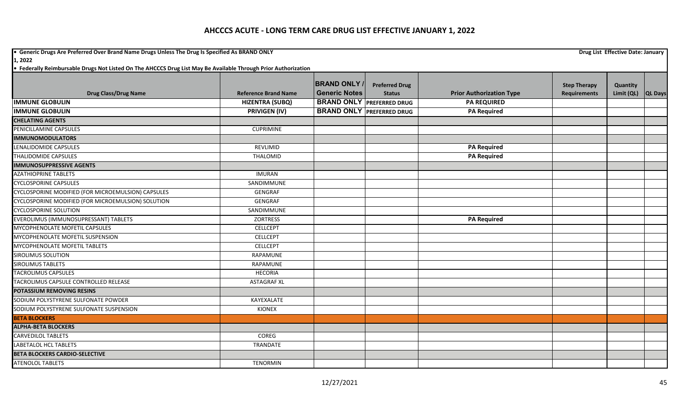**•** Generic Drugs Are Preferred Over Brand Name Drugs Unless The Drug Is Specified As BRAND ONLY **Drug List Effective Date: January Drug List Effective Date: January** 

|                                                    |                             | <b>BRAND ONLY</b>    | <b>Preferred Drug</b>            |                                 | <b>Step Therapy</b> | Quantity   |         |
|----------------------------------------------------|-----------------------------|----------------------|----------------------------------|---------------------------------|---------------------|------------|---------|
| <b>Drug Class/Drug Name</b>                        | <b>Reference Brand Name</b> | <b>Generic Notes</b> | <b>Status</b>                    | <b>Prior Authorization Type</b> | <b>Requirements</b> | Limit (QL) | QL Days |
| <b>IMMUNE GLOBULIN</b>                             | <b>HIZENTRA (SUBQ)</b>      |                      | <b>BRAND ONLY PREFERRED DRUG</b> | <b>PA REQUIRED</b>              |                     |            |         |
| <b>IMMUNE GLOBULIN</b>                             | <b>PRIVIGEN (IV)</b>        |                      | <b>BRAND ONLY PREFERRED DRUG</b> | <b>PA Required</b>              |                     |            |         |
| <b>CHELATING AGENTS</b>                            |                             |                      |                                  |                                 |                     |            |         |
| PENICILLAMINE CAPSULES                             | <b>CUPRIMINE</b>            |                      |                                  |                                 |                     |            |         |
| <b>IMMUNOMODULATORS</b>                            |                             |                      |                                  |                                 |                     |            |         |
| LENALIDOMIDE CAPSULES                              | REVLIMID                    |                      |                                  | <b>PA Required</b>              |                     |            |         |
| <b>THALIDOMIDE CAPSULES</b>                        | THALOMID                    |                      |                                  | <b>PA Required</b>              |                     |            |         |
| <b>IMMUNOSUPPRESSIVE AGENTS</b>                    |                             |                      |                                  |                                 |                     |            |         |
| <b>AZATHIOPRINE TABLETS</b>                        | <b>IMURAN</b>               |                      |                                  |                                 |                     |            |         |
| <b>CYCLOSPORINE CAPSULES</b>                       | SANDIMMUNE                  |                      |                                  |                                 |                     |            |         |
| CYCLOSPORINE MODIFIED (FOR MICROEMULSION) CAPSULES | GENGRAF                     |                      |                                  |                                 |                     |            |         |
| CYCLOSPORINE MODIFIED (FOR MICROEMULSION) SOLUTION | GENGRAF                     |                      |                                  |                                 |                     |            |         |
| <b>CYCLOSPORINE SOLUTION</b>                       | SANDIMMUNE                  |                      |                                  |                                 |                     |            |         |
| EVEROLIMUS (IMMUNOSUPRESSANT) TABLETS              | <b>ZORTRESS</b>             |                      |                                  | <b>PA Required</b>              |                     |            |         |
| MYCOPHENOLATE MOFETIL CAPSULES                     | <b>CELLCEPT</b>             |                      |                                  |                                 |                     |            |         |
| MYCOPHENOLATE MOFETIL SUSPENSION                   | <b>CELLCEPT</b>             |                      |                                  |                                 |                     |            |         |
| MYCOPHENOLATE MOFETIL TABLETS                      | <b>CELLCEPT</b>             |                      |                                  |                                 |                     |            |         |
| <b>SIROLIMUS SOLUTION</b>                          | RAPAMUNE                    |                      |                                  |                                 |                     |            |         |
| <b>SIROLIMUS TABLETS</b>                           | <b>RAPAMUNE</b>             |                      |                                  |                                 |                     |            |         |
| <b>TACROLIMUS CAPSULES</b>                         | <b>HECORIA</b>              |                      |                                  |                                 |                     |            |         |
| TACROLIMUS CAPSULE CONTROLLED RELEASE              | <b>ASTAGRAF XL</b>          |                      |                                  |                                 |                     |            |         |
| POTASSIUM REMOVING RESINS                          |                             |                      |                                  |                                 |                     |            |         |
| SODIUM POLYSTYRENE SULFONATE POWDER                | KAYEXALATE                  |                      |                                  |                                 |                     |            |         |
| SODIUM POLYSTYRENE SULFONATE SUSPENSION            | <b>KIONEX</b>               |                      |                                  |                                 |                     |            |         |
| <b>BETA BLOCKERS</b>                               |                             |                      |                                  |                                 |                     |            |         |
| <b>ALPHA-BETA BLOCKERS</b>                         |                             |                      |                                  |                                 |                     |            |         |
| <b>CARVEDILOL TABLETS</b>                          | <b>COREG</b>                |                      |                                  |                                 |                     |            |         |
| <b>LABETALOL HCL TABLETS</b>                       | TRANDATE                    |                      |                                  |                                 |                     |            |         |
| <b>BETA BLOCKERS CARDIO-SELECTIVE</b>              |                             |                      |                                  |                                 |                     |            |         |
| <b>ATENOLOL TABLETS</b>                            | <b>TENORMIN</b>             |                      |                                  |                                 |                     |            |         |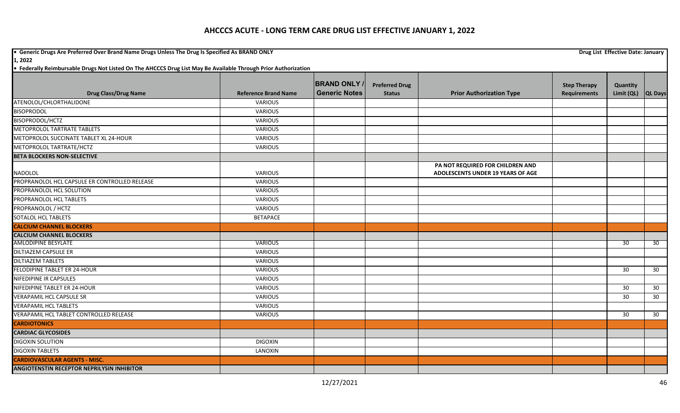**•** Generic Drugs Are Preferred Over Brand Name Drugs Unless The Drug Is Specified As BRAND ONLY **Drug List Effective Date: January Drug List Effective Date: January 1, 2022**

|                                                   |                             | <b>BRAND ONLY</b>    | <b>Preferred Drug</b> |                                   | <b>Step Therapy</b> | Quantity        |                 |
|---------------------------------------------------|-----------------------------|----------------------|-----------------------|-----------------------------------|---------------------|-----------------|-----------------|
| <b>Drug Class/Drug Name</b>                       | <b>Reference Brand Name</b> | <b>Generic Notes</b> | <b>Status</b>         | <b>Prior Authorization Type</b>   | <b>Requirements</b> | Limit (QL)      | QL Days         |
| ATENOLOL/CHLORTHALIDONE                           | <b>VARIOUS</b>              |                      |                       |                                   |                     |                 |                 |
| <b>BISOPRODOL</b>                                 | <b>VARIOUS</b>              |                      |                       |                                   |                     |                 |                 |
| BISOPRODOL/HCTZ                                   | <b>VARIOUS</b>              |                      |                       |                                   |                     |                 |                 |
| METOPROLOL TARTRATE TABLETS                       | <b>VARIOUS</b>              |                      |                       |                                   |                     |                 |                 |
| METOPROLOL SUCCINATE TABLET XL 24-HOUR            | <b>VARIOUS</b>              |                      |                       |                                   |                     |                 |                 |
| METOPROLOL TARTRATE/HCTZ                          | <b>VARIOUS</b>              |                      |                       |                                   |                     |                 |                 |
| <b>BETA BLOCKERS NON-SELECTIVE</b>                |                             |                      |                       |                                   |                     |                 |                 |
|                                                   |                             |                      |                       | PA NOT REQUIRED FOR CHILDREN AND  |                     |                 |                 |
| <b>NADOLOL</b>                                    | <b>VARIOUS</b>              |                      |                       | ADOLESCENTS UNDER 19 YEARS OF AGE |                     |                 |                 |
| PROPRANOLOL HCL CAPSULE ER CONTROLLED RELEASE     | <b>VARIOUS</b>              |                      |                       |                                   |                     |                 |                 |
| PROPRANOLOL HCL SOLUTION                          | <b>VARIOUS</b>              |                      |                       |                                   |                     |                 |                 |
| PROPRANOLOL HCL TABLETS                           | <b>VARIOUS</b>              |                      |                       |                                   |                     |                 |                 |
| PROPRANOLOL / HCTZ                                | <b>VARIOUS</b>              |                      |                       |                                   |                     |                 |                 |
| SOTALOL HCL TABLETS                               | <b>BETAPACE</b>             |                      |                       |                                   |                     |                 |                 |
| <b>CALCIUM CHANNEL BLOCKERS</b>                   |                             |                      |                       |                                   |                     |                 |                 |
| <b>CALCIUM CHANNEL BLOCKERS</b>                   |                             |                      |                       |                                   |                     |                 |                 |
| <b>AMLODIPINE BESYLATE</b>                        | <b>VARIOUS</b>              |                      |                       |                                   |                     | 30              | 30              |
| <b>DILTIAZEM CAPSULE ER</b>                       | <b>VARIOUS</b>              |                      |                       |                                   |                     |                 |                 |
| <b>DILTIAZEM TABLETS</b>                          | <b>VARIOUS</b>              |                      |                       |                                   |                     |                 |                 |
| FELODIPINE TABLET ER 24-HOUR                      | VARIOUS                     |                      |                       |                                   |                     | 30              | 30              |
| NIFEDIPINE IR CAPSULES                            | <b>VARIOUS</b>              |                      |                       |                                   |                     |                 |                 |
| NIFEDIPINE TABLET ER 24-HOUR                      | <b>VARIOUS</b>              |                      |                       |                                   |                     | 30              | 30              |
| <b>VERAPAMIL HCL CAPSULE SR</b>                   | <b>VARIOUS</b>              |                      |                       |                                   |                     | 30 <sup>°</sup> | 30 <sup>°</sup> |
| <b>VERAPAMIL HCL TABLETS</b>                      | <b>VARIOUS</b>              |                      |                       |                                   |                     |                 |                 |
| VERAPAMIL HCL TABLET CONTROLLED RELEASE           | <b>VARIOUS</b>              |                      |                       |                                   |                     | 30              | 30              |
| <b>CARDIOTONICS</b>                               |                             |                      |                       |                                   |                     |                 |                 |
| <b>CARDIAC GLYCOSIDES</b>                         |                             |                      |                       |                                   |                     |                 |                 |
| <b>DIGOXIN SOLUTION</b>                           | <b>DIGOXIN</b>              |                      |                       |                                   |                     |                 |                 |
| <b>DIGOXIN TABLETS</b>                            | LANOXIN                     |                      |                       |                                   |                     |                 |                 |
| <b>CARDIOVASCULAR AGENTS - MISC.</b>              |                             |                      |                       |                                   |                     |                 |                 |
| <b>ANGIOTENSTIN RECEPTOR NEPRILYSIN INHIBITOR</b> |                             |                      |                       |                                   |                     |                 |                 |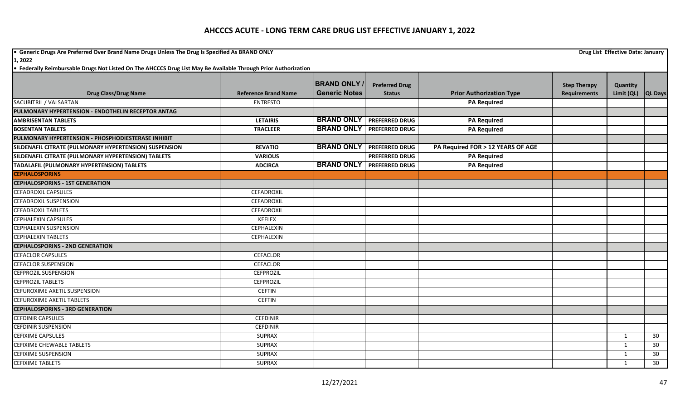**•** Generic Drugs Are Preferred Over Brand Name Drugs Unless The Drug Is Specified As BRAND ONLY **Drug List Effective Date: January Drug List Effective Date: January** 

**1, 2022**

|                                                        |                             | <b>BRAND ONLY /</b>  | <b>Preferred Drug</b>              |                                   | <b>Step Therapy</b> | Quantity       |                |
|--------------------------------------------------------|-----------------------------|----------------------|------------------------------------|-----------------------------------|---------------------|----------------|----------------|
| <b>Drug Class/Drug Name</b>                            | <b>Reference Brand Name</b> | <b>Generic Notes</b> | <b>Status</b>                      | <b>Prior Authorization Type</b>   | <b>Requirements</b> | Limit (QL)     | <b>QL Days</b> |
| SACUBITRIL / VALSARTAN                                 | <b>ENTRESTO</b>             |                      |                                    | <b>PA Required</b>                |                     |                |                |
| PULMONARY HYPERTENSION - ENDOTHELIN RECEPTOR ANTAG     |                             |                      |                                    |                                   |                     |                |                |
| <b>AMBRISENTAN TABLETS</b>                             | <b>LETAIRIS</b>             |                      | <b>BRAND ONLY   PREFERRED DRUG</b> | <b>PA Required</b>                |                     |                |                |
| <b>BOSENTAN TABLETS</b>                                | <b>TRACLEER</b>             | <b>BRAND ONLY</b>    | <b>PREFERRED DRUG</b>              | <b>PA Required</b>                |                     |                |                |
| PULMONARY HYPERTENSION - PHOSPHODIESTERASE INHIBIT     |                             |                      |                                    |                                   |                     |                |                |
| SILDENAFIL CITRATE (PULMONARY HYPERTENSION) SUSPENSION | <b>REVATIO</b>              | <b>BRAND ONLY</b>    | <b>PREFERRED DRUG</b>              | PA Required FOR > 12 YEARS OF AGE |                     |                |                |
| SILDENAFIL CITRATE (PULMONARY HYPERTENSION) TABLETS    | <b>VARIOUS</b>              |                      | <b>PREFERRED DRUG</b>              | <b>PA Required</b>                |                     |                |                |
| TADALAFIL (PULMONARY HYPERTENSION) TABLETS             | <b>ADCIRCA</b>              | <b>BRAND ONLY</b>    | <b>PREFERRED DRUG</b>              | <b>PA Required</b>                |                     |                |                |
| <b>CEPHALOSPORINS</b>                                  |                             |                      |                                    |                                   |                     |                |                |
| <b>CEPHALOSPORINS - 1ST GENERATION</b>                 |                             |                      |                                    |                                   |                     |                |                |
| <b>CEFADROXIL CAPSULES</b>                             | CEFADROXIL                  |                      |                                    |                                   |                     |                |                |
| <b>CEFADROXIL SUSPENSION</b>                           | CEFADROXIL                  |                      |                                    |                                   |                     |                |                |
| <b>CEFADROXIL TABLETS</b>                              | <b>CEFADROXIL</b>           |                      |                                    |                                   |                     |                |                |
| <b>CEPHALEXIN CAPSULES</b>                             | <b>KEFLEX</b>               |                      |                                    |                                   |                     |                |                |
| CEPHALEXIN SUSPENSION                                  | CEPHALEXIN                  |                      |                                    |                                   |                     |                |                |
| <b>CEPHALEXIN TABLETS</b>                              | CEPHALEXIN                  |                      |                                    |                                   |                     |                |                |
| <b>CEPHALOSPORINS - 2ND GENERATION</b>                 |                             |                      |                                    |                                   |                     |                |                |
| <b>CEFACLOR CAPSULES</b>                               | <b>CEFACLOR</b>             |                      |                                    |                                   |                     |                |                |
| <b>CEFACLOR SUSPENSION</b>                             | <b>CEFACLOR</b>             |                      |                                    |                                   |                     |                |                |
| <b>CEFPROZIL SUSPENSION</b>                            | <b>CEFPROZIL</b>            |                      |                                    |                                   |                     |                |                |
| <b>CEFPROZIL TABLETS</b>                               | <b>CEFPROZIL</b>            |                      |                                    |                                   |                     |                |                |
| CEFUROXIME AXETIL SUSPENSION                           | <b>CEFTIN</b>               |                      |                                    |                                   |                     |                |                |
| <b>CEFUROXIME AXETIL TABLETS</b>                       | <b>CEFTIN</b>               |                      |                                    |                                   |                     |                |                |
| <b>CEPHALOSPORINS - 3RD GENERATION</b>                 |                             |                      |                                    |                                   |                     |                |                |
| <b>CEFDINIR CAPSULES</b>                               | <b>CEFDINIR</b>             |                      |                                    |                                   |                     |                |                |
| <b>CEFDINIR SUSPENSION</b>                             | <b>CEFDINIR</b>             |                      |                                    |                                   |                     |                |                |
| <b>CEFIXIME CAPSULES</b>                               | <b>SUPRAX</b>               |                      |                                    |                                   |                     | $\overline{1}$ | 30             |
| CEFIXIME CHEWABLE TABLETS                              | <b>SUPRAX</b>               |                      |                                    |                                   |                     | $\mathbf{1}$   | 30             |
| <b>CEFIXIME SUSPENSION</b>                             | <b>SUPRAX</b>               |                      |                                    |                                   |                     | $\mathbf{1}$   | 30             |
| <b>CEFIXIME TABLETS</b>                                | <b>SUPRAX</b>               |                      |                                    |                                   |                     | 1              | 30             |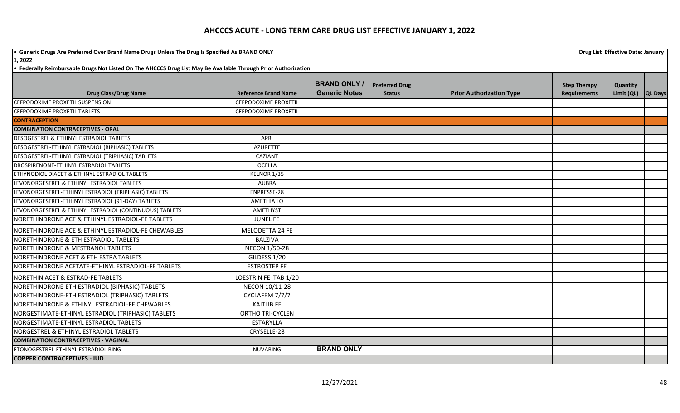**•** Generic Drugs Are Preferred Over Brand Name Drugs Unless The Drug Is Specified As BRAND ONLY **Drug List Effective Date: January Drug List Effective Date: January** 

**1, 2022**

|                                                         |                             | <b>BRAND ONLY</b>    | <b>Preferred Drug</b> |                                 | <b>Step Therapy</b> | Quantity           |  |
|---------------------------------------------------------|-----------------------------|----------------------|-----------------------|---------------------------------|---------------------|--------------------|--|
| <b>Drug Class/Drug Name</b>                             | <b>Reference Brand Name</b> | <b>Generic Notes</b> | <b>Status</b>         | <b>Prior Authorization Type</b> | <b>Requirements</b> | Limit (QL) QL Days |  |
| CEFPODOXIME PROXETIL SUSPENSION                         | <b>CEFPODOXIME PROXETIL</b> |                      |                       |                                 |                     |                    |  |
| CEFPODOXIME PROXETIL TABLETS                            | <b>CEFPODOXIME PROXETIL</b> |                      |                       |                                 |                     |                    |  |
| <b>CONTRACEPTION</b>                                    |                             |                      |                       |                                 |                     |                    |  |
| <b>COMBINATION CONTRACEPTIVES - ORAL</b>                |                             |                      |                       |                                 |                     |                    |  |
| DESOGESTREL & ETHINYL ESTRADIOL TABLETS                 | APRI                        |                      |                       |                                 |                     |                    |  |
| DESOGESTREL-ETHINYL ESTRADIOL (BIPHASIC) TABLETS        | <b>AZURETTE</b>             |                      |                       |                                 |                     |                    |  |
| DESOGESTREL-ETHINYL ESTRADIOL (TRIPHASIC) TABLETS       | CAZIANT                     |                      |                       |                                 |                     |                    |  |
| DROSPIRENONE-ETHINYL ESTRADIOL TABLETS                  | <b>OCELLA</b>               |                      |                       |                                 |                     |                    |  |
| ETHYNODIOL DIACET & ETHINYL ESTRADIOL TABLETS           | KELNOR 1/35                 |                      |                       |                                 |                     |                    |  |
| LEVONORGESTREL & ETHINYL ESTRADIOL TABLETS              | <b>AUBRA</b>                |                      |                       |                                 |                     |                    |  |
| LEVONORGESTREL-ETHINYL ESTRADIOL (TRIPHASIC) TABLETS    | ENPRESSE-28                 |                      |                       |                                 |                     |                    |  |
| LEVONORGESTREL-ETHINYL ESTRADIOL (91-DAY) TABLETS       | <b>AMETHIA LO</b>           |                      |                       |                                 |                     |                    |  |
| LEVONORGESTREL & ETHINYL ESTRADIOL (CONTINUOUS) TABLETS | AMETHYST                    |                      |                       |                                 |                     |                    |  |
| NORETHINDRONE ACE & ETHINYL ESTRADIOL-FE TABLETS        | <b>JUNEL FE</b>             |                      |                       |                                 |                     |                    |  |
| NORETHINDRONE ACE & ETHINYL ESTRADIOL-FE CHEWABLES      | MELODETTA 24 FE             |                      |                       |                                 |                     |                    |  |
| NORETHINDRONE & ETH ESTRADIOL TABLETS                   | <b>BALZIVA</b>              |                      |                       |                                 |                     |                    |  |
| <b>NORETHINDRONE &amp; MESTRANOL TABLETS</b>            | <b>NECON 1/50-28</b>        |                      |                       |                                 |                     |                    |  |
| NORETHINDRONE ACET & ETH ESTRA TABLETS                  | GILDESS 1/20                |                      |                       |                                 |                     |                    |  |
| NORETHINDRONE ACETATE-ETHINYL ESTRADIOL-FE TABLETS      | <b>ESTROSTEP FE</b>         |                      |                       |                                 |                     |                    |  |
| NORETHIN ACET & ESTRAD-FE TABLETS                       | LOESTRIN FE TAB 1/20        |                      |                       |                                 |                     |                    |  |
| NORETHINDRONE-ETH ESTRADIOL (BIPHASIC) TABLETS          | NECON 10/11-28              |                      |                       |                                 |                     |                    |  |
| NORETHINDRONE-ETH ESTRADIOL (TRIPHASIC) TABLETS         | CYCLAFEM 7/7/7              |                      |                       |                                 |                     |                    |  |
| NORETHINDRONE & ETHINYL ESTRADIOL-FE CHEWABLES          | <b>KAITLIB FE</b>           |                      |                       |                                 |                     |                    |  |
| NORGESTIMATE-ETHINYL ESTRADIOL (TRIPHASIC) TABLETS      | <b>ORTHO TRI-CYCLEN</b>     |                      |                       |                                 |                     |                    |  |
| NORGESTIMATE-ETHINYL ESTRADIOL TABLETS                  | <b>ESTARYLLA</b>            |                      |                       |                                 |                     |                    |  |
| NORGESTREL & ETHINYL ESTRADIOL TABLETS                  | CRYSELLE-28                 |                      |                       |                                 |                     |                    |  |
| <b>COMBINATION CONTRACEPTIVES - VAGINAL</b>             |                             |                      |                       |                                 |                     |                    |  |
| ETONOGESTREL-ETHINYL ESTRADIOL RING                     | <b>NUVARING</b>             | <b>BRAND ONLY</b>    |                       |                                 |                     |                    |  |
| <b>COPPER CONTRACEPTIVES - IUD</b>                      |                             |                      |                       |                                 |                     |                    |  |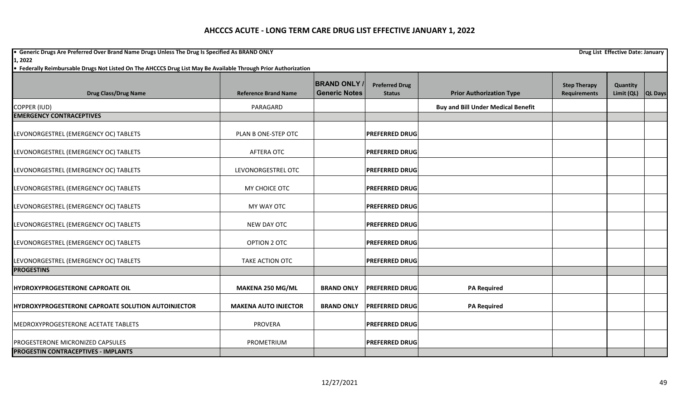**•** Generic Drugs Are Preferred Over Brand Name Drugs Unless The Drug Is Specified As BRAND ONLY **Drug List Effective Date: January Drug List Effective Date: January 1, 2022**

| <b>Drug Class/Drug Name</b>                        | <b>Reference Brand Name</b> | <b>BRAND ONLY</b><br><b>Generic Notes</b> | <b>Preferred Drug</b><br><b>Status</b> | <b>Prior Authorization Type</b>           | <b>Step Therapy</b><br><b>Requirements</b> | Quantity<br>Limit (QL) | <b>QL Days</b> |
|----------------------------------------------------|-----------------------------|-------------------------------------------|----------------------------------------|-------------------------------------------|--------------------------------------------|------------------------|----------------|
| COPPER (IUD)                                       | PARAGARD                    |                                           |                                        | <b>Buy and Bill Under Medical Benefit</b> |                                            |                        |                |
| <b>EMERGENCY CONTRACEPTIVES</b>                    |                             |                                           |                                        |                                           |                                            |                        |                |
| LEVONORGESTREL (EMERGENCY OC) TABLETS              | PLAN B ONE-STEP OTC         |                                           | <b>PREFERRED DRUG</b>                  |                                           |                                            |                        |                |
| LEVONORGESTREL (EMERGENCY OC) TABLETS              | AFTERA OTC                  |                                           | <b>PREFERRED DRUG</b>                  |                                           |                                            |                        |                |
| LEVONORGESTREL (EMERGENCY OC) TABLETS              | LEVONORGESTREL OTC          |                                           | <b>PREFERRED DRUG</b>                  |                                           |                                            |                        |                |
| LEVONORGESTREL (EMERGENCY OC) TABLETS              | MY CHOICE OTC               |                                           | <b>PREFERRED DRUG</b>                  |                                           |                                            |                        |                |
| LEVONORGESTREL (EMERGENCY OC) TABLETS              | MY WAY OTC                  |                                           | <b>PREFERRED DRUG</b>                  |                                           |                                            |                        |                |
| LEVONORGESTREL (EMERGENCY OC) TABLETS              | NEW DAY OTC                 |                                           | <b>PREFERRED DRUG</b>                  |                                           |                                            |                        |                |
| LEVONORGESTREL (EMERGENCY OC) TABLETS              | OPTION 2 OTC                |                                           | <b>PREFERRED DRUG</b>                  |                                           |                                            |                        |                |
| LEVONORGESTREL (EMERGENCY OC) TABLETS              | TAKE ACTION OTC             |                                           | <b>PREFERRED DRUG</b>                  |                                           |                                            |                        |                |
| <b>PROGESTINS</b>                                  |                             |                                           |                                        |                                           |                                            |                        |                |
| HYDROXYPROGESTERONE CAPROATE OIL                   | MAKENA 250 MG/ML            | <b>BRAND ONLY</b>                         | <b>PREFERRED DRUG</b>                  | <b>PA Required</b>                        |                                            |                        |                |
| HYDROXYPROGESTERONE CAPROATE SOLUTION AUTOINJECTOR | <b>MAKENA AUTO INJECTOR</b> | <b>BRAND ONLY</b>                         | <b>PREFERRED DRUG</b>                  | <b>PA Required</b>                        |                                            |                        |                |
| MEDROXYPROGESTERONE ACETATE TABLETS                | <b>PROVERA</b>              |                                           | <b>PREFERRED DRUG</b>                  |                                           |                                            |                        |                |
| <b>PROGESTERONE MICRONIZED CAPSULES</b>            | PROMETRIUM                  |                                           | <b>PREFERRED DRUG</b>                  |                                           |                                            |                        |                |
| <b>PROGESTIN CONTRACEPTIVES - IMPLANTS</b>         |                             |                                           |                                        |                                           |                                            |                        |                |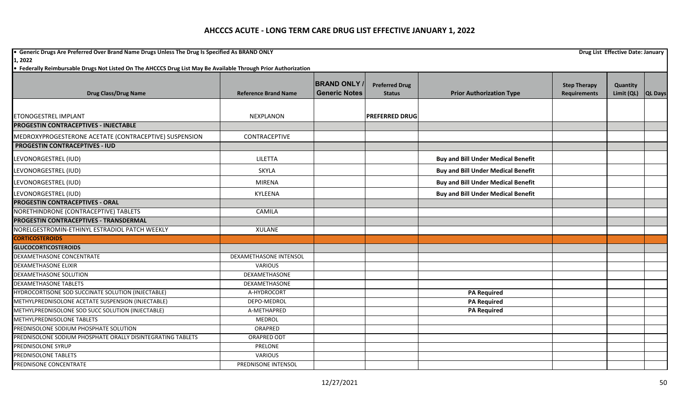**•** Generic Drugs Are Preferred Over Brand Name Drugs Unless The Drug Is Specified As BRAND ONLY **Drug List Effective Date: January Drug List Effective Date: January 1, 2022**

|                                                             |                             | <b>BRAND ONLY</b>    | <b>Preferred Drug</b> |                                           | <b>Step Therapy</b> | Quantity   |                |
|-------------------------------------------------------------|-----------------------------|----------------------|-----------------------|-------------------------------------------|---------------------|------------|----------------|
| <b>Drug Class/Drug Name</b>                                 | <b>Reference Brand Name</b> | <b>Generic Notes</b> | <b>Status</b>         | <b>Prior Authorization Type</b>           | <b>Requirements</b> | Limit (QL) | <b>QL Days</b> |
|                                                             |                             |                      |                       |                                           |                     |            |                |
| <b>ETONOGESTREL IMPLANT</b>                                 | NEXPLANON                   |                      | <b>PREFERRED DRUG</b> |                                           |                     |            |                |
| <b>PROGESTIN CONTRACEPTIVES - INJECTABLE</b>                |                             |                      |                       |                                           |                     |            |                |
| MEDROXYPROGESTERONE ACETATE (CONTRACEPTIVE) SUSPENSION      | CONTRACEPTIVE               |                      |                       |                                           |                     |            |                |
| <b>PROGESTIN CONTRACEPTIVES - IUD</b>                       |                             |                      |                       |                                           |                     |            |                |
| LEVONORGESTREL (IUD)                                        | LILETTA                     |                      |                       | <b>Buy and Bill Under Medical Benefit</b> |                     |            |                |
| LEVONORGESTREL (IUD)                                        | <b>SKYLA</b>                |                      |                       | <b>Buy and Bill Under Medical Benefit</b> |                     |            |                |
| LEVONORGESTREL (IUD)                                        | <b>MIRENA</b>               |                      |                       | <b>Buy and Bill Under Medical Benefit</b> |                     |            |                |
| LEVONORGESTREL (IUD)                                        | KYLEENA                     |                      |                       | <b>Buy and Bill Under Medical Benefit</b> |                     |            |                |
| <b>PROGESTIN CONTRACEPTIVES - ORAL</b>                      |                             |                      |                       |                                           |                     |            |                |
| NORETHINDRONE (CONTRACEPTIVE) TABLETS                       | CAMILA                      |                      |                       |                                           |                     |            |                |
| <b>PROGESTIN CONTRACEPTIVES - TRANSDERMAL</b>               |                             |                      |                       |                                           |                     |            |                |
| NORELGESTROMIN-ETHINYL ESTRADIOL PATCH WEEKLY               | <b>XULANE</b>               |                      |                       |                                           |                     |            |                |
| <b>CORTICOSTEROIDS</b>                                      |                             |                      |                       |                                           |                     |            |                |
| <b>GLUCOCORTICOSTEROIDS</b>                                 |                             |                      |                       |                                           |                     |            |                |
| DEXAMETHASONE CONCENTRATE                                   | DEXAMETHASONE INTENSOL      |                      |                       |                                           |                     |            |                |
| <b>DEXAMETHASONE ELIXIR</b>                                 | <b>VARIOUS</b>              |                      |                       |                                           |                     |            |                |
| DEXAMETHASONE SOLUTION                                      | DEXAMETHASONE               |                      |                       |                                           |                     |            |                |
| <b>DEXAMETHASONE TABLETS</b>                                | DEXAMETHASONE               |                      |                       |                                           |                     |            |                |
| HYDROCORTISONE SOD SUCCINATE SOLUTION (INJECTABLE)          | A-HYDROCORT                 |                      |                       | <b>PA Required</b>                        |                     |            |                |
| METHYLPREDNISOLONE ACETATE SUSPENSION (INJECTABLE)          | DEPO-MEDROL                 |                      |                       | <b>PA Required</b>                        |                     |            |                |
| METHYLPREDNISOLONE SOD SUCC SOLUTION (INJECTABLE)           | A-METHAPRED                 |                      |                       | <b>PA Required</b>                        |                     |            |                |
| METHYLPREDNISOLONE TABLETS                                  | <b>MEDROL</b>               |                      |                       |                                           |                     |            |                |
| PREDNISOLONE SODIUM PHOSPHATE SOLUTION                      | ORAPRED                     |                      |                       |                                           |                     |            |                |
| PREDNISOLONE SODIUM PHOSPHATE ORALLY DISINTEGRATING TABLETS | <b>ORAPRED ODT</b>          |                      |                       |                                           |                     |            |                |
| PREDNISOLONE SYRUP                                          | PRELONE                     |                      |                       |                                           |                     |            |                |
| PREDNISOLONE TABLETS                                        | <b>VARIOUS</b>              |                      |                       |                                           |                     |            |                |
| PREDNISONE CONCENTRATE                                      | PREDNISONE INTENSOL         |                      |                       |                                           |                     |            |                |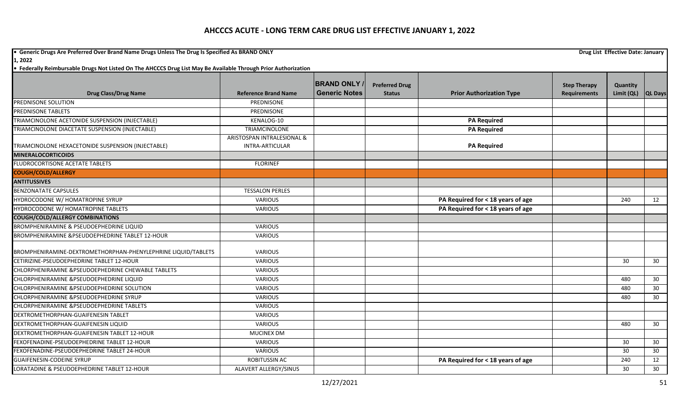**•** Generic Drugs Are Preferred Over Brand Name Drugs Unless The Drug Is Specified As BRAND ONLY **Drug List Effective Date: January Drug List Effective Date: January** 

**1, 2022**

|                                                               |                             | <b>BRAND ONLY</b>    | <b>Preferred Drug</b> |                                   | <b>Step Therapy</b> | Quantity   |                |
|---------------------------------------------------------------|-----------------------------|----------------------|-----------------------|-----------------------------------|---------------------|------------|----------------|
| <b>Drug Class/Drug Name</b>                                   | <b>Reference Brand Name</b> | <b>Generic Notes</b> | <b>Status</b>         | <b>Prior Authorization Type</b>   | <b>Requirements</b> | Limit (QL) | <b>QL Days</b> |
| PREDNISONE SOLUTION                                           | PREDNISONE                  |                      |                       |                                   |                     |            |                |
| <b>PREDNISONE TABLETS</b>                                     | PREDNISONE                  |                      |                       |                                   |                     |            |                |
| TRIAMCINOLONE ACETONIDE SUSPENSION (INJECTABLE)               | KENALOG-10                  |                      |                       | <b>PA Required</b>                |                     |            |                |
| TRIAMCINOLONE DIACETATE SUSPENSION (INJECTABLE)               | TRIAMCINOLONE               |                      |                       | <b>PA Required</b>                |                     |            |                |
|                                                               | ARISTOSPAN INTRALESIONAL &  |                      |                       |                                   |                     |            |                |
| TRIAMCINOLONE HEXACETONIDE SUSPENSION (INJECTABLE)            | INTRA-ARTICULAR             |                      |                       | <b>PA Required</b>                |                     |            |                |
| <b>MINERALOCORTICOIDS</b>                                     |                             |                      |                       |                                   |                     |            |                |
| FLUDROCORTISONE ACETATE TABLETS                               | <b>FLORINEF</b>             |                      |                       |                                   |                     |            |                |
| <b>COUGH/COLD/ALLERGY</b>                                     |                             |                      |                       |                                   |                     |            |                |
| <b>ANTITUSSIVES</b>                                           |                             |                      |                       |                                   |                     |            |                |
| <b>BENZONATATE CAPSULES</b>                                   | <b>TESSALON PERLES</b>      |                      |                       |                                   |                     |            |                |
| HYDROCODONE W/ HOMATROPINE SYRUP                              | <b>VARIOUS</b>              |                      |                       | PA Required for < 18 years of age |                     | 240        | 12             |
| HYDROCODONE W/ HOMATROPINE TABLETS                            | <b>VARIOUS</b>              |                      |                       | PA Required for < 18 years of age |                     |            |                |
| <b>COUGH/COLD/ALLERGY COMBINATIONS</b>                        |                             |                      |                       |                                   |                     |            |                |
| BROMPHENIRAMINE & PSEUDOEPHEDRINE LIQUID                      | <b>VARIOUS</b>              |                      |                       |                                   |                     |            |                |
| BROMPHENIRAMINE &PSEUDOEPHEDRINE TABLET 12-HOUR               | <b>VARIOUS</b>              |                      |                       |                                   |                     |            |                |
| BROMPHENIRAMINE-DEXTROMETHORPHAN-PHENYLEPHRINE LIQUID/TABLETS | <b>VARIOUS</b>              |                      |                       |                                   |                     |            |                |
| CETIRIZINE-PSEUDOEPHEDRINE TABLET 12-HOUR                     | <b>VARIOUS</b>              |                      |                       |                                   |                     | 30         | 30             |
| CHLORPHENIRAMINE & PSEUDOEPHEDRINE CHEWABLE TABLETS           | <b>VARIOUS</b>              |                      |                       |                                   |                     |            |                |
| CHLORPHENIRAMINE & PSEUDOEPHEDRINE LIQUID                     | <b>VARIOUS</b>              |                      |                       |                                   |                     | 480        | 30             |
| CHLORPHENIRAMINE & PSEUDOEPHEDRINE SOLUTION                   | <b>VARIOUS</b>              |                      |                       |                                   |                     | 480        | 30             |
| CHLORPHENIRAMINE & PSEUDOEPHEDRINE SYRUP                      | <b>VARIOUS</b>              |                      |                       |                                   |                     | 480        | 30             |
| CHLORPHENIRAMINE & PSEUDOEPHEDRINE TABLETS                    | <b>VARIOUS</b>              |                      |                       |                                   |                     |            |                |
| DEXTROMETHORPHAN-GUAIFENESIN TABLET                           | <b>VARIOUS</b>              |                      |                       |                                   |                     |            |                |
| DEXTROMETHORPHAN-GUAIFENESIN LIQUID                           | <b>VARIOUS</b>              |                      |                       |                                   |                     | 480        | 30             |
| DEXTROMETHORPHAN-GUAIFENESIN TABLET 12-HOUR                   | <b>MUCINEX DM</b>           |                      |                       |                                   |                     |            |                |
| FEXOFENADINE-PSEUDOEPHEDRINE TABLET 12-HOUR                   | <b>VARIOUS</b>              |                      |                       |                                   |                     | 30         | 30             |
| FEXOFENADINE-PSEUDOEPHEDRINE TABLET 24-HOUR                   | <b>VARIOUS</b>              |                      |                       |                                   |                     | 30         | 30             |
| <b>GUAIFENESIN-CODEINE SYRUP</b>                              | ROBITUSSIN AC               |                      |                       | PA Required for < 18 years of age |                     | 240        | 12             |
| LORATADINE & PSEUDOEPHEDRINE TABLET 12-HOUR                   | ALAVERT ALLERGY/SINUS       |                      |                       |                                   |                     | 30         | 30             |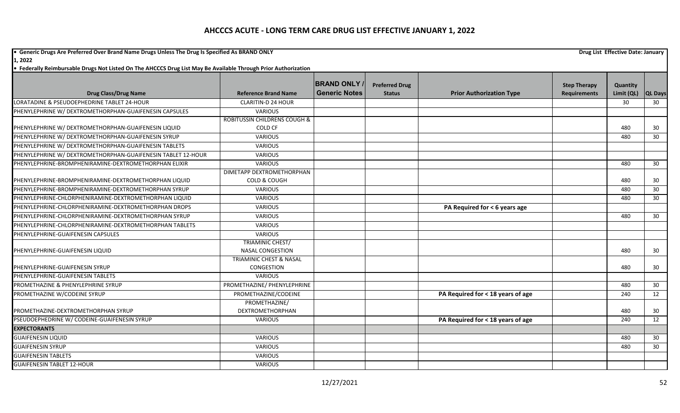**•** Generic Drugs Are Preferred Over Brand Name Drugs Unless The Drug Is Specified As BRAND ONLY **Drug List Effective Date: January Drug List Effective Date: January** 

**1, 2022**

|                                                              |                                                               | <b>BRAND ONLY</b>    | <b>Preferred Drug</b> |                                   | <b>Step Therapy</b> | Quantity   |                 |
|--------------------------------------------------------------|---------------------------------------------------------------|----------------------|-----------------------|-----------------------------------|---------------------|------------|-----------------|
| <b>Drug Class/Drug Name</b>                                  | <b>Reference Brand Name</b>                                   | <b>Generic Notes</b> | <b>Status</b>         | <b>Prior Authorization Type</b>   | <b>Requirements</b> | Limit (QL) | <b>QL Days</b>  |
| LORATADINE & PSEUDOEPHEDRINE TABLET 24-HOUR                  | <b>CLARITIN-D 24 HOUR</b>                                     |                      |                       |                                   |                     | 30         | 30 <sup>°</sup> |
| PHENYLEPHRINE W/ DEXTROMETHORPHAN-GUAIFENESIN CAPSULES       | <b>VARIOUS</b>                                                |                      |                       |                                   |                     |            |                 |
|                                                              | <b>ROBITUSSIN CHILDRENS COUGH &amp;</b>                       |                      |                       |                                   |                     |            |                 |
| PHENYLEPHRINE W/ DEXTROMETHORPHAN-GUAIFENESIN LIQUID         | <b>COLD CF</b>                                                |                      |                       |                                   |                     | 480        | 30              |
| PHENYLEPHRINE W/ DEXTROMETHORPHAN-GUAIFENESIN SYRUP          | VARIOUS                                                       |                      |                       |                                   |                     | 480        | 30              |
| PHENYLEPHRINE W/ DEXTROMETHORPHAN-GUAIFENESIN TABLETS        | <b>VARIOUS</b>                                                |                      |                       |                                   |                     |            |                 |
| PHENYLEPHRINE W/ DEXTROMETHORPHAN-GUAIFENESIN TABLET 12-HOUR | VARIOUS                                                       |                      |                       |                                   |                     |            |                 |
| PHENYLEPHRINE-BROMPHENIRAMINE-DEXTROMETHORPHAN ELIXIR        | <b>VARIOUS</b>                                                |                      |                       |                                   |                     | 480        | 30              |
| PHENYLEPHRINE-BROMPHENIRAMINE-DEXTROMETHORPHAN LIQUID        | DIMETAPP DEXTROMETHORPHAN<br><b>COLD &amp; COUGH</b>          |                      |                       |                                   |                     | 480        | 30              |
| PHENYLEPHRINE-BROMPHENIRAMINE-DEXTROMETHORPHAN SYRUP         | <b>VARIOUS</b>                                                |                      |                       |                                   |                     | 480        | 30              |
| PHENYLEPHRINE-CHLORPHENIRAMINE-DEXTROMETHORPHAN LIQUID       | <b>VARIOUS</b>                                                |                      |                       |                                   |                     | 480        | 30              |
|                                                              |                                                               |                      |                       |                                   |                     |            |                 |
| PHENYLEPHRINE-CHLORPHENIRAMINE-DEXTROMETHORPHAN DROPS        | VARIOUS                                                       |                      |                       | PA Required for < 6 years age     |                     |            |                 |
| PHENYLEPHRINE-CHLORPHENIRAMINE-DEXTROMETHORPHAN SYRUP        | <b>VARIOUS</b>                                                |                      |                       |                                   |                     | 480        | 30              |
| PHENYLEPHRINE-CHLORPHENIRAMINE-DEXTROMETHORPHAN TABLETS      | <b>VARIOUS</b>                                                |                      |                       |                                   |                     |            |                 |
| PHENYLEPHRINE-GUAIFENESIN CAPSULES                           | <b>VARIOUS</b>                                                |                      |                       |                                   |                     |            |                 |
|                                                              | <b>TRIAMINIC CHEST/</b>                                       |                      |                       |                                   |                     |            |                 |
| PHENYLEPHRINE-GUAIFENESIN LIQUID                             | <b>NASAL CONGESTION</b><br><b>TRIAMINIC CHEST &amp; NASAL</b> |                      |                       |                                   |                     | 480        | 30              |
| PHENYLEPHRINE-GUAIFENESIN SYRUP                              | CONGESTION                                                    |                      |                       |                                   |                     | 480        | 30              |
| PHENYLEPHRINE-GUAIFENESIN TABLETS                            | <b>VARIOUS</b>                                                |                      |                       |                                   |                     |            |                 |
| PROMETHAZINE & PHENYLEPHRINE SYRUP                           | PROMETHAZINE/ PHENYLEPHRINE                                   |                      |                       |                                   |                     | 480        | 30              |
| PROMETHAZINE W/CODEINE SYRUP                                 | PROMETHAZINE/CODEINE                                          |                      |                       | PA Required for < 18 years of age |                     | 240        | 12              |
|                                                              | PROMETHAZINE/                                                 |                      |                       |                                   |                     |            |                 |
| PROMETHAZINE-DEXTROMETHORPHAN SYRUP                          | <b>DEXTROMETHORPHAN</b>                                       |                      |                       |                                   |                     | 480        | 30              |
| PSEUDOEPHEDRINE W/ CODEINE-GUAIFENESIN SYRUP                 | <b>VARIOUS</b>                                                |                      |                       | PA Required for < 18 years of age |                     | 240        | 12              |
| <b>EXPECTORANTS</b>                                          |                                                               |                      |                       |                                   |                     |            |                 |
| <b>GUAIFENESIN LIQUID</b>                                    | <b>VARIOUS</b>                                                |                      |                       |                                   |                     | 480        | 30              |
| <b>GUAIFENESIN SYRUP</b>                                     | <b>VARIOUS</b>                                                |                      |                       |                                   |                     | 480        | 30              |
| <b>GUAIFENESIN TABLETS</b>                                   | VARIOUS                                                       |                      |                       |                                   |                     |            |                 |
| <b>GUAIFENESIN TABLET 12-HOUR</b>                            | VARIOUS                                                       |                      |                       |                                   |                     |            |                 |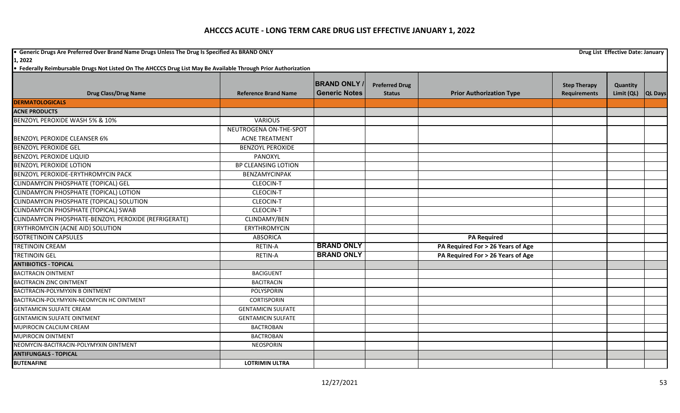**•** Generic Drugs Are Preferred Over Brand Name Drugs Unless The Drug Is Specified As BRAND ONLY **Drug List Effective Date: January Drug List Effective Date: January 1, 2022**

| <b>Drug Class/Drug Name</b>                          | <b>Reference Brand Name</b> | <b>BRAND ONLY</b><br><b>Generic Notes</b> | <b>Preferred Drug</b><br><b>Status</b> | <b>Prior Authorization Type</b>   | <b>Step Therapy</b><br><b>Requirements</b> | Quantity<br>Limit (QL) | <b>QL Days</b> |
|------------------------------------------------------|-----------------------------|-------------------------------------------|----------------------------------------|-----------------------------------|--------------------------------------------|------------------------|----------------|
| <b>DERMATOLOGICALS</b>                               |                             |                                           |                                        |                                   |                                            |                        |                |
| <b>ACNE PRODUCTS</b>                                 |                             |                                           |                                        |                                   |                                            |                        |                |
| BENZOYL PEROXIDE WASH 5% & 10%                       | <b>VARIOUS</b>              |                                           |                                        |                                   |                                            |                        |                |
|                                                      | NEUTROGENA ON-THE-SPOT      |                                           |                                        |                                   |                                            |                        |                |
| <b>BENZOYL PEROXIDE CLEANSER 6%</b>                  | <b>ACNE TREATMENT</b>       |                                           |                                        |                                   |                                            |                        |                |
| <b>BENZOYL PEROXIDE GEL</b>                          | <b>BENZOYL PEROXIDE</b>     |                                           |                                        |                                   |                                            |                        |                |
| <b>BENZOYL PEROXIDE LIQUID</b>                       | PANOXYL                     |                                           |                                        |                                   |                                            |                        |                |
| <b>BENZOYL PEROXIDE LOTION</b>                       | <b>BP CLEANSING LOTION</b>  |                                           |                                        |                                   |                                            |                        |                |
| BENZOYL PEROXIDE-ERYTHROMYCIN PACK                   | <b>BENZAMYCINPAK</b>        |                                           |                                        |                                   |                                            |                        |                |
| CLINDAMYCIN PHOSPHATE (TOPICAL) GEL                  | <b>CLEOCIN-T</b>            |                                           |                                        |                                   |                                            |                        |                |
| CLINDAMYCIN PHOSPHATE (TOPICAL) LOTION               | <b>CLEOCIN-T</b>            |                                           |                                        |                                   |                                            |                        |                |
| CLINDAMYCIN PHOSPHATE (TOPICAL) SOLUTION             | <b>CLEOCIN-T</b>            |                                           |                                        |                                   |                                            |                        |                |
| CLINDAMYCIN PHOSPHATE (TOPICAL) SWAB                 | <b>CLEOCIN-T</b>            |                                           |                                        |                                   |                                            |                        |                |
| CLINDAMYCIN PHOSPHATE-BENZOYL PEROXIDE (REFRIGERATE) | CLINDAMY/BEN                |                                           |                                        |                                   |                                            |                        |                |
| ERYTHROMYCIN (ACNE AID) SOLUTION                     | <b>ERYTHROMYCIN</b>         |                                           |                                        |                                   |                                            |                        |                |
| <b>ISOTRETINOIN CAPSULES</b>                         | <b>ABSORICA</b>             |                                           |                                        | <b>PA Required</b>                |                                            |                        |                |
| <b>TRETINOIN CREAM</b>                               | <b>RETIN-A</b>              | <b>BRAND ONLY</b>                         |                                        | PA Required For > 26 Years of Age |                                            |                        |                |
| <b>TRETINOIN GEL</b>                                 | <b>RETIN-A</b>              | <b>BRAND ONLY</b>                         |                                        | PA Required For > 26 Years of Age |                                            |                        |                |
| <b>ANTIBIOTICS - TOPICAL</b>                         |                             |                                           |                                        |                                   |                                            |                        |                |
| <b>BACITRACIN OINTMENT</b>                           | <b>BACIGUENT</b>            |                                           |                                        |                                   |                                            |                        |                |
| <b>BACITRACIN ZINC OINTMENT</b>                      | <b>BACITRACIN</b>           |                                           |                                        |                                   |                                            |                        |                |
| <b>BACITRACIN-POLYMYXIN B OINTMENT</b>               | POLYSPORIN                  |                                           |                                        |                                   |                                            |                        |                |
| BACITRACIN-POLYMYXIN-NEOMYCIN HC OINTMENT            | <b>CORTISPORIN</b>          |                                           |                                        |                                   |                                            |                        |                |
| <b>GENTAMICIN SULFATE CREAM</b>                      | <b>GENTAMICIN SULFATE</b>   |                                           |                                        |                                   |                                            |                        |                |
| <b>GENTAMICIN SULFATE OINTMENT</b>                   | <b>GENTAMICIN SULFATE</b>   |                                           |                                        |                                   |                                            |                        |                |
| MUPIROCIN CALCIUM CREAM                              | <b>BACTROBAN</b>            |                                           |                                        |                                   |                                            |                        |                |
| <b>MUPIROCIN OINTMENT</b>                            | <b>BACTROBAN</b>            |                                           |                                        |                                   |                                            |                        |                |
| NEOMYCIN-BACITRACIN-POLYMYXIN OINTMENT               | <b>NEOSPORIN</b>            |                                           |                                        |                                   |                                            |                        |                |
| <b>ANTIFUNGALS - TOPICAL</b>                         |                             |                                           |                                        |                                   |                                            |                        |                |
| <b>BUTENAFINE</b>                                    | <b>LOTRIMIN ULTRA</b>       |                                           |                                        |                                   |                                            |                        |                |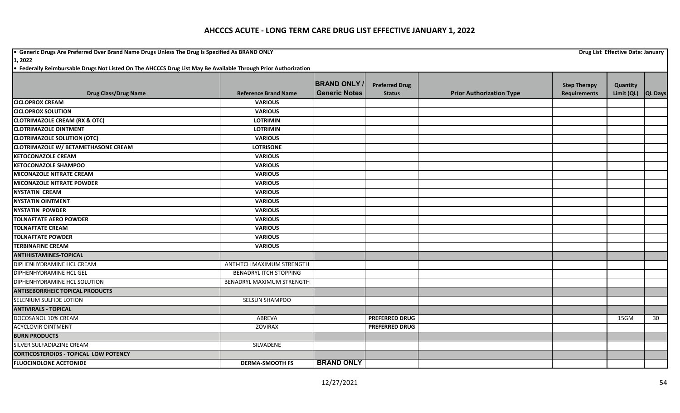**•** Generic Drugs Are Preferred Over Brand Name Drugs Unless The Drug Is Specified As BRAND ONLY **Drug List Effective Date: January Drug List Effective Date: January** 

**1, 2022**

|                                              |                                   | <b>BRAND ONLY</b>    | <b>Preferred Drug</b> |                                 | <b>Step Therapy</b> | Quantity   |                |
|----------------------------------------------|-----------------------------------|----------------------|-----------------------|---------------------------------|---------------------|------------|----------------|
| <b>Drug Class/Drug Name</b>                  | <b>Reference Brand Name</b>       | <b>Generic Notes</b> | <b>Status</b>         | <b>Prior Authorization Type</b> | <b>Requirements</b> | Limit (QL) | <b>QL Days</b> |
| <b>CICLOPROX CREAM</b>                       | <b>VARIOUS</b>                    |                      |                       |                                 |                     |            |                |
| <b>CICLOPROX SOLUTION</b>                    | <b>VARIOUS</b>                    |                      |                       |                                 |                     |            |                |
| <b>CLOTRIMAZOLE CREAM (RX &amp; OTC)</b>     | <b>LOTRIMIN</b>                   |                      |                       |                                 |                     |            |                |
| <b>CLOTRIMAZOLE OINTMENT</b>                 | <b>LOTRIMIN</b>                   |                      |                       |                                 |                     |            |                |
| <b>CLOTRIMAZOLE SOLUTION (OTC)</b>           | <b>VARIOUS</b>                    |                      |                       |                                 |                     |            |                |
| <b>CLOTRIMAZOLE W/ BETAMETHASONE CREAM</b>   | <b>LOTRISONE</b>                  |                      |                       |                                 |                     |            |                |
| <b>KETOCONAZOLE CREAM</b>                    | <b>VARIOUS</b>                    |                      |                       |                                 |                     |            |                |
| <b>KETOCONAZOLE SHAMPOO</b>                  | <b>VARIOUS</b>                    |                      |                       |                                 |                     |            |                |
| <b>MICONAZOLE NITRATE CREAM</b>              | <b>VARIOUS</b>                    |                      |                       |                                 |                     |            |                |
| <b>MICONAZOLE NITRATE POWDER</b>             | <b>VARIOUS</b>                    |                      |                       |                                 |                     |            |                |
| <b>NYSTATIN CREAM</b>                        | <b>VARIOUS</b>                    |                      |                       |                                 |                     |            |                |
| <b>NYSTATIN OINTMENT</b>                     | <b>VARIOUS</b>                    |                      |                       |                                 |                     |            |                |
| <b>NYSTATIN POWDER</b>                       | <b>VARIOUS</b>                    |                      |                       |                                 |                     |            |                |
| <b>TOLNAFTATE AERO POWDER</b>                | <b>VARIOUS</b>                    |                      |                       |                                 |                     |            |                |
| <b>TOLNAFTATE CREAM</b>                      | <b>VARIOUS</b>                    |                      |                       |                                 |                     |            |                |
| <b>TOLNAFTATE POWDER</b>                     | <b>VARIOUS</b>                    |                      |                       |                                 |                     |            |                |
| <b>TERBINAFINE CREAM</b>                     | <b>VARIOUS</b>                    |                      |                       |                                 |                     |            |                |
| <b>ANTIHISTAMINES-TOPICAL</b>                |                                   |                      |                       |                                 |                     |            |                |
| DIPHENHYDRAMINE HCL CREAM                    | <b>ANTI-ITCH MAXIMUM STRENGTH</b> |                      |                       |                                 |                     |            |                |
| DIPHENHYDRAMINE HCL GEL                      | <b>BENADRYL ITCH STOPPING</b>     |                      |                       |                                 |                     |            |                |
| DIPHENHYDRAMINE HCL SOLUTION                 | BENADRYL MAXIMUM STRENGTH         |                      |                       |                                 |                     |            |                |
| <b>ANTISEBORRHEIC TOPICAL PRODUCTS</b>       |                                   |                      |                       |                                 |                     |            |                |
| SELENIUM SULFIDE LOTION                      | SELSUN SHAMPOO                    |                      |                       |                                 |                     |            |                |
| <b>ANTIVIRALS - TOPICAL</b>                  |                                   |                      |                       |                                 |                     |            |                |
| DOCOSANOL 10% CREAM                          | ABREVA                            |                      | <b>PREFERRED DRUG</b> |                                 |                     | 15GM       | 30             |
| <b>ACYCLOVIR OINTMENT</b>                    | <b>ZOVIRAX</b>                    |                      | <b>PREFERRED DRUG</b> |                                 |                     |            |                |
| <b>BURN PRODUCTS</b>                         |                                   |                      |                       |                                 |                     |            |                |
| SILVER SULFADIAZINE CREAM                    | SILVADENE                         |                      |                       |                                 |                     |            |                |
| <b>CORTICOSTEROIDS - TOPICAL LOW POTENCY</b> |                                   |                      |                       |                                 |                     |            |                |
| <b>FLUOCINOLONE ACETONIDE</b>                | <b>DERMA-SMOOTH FS</b>            | <b>BRAND ONLY</b>    |                       |                                 |                     |            |                |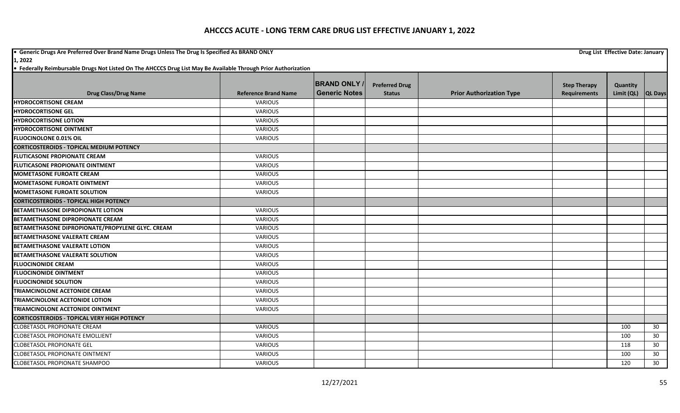**•** Generic Drugs Are Preferred Over Brand Name Drugs Unless The Drug Is Specified As BRAND ONLY **Drug List Effective Date: January Drug List Effective Date: January** 

**1, 2022**

|                                                    |                             | <b>BRAND ONLY</b>    | <b>Preferred Drug</b> |                                 |                                            |                        |                |
|----------------------------------------------------|-----------------------------|----------------------|-----------------------|---------------------------------|--------------------------------------------|------------------------|----------------|
| <b>Drug Class/Drug Name</b>                        | <b>Reference Brand Name</b> | <b>Generic Notes</b> | <b>Status</b>         | <b>Prior Authorization Type</b> | <b>Step Therapy</b><br><b>Requirements</b> | Quantity<br>Limit (QL) | <b>QL Days</b> |
| <b>HYDROCORTISONE CREAM</b>                        | <b>VARIOUS</b>              |                      |                       |                                 |                                            |                        |                |
| <b>HYDROCORTISONE GEL</b>                          | <b>VARIOUS</b>              |                      |                       |                                 |                                            |                        |                |
| <b>HYDROCORTISONE LOTION</b>                       | <b>VARIOUS</b>              |                      |                       |                                 |                                            |                        |                |
| <b>HYDROCORTISONE OINTMENT</b>                     | <b>VARIOUS</b>              |                      |                       |                                 |                                            |                        |                |
| <b>FLUOCINOLONE 0.01% OIL</b>                      | <b>VARIOUS</b>              |                      |                       |                                 |                                            |                        |                |
| <b>CORTICOSTEROIDS - TOPICAL MEDIUM POTENCY</b>    |                             |                      |                       |                                 |                                            |                        |                |
| <b>FLUTICASONE PROPIONATE CREAM</b>                | <b>VARIOUS</b>              |                      |                       |                                 |                                            |                        |                |
| <b>FLUTICASONE PROPIONATE OINTMENT</b>             | <b>VARIOUS</b>              |                      |                       |                                 |                                            |                        |                |
| <b>MOMETASONE FUROATE CREAM</b>                    | <b>VARIOUS</b>              |                      |                       |                                 |                                            |                        |                |
| <b>MOMETASONE FUROATE OINTMENT</b>                 | VARIOUS                     |                      |                       |                                 |                                            |                        |                |
| <b>MOMETASONE FUROATE SOLUTION</b>                 | VARIOUS                     |                      |                       |                                 |                                            |                        |                |
| <b>CORTICOSTEROIDS - TOPICAL HIGH POTENCY</b>      |                             |                      |                       |                                 |                                            |                        |                |
| <b>BETAMETHASONE DIPROPIONATE LOTION</b>           | <b>VARIOUS</b>              |                      |                       |                                 |                                            |                        |                |
| <b>BETAMETHASONE DIPROPIONATE CREAM</b>            | <b>VARIOUS</b>              |                      |                       |                                 |                                            |                        |                |
| BETAMETHASONE DIPROPIONATE/PROPYLENE GLYC. CREAM   | <b>VARIOUS</b>              |                      |                       |                                 |                                            |                        |                |
| <b>BETAMETHASONE VALERATE CREAM</b>                | <b>VARIOUS</b>              |                      |                       |                                 |                                            |                        |                |
| <b>BETAMETHASONE VALERATE LOTION</b>               | <b>VARIOUS</b>              |                      |                       |                                 |                                            |                        |                |
| <b>BETAMETHASONE VALERATE SOLUTION</b>             | <b>VARIOUS</b>              |                      |                       |                                 |                                            |                        |                |
| <b>FLUOCINONIDE CREAM</b>                          | <b>VARIOUS</b>              |                      |                       |                                 |                                            |                        |                |
| <b>FLUOCINONIDE OINTMENT</b>                       | VARIOUS                     |                      |                       |                                 |                                            |                        |                |
| <b>FLUOCINONIDE SOLUTION</b>                       | <b>VARIOUS</b>              |                      |                       |                                 |                                            |                        |                |
| TRIAMCINOLONE ACETONIDE CREAM                      | <b>VARIOUS</b>              |                      |                       |                                 |                                            |                        |                |
| <b>TRIAMCINOLONE ACETONIDE LOTION</b>              | <b>VARIOUS</b>              |                      |                       |                                 |                                            |                        |                |
| TRIAMCINOLONE ACETONIDE OINTMENT                   | <b>VARIOUS</b>              |                      |                       |                                 |                                            |                        |                |
| <b>CORTICOSTEROIDS - TOPICAL VERY HIGH POTENCY</b> |                             |                      |                       |                                 |                                            |                        |                |
| <b>CLOBETASOL PROPIONATE CREAM</b>                 | VARIOUS                     |                      |                       |                                 |                                            | 100                    | 30             |
| <b>CLOBETASOL PROPIONATE EMOLLIENT</b>             | <b>VARIOUS</b>              |                      |                       |                                 |                                            | 100                    | 30             |
| <b>CLOBETASOL PROPIONATE GEL</b>                   | VARIOUS                     |                      |                       |                                 |                                            | 118                    | 30             |
| <b>CLOBETASOL PROPIONATE OINTMENT</b>              | <b>VARIOUS</b>              |                      |                       |                                 |                                            | 100                    | 30             |
| <b>CLOBETASOL PROPIONATE SHAMPOO</b>               | <b>VARIOUS</b>              |                      |                       |                                 |                                            | 120                    | 30             |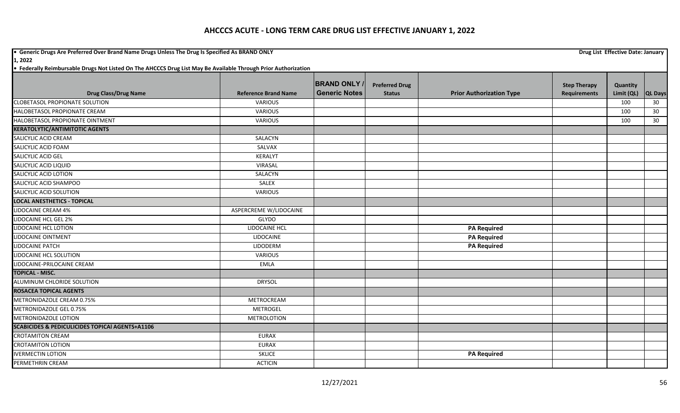**•** Generic Drugs Are Preferred Over Brand Name Drugs Unless The Drug Is Specified As BRAND ONLY **Drug List Effective Date: January Drug List Effective Date: January** 

**1, 2022**

|                                                            |                             | <b>BRAND ONLY</b>    | <b>Preferred Drug</b> |                                 | <b>Step Therapy</b> | Quantity   |                |
|------------------------------------------------------------|-----------------------------|----------------------|-----------------------|---------------------------------|---------------------|------------|----------------|
| <b>Drug Class/Drug Name</b>                                | <b>Reference Brand Name</b> | <b>Generic Notes</b> | <b>Status</b>         | <b>Prior Authorization Type</b> | <b>Requirements</b> | Limit (QL) | <b>QL Days</b> |
| <b>CLOBETASOL PROPIONATE SOLUTION</b>                      | <b>VARIOUS</b>              |                      |                       |                                 |                     | 100        | 30             |
| HALOBETASOL PROPIONATE CREAM                               | <b>VARIOUS</b>              |                      |                       |                                 |                     | 100        | 30             |
| HALOBETASOL PROPIONATE OINTMENT                            | <b>VARIOUS</b>              |                      |                       |                                 |                     | 100        | 30             |
| <b>KERATOLYTIC/ANTIMITOTIC AGENTS</b>                      |                             |                      |                       |                                 |                     |            |                |
| SALICYLIC ACID CREAM                                       | SALACYN                     |                      |                       |                                 |                     |            |                |
| SALICYLIC ACID FOAM                                        | SALVAX                      |                      |                       |                                 |                     |            |                |
| SALICYLIC ACID GEL                                         | <b>KERALYT</b>              |                      |                       |                                 |                     |            |                |
| SALICYLIC ACID LIQUID                                      | VIRASAL                     |                      |                       |                                 |                     |            |                |
| <b>SALICYLIC ACID LOTION</b>                               | SALACYN                     |                      |                       |                                 |                     |            |                |
| SALICYLIC ACID SHAMPOO                                     | SALEX                       |                      |                       |                                 |                     |            |                |
| SALICYLIC ACID SOLUTION                                    | <b>VARIOUS</b>              |                      |                       |                                 |                     |            |                |
| <b>LOCAL ANESTHETICS - TOPICAL</b>                         |                             |                      |                       |                                 |                     |            |                |
| <b>LIDOCAINE CREAM 4%</b>                                  | ASPERCREME W/LIDOCAINE      |                      |                       |                                 |                     |            |                |
| <b>LIDOCAINE HCL GEL 2%</b>                                | <b>GLYDO</b>                |                      |                       |                                 |                     |            |                |
| <b>LIDOCAINE HCL LOTION</b>                                | LIDOCAINE HCL               |                      |                       | <b>PA Required</b>              |                     |            |                |
| LIDOCAINE OINTMENT                                         | <b>LIDOCAINE</b>            |                      |                       | <b>PA Required</b>              |                     |            |                |
| LIDOCAINE PATCH                                            | LIDODERM                    |                      |                       | <b>PA Required</b>              |                     |            |                |
| LIDOCAINE HCL SOLUTION                                     | VARIOUS                     |                      |                       |                                 |                     |            |                |
| LIDOCAINE-PRILOCAINE CREAM                                 | <b>EMLA</b>                 |                      |                       |                                 |                     |            |                |
| <b>TOPICAL - MISC.</b>                                     |                             |                      |                       |                                 |                     |            |                |
| ALUMINUM CHLORIDE SOLUTION                                 | <b>DRYSOL</b>               |                      |                       |                                 |                     |            |                |
| <b>ROSACEA TOPICAL AGENTS</b>                              |                             |                      |                       |                                 |                     |            |                |
| METRONIDAZOLE CREAM 0.75%                                  | METROCREAM                  |                      |                       |                                 |                     |            |                |
| METRONIDAZOLE GEL 0.75%                                    | <b>METROGEL</b>             |                      |                       |                                 |                     |            |                |
| <b>METRONIDAZOLE LOTION</b>                                | <b>METROLOTION</b>          |                      |                       |                                 |                     |            |                |
| <b>SCABICIDES &amp; PEDICULICIDES TOPICAI AGENTS+A1106</b> |                             |                      |                       |                                 |                     |            |                |
| <b>CROTAMITON CREAM</b>                                    | <b>EURAX</b>                |                      |                       |                                 |                     |            |                |
| <b>CROTAMITON LOTION</b>                                   | <b>EURAX</b>                |                      |                       |                                 |                     |            |                |
| <b>IVERMECTIN LOTION</b>                                   | <b>SKLICE</b>               |                      |                       | <b>PA Required</b>              |                     |            |                |
| PERMETHRIN CREAM                                           | <b>ACTICIN</b>              |                      |                       |                                 |                     |            |                |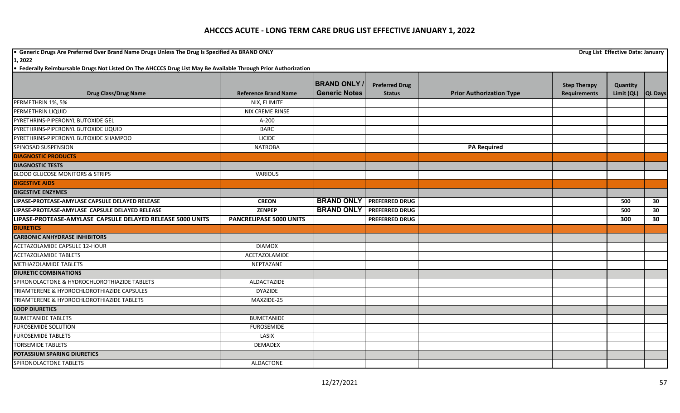**•** Generic Drugs Are Preferred Over Brand Name Drugs Unless The Drug Is Specified As BRAND ONLY **Drug List Effective Date: January Drug List Effective Date: January 1, 2022**

|                                                            |                                | <b>BRAND ONLY</b>    | <b>Preferred Drug</b> |                                 | <b>Step Therapy</b> | Quantity           |    |
|------------------------------------------------------------|--------------------------------|----------------------|-----------------------|---------------------------------|---------------------|--------------------|----|
| <b>Drug Class/Drug Name</b>                                | <b>Reference Brand Name</b>    | <b>Generic Notes</b> | <b>Status</b>         | <b>Prior Authorization Type</b> | <b>Requirements</b> | Limit (QL) QL Days |    |
| PERMETHRIN 1%, 5%                                          | NIX, ELIMITE                   |                      |                       |                                 |                     |                    |    |
| PERMETHRIN LIQUID                                          | <b>NIX CREME RINSE</b>         |                      |                       |                                 |                     |                    |    |
| PYRETHRINS-PIPERONYL BUTOXIDE GEL                          | A-200                          |                      |                       |                                 |                     |                    |    |
| PYRETHRINS-PIPERONYL BUTOXIDE LIQUID                       | <b>BARC</b>                    |                      |                       |                                 |                     |                    |    |
| PYRETHRINS-PIPERONYL BUTOXIDE SHAMPOO                      | <b>LICIDE</b>                  |                      |                       |                                 |                     |                    |    |
| SPINOSAD SUSPENSION                                        | <b>NATROBA</b>                 |                      |                       | <b>PA Required</b>              |                     |                    |    |
| <b>DIAGNOSTIC PRODUCTS</b>                                 |                                |                      |                       |                                 |                     |                    |    |
| <b>DIAGNOSTIC TESTS</b>                                    |                                |                      |                       |                                 |                     |                    |    |
| <b>BLOOD GLUCOSE MONITORS &amp; STRIPS</b>                 | <b>VARIOUS</b>                 |                      |                       |                                 |                     |                    |    |
| <b>DIGESTIVE AIDS</b>                                      |                                |                      |                       |                                 |                     |                    |    |
| <b>DIGESTIVE ENZYMES</b>                                   |                                |                      |                       |                                 |                     |                    |    |
| LIPASE-PROTEASE-AMYLASE CAPSULE DELAYED RELEASE            | <b>CREON</b>                   | <b>BRAND ONLY</b>    | <b>PREFERRED DRUG</b> |                                 |                     | 500                | 30 |
| LIPASE-PROTEASE-AMYLASE CAPSULE DELAYED RELEASE            | <b>ZENPEP</b>                  | <b>BRAND ONLY</b>    | <b>PREFERRED DRUG</b> |                                 |                     | 500                | 30 |
| LIPASE-PROTEASE-AMYLASE CAPSULE DELAYED RELEASE 5000 UNITS | <b>PANCRELIPASE 5000 UNITS</b> |                      | <b>PREFERRED DRUG</b> |                                 |                     | 300                | 30 |
| <b>DIURETICS</b>                                           |                                |                      |                       |                                 |                     |                    |    |
| <b>CARBONIC ANHYDRASE INHIBITORS</b>                       |                                |                      |                       |                                 |                     |                    |    |
| ACETAZOLAMIDE CAPSULE 12-HOUR                              | <b>DIAMOX</b>                  |                      |                       |                                 |                     |                    |    |
| <b>ACETAZOLAMIDE TABLETS</b>                               | ACETAZOLAMIDE                  |                      |                       |                                 |                     |                    |    |
| METHAZOLAMIDE TABLETS                                      | NEPTAZANE                      |                      |                       |                                 |                     |                    |    |
| <b>DIURETIC COMBINATIONS</b>                               |                                |                      |                       |                                 |                     |                    |    |
| SPIRONOLACTONE & HYDROCHLOROTHIAZIDE TABLETS               | ALDACTAZIDE                    |                      |                       |                                 |                     |                    |    |
| TRIAMTERENE & HYDROCHLOROTHIAZIDE CAPSULES                 | <b>DYAZIDE</b>                 |                      |                       |                                 |                     |                    |    |
| TRIAMTERENE & HYDROCHLOROTHIAZIDE TABLETS                  | MAXZIDE-25                     |                      |                       |                                 |                     |                    |    |
| <b>LOOP DIURETICS</b>                                      |                                |                      |                       |                                 |                     |                    |    |
| <b>BUMETANIDE TABLETS</b>                                  | <b>BUMETANIDE</b>              |                      |                       |                                 |                     |                    |    |
| <b>FUROSEMIDE SOLUTION</b>                                 | <b>FUROSEMIDE</b>              |                      |                       |                                 |                     |                    |    |
| <b>FUROSEMIDE TABLETS</b>                                  | LASIX                          |                      |                       |                                 |                     |                    |    |
| <b>TORSEMIDE TABLETS</b>                                   | <b>DEMADEX</b>                 |                      |                       |                                 |                     |                    |    |
| <b>POTASSIUM SPARING DIURETICS</b>                         |                                |                      |                       |                                 |                     |                    |    |
| SPIRONOLACTONE TABLETS                                     | ALDACTONE                      |                      |                       |                                 |                     |                    |    |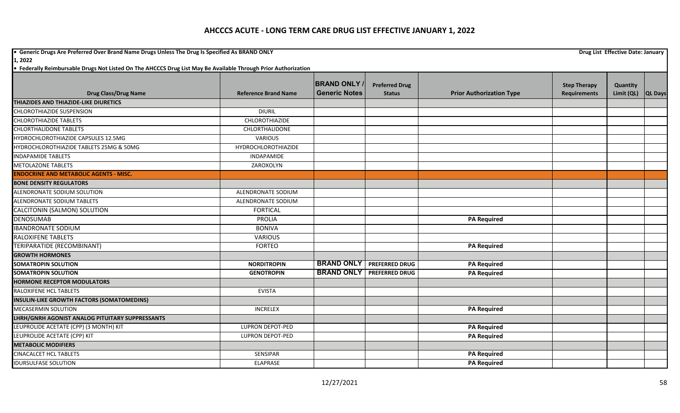**•** Generic Drugs Are Preferred Over Brand Name Drugs Unless The Drug Is Specified As BRAND ONLY **Drug List Effective Date: January Drug List Effective Date: January 1, 2022**

|                                                   |                             | <b>BRAND ONLY</b>    | <b>Preferred Drug</b> |                                 |                                            |                        |                |
|---------------------------------------------------|-----------------------------|----------------------|-----------------------|---------------------------------|--------------------------------------------|------------------------|----------------|
| <b>Drug Class/Drug Name</b>                       | <b>Reference Brand Name</b> | <b>Generic Notes</b> | <b>Status</b>         | <b>Prior Authorization Type</b> | <b>Step Therapy</b><br><b>Requirements</b> | Quantity<br>Limit (QL) | <b>QL Days</b> |
| <b>THIAZIDES AND THIAZIDE-LIKE DIURETICS</b>      |                             |                      |                       |                                 |                                            |                        |                |
| <b>CHLOROTHIAZIDE SUSPENSION</b>                  | <b>DIURIL</b>               |                      |                       |                                 |                                            |                        |                |
| <b>CHLOROTHIAZIDE TABLETS</b>                     | CHLOROTHIAZIDE              |                      |                       |                                 |                                            |                        |                |
| <b>CHLORTHALIDONE TABLETS</b>                     | CHLORTHALIDONE              |                      |                       |                                 |                                            |                        |                |
| HYDROCHLOROTHIAZIDE CAPSULES 12.5MG               | <b>VARIOUS</b>              |                      |                       |                                 |                                            |                        |                |
| HYDROCHLOROTHIAZIDE TABLETS 25MG & 50MG           | HYDROCHLOROTHIAZIDE         |                      |                       |                                 |                                            |                        |                |
| <b>INDAPAMIDE TABLETS</b>                         | <b>INDAPAMIDE</b>           |                      |                       |                                 |                                            |                        |                |
| <b>METOLAZONE TABLETS</b>                         | ZAROXOLYN                   |                      |                       |                                 |                                            |                        |                |
| <b>ENDOCRINE AND METABOLIC AGENTS - MISC.</b>     |                             |                      |                       |                                 |                                            |                        |                |
| <b>BONE DENSITY REGULATORS</b>                    |                             |                      |                       |                                 |                                            |                        |                |
| ALENDRONATE SODIUM SOLUTION                       | ALENDRONATE SODIUM          |                      |                       |                                 |                                            |                        |                |
| <b>ALENDRONATE SODIUM TABLETS</b>                 | ALENDRONATE SODIUM          |                      |                       |                                 |                                            |                        |                |
| CALCITONIN (SALMON) SOLUTION                      | <b>FORTICAL</b>             |                      |                       |                                 |                                            |                        |                |
| <b>DENOSUMAB</b>                                  | <b>PROLIA</b>               |                      |                       | <b>PA Required</b>              |                                            |                        |                |
| <b>IBANDRONATE SODIUM</b>                         | <b>BONIVA</b>               |                      |                       |                                 |                                            |                        |                |
| <b>RALOXIFENE TABLETS</b>                         | <b>VARIOUS</b>              |                      |                       |                                 |                                            |                        |                |
| TERIPARATIDE (RECOMBINANT)                        | <b>FORTEO</b>               |                      |                       | <b>PA Required</b>              |                                            |                        |                |
| <b>GROWTH HORMONES</b>                            |                             |                      |                       |                                 |                                            |                        |                |
| <b>SOMATROPIN SOLUTION</b>                        | <b>NORDITROPIN</b>          | <b>BRAND ONLY</b>    | <b>PREFERRED DRUG</b> | <b>PA Required</b>              |                                            |                        |                |
| <b>SOMATROPIN SOLUTION</b>                        | <b>GENOTROPIN</b>           | <b>BRAND ONLY</b>    | <b>PREFERRED DRUG</b> | <b>PA Required</b>              |                                            |                        |                |
| <b>HORMONE RECEPTOR MODULATORS</b>                |                             |                      |                       |                                 |                                            |                        |                |
| RALOXIFENE HCL TABLETS                            | <b>EVISTA</b>               |                      |                       |                                 |                                            |                        |                |
| <b>INSULIN-LIKE GROWTH FACTORS (SOMATOMEDINS)</b> |                             |                      |                       |                                 |                                            |                        |                |
| <b>MECASERMIN SOLUTION</b>                        | <b>INCRELEX</b>             |                      |                       | <b>PA Required</b>              |                                            |                        |                |
| LHRH/GNRH AGONIST ANALOG PITUITARY SUPPRESSANTS   |                             |                      |                       |                                 |                                            |                        |                |
| LEUPROLIDE ACETATE (CPP) (3 MONTH) KIT            | <b>LUPRON DEPOT-PED</b>     |                      |                       | <b>PA</b> Required              |                                            |                        |                |
| LEUPROLIDE ACETATE (CPP) KIT                      | <b>LUPRON DEPOT-PED</b>     |                      |                       | <b>PA Required</b>              |                                            |                        |                |
| <b>METABOLIC MODIFIERS</b>                        |                             |                      |                       |                                 |                                            |                        |                |
| <b>CINACALCET HCL TABLETS</b>                     | <b>SENSIPAR</b>             |                      |                       | <b>PA Required</b>              |                                            |                        |                |
| <b>IDURSULFASE SOLUTION</b>                       | <b>ELAPRASE</b>             |                      |                       | <b>PA Required</b>              |                                            |                        |                |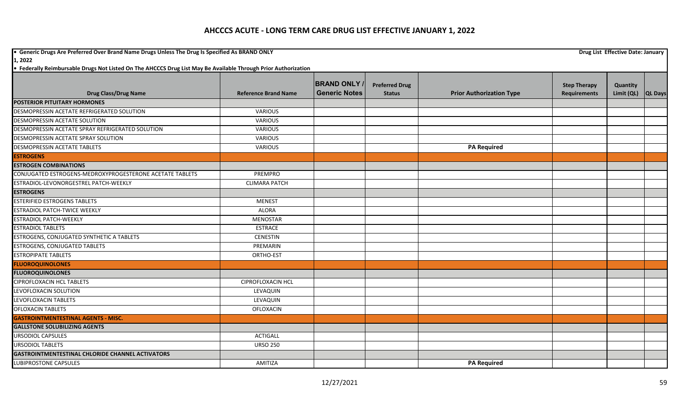**•** Generic Drugs Are Preferred Over Brand Name Drugs Unless The Drug Is Specified As BRAND ONLY **Drug List Effective Date: January Drug List Effective Date: January 1, 2022**

|                                                          |                             | <b>BRAND ONLY /</b>  | <b>Preferred Drug</b> |                                 | <b>Step Therapy</b> | Quantity   |                |
|----------------------------------------------------------|-----------------------------|----------------------|-----------------------|---------------------------------|---------------------|------------|----------------|
| <b>Drug Class/Drug Name</b>                              | <b>Reference Brand Name</b> | <b>Generic Notes</b> | <b>Status</b>         | <b>Prior Authorization Type</b> | <b>Requirements</b> | Limit (QL) | <b>QL Days</b> |
| <b>POSTERIOR PITUITARY HORMONES</b>                      |                             |                      |                       |                                 |                     |            |                |
| DESMOPRESSIN ACETATE REFRIGERATED SOLUTION               | <b>VARIOUS</b>              |                      |                       |                                 |                     |            |                |
| DESMOPRESSIN ACETATE SOLUTION                            | <b>VARIOUS</b>              |                      |                       |                                 |                     |            |                |
| DESMOPRESSIN ACETATE SPRAY REFRIGERATED SOLUTION         | <b>VARIOUS</b>              |                      |                       |                                 |                     |            |                |
| DESMOPRESSIN ACETATE SPRAY SOLUTION                      | <b>VARIOUS</b>              |                      |                       |                                 |                     |            |                |
| <b>DESMOPRESSIN ACETATE TABLETS</b>                      | <b>VARIOUS</b>              |                      |                       | <b>PA Required</b>              |                     |            |                |
| <b>ESTROGENS</b>                                         |                             |                      |                       |                                 |                     |            |                |
| <b>ESTROGEN COMBINATIONS</b>                             |                             |                      |                       |                                 |                     |            |                |
| CONJUGATED ESTROGENS-MEDROXYPROGESTERONE ACETATE TABLETS | <b>PREMPRO</b>              |                      |                       |                                 |                     |            |                |
| ESTRADIOL-LEVONORGESTREL PATCH-WEEKLY                    | <b>CLIMARA PATCH</b>        |                      |                       |                                 |                     |            |                |
| <b>ESTROGENS</b>                                         |                             |                      |                       |                                 |                     |            |                |
| <b>ESTERIFIED ESTROGENS TABLETS</b>                      | <b>MENEST</b>               |                      |                       |                                 |                     |            |                |
| <b>ESTRADIOL PATCH-TWICE WEEKLY</b>                      | <b>ALORA</b>                |                      |                       |                                 |                     |            |                |
| <b>ESTRADIOL PATCH-WEEKLY</b>                            | MENOSTAR                    |                      |                       |                                 |                     |            |                |
| <b>ESTRADIOL TABLETS</b>                                 | <b>ESTRACE</b>              |                      |                       |                                 |                     |            |                |
| ESTROGENS, CONJUGATED SYNTHETIC A TABLETS                | <b>CENESTIN</b>             |                      |                       |                                 |                     |            |                |
| <b>ESTROGENS, CONJUGATED TABLETS</b>                     | PREMARIN                    |                      |                       |                                 |                     |            |                |
| <b>ESTROPIPATE TABLETS</b>                               | ORTHO-EST                   |                      |                       |                                 |                     |            |                |
| <b>FLUOROQUINOLONES</b>                                  |                             |                      |                       |                                 |                     |            |                |
| <b>FLUOROQUINOLONES</b>                                  |                             |                      |                       |                                 |                     |            |                |
| <b>CIPROFLOXACIN HCL TABLETS</b>                         | <b>CIPROFLOXACIN HCL</b>    |                      |                       |                                 |                     |            |                |
| LEVOFLOXACIN SOLUTION                                    | LEVAQUIN                    |                      |                       |                                 |                     |            |                |
| LEVOFLOXACIN TABLETS                                     | LEVAQUIN                    |                      |                       |                                 |                     |            |                |
| <b>OFLOXACIN TABLETS</b>                                 | <b>OFLOXACIN</b>            |                      |                       |                                 |                     |            |                |
| <b>GASTROINTMENTESTINAL AGENTS - MISC.</b>               |                             |                      |                       |                                 |                     |            |                |
| <b>GALLSTONE SOLUBILIZING AGENTS</b>                     |                             |                      |                       |                                 |                     |            |                |
| <b>URSODIOL CAPSULES</b>                                 | <b>ACTIGALL</b>             |                      |                       |                                 |                     |            |                |
| <b>URSODIOL TABLETS</b>                                  | <b>URSO 250</b>             |                      |                       |                                 |                     |            |                |
| <b>GASTROINTMENTESTINAL CHLORIDE CHANNEL ACTIVATORS</b>  |                             |                      |                       |                                 |                     |            |                |
| <b>LUBIPROSTONE CAPSULES</b>                             | AMITIZA                     |                      |                       | <b>PA Required</b>              |                     |            |                |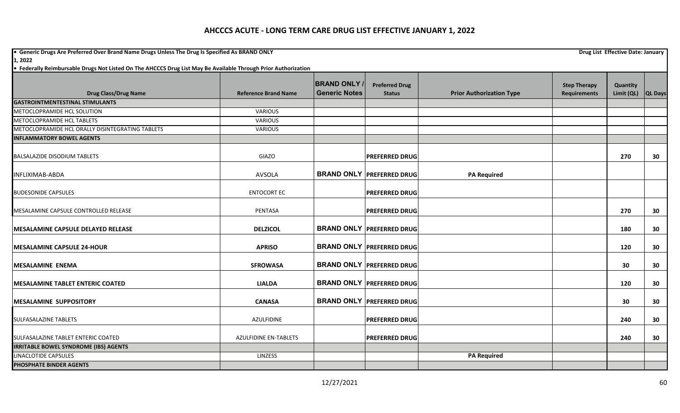**•** Generic Drugs Are Preferred Over Brand Name Drugs Unless The Drug Is Specified As BRAND ONLY **Drug List Effective Date: January Drug List Effective Date: January 1, 2022**

|                                                  |                              | <b>BRAND ONLY</b>    | <b>Preferred Drug</b>            |                                 | <b>Step Therapy</b> | Quantity   |                |
|--------------------------------------------------|------------------------------|----------------------|----------------------------------|---------------------------------|---------------------|------------|----------------|
| <b>Drug Class/Drug Name</b>                      | <b>Reference Brand Name</b>  | <b>Generic Notes</b> | <b>Status</b>                    | <b>Prior Authorization Type</b> | <b>Requirements</b> | Limit (QL) | <b>QL Days</b> |
| <b>GASTROINTMENTESTINAL STIMULANTS</b>           |                              |                      |                                  |                                 |                     |            |                |
| METOCLOPRAMIDE HCL SOLUTION                      | VARIOUS                      |                      |                                  |                                 |                     |            |                |
| METOCLOPRAMIDE HCL TABLETS                       | VARIOUS                      |                      |                                  |                                 |                     |            |                |
| METOCLOPRAMIDE HCL ORALLY DISINTEGRATING TABLETS | <b>VARIOUS</b>               |                      |                                  |                                 |                     |            |                |
| <b>INFLAMMATORY BOWEL AGENTS</b>                 |                              |                      |                                  |                                 |                     |            |                |
| <b>BALSALAZIDE DISODIUM TABLETS</b>              | GIAZO                        |                      | <b>PREFERRED DRUG</b>            |                                 |                     | 270        | 30             |
| INFLIXIMAB-ABDA                                  | <b>AVSOLA</b>                |                      | <b>BRAND ONLY PREFERRED DRUG</b> | <b>PA Required</b>              |                     |            |                |
| <b>BUDESONIDE CAPSULES</b>                       | <b>ENTOCORT EC</b>           |                      | <b>IPREFERRED DRUGI</b>          |                                 |                     |            |                |
| MESALAMINE CAPSULE CONTROLLED RELEASE            | PENTASA                      |                      | <b>PREFERRED DRUG</b>            |                                 |                     | 270        | 30             |
| <b>MESALAMINE CAPSULE DELAYED RELEASE</b>        | <b>DELZICOL</b>              |                      | <b>BRAND ONLY PREFERRED DRUG</b> |                                 |                     | 180        | 30             |
| <b>IMESALAMINE CAPSULE 24-HOUR</b>               | <b>APRISO</b>                |                      | <b>BRAND ONLY PREFERRED DRUG</b> |                                 |                     | 120        | 30             |
| <b>MESALAMINE ENEMA</b>                          | <b>SFROWASA</b>              |                      | <b>BRAND ONLY PREFERRED DRUG</b> |                                 |                     | 30         | 30             |
| <b>IMESALAMINE TABLET ENTERIC COATED</b>         | <b>LIALDA</b>                |                      | <b>BRAND ONLY PREFERRED DRUG</b> |                                 |                     | 120        | 30             |
| <b>MESALAMINE SUPPOSITORY</b>                    | <b>CANASA</b>                |                      | <b>BRAND ONLY PREFERRED DRUG</b> |                                 |                     | 30         | 30             |
| <b>SULFASALAZINE TABLETS</b>                     | <b>AZULFIDINE</b>            |                      | <b>PREFERRED DRUG</b>            |                                 |                     | 240        | 30             |
| SULFASALAZINE TABLET ENTERIC COATED              | <b>AZULFIDINE EN-TABLETS</b> |                      | <b>PREFERRED DRUG</b>            |                                 |                     | 240        | 30             |
| <b>IRRITABLE BOWEL SYNDROME (IBS) AGENTS</b>     |                              |                      |                                  |                                 |                     |            |                |
| LINACLOTIDE CAPSULES                             | LINZESS                      |                      |                                  | <b>PA Required</b>              |                     |            |                |
| <b>PHOSPHATE BINDER AGENTS</b>                   |                              |                      |                                  |                                 |                     |            |                |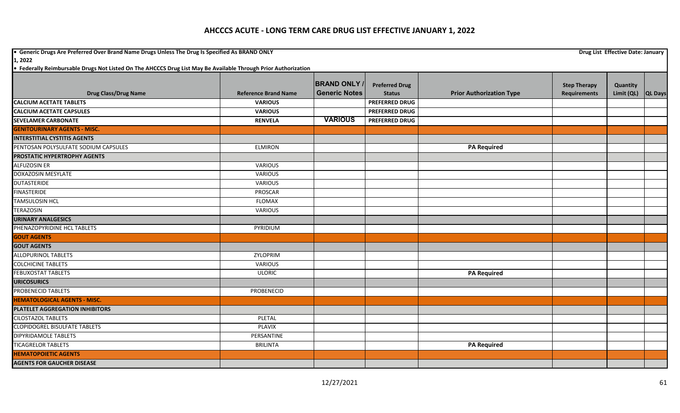**•** Generic Drugs Are Preferred Over Brand Name Drugs Unless The Drug Is Specified As BRAND ONLY **Drug List Effective Date: January Drug List Effective Date: January 1, 2022**

|                                      |                             | <b>BRAND ONLY</b>    | <b>Preferred Drug</b> |                                 | <b>Step Therapy</b> | Quantity   |                |
|--------------------------------------|-----------------------------|----------------------|-----------------------|---------------------------------|---------------------|------------|----------------|
| <b>Drug Class/Drug Name</b>          | <b>Reference Brand Name</b> | <b>Generic Notes</b> | <b>Status</b>         | <b>Prior Authorization Type</b> | <b>Requirements</b> | Limit (QL) | <b>QL Days</b> |
| <b>CALCIUM ACETATE TABLETS</b>       | <b>VARIOUS</b>              |                      | <b>PREFERRED DRUG</b> |                                 |                     |            |                |
| <b>CALCIUM ACETATE CAPSULES</b>      | <b>VARIOUS</b>              |                      | <b>PREFERRED DRUG</b> |                                 |                     |            |                |
| <b>SEVELAMER CARBONATE</b>           | <b>RENVELA</b>              | <b>VARIOUS</b>       | <b>PREFERRED DRUG</b> |                                 |                     |            |                |
| <b>GENITOURINARY AGENTS - MISC.</b>  |                             |                      |                       |                                 |                     |            |                |
| <b>INTERSTITIAL CYSTITIS AGENTS</b>  |                             |                      |                       |                                 |                     |            |                |
| PENTOSAN POLYSULFATE SODIUM CAPSULES | <b>ELMIRON</b>              |                      |                       | <b>PA Required</b>              |                     |            |                |
| PROSTATIC HYPERTROPHY AGENTS         |                             |                      |                       |                                 |                     |            |                |
| <b>ALFUZOSIN ER</b>                  | <b>VARIOUS</b>              |                      |                       |                                 |                     |            |                |
| <b>DOXAZOSIN MESYLATE</b>            | <b>VARIOUS</b>              |                      |                       |                                 |                     |            |                |
| <b>DUTASTERIDE</b>                   | VARIOUS                     |                      |                       |                                 |                     |            |                |
| <b>FINASTERIDE</b>                   | <b>PROSCAR</b>              |                      |                       |                                 |                     |            |                |
| <b>TAMSULOSIN HCL</b>                | <b>FLOMAX</b>               |                      |                       |                                 |                     |            |                |
| <b>TERAZOSIN</b>                     | <b>VARIOUS</b>              |                      |                       |                                 |                     |            |                |
| <b>URINARY ANALGESICS</b>            |                             |                      |                       |                                 |                     |            |                |
| PHENAZOPYRIDINE HCL TABLETS          | PYRIDIUM                    |                      |                       |                                 |                     |            |                |
| <b>GOUT AGENTS</b>                   |                             |                      |                       |                                 |                     |            |                |
| <b>GOUT AGENTS</b>                   |                             |                      |                       |                                 |                     |            |                |
| <b>ALLOPURINOL TABLETS</b>           | <b>ZYLOPRIM</b>             |                      |                       |                                 |                     |            |                |
| <b>COLCHICINE TABLETS</b>            | <b>VARIOUS</b>              |                      |                       |                                 |                     |            |                |
| <b>FEBUXOSTAT TABLETS</b>            | <b>ULORIC</b>               |                      |                       | <b>PA Required</b>              |                     |            |                |
| <b>URICOSURICS</b>                   |                             |                      |                       |                                 |                     |            |                |
| PROBENECID TABLETS                   | PROBENECID                  |                      |                       |                                 |                     |            |                |
| <b>HEMATOLOGICAL AGENTS - MISC.</b>  |                             |                      |                       |                                 |                     |            |                |
| PLATELET AGGREGATION INHIBITORS      |                             |                      |                       |                                 |                     |            |                |
| <b>CILOSTAZOL TABLETS</b>            | <b>PLETAL</b>               |                      |                       |                                 |                     |            |                |
| <b>CLOPIDOGREL BISULFATE TABLETS</b> | <b>PLAVIX</b>               |                      |                       |                                 |                     |            |                |
| <b>DIPYRIDAMOLE TABLETS</b>          | PERSANTINE                  |                      |                       |                                 |                     |            |                |
| <b>TICAGRELOR TABLETS</b>            | <b>BRILINTA</b>             |                      |                       | <b>PA Required</b>              |                     |            |                |
| <b>HEMATOPOIETIC AGENTS</b>          |                             |                      |                       |                                 |                     |            |                |
| <b>AGENTS FOR GAUCHER DISEASE</b>    |                             |                      |                       |                                 |                     |            |                |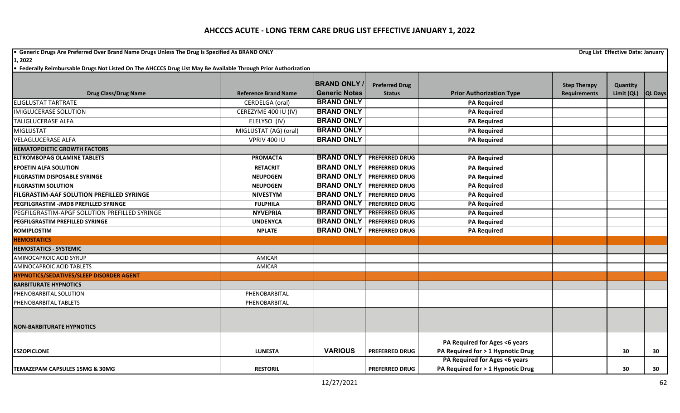**•** Generic Drugs Are Preferred Over Brand Name Drugs Unless The Drug Is Specified As BRAND ONLY **Drug List Effective Date: January Drug List Effective Date: January 1, 2022**

|                                                  |                             | <b>BRAND ONLY</b>    | <b>Preferred Drug</b> |                                                                    | <b>Step Therapy</b> | Quantity   |                |
|--------------------------------------------------|-----------------------------|----------------------|-----------------------|--------------------------------------------------------------------|---------------------|------------|----------------|
| <b>Drug Class/Drug Name</b>                      | <b>Reference Brand Name</b> | <b>Generic Notes</b> | <b>Status</b>         | <b>Prior Authorization Type</b>                                    | <b>Requirements</b> | Limit (QL) | <b>QL Days</b> |
| <b>ELIGLUSTAT TARTRATE</b>                       | CERDELGA (oral)             | <b>BRAND ONLY</b>    |                       | <b>PA Required</b>                                                 |                     |            |                |
| <b>IMIGLUCERASE SOLUTION</b>                     | CEREZYME 400 IU (IV)        | <b>BRAND ONLY</b>    |                       | <b>PA Required</b>                                                 |                     |            |                |
| <b>TALIGLUCERASE ALFA</b>                        | ELELYSO (IV)                | <b>BRAND ONLY</b>    |                       | <b>PA Required</b>                                                 |                     |            |                |
| <b>MIGLUSTAT</b>                                 | MIGLUSTAT (AG) (oral)       | <b>BRAND ONLY</b>    |                       | <b>PA Required</b>                                                 |                     |            |                |
| <b>VELAGLUCERASE ALFA</b>                        | <b>VPRIV 400 IU</b>         | <b>BRAND ONLY</b>    |                       | <b>PA Required</b>                                                 |                     |            |                |
| <b>HEMATOPOIETIC GROWTH FACTORS</b>              |                             |                      |                       |                                                                    |                     |            |                |
| <b>ELTROMBOPAG OLAMINE TABLETS</b>               | <b>PROMACTA</b>             | <b>BRAND ONLY</b>    | <b>PREFERRED DRUG</b> | <b>PA Required</b>                                                 |                     |            |                |
| <b>EPOETIN ALFA SOLUTION</b>                     | <b>RETACRIT</b>             | <b>BRAND ONLY</b>    | <b>PREFERRED DRUG</b> | <b>PA Required</b>                                                 |                     |            |                |
| <b>FILGRASTIM DISPOSABLE SYRINGE</b>             | <b>NEUPOGEN</b>             | <b>BRAND ONLY</b>    | <b>PREFERRED DRUG</b> | <b>PA Required</b>                                                 |                     |            |                |
| <b>FILGRASTIM SOLUTION</b>                       | <b>NEUPOGEN</b>             | <b>BRAND ONLY</b>    | <b>PREFERRED DRUG</b> | <b>PA Required</b>                                                 |                     |            |                |
| <b>FILGRASTIM-AAF SOLUTION PREFILLED SYRINGE</b> | <b>NIVESTYM</b>             | <b>BRAND ONLY</b>    | <b>PREFERRED DRUG</b> | <b>PA Required</b>                                                 |                     |            |                |
| PEGFILGRASTIM -JMDB PREFILLED SYRINGE            | <b>FULPHILA</b>             | <b>BRAND ONLY</b>    | <b>PREFERRED DRUG</b> | <b>PA Required</b>                                                 |                     |            |                |
| PEGFILGRASTIM-APGF SOLUTION PREFILLED SYRINGE    | <b>NYVEPRIA</b>             | <b>BRAND ONLY</b>    | <b>PREFERRED DRUG</b> | <b>PA Required</b>                                                 |                     |            |                |
| PEGFILGRASTIM PREFILLED SYRINGE                  | <b>UNDENYCA</b>             | <b>BRAND ONLY</b>    | <b>PREFERRED DRUG</b> | <b>PA Required</b>                                                 |                     |            |                |
| <b>ROMIPLOSTIM</b>                               | <b>NPLATE</b>               | <b>BRAND ONLY</b>    | <b>PREFERRED DRUG</b> | <b>PA Required</b>                                                 |                     |            |                |
| <b>HEMOSTATICS</b>                               |                             |                      |                       |                                                                    |                     |            |                |
| <b>HEMOSTATICS - SYSTEMIC</b>                    |                             |                      |                       |                                                                    |                     |            |                |
| AMINOCAPROIC ACID SYRUP                          | AMICAR                      |                      |                       |                                                                    |                     |            |                |
| <b>AMINOCAPROIC ACID TABLETS</b>                 | AMICAR                      |                      |                       |                                                                    |                     |            |                |
| <b>HYPNOTICS/SEDATIVES/SLEEP DISORDER AGENT</b>  |                             |                      |                       |                                                                    |                     |            |                |
| <b>BARBITURATE HYPNOTICS</b>                     |                             |                      |                       |                                                                    |                     |            |                |
| PHENOBARBITAL SOLUTION                           | PHENOBARBITAL               |                      |                       |                                                                    |                     |            |                |
| PHENOBARBITAL TABLETS                            | PHENOBARBITAL               |                      |                       |                                                                    |                     |            |                |
|                                                  |                             |                      |                       |                                                                    |                     |            |                |
| <b>NON-BARBITURATE HYPNOTICS</b>                 |                             |                      |                       |                                                                    |                     |            |                |
|                                                  |                             |                      |                       |                                                                    |                     |            |                |
|                                                  |                             | <b>VARIOUS</b>       |                       | PA Required for Ages <6 years                                      |                     |            |                |
| <b>ESZOPICLONE</b>                               | <b>LUNESTA</b>              |                      | <b>PREFERRED DRUG</b> | PA Required for > 1 Hypnotic Drug<br>PA Required for Ages <6 years |                     | 30         | 30             |
| TEMAZEPAM CAPSULES 15MG & 30MG                   | <b>RESTORIL</b>             |                      | <b>PREFERRED DRUG</b> | PA Required for > 1 Hypnotic Drug                                  |                     | 30         | 30             |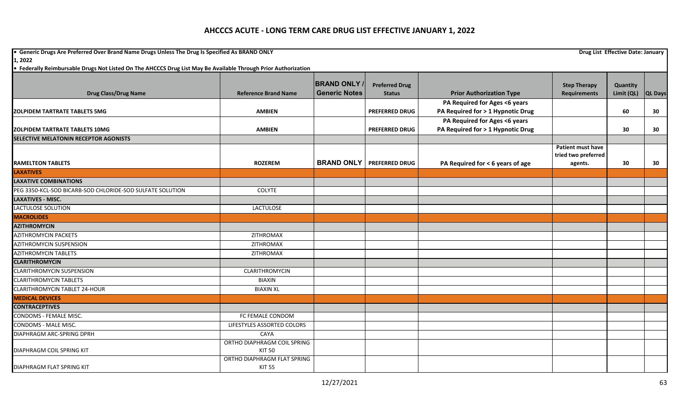**•** Generic Drugs Are Preferred Over Brand Name Drugs Unless The Drug Is Specified As BRAND ONLY **Drug List Effective Date: January Drug List Effective Date: January 1, 2022**

|                                                           |                             | <b>BRAND ONLY</b>    | <b>Preferred Drug</b>              |                                   | <b>Step Therapy</b>      | Quantity   |         |
|-----------------------------------------------------------|-----------------------------|----------------------|------------------------------------|-----------------------------------|--------------------------|------------|---------|
| <b>Drug Class/Drug Name</b>                               | <b>Reference Brand Name</b> | <b>Generic Notes</b> | <b>Status</b>                      | <b>Prior Authorization Type</b>   | <b>Requirements</b>      | Limit (QL) | QL Days |
|                                                           |                             |                      |                                    | PA Required for Ages <6 years     |                          |            |         |
| <b>ZOLPIDEM TARTRATE TABLETS 5MG</b>                      | <b>AMBIEN</b>               |                      | <b>PREFERRED DRUG</b>              | PA Required for > 1 Hypnotic Drug |                          | 60         | 30      |
|                                                           |                             |                      |                                    | PA Required for Ages <6 years     |                          |            |         |
| <b>ZOLPIDEM TARTRATE TABLETS 10MG</b>                     | <b>AMBIEN</b>               |                      | <b>PREFERRED DRUG</b>              | PA Required for > 1 Hypnotic Drug |                          | 30         | 30      |
| SELECTIVE MELATONIN RECEPTOR AGONISTS                     |                             |                      |                                    |                                   |                          |            |         |
|                                                           |                             |                      |                                    |                                   | <b>Patient must have</b> |            |         |
|                                                           |                             |                      |                                    |                                   | tried two preferred      |            |         |
| <b>RAMELTEON TABLETS</b>                                  | <b>ROZEREM</b>              |                      | <b>BRAND ONLY   PREFERRED DRUG</b> | PA Required for < 6 years of age  | agents.                  | 30         | 30      |
| <b>LAXATIVES</b>                                          |                             |                      |                                    |                                   |                          |            |         |
| <b>LAXATIVE COMBINATIONS</b>                              |                             |                      |                                    |                                   |                          |            |         |
| PEG 3350-KCL-SOD BICARB-SOD CHLORIDE-SOD SULFATE SOLUTION | <b>COLYTE</b>               |                      |                                    |                                   |                          |            |         |
| <b>LAXATIVES - MISC.</b>                                  |                             |                      |                                    |                                   |                          |            |         |
| LACTULOSE SOLUTION                                        | LACTULOSE                   |                      |                                    |                                   |                          |            |         |
| <b>MACROLIDES</b>                                         |                             |                      |                                    |                                   |                          |            |         |
| <b>AZITHROMYCIN</b>                                       |                             |                      |                                    |                                   |                          |            |         |
| <b>AZITHROMYCIN PACKETS</b>                               | ZITHROMAX                   |                      |                                    |                                   |                          |            |         |
| <b>AZITHROMYCIN SUSPENSION</b>                            | ZITHROMAX                   |                      |                                    |                                   |                          |            |         |
| <b>AZITHROMYCIN TABLETS</b>                               | ZITHROMAX                   |                      |                                    |                                   |                          |            |         |
| <b>CLARITHROMYCIN</b>                                     |                             |                      |                                    |                                   |                          |            |         |
| <b>CLARITHROMYCIN SUSPENSION</b>                          | CLARITHROMYCIN              |                      |                                    |                                   |                          |            |         |
| <b>CLARITHROMYCIN TABLETS</b>                             | <b>BIAXIN</b>               |                      |                                    |                                   |                          |            |         |
| <b>CLARITHROMYCIN TABLET 24-HOUR</b>                      | <b>BIAXIN XL</b>            |                      |                                    |                                   |                          |            |         |
| <b>MEDICAL DEVICES</b>                                    |                             |                      |                                    |                                   |                          |            |         |
| <b>CONTRACEPTIVES</b>                                     |                             |                      |                                    |                                   |                          |            |         |
| CONDOMS - FEMALE MISC.                                    | FC FEMALE CONDOM            |                      |                                    |                                   |                          |            |         |
| CONDOMS - MALE MISC.                                      | LIFESTYLES ASSORTED COLORS  |                      |                                    |                                   |                          |            |         |
| DIAPHRAGM ARC-SPRING DPRH                                 | CAYA                        |                      |                                    |                                   |                          |            |         |
|                                                           | ORTHO DIAPHRAGM COIL SPRING |                      |                                    |                                   |                          |            |         |
| <b>DIAPHRAGM COIL SPRING KIT</b>                          | <b>KIT 50</b>               |                      |                                    |                                   |                          |            |         |
|                                                           | ORTHO DIAPHRAGM FLAT SPRING |                      |                                    |                                   |                          |            |         |
| DIAPHRAGM FLAT SPRING KIT                                 | <b>KIT 55</b>               |                      |                                    |                                   |                          |            |         |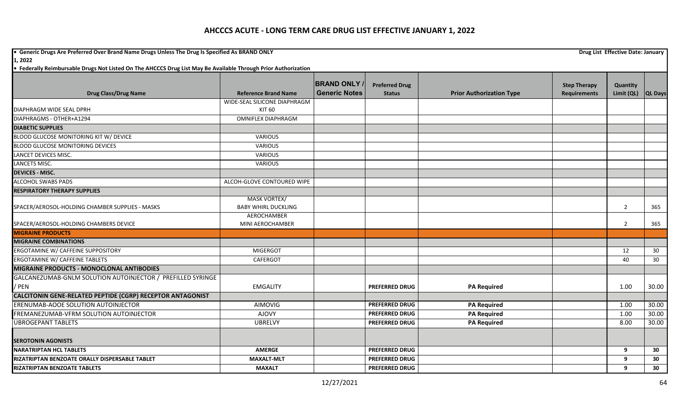**•** Generic Drugs Are Preferred Over Brand Name Drugs Unless The Drug Is Specified As BRAND ONLY **Drug List Effective Date: January Drug List Effective Date: January** 

**1, 2022**

|                                                             |                                        | <b>BRAND ONLY</b>    | <b>Preferred Drug</b> |                                 | <b>Step Therapy</b> | Quantity       |                |
|-------------------------------------------------------------|----------------------------------------|----------------------|-----------------------|---------------------------------|---------------------|----------------|----------------|
| <b>Drug Class/Drug Name</b>                                 | <b>Reference Brand Name</b>            | <b>Generic Notes</b> | <b>Status</b>         | <b>Prior Authorization Type</b> | <b>Requirements</b> | Limit (QL)     | <b>QL Days</b> |
| DIAPHRAGM WIDE SEAL DPRH                                    | WIDE-SEAL SILICONE DIAPHRAGM<br>KIT 60 |                      |                       |                                 |                     |                |                |
| DIAPHRAGMS - OTHER+A1294                                    | <b>OMNIFLEX DIAPHRAGM</b>              |                      |                       |                                 |                     |                |                |
| <b>DIABETIC SUPPLIES</b>                                    |                                        |                      |                       |                                 |                     |                |                |
| BLOOD GLUCOSE MONITORING KIT W/ DEVICE                      | <b>VARIOUS</b>                         |                      |                       |                                 |                     |                |                |
| <b>BLOOD GLUCOSE MONITORING DEVICES</b>                     | <b>VARIOUS</b>                         |                      |                       |                                 |                     |                |                |
| <b>LANCET DEVICES MISC.</b>                                 | <b>VARIOUS</b>                         |                      |                       |                                 |                     |                |                |
| <b>LANCETS MISC.</b>                                        | <b>VARIOUS</b>                         |                      |                       |                                 |                     |                |                |
| <b>DEVICES - MISC.</b>                                      |                                        |                      |                       |                                 |                     |                |                |
| ALCOHOL SWABS PADS                                          | ALCOH-GLOVE CONTOURED WIPE             |                      |                       |                                 |                     |                |                |
| <b>RESPIRATORY THERAPY SUPPLIES</b>                         |                                        |                      |                       |                                 |                     |                |                |
|                                                             | <b>MASK VORTEX/</b>                    |                      |                       |                                 |                     |                |                |
| SPACER/AEROSOL-HOLDING CHAMBER SUPPLIES - MASKS             | <b>BABY WHIRL DUCKLING</b>             |                      |                       |                                 |                     | $\overline{2}$ | 365            |
|                                                             | AEROCHAMBER                            |                      |                       |                                 |                     |                |                |
| SPACER/AEROSOL-HOLDING CHAMBERS DEVICE                      | MINI AEROCHAMBER                       |                      |                       |                                 |                     | $\overline{2}$ | 365            |
| <b>MIGRAINE PRODUCTS</b>                                    |                                        |                      |                       |                                 |                     |                |                |
| <b>MIGRAINE COMBINATIONS</b>                                |                                        |                      |                       |                                 |                     |                |                |
| ERGOTAMINE W/ CAFFEINE SUPPOSITORY                          | <b>MIGERGOT</b>                        |                      |                       |                                 |                     | 12             | 30             |
| ERGOTAMINE W/ CAFFEINE TABLETS                              | CAFERGOT                               |                      |                       |                                 |                     | 40             | 30             |
| <b>MIGRAINE PRODUCTS - MONOCLONAL ANTIBODIES</b>            |                                        |                      |                       |                                 |                     |                |                |
| GALCANEZUMAB-GNLM SOLUTION AUTOINJECTOR / PREFILLED SYRINGE |                                        |                      |                       |                                 |                     |                |                |
| / PEN                                                       | <b>EMGALITY</b>                        |                      | <b>PREFERRED DRUG</b> | <b>PA Required</b>              |                     | 1.00           | 30.00          |
| CALCITONIN GENE-RELATED PEPTIDE (CGRP) RECEPTOR ANTAGONIST  |                                        |                      |                       |                                 |                     |                |                |
| ERENUMAB-AOOE SOLUTION AUTOINJECTOR                         | <b>AIMOVIG</b>                         |                      | <b>PREFERRED DRUG</b> | <b>PA Required</b>              |                     | 1.00           | 30.00          |
| FREMANEZUMAB-VFRM SOLUTION AUTOINJECTOR                     | <b>AJOVY</b>                           |                      | <b>PREFERRED DRUG</b> | <b>PA Required</b>              |                     | 1.00           | 30.00          |
| <b>UBROGEPANT TABLETS</b>                                   | <b>UBRELVY</b>                         |                      | <b>PREFERRED DRUG</b> | <b>PA Required</b>              |                     | 8.00           | 30.00          |
|                                                             |                                        |                      |                       |                                 |                     |                |                |
| <b>SEROTONIN AGONISTS</b>                                   |                                        |                      |                       |                                 |                     |                |                |
| <b>NARATRIPTAN HCL TABLETS</b>                              | <b>AMERGE</b>                          |                      | <b>PREFERRED DRUG</b> |                                 |                     | 9              | 30             |
| RIZATRIPTAN BENZOATE ORALLY DISPERSABLE TABLET              | <b>MAXALT-MLT</b>                      |                      | <b>PREFERRED DRUG</b> |                                 |                     | 9              | 30             |
| <b>RIZATRIPTAN BENZOATE TABLETS</b>                         | <b>MAXALT</b>                          |                      | <b>PREFERRED DRUG</b> |                                 |                     | 9              | 30             |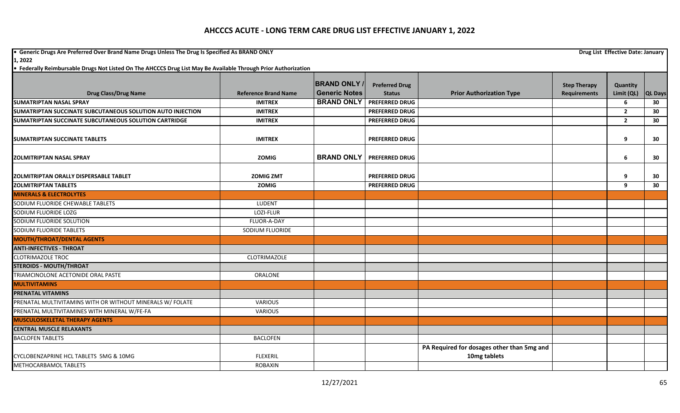**•** Generic Drugs Are Preferred Over Brand Name Drugs Unless The Drug Is Specified As BRAND ONLY **Drug List Effective Date: January Drug List Effective Date: January** 

|                                                            |                             | <b>BRAND ONLY</b>    | <b>Preferred Drug</b> |                                            | <b>Step Therapy</b> | Quantity       |                |
|------------------------------------------------------------|-----------------------------|----------------------|-----------------------|--------------------------------------------|---------------------|----------------|----------------|
| <b>Drug Class/Drug Name</b>                                | <b>Reference Brand Name</b> | <b>Generic Notes</b> | <b>Status</b>         | <b>Prior Authorization Type</b>            | <b>Requirements</b> | Limit (QL)     | <b>QL Days</b> |
| <b>SUMATRIPTAN NASAL SPRAY</b>                             | <b>IMITREX</b>              | <b>BRAND ONLY</b>    | <b>PREFERRED DRUG</b> |                                            |                     | 6              | 30             |
| SUMATRIPTAN SUCCINATE SUBCUTANEOUS SOLUTION AUTO INJECTION | <b>IMITREX</b>              |                      | <b>PREFERRED DRUG</b> |                                            |                     | $\mathbf{2}$   | 30             |
| SUMATRIPTAN SUCCINATE SUBCUTANEOUS SOLUTION CARTRIDGE      | <b>IMITREX</b>              |                      | <b>PREFERRED DRUG</b> |                                            |                     | $\overline{2}$ | 30             |
| <b>SUMATRIPTAN SUCCINATE TABLETS</b>                       | <b>IMITREX</b>              |                      | <b>PREFERRED DRUG</b> |                                            |                     | 9              | 30             |
| <b>IZOLMITRIPTAN NASAL SPRAY</b>                           | <b>ZOMIG</b>                | <b>BRAND ONLY</b>    | <b>PREFERRED DRUG</b> |                                            |                     | 6              | 30             |
| <b>ZOLMITRIPTAN ORALLY DISPERSABLE TABLET</b>              | <b>ZOMIG ZMT</b>            |                      | <b>PREFERRED DRUG</b> |                                            |                     | $\mathbf{q}$   | 30             |
| <b>ZOLMITRIPTAN TABLETS</b>                                | <b>ZOMIG</b>                |                      | <b>PREFERRED DRUG</b> |                                            |                     | $\mathbf{q}$   | 30             |
| <b>MINERALS &amp; ELECTROLYTES</b>                         |                             |                      |                       |                                            |                     |                |                |
| SODIUM FLUORIDE CHEWABLE TABLETS                           | LUDENT                      |                      |                       |                                            |                     |                |                |
| SODIUM FLUORIDE LOZG                                       | LOZI-FLUR                   |                      |                       |                                            |                     |                |                |
| SODIUM FLUORIDE SOLUTION                                   | FLUOR-A-DAY                 |                      |                       |                                            |                     |                |                |
| SODIUM FLUORIDE TABLETS                                    | SODIUM FLUORIDE             |                      |                       |                                            |                     |                |                |
| <b>MOUTH/THROAT/DENTAL AGENTS</b>                          |                             |                      |                       |                                            |                     |                |                |
| <b>ANTI-INFECTIVES - THROAT</b>                            |                             |                      |                       |                                            |                     |                |                |
| <b>CLOTRIMAZOLE TROC</b>                                   | <b>CLOTRIMAZOLE</b>         |                      |                       |                                            |                     |                |                |
| <b>STEROIDS - MOUTH/THROAT</b>                             |                             |                      |                       |                                            |                     |                |                |
| TRIAMCINOLONE ACETONIDE ORAL PASTE                         | <b>ORALONE</b>              |                      |                       |                                            |                     |                |                |
| <b>MULTIVITAMINS</b>                                       |                             |                      |                       |                                            |                     |                |                |
| <b>PRENATAL VITAMINS</b>                                   |                             |                      |                       |                                            |                     |                |                |
| PRENATAL MULTIVITAMINS WITH OR WITHOUT MINERALS W/ FOLATE  | <b>VARIOUS</b>              |                      |                       |                                            |                     |                |                |
| PRENATAL MULTIVITAMINES WITH MINERAL W/FE-FA               | VARIOUS                     |                      |                       |                                            |                     |                |                |
| <b>MUSCULOSKELETAL THERAPY AGENTS</b>                      |                             |                      |                       |                                            |                     |                |                |
| <b>CENTRAL MUSCLE RELAXANTS</b>                            |                             |                      |                       |                                            |                     |                |                |
| <b>BACLOFEN TABLETS</b>                                    | <b>BACLOFEN</b>             |                      |                       |                                            |                     |                |                |
|                                                            |                             |                      |                       | PA Required for dosages other than 5mg and |                     |                |                |
| CYCLOBENZAPRINE HCL TABLETS 5MG & 10MG                     | <b>FLEXERIL</b>             |                      |                       | 10mg tablets                               |                     |                |                |
| METHOCARBAMOL TABLETS                                      | ROBAXIN                     |                      |                       |                                            |                     |                |                |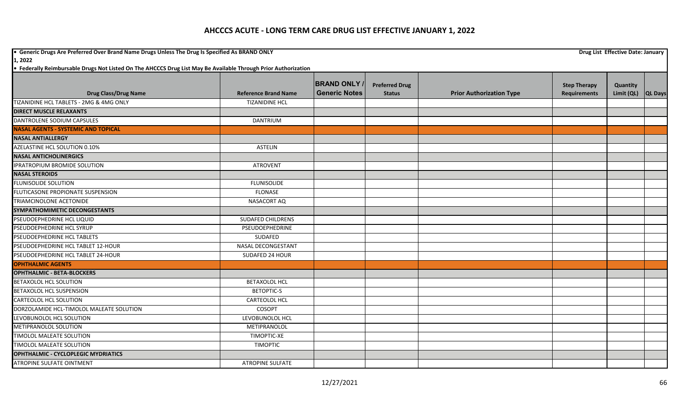**•** Generic Drugs Are Preferred Over Brand Name Drugs Unless The Drug Is Specified As BRAND ONLY **Drug List Effective Date: January Drug List Effective Date: January 1, 2022**

|                                            |                             | <b>BRAND ONLY</b>    |                                        |                                 |                                            |                        |                |
|--------------------------------------------|-----------------------------|----------------------|----------------------------------------|---------------------------------|--------------------------------------------|------------------------|----------------|
| <b>Drug Class/Drug Name</b>                | <b>Reference Brand Name</b> | <b>Generic Notes</b> | <b>Preferred Drug</b><br><b>Status</b> | <b>Prior Authorization Type</b> | <b>Step Therapy</b><br><b>Requirements</b> | Quantity<br>Limit (QL) | <b>QL Days</b> |
| TIZANIDINE HCL TABLETS - 2MG & 4MG ONLY    | <b>TIZANIDINE HCL</b>       |                      |                                        |                                 |                                            |                        |                |
| <b>DIRECT MUSCLE RELAXANTS</b>             |                             |                      |                                        |                                 |                                            |                        |                |
| DANTROLENE SODIUM CAPSULES                 | DANTRIUM                    |                      |                                        |                                 |                                            |                        |                |
| <b>NASAL AGENTS - SYSTEMIC AND TOPICAL</b> |                             |                      |                                        |                                 |                                            |                        |                |
| <b>NASAL ANTIALLERGY</b>                   |                             |                      |                                        |                                 |                                            |                        |                |
| AZELASTINE HCL SOLUTION 0.10%              | <b>ASTELIN</b>              |                      |                                        |                                 |                                            |                        |                |
| <b>NASAL ANTICHOLINERGICS</b>              |                             |                      |                                        |                                 |                                            |                        |                |
| <b>IPRATROPIUM BROMIDE SOLUTION</b>        | <b>ATROVENT</b>             |                      |                                        |                                 |                                            |                        |                |
| <b>NASAL STEROIDS</b>                      |                             |                      |                                        |                                 |                                            |                        |                |
| <b>FLUNISOLIDE SOLUTION</b>                | <b>FLUNISOLIDE</b>          |                      |                                        |                                 |                                            |                        |                |
| FLUTICASONE PROPIONATE SUSPENSION          | <b>FLONASE</b>              |                      |                                        |                                 |                                            |                        |                |
| TRIAMCINOLONE ACETONIDE                    | NASACORT AQ                 |                      |                                        |                                 |                                            |                        |                |
| SYMPATHOMIMETIC DECONGESTANTS              |                             |                      |                                        |                                 |                                            |                        |                |
| PSEUDOEPHEDRINE HCL LIQUID                 | <b>SUDAFED CHILDRENS</b>    |                      |                                        |                                 |                                            |                        |                |
| PSEUDOEPHEDRINE HCL SYRUP                  | PSEUDOEPHEDRINE             |                      |                                        |                                 |                                            |                        |                |
| PSEUDOEPHEDRINE HCL TABLETS                | SUDAFED                     |                      |                                        |                                 |                                            |                        |                |
| PSEUDOEPHEDRINE HCL TABLET 12-HOUR         | <b>NASAL DECONGESTANT</b>   |                      |                                        |                                 |                                            |                        |                |
| PSEUDOEPHEDRINE HCL TABLET 24-HOUR         | SUDAFED 24 HOUR             |                      |                                        |                                 |                                            |                        |                |
| <b>OPHTHALMIC AGENTS</b>                   |                             |                      |                                        |                                 |                                            |                        |                |
| <b>OPHTHALMIC - BETA-BLOCKERS</b>          |                             |                      |                                        |                                 |                                            |                        |                |
| <b>BETAXOLOL HCL SOLUTION</b>              | <b>BETAXOLOL HCL</b>        |                      |                                        |                                 |                                            |                        |                |
| <b>BETAXOLOL HCL SUSPENSION</b>            | <b>BETOPTIC-S</b>           |                      |                                        |                                 |                                            |                        |                |
| <b>CARTEOLOL HCL SOLUTION</b>              | <b>CARTEOLOL HCL</b>        |                      |                                        |                                 |                                            |                        |                |
| DORZOLAMIDE HCL-TIMOLOL MALEATE SOLUTION   | COSOPT                      |                      |                                        |                                 |                                            |                        |                |
| LEVOBUNOLOL HCL SOLUTION                   | LEVOBUNOLOL HCL             |                      |                                        |                                 |                                            |                        |                |
| METIPRANOLOL SOLUTION                      | METIPRANOLOL                |                      |                                        |                                 |                                            |                        |                |
| TIMOLOL MALEATE SOLUTION                   | <b>TIMOPTIC-XE</b>          |                      |                                        |                                 |                                            |                        |                |
| TIMOLOL MALEATE SOLUTION                   | <b>TIMOPTIC</b>             |                      |                                        |                                 |                                            |                        |                |
| <b>OPHTHALMIC - CYCLOPLEGIC MYDRIATICS</b> |                             |                      |                                        |                                 |                                            |                        |                |
| ATROPINE SULFATE OINTMENT                  | <b>ATROPINE SULFATE</b>     |                      |                                        |                                 |                                            |                        |                |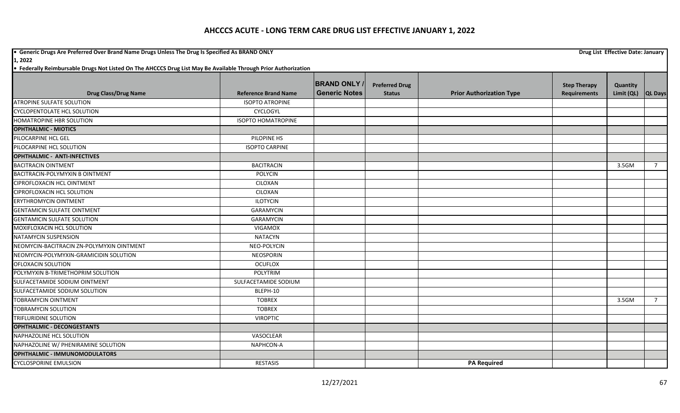**•** Generic Drugs Are Preferred Over Brand Name Drugs Unless The Drug Is Specified As BRAND ONLY **Drug List Effective Date: January Drug List Effective Date: January 1, 2022**

| <b>Drug Class/Drug Name</b>               | <b>Reference Brand Name</b> | <b>BRAND ONLY</b><br><b>Generic Notes</b> | <b>Preferred Drug</b><br><b>Status</b> | <b>Prior Authorization Type</b> | <b>Step Therapy</b><br><b>Requirements</b> | Quantity<br>Limit (QL) | <b>QL Days</b> |
|-------------------------------------------|-----------------------------|-------------------------------------------|----------------------------------------|---------------------------------|--------------------------------------------|------------------------|----------------|
| <b>ATROPINE SULFATE SOLUTION</b>          | <b>ISOPTO ATROPINE</b>      |                                           |                                        |                                 |                                            |                        |                |
| <b>CYCLOPENTOLATE HCL SOLUTION</b>        | CYCLOGYL                    |                                           |                                        |                                 |                                            |                        |                |
| HOMATROPINE HBR SOLUTION                  | <b>ISOPTO HOMATROPINE</b>   |                                           |                                        |                                 |                                            |                        |                |
| <b>OPHTHALMIC - MIOTICS</b>               |                             |                                           |                                        |                                 |                                            |                        |                |
| PILOCARPINE HCL GEL                       | PILOPINE HS                 |                                           |                                        |                                 |                                            |                        |                |
| PILOCARPINE HCL SOLUTION                  | <b>ISOPTO CARPINE</b>       |                                           |                                        |                                 |                                            |                        |                |
| <b>OPHTHALMIC - ANTI-INFECTIVES</b>       |                             |                                           |                                        |                                 |                                            |                        |                |
| <b>BACITRACIN OINTMENT</b>                | <b>BACITRACIN</b>           |                                           |                                        |                                 |                                            | 3.5GM                  | $\overline{7}$ |
| BACITRACIN-POLYMYXIN B OINTMENT           | <b>POLYCIN</b>              |                                           |                                        |                                 |                                            |                        |                |
| <b>CIPROFLOXACIN HCL OINTMENT</b>         | CILOXAN                     |                                           |                                        |                                 |                                            |                        |                |
| CIPROFLOXACIN HCL SOLUTION                | CILOXAN                     |                                           |                                        |                                 |                                            |                        |                |
| ERYTHROMYCIN OINTMENT                     | <b>ILOTYCIN</b>             |                                           |                                        |                                 |                                            |                        |                |
| <b>GENTAMICIN SULFATE OINTMENT</b>        | <b>GARAMYCIN</b>            |                                           |                                        |                                 |                                            |                        |                |
| <b>GENTAMICIN SULFATE SOLUTION</b>        | <b>GARAMYCIN</b>            |                                           |                                        |                                 |                                            |                        |                |
| MOXIFLOXACIN HCL SOLUTION                 | <b>VIGAMOX</b>              |                                           |                                        |                                 |                                            |                        |                |
| NATAMYCIN SUSPENSION                      | <b>NATACYN</b>              |                                           |                                        |                                 |                                            |                        |                |
| NEOMYCIN-BACITRACIN ZN-POLYMYXIN OINTMENT | NEO-POLYCIN                 |                                           |                                        |                                 |                                            |                        |                |
| NEOMYCIN-POLYMYXIN-GRAMICIDIN SOLUTION    | <b>NEOSPORIN</b>            |                                           |                                        |                                 |                                            |                        |                |
| OFLOXACIN SOLUTION                        | <b>OCUFLOX</b>              |                                           |                                        |                                 |                                            |                        |                |
| POLYMYXIN B-TRIMETHOPRIM SOLUTION         | POLYTRIM                    |                                           |                                        |                                 |                                            |                        |                |
| SULFACETAMIDE SODIUM OINTMENT             | SULFACETAMIDE SODIUM        |                                           |                                        |                                 |                                            |                        |                |
| SULFACETAMIDE SODIUM SOLUTION             | BLEPH-10                    |                                           |                                        |                                 |                                            |                        |                |
| <b>TOBRAMYCIN OINTMENT</b>                | <b>TOBREX</b>               |                                           |                                        |                                 |                                            | 3.5GM                  | $\overline{7}$ |
| <b>TOBRAMYCIN SOLUTION</b>                | <b>TOBREX</b>               |                                           |                                        |                                 |                                            |                        |                |
| <b>TRIFLURIDINE SOLUTION</b>              | <b>VIROPTIC</b>             |                                           |                                        |                                 |                                            |                        |                |
| <b>OPHTHALMIC - DECONGESTANTS</b>         |                             |                                           |                                        |                                 |                                            |                        |                |
| NAPHAZOLINE HCL SOLUTION                  | VASOCLEAR                   |                                           |                                        |                                 |                                            |                        |                |
| NAPHAZOLINE W/ PHENIRAMINE SOLUTION       | NAPHCON-A                   |                                           |                                        |                                 |                                            |                        |                |
| <b>OPHTHALMIC - IMMUNOMODULATORS</b>      |                             |                                           |                                        |                                 |                                            |                        |                |
| <b>CYCLOSPORINE EMULSION</b>              | <b>RESTASIS</b>             |                                           |                                        | <b>PA Required</b>              |                                            |                        |                |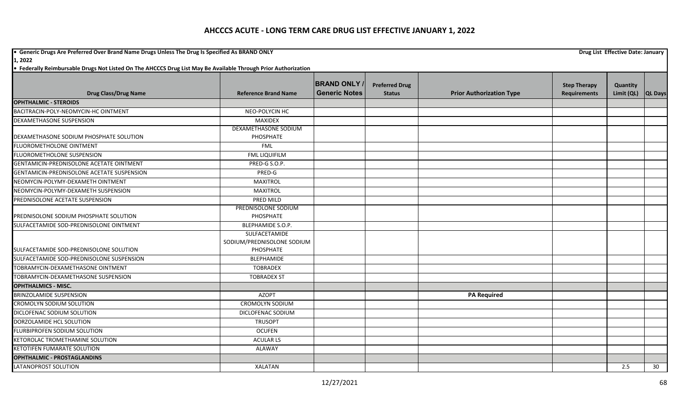**•** Generic Drugs Are Preferred Over Brand Name Drugs Unless The Drug Is Specified As BRAND ONLY **Drug List Effective Date: January Drug List Effective Date: January** 

**1, 2022**

|                                            |                             | <b>BRAND ONLY</b>    | <b>Preferred Drug</b> |                                 | <b>Step Therapy</b> | Quantity   |                |
|--------------------------------------------|-----------------------------|----------------------|-----------------------|---------------------------------|---------------------|------------|----------------|
| <b>Drug Class/Drug Name</b>                | <b>Reference Brand Name</b> | <b>Generic Notes</b> | <b>Status</b>         | <b>Prior Authorization Type</b> | <b>Requirements</b> | Limit (QL) | <b>QL Days</b> |
| <b>OPHTHALMIC - STEROIDS</b>               |                             |                      |                       |                                 |                     |            |                |
| BACITRACIN-POLY-NEOMYCIN-HC OINTMENT       | NEO-POLYCIN HC              |                      |                       |                                 |                     |            |                |
| DEXAMETHASONE SUSPENSION                   | MAXIDEX                     |                      |                       |                                 |                     |            |                |
|                                            | DEXAMETHASONE SODIUM        |                      |                       |                                 |                     |            |                |
| DEXAMETHASONE SODIUM PHOSPHATE SOLUTION    | PHOSPHATE                   |                      |                       |                                 |                     |            |                |
| <b>FLUOROMETHOLONE OINTMENT</b>            | <b>FML</b>                  |                      |                       |                                 |                     |            |                |
| FLUOROMETHOLONE SUSPENSION                 | <b>FML LIQUIFILM</b>        |                      |                       |                                 |                     |            |                |
| GENTAMICIN-PREDNISOLONE ACETATE OINTMENT   | PRED-G S.O.P.               |                      |                       |                                 |                     |            |                |
| GENTAMICIN-PREDNISOLONE ACETATE SUSPENSION | PRED-G                      |                      |                       |                                 |                     |            |                |
| NEOMYCIN-POLYMY-DEXAMETH OINTMENT          | <b>MAXITROL</b>             |                      |                       |                                 |                     |            |                |
| NEOMYCIN-POLYMY-DEXAMETH SUSPENSION        | <b>MAXITROL</b>             |                      |                       |                                 |                     |            |                |
| PREDNISOLONE ACETATE SUSPENSION            | PRED MILD                   |                      |                       |                                 |                     |            |                |
|                                            | PREDNISOLONE SODIUM         |                      |                       |                                 |                     |            |                |
| PREDNISOLONE SODIUM PHOSPHATE SOLUTION     | PHOSPHATE                   |                      |                       |                                 |                     |            |                |
| SULFACETAMIDE SOD-PREDNISOLONE OINTMENT    | BLEPHAMIDE S.O.P.           |                      |                       |                                 |                     |            |                |
|                                            | SULFACETAMIDE               |                      |                       |                                 |                     |            |                |
|                                            | SODIUM/PREDNISOLONE SODIUM  |                      |                       |                                 |                     |            |                |
| SULFACETAMIDE SOD-PREDNISOLONE SOLUTION    | PHOSPHATE                   |                      |                       |                                 |                     |            |                |
| SULFACETAMIDE SOD-PREDNISOLONE SUSPENSION  | BLEPHAMIDE                  |                      |                       |                                 |                     |            |                |
| TOBRAMYCIN-DEXAMETHASONE OINTMENT          | <b>TOBRADEX</b>             |                      |                       |                                 |                     |            |                |
| TOBRAMYCIN-DEXAMETHASONE SUSPENSION        | <b>TOBRADEX ST</b>          |                      |                       |                                 |                     |            |                |
| <b>OPHTHALMICS - MISC.</b>                 |                             |                      |                       |                                 |                     |            |                |
| <b>BRINZOLAMIDE SUSPENSION</b>             | <b>AZOPT</b>                |                      |                       | <b>PA Required</b>              |                     |            |                |
| <b>CROMOLYN SODIUM SOLUTION</b>            | <b>CROMOLYN SODIUM</b>      |                      |                       |                                 |                     |            |                |
| DICLOFENAC SODIUM SOLUTION                 | DICLOFENAC SODIUM           |                      |                       |                                 |                     |            |                |
| DORZOLAMIDE HCL SOLUTION                   | <b>TRUSOPT</b>              |                      |                       |                                 |                     |            |                |
| FLURBIPROFEN SODIUM SOLUTION               | <b>OCUFEN</b>               |                      |                       |                                 |                     |            |                |
| KETOROLAC TROMETHAMINE SOLUTION            | <b>ACULAR LS</b>            |                      |                       |                                 |                     |            |                |
| KETOTIFEN FUMARATE SOLUTION                | ALAWAY                      |                      |                       |                                 |                     |            |                |
| <b>OPHTHALMIC - PROSTAGLANDINS</b>         |                             |                      |                       |                                 |                     |            |                |
| LATANOPROST SOLUTION                       | <b>XALATAN</b>              |                      |                       |                                 |                     | 2.5        | 30             |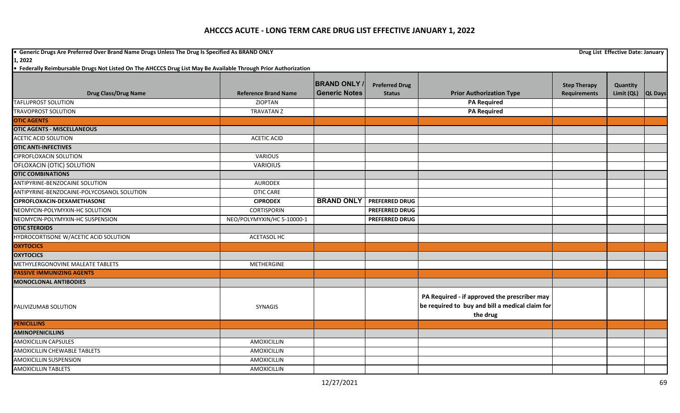**•** Generic Drugs Are Preferred Over Brand Name Drugs Unless The Drug Is Specified As BRAND ONLY **Drug List Effective Date: January Drug List Effective Date: January** 

**1, 2022**

|                                            |                             | <b>BRAND ONLY</b>    |                                        |                                                                                                             |                                            |                                |  |
|--------------------------------------------|-----------------------------|----------------------|----------------------------------------|-------------------------------------------------------------------------------------------------------------|--------------------------------------------|--------------------------------|--|
| <b>Drug Class/Drug Name</b>                | <b>Reference Brand Name</b> | <b>Generic Notes</b> | <b>Preferred Drug</b><br><b>Status</b> | <b>Prior Authorization Type</b>                                                                             | <b>Step Therapy</b><br><b>Requirements</b> | Quantity<br>Limit (QL) QL Days |  |
| <b>TAFLUPROST SOLUTION</b>                 | <b>ZIOPTAN</b>              |                      |                                        | <b>PA Required</b>                                                                                          |                                            |                                |  |
| <b>TRAVOPROST SOLUTION</b>                 | <b>TRAVATAN Z</b>           |                      |                                        |                                                                                                             |                                            |                                |  |
|                                            |                             |                      |                                        | <b>PA Required</b>                                                                                          |                                            |                                |  |
| <b>OTIC AGENTS</b>                         |                             |                      |                                        |                                                                                                             |                                            |                                |  |
| <b>OTIC AGENTS - MISCELLANEOUS</b>         |                             |                      |                                        |                                                                                                             |                                            |                                |  |
| <b>ACETIC ACID SOLUTION</b>                | <b>ACETIC ACID</b>          |                      |                                        |                                                                                                             |                                            |                                |  |
| <b>OTIC ANTI-INFECTIVES</b>                |                             |                      |                                        |                                                                                                             |                                            |                                |  |
| <b>CIPROFLOXACIN SOLUTION</b>              | VARIOUS                     |                      |                                        |                                                                                                             |                                            |                                |  |
| OFLOXACIN (OTIC) SOLUTION                  | <b>VARIOIUS</b>             |                      |                                        |                                                                                                             |                                            |                                |  |
| <b>OTIC COMBINATIONS</b>                   |                             |                      |                                        |                                                                                                             |                                            |                                |  |
| ANTIPYRINE-BENZOCAINE SOLUTION             | <b>AURODEX</b>              |                      |                                        |                                                                                                             |                                            |                                |  |
| ANTIPYRINE-BENZOCAINE-POLYCOSANOL SOLUTION | <b>OTIC CARE</b>            |                      |                                        |                                                                                                             |                                            |                                |  |
| CIPROFLOXACIN-DEXAMETHASONE                | <b>CIPRODEX</b>             | <b>BRAND ONLY</b>    | <b>PREFERRED DRUG</b>                  |                                                                                                             |                                            |                                |  |
| NEOMYCIN-POLYMYXIN-HC SOLUTION             | <b>CORTISPORIN</b>          |                      | <b>PREFERRED DRUG</b>                  |                                                                                                             |                                            |                                |  |
| NEOMYCIN-POLYMYXIN-HC SUSPENSION           | NEO/POLYMYXIN/HC 5-10000-1  |                      | <b>PREFERRED DRUG</b>                  |                                                                                                             |                                            |                                |  |
| <b>OTIC STEROIDS</b>                       |                             |                      |                                        |                                                                                                             |                                            |                                |  |
| HYDROCORTISONE W/ACETIC ACID SOLUTION      | <b>ACETASOL HC</b>          |                      |                                        |                                                                                                             |                                            |                                |  |
| <b>OXYTOCICS</b>                           |                             |                      |                                        |                                                                                                             |                                            |                                |  |
| <b>OXYTOCICS</b>                           |                             |                      |                                        |                                                                                                             |                                            |                                |  |
| METHYLERGONOVINE MALEATE TABLETS           | <b>METHERGINE</b>           |                      |                                        |                                                                                                             |                                            |                                |  |
| <b>PASSIVE IMMUNIZING AGENTS</b>           |                             |                      |                                        |                                                                                                             |                                            |                                |  |
| <b>MONOCLONAL ANTIBODIES</b>               |                             |                      |                                        |                                                                                                             |                                            |                                |  |
| PALIVIZUMAB SOLUTION                       | <b>SYNAGIS</b>              |                      |                                        | PA Required - if approved the prescriber may<br>be required to buy and bill a medical claim for<br>the drug |                                            |                                |  |
| <b>PENICILLINS</b>                         |                             |                      |                                        |                                                                                                             |                                            |                                |  |
| <b>AMINOPENICILLINS</b>                    |                             |                      |                                        |                                                                                                             |                                            |                                |  |
| <b>AMOXICILLIN CAPSULES</b>                | AMOXICILLIN                 |                      |                                        |                                                                                                             |                                            |                                |  |
| AMOXICILLIN CHEWABLE TABLETS               | AMOXICILLIN                 |                      |                                        |                                                                                                             |                                            |                                |  |
| <b>AMOXICILLIN SUSPENSION</b>              | AMOXICILLIN                 |                      |                                        |                                                                                                             |                                            |                                |  |
| <b>AMOXICILLIN TABLETS</b>                 | AMOXICILLIN                 |                      |                                        |                                                                                                             |                                            |                                |  |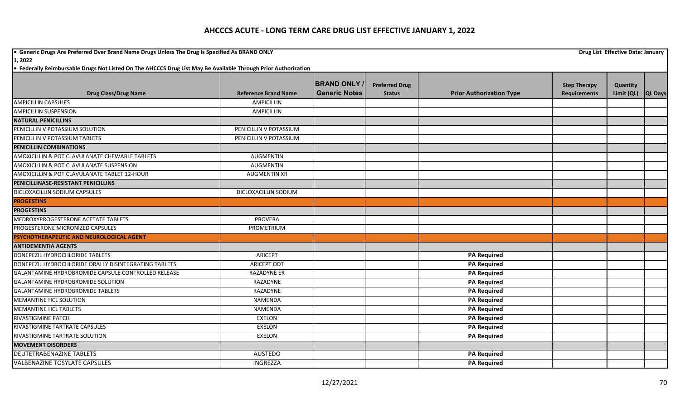**•** Generic Drugs Are Preferred Over Brand Name Drugs Unless The Drug Is Specified As BRAND ONLY **Drug List Effective Date: January Drug List Effective Date: January 1, 2022**

|                                                       |                             | <b>BRAND ONLY</b>    | <b>Preferred Drug</b> |                                 | <b>Step Therapy</b> | Quantity   |                |
|-------------------------------------------------------|-----------------------------|----------------------|-----------------------|---------------------------------|---------------------|------------|----------------|
| <b>Drug Class/Drug Name</b>                           | <b>Reference Brand Name</b> | <b>Generic Notes</b> | <b>Status</b>         | <b>Prior Authorization Type</b> | <b>Requirements</b> | Limit (QL) | <b>QL Days</b> |
| <b>AMPICILLIN CAPSULES</b>                            | <b>AMPICILLIN</b>           |                      |                       |                                 |                     |            |                |
| <b>AMPICILLIN SUSPENSION</b>                          | <b>AMPICILLIN</b>           |                      |                       |                                 |                     |            |                |
| <b>NATURAL PENICILLINS</b>                            |                             |                      |                       |                                 |                     |            |                |
| PENICILLIN V POTASSIUM SOLUTION                       | PENICILLIN V POTASSIUM      |                      |                       |                                 |                     |            |                |
| PENICILLIN V POTASSIUM TABLETS                        | PENICILLIN V POTASSIUM      |                      |                       |                                 |                     |            |                |
| <b>PENICILLIN COMBINATIONS</b>                        |                             |                      |                       |                                 |                     |            |                |
| AMOXICILLIN & POT CLAVULANATE CHEWABLE TABLETS        | <b>AUGMENTIN</b>            |                      |                       |                                 |                     |            |                |
| AMOXICILLIN & POT CLAVULANATE SUSPENSION              | <b>AUGMENTIN</b>            |                      |                       |                                 |                     |            |                |
| AMOXICILLIN & POT CLAVULANATE TABLET 12-HOUR          | <b>AUGMENTIN XR</b>         |                      |                       |                                 |                     |            |                |
| PENICILLINASE-RESISTANT PENICILLINS                   |                             |                      |                       |                                 |                     |            |                |
| DICLOXACILLIN SODIUM CAPSULES                         | DICLOXACILLIN SODIUM        |                      |                       |                                 |                     |            |                |
| <b>PROGESTINS</b>                                     |                             |                      |                       |                                 |                     |            |                |
| <b>PROGESTINS</b>                                     |                             |                      |                       |                                 |                     |            |                |
| MEDROXYPROGESTERONE ACETATE TABLETS                   | <b>PROVERA</b>              |                      |                       |                                 |                     |            |                |
| PROGESTERONE MICRONIZED CAPSULES                      | PROMETRIUM                  |                      |                       |                                 |                     |            |                |
| PSYCHOTHERAPEUTIC AND NEUROLOGICAL AGENT              |                             |                      |                       |                                 |                     |            |                |
| <b>ANTIDEMENTIA AGENTS</b>                            |                             |                      |                       |                                 |                     |            |                |
| DONEPEZIL HYDROCHLORIDE TABLETS                       | <b>ARICEPT</b>              |                      |                       | <b>PA Required</b>              |                     |            |                |
| DONEPEZIL HYDROCHLORIDE ORALLY DISINTEGRATING TABLETS | <b>ARICEPT ODT</b>          |                      |                       | <b>PA Required</b>              |                     |            |                |
| GALANTAMINE HYDROBROMIDE CAPSULE CONTROLLED RELEASE   | RAZADYNE ER                 |                      |                       | <b>PA Required</b>              |                     |            |                |
| GALANTAMINE HYDROBROMIDE SOLUTION                     | RAZADYNE                    |                      |                       | <b>PA Required</b>              |                     |            |                |
| <b>GALANTAMINE HYDROBROMIDE TABLETS</b>               | RAZADYNE                    |                      |                       | <b>PA Required</b>              |                     |            |                |
| <b>MEMANTINE HCL SOLUTION</b>                         | <b>NAMENDA</b>              |                      |                       | <b>PA Required</b>              |                     |            |                |
| <b>MEMANTINE HCL TABLETS</b>                          | <b>NAMENDA</b>              |                      |                       | <b>PA Required</b>              |                     |            |                |
| <b>RIVASTIGMINE PATCH</b>                             | <b>EXELON</b>               |                      |                       | <b>PA Required</b>              |                     |            |                |
| RIVASTIGMINE TARTRATE CAPSULES                        | <b>EXELON</b>               |                      |                       | <b>PA Required</b>              |                     |            |                |
| RIVASTIGMINE TARTRATE SOLUTION                        | <b>EXELON</b>               |                      |                       | <b>PA Required</b>              |                     |            |                |
| <b>MOVEMENT DISORDERS</b>                             |                             |                      |                       |                                 |                     |            |                |
| <b>DEUTETRABENAZINE TABLETS</b>                       | <b>AUSTEDO</b>              |                      |                       | <b>PA Required</b>              |                     |            |                |
| <b>VALBENAZINE TOSYLATE CAPSULES</b>                  | INGREZZA                    |                      |                       | <b>PA Required</b>              |                     |            |                |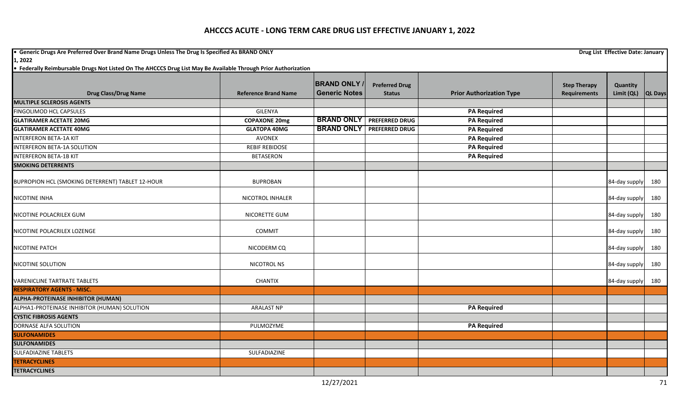**•** Generic Drugs Are Preferred Over Brand Name Drugs Unless The Drug Is Specified As BRAND ONLY **Drug List Effective Date: January Drug List Effective Date: January 1, 2022**

|                                                  |                             | <b>BRAND ONLY</b>    | <b>Preferred Drug</b>            |                                 | <b>Step Therapy</b> | Quantity      |                |
|--------------------------------------------------|-----------------------------|----------------------|----------------------------------|---------------------------------|---------------------|---------------|----------------|
| <b>Drug Class/Drug Name</b>                      | <b>Reference Brand Name</b> | <b>Generic Notes</b> | <b>Status</b>                    | <b>Prior Authorization Type</b> | <b>Requirements</b> | Limit (QL)    | <b>QL Days</b> |
| <b>MULTIPLE SCLEROSIS AGENTS</b>                 |                             |                      |                                  |                                 |                     |               |                |
| <b>FINGOLIMOD HCL CAPSULES</b>                   | <b>GILENYA</b>              |                      |                                  | <b>PA Required</b>              |                     |               |                |
| <b>GLATIRAMER ACETATE 20MG</b>                   | <b>COPAXONE 20mg</b>        | <b>BRAND ONLY</b>    | <b>PREFERRED DRUG</b>            | <b>PA Required</b>              |                     |               |                |
| <b>GLATIRAMER ACETATE 40MG</b>                   | <b>GLATOPA 40MG</b>         |                      | <b>BRAND ONLY PREFERRED DRUG</b> | <b>PA Required</b>              |                     |               |                |
| <b>INTERFERON BETA-1A KIT</b>                    | <b>AVONEX</b>               |                      |                                  | <b>PA Required</b>              |                     |               |                |
| <b>INTERFERON BETA-1A SOLUTION</b>               | <b>REBIF REBIDOSE</b>       |                      |                                  | <b>PA Required</b>              |                     |               |                |
| <b>INTERFERON BETA-1B KIT</b>                    | <b>BETASERON</b>            |                      |                                  | <b>PA Required</b>              |                     |               |                |
| <b>SMOKING DETERRENTS</b>                        |                             |                      |                                  |                                 |                     |               |                |
| BUPROPION HCL (SMOKING DETERRENT) TABLET 12-HOUR | <b>BUPROBAN</b>             |                      |                                  |                                 |                     | 84-day supply | 180            |
| NICOTINE INHA                                    | NICOTROL INHALER            |                      |                                  |                                 |                     | 84-day supply | 180            |
| NICOTINE POLACRILEX GUM                          | NICORETTE GUM               |                      |                                  |                                 |                     | 84-day supply | 180            |
| NICOTINE POLACRILEX LOZENGE                      | <b>COMMIT</b>               |                      |                                  |                                 |                     | 84-day supply | 180            |
| <b>NICOTINE PATCH</b>                            | NICODERM CQ                 |                      |                                  |                                 |                     | 84-day supply | 180            |
| NICOTINE SOLUTION                                | <b>NICOTROL NS</b>          |                      |                                  |                                 |                     | 84-day supply | 180            |
| <b>VARENICLINE TARTRATE TABLETS</b>              | <b>CHANTIX</b>              |                      |                                  |                                 |                     | 84-day supply | 180            |
| <b>RESPIRATORY AGENTS - MISC.</b>                |                             |                      |                                  |                                 |                     |               |                |
| <b>ALPHA-PROTEINASE INHIBITOR (HUMAN)</b>        |                             |                      |                                  |                                 |                     |               |                |
| ALPHA1-PROTEINASE INHIBITOR (HUMAN) SOLUTION     | <b>ARALAST NP</b>           |                      |                                  | <b>PA Required</b>              |                     |               |                |
| <b>CYSTIC FIBROSIS AGENTS</b>                    |                             |                      |                                  |                                 |                     |               |                |
| DORNASE ALFA SOLUTION                            | PULMOZYME                   |                      |                                  | <b>PA Required</b>              |                     |               |                |
| <b>SULFONAMIDES</b>                              |                             |                      |                                  |                                 |                     |               |                |
| <b>SULFONAMIDES</b>                              |                             |                      |                                  |                                 |                     |               |                |
| <b>SULFADIAZINE TABLETS</b>                      | SULFADIAZINE                |                      |                                  |                                 |                     |               |                |
| <b>TETRACYCLINES</b>                             |                             |                      |                                  |                                 |                     |               |                |
| <b>TETRACYCLINES</b>                             |                             |                      |                                  |                                 |                     |               |                |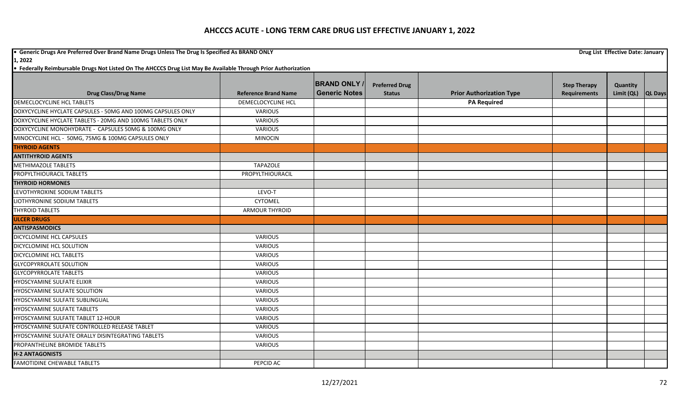**•** Generic Drugs Are Preferred Over Brand Name Drugs Unless The Drug Is Specified As BRAND ONLY **Drug List Effective Date: January Drug List Effective Date: January** 

**1, 2022**

|                                                             |                             | <b>BRAND ONLY</b>    | <b>Preferred Drug</b> |                                 | <b>Step Therapy</b> | Quantity           |  |
|-------------------------------------------------------------|-----------------------------|----------------------|-----------------------|---------------------------------|---------------------|--------------------|--|
| <b>Drug Class/Drug Name</b>                                 | <b>Reference Brand Name</b> | <b>Generic Notes</b> | <b>Status</b>         | <b>Prior Authorization Type</b> | <b>Requirements</b> | Limit (QL) QL Days |  |
| DEMECLOCYCLINE HCL TABLETS                                  | DEMECLOCYCLINE HCL          |                      |                       | <b>PA Required</b>              |                     |                    |  |
| DOXYCYCLINE HYCLATE CAPSULES - 50MG AND 100MG CAPSULES ONLY | <b>VARIOUS</b>              |                      |                       |                                 |                     |                    |  |
| DOXYCYCLINE HYCLATE TABLETS - 20MG AND 100MG TABLETS ONLY   | VARIOUS                     |                      |                       |                                 |                     |                    |  |
| DOXYCYCLINE MONOHYDRATE - CAPSULES 50MG & 100MG ONLY        | <b>VARIOUS</b>              |                      |                       |                                 |                     |                    |  |
| MINOCYCLINE HCL - 50MG, 75MG & 100MG CAPSULES ONLY          | <b>MINOCIN</b>              |                      |                       |                                 |                     |                    |  |
| <b>THYROID AGENTS</b>                                       |                             |                      |                       |                                 |                     |                    |  |
| <b>ANTITHYROID AGENTS</b>                                   |                             |                      |                       |                                 |                     |                    |  |
| <b>METHIMAZOLE TABLETS</b>                                  | <b>TAPAZOLE</b>             |                      |                       |                                 |                     |                    |  |
| PROPYLTHIOURACIL TABLETS                                    | PROPYLTHIOURACIL            |                      |                       |                                 |                     |                    |  |
| <b>THYROID HORMONES</b>                                     |                             |                      |                       |                                 |                     |                    |  |
| LEVOTHYROXINE SODIUM TABLETS                                | LEVO-T                      |                      |                       |                                 |                     |                    |  |
| LIOTHYRONINE SODIUM TABLETS                                 | <b>CYTOMEL</b>              |                      |                       |                                 |                     |                    |  |
| <b>THYROID TABLETS</b>                                      | <b>ARMOUR THYROID</b>       |                      |                       |                                 |                     |                    |  |
| <b>ULCER DRUGS</b>                                          |                             |                      |                       |                                 |                     |                    |  |
| <b>ANTISPASMODICS</b>                                       |                             |                      |                       |                                 |                     |                    |  |
| DICYCLOMINE HCL CAPSULES                                    | <b>VARIOUS</b>              |                      |                       |                                 |                     |                    |  |
| DICYCLOMINE HCL SOLUTION                                    | VARIOUS                     |                      |                       |                                 |                     |                    |  |
| DICYCLOMINE HCL TABLETS                                     | <b>VARIOUS</b>              |                      |                       |                                 |                     |                    |  |
| <b>GLYCOPYRROLATE SOLUTION</b>                              | <b>VARIOUS</b>              |                      |                       |                                 |                     |                    |  |
| <b>GLYCOPYRROLATE TABLETS</b>                               | VARIOUS                     |                      |                       |                                 |                     |                    |  |
| HYOSCYAMINE SULFATE ELIXIR                                  | <b>VARIOUS</b>              |                      |                       |                                 |                     |                    |  |
| HYOSCYAMINE SULFATE SOLUTION                                | <b>VARIOUS</b>              |                      |                       |                                 |                     |                    |  |
| HYOSCYAMINE SULFATE SUBLINGUAL                              | VARIOUS                     |                      |                       |                                 |                     |                    |  |
| <b>HYOSCYAMINE SULFATE TABLETS</b>                          | <b>VARIOUS</b>              |                      |                       |                                 |                     |                    |  |
| HYOSCYAMINE SULFATE TABLET 12-HOUR                          | <b>VARIOUS</b>              |                      |                       |                                 |                     |                    |  |
| HYOSCYAMINE SULFATE CONTROLLED RELEASE TABLET               | <b>VARIOUS</b>              |                      |                       |                                 |                     |                    |  |
| HYOSCYAMINE SULFATE ORALLY DISINTEGRATING TABLETS           | VARIOUS                     |                      |                       |                                 |                     |                    |  |
| PROPANTHELINE BROMIDE TABLETS                               | <b>VARIOUS</b>              |                      |                       |                                 |                     |                    |  |
| <b>H-2 ANTAGONISTS</b>                                      |                             |                      |                       |                                 |                     |                    |  |
| <b>FAMOTIDINE CHEWABLE TABLETS</b>                          | PEPCID AC                   |                      |                       |                                 |                     |                    |  |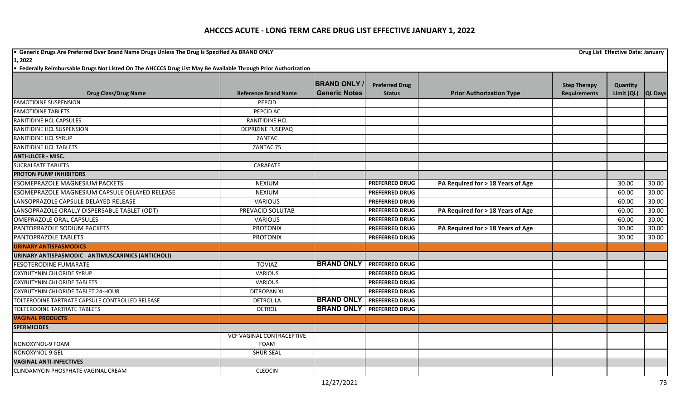## **AHCCCS ACUTE - LONG TERM CARE DRUG LIST EFFECTIVE JANUARY 1, 2022**

**•** Generic Drugs Are Preferred Over Brand Name Drugs Unless The Drug Is Specified As BRAND ONLY **Drug List Effective Date: January Drug List Effective Date: January 1, 2022**

**• Federally Reimbursable Drugs Not Listed On The AHCCCS Drug List May Be Available Through Prior Authorization** 

|                                                     |                                  | <b>BRAND ONLY</b>    | <b>Preferred Drug</b>              |                                   | <b>Step Therapy</b> | Quantity   |                |
|-----------------------------------------------------|----------------------------------|----------------------|------------------------------------|-----------------------------------|---------------------|------------|----------------|
| <b>Drug Class/Drug Name</b>                         | <b>Reference Brand Name</b>      | <b>Generic Notes</b> | <b>Status</b>                      | <b>Prior Authorization Type</b>   | <b>Requirements</b> | Limit (QL) | <b>QL Days</b> |
| <b>FAMOTIDINE SUSPENSION</b>                        | PEPCID                           |                      |                                    |                                   |                     |            |                |
| <b>FAMOTIDINE TABLETS</b>                           | PEPCID AC                        |                      |                                    |                                   |                     |            |                |
| RANITIDINE HCL CAPSULES                             | <b>RANITIDINE HCL</b>            |                      |                                    |                                   |                     |            |                |
| RANITIDINE HCL SUSPENSION                           | <b>DEPRIZINE FUSEPAQ</b>         |                      |                                    |                                   |                     |            |                |
| <b>RANITIDINE HCL SYRUP</b>                         | ZANTAC                           |                      |                                    |                                   |                     |            |                |
| <b>RANITIDINE HCL TABLETS</b>                       | ZANTAC 75                        |                      |                                    |                                   |                     |            |                |
| <b>ANTI-ULCER - MISC.</b>                           |                                  |                      |                                    |                                   |                     |            |                |
| <b>SUCRALFATE TABLETS</b>                           | CARAFATE                         |                      |                                    |                                   |                     |            |                |
| <b>PROTON PUMP INHIBITORS</b>                       |                                  |                      |                                    |                                   |                     |            |                |
| <b>ESOMEPRAZOLE MAGNESIUM PACKETS</b>               | <b>NEXIUM</b>                    |                      | <b>PREFERRED DRUG</b>              | PA Required for > 18 Years of Age |                     | 30.00      | 30.00          |
| ESOMEPRAZOLE MAGNESIUM CAPSULE DELAYED RELEASE      | <b>NEXIUM</b>                    |                      | <b>PREFERRED DRUG</b>              |                                   |                     | 60.00      | 30.00          |
| LANSOPRAZOLE CAPSULE DELAYED RELEASE                | <b>VARIOUS</b>                   |                      | <b>PREFERRED DRUG</b>              |                                   |                     | 60.00      | 30.00          |
| LANSOPRAZOLE ORALLY DISPERSABLE TABLET (ODT)        | PREVACID SOLUTAB                 |                      | <b>PREFERRED DRUG</b>              | PA Required for > 18 Years of Age |                     | 60.00      | 30.00          |
| <b>OMEPRAZOLE ORAL CAPSULES</b>                     | <b>VARIOUS</b>                   |                      | <b>PREFERRED DRUG</b>              |                                   |                     | 60.00      | 30.00          |
| PANTOPRAZOLE SODIUM PACKETS                         | <b>PROTONIX</b>                  |                      | <b>PREFERRED DRUG</b>              | PA Required for > 18 Years of Age |                     | 30.00      | 30.00          |
| PANTOPRAZOLE TABLETS                                | <b>PROTONIX</b>                  |                      | <b>PREFERRED DRUG</b>              |                                   |                     | 30.00      | 30.00          |
| <b>URINARY ANTISPASMODICS</b>                       |                                  |                      |                                    |                                   |                     |            |                |
| URINARY ANTISPASMODIC - ANTIMUSCARINICS (ANTICHOLI) |                                  |                      |                                    |                                   |                     |            |                |
| <b>FESOTERODINE FUMARATE</b>                        | <b>TOVIAZ</b>                    |                      | <b>BRAND ONLY   PREFERRED DRUG</b> |                                   |                     |            |                |
| OXYBUTYNIN CHLORIDE SYRUP                           | <b>VARIOUS</b>                   |                      | <b>PREFERRED DRUG</b>              |                                   |                     |            |                |
| <b>OXYBUTYNIN CHLORIDE TABLETS</b>                  | <b>VARIOUS</b>                   |                      | <b>PREFERRED DRUG</b>              |                                   |                     |            |                |
| OXYBUTYNIN CHLORIDE TABLET 24-HOUR                  | <b>DITROPAN XL</b>               |                      | <b>PREFERRED DRUG</b>              |                                   |                     |            |                |
| TOLTERODINE TARTRATE CAPSULE CONTROLLED RELEASE     | <b>DETROL LA</b>                 | <b>BRAND ONLY</b>    | <b>PREFERRED DRUG</b>              |                                   |                     |            |                |
| TOLTERODINE TARTRATE TABLETS                        | <b>DETROL</b>                    | <b>BRAND ONLY</b>    | <b>PREFERRED DRUG</b>              |                                   |                     |            |                |
| <b>VAGINAL PRODUCTS</b>                             |                                  |                      |                                    |                                   |                     |            |                |
| <b>SPERMICIDES</b>                                  |                                  |                      |                                    |                                   |                     |            |                |
|                                                     | <b>VCF VAGINAL CONTRACEPTIVE</b> |                      |                                    |                                   |                     |            |                |
| NONOXYNOL-9 FOAM                                    | FOAM                             |                      |                                    |                                   |                     |            |                |
| NONOXYNOL-9 GEL                                     | SHUR-SEAL                        |                      |                                    |                                   |                     |            |                |
| <b>VAGINAL ANTI-INFECTIVES</b>                      |                                  |                      |                                    |                                   |                     |            |                |
| <b>CLINDAMYCIN PHOSPHATE VAGINAL CREAM</b>          | <b>CLEOCIN</b>                   |                      |                                    |                                   |                     |            |                |